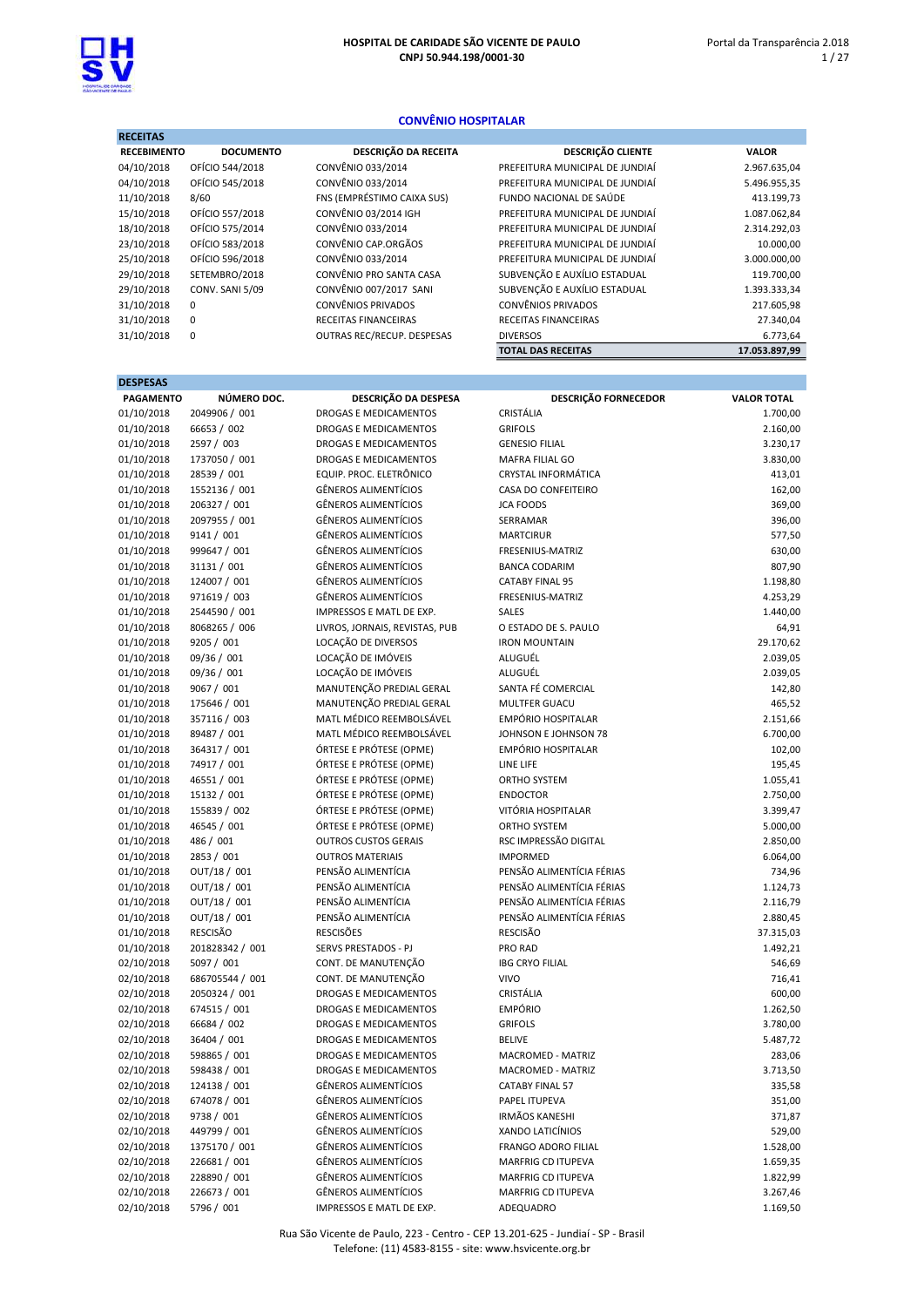

## CONVÊNIO HOSPITALAR

| <b>RECEITAS</b>    |                  |                             |                                 |               |
|--------------------|------------------|-----------------------------|---------------------------------|---------------|
| <b>RECEBIMENTO</b> | <b>DOCUMENTO</b> | <b>DESCRIÇÃO DA RECEITA</b> | <b>DESCRIÇÃO CLIENTE</b>        | <b>VALOR</b>  |
| 04/10/2018         | OFÍCIO 544/2018  | CONVÊNIO 033/2014           | PREFEITURA MUNICIPAL DE JUNDIAÍ | 2.967.635,04  |
| 04/10/2018         | OFÍCIO 545/2018  | CONVÊNIO 033/2014           | PREFEITURA MUNICIPAL DE JUNDIAÍ | 5.496.955,35  |
| 11/10/2018         | 8/60             | FNS (EMPRÉSTIMO CAIXA SUS)  | FUNDO NACIONAL DE SAÚDE         | 413.199,73    |
| 15/10/2018         | OFÍCIO 557/2018  | <b>CONVÊNIO 03/2014 IGH</b> | PREFEITURA MUNICIPAL DE JUNDIAÍ | 1.087.062,84  |
| 18/10/2018         | OFÍCIO 575/2014  | CONVÊNIO 033/2014           | PREFEITURA MUNICIPAL DE JUNDIAÍ | 2.314.292,03  |
| 23/10/2018         | OFÍCIO 583/2018  | CONVÊNIO CAP.ORGÃOS         | PREFEITURA MUNICIPAL DE JUNDIAÍ | 10.000,00     |
| 25/10/2018         | OFÍCIO 596/2018  | CONVÊNIO 033/2014           | PREFEITURA MUNICIPAL DE JUNDIAÍ | 3.000.000,00  |
| 29/10/2018         | SETEMBRO/2018    | CONVÊNIO PRO SANTA CASA     | SUBVENÇÃO E AUXÍLIO ESTADUAL    | 119.700,00    |
| 29/10/2018         | CONV. SANI 5/09  | CONVÊNIO 007/2017 SANI      | SUBVENÇÃO E AUXÍLIO ESTADUAL    | 1.393.333,34  |
| 31/10/2018         | 0                | CONVÊNIOS PRIVADOS          | <b>CONVÊNIOS PRIVADOS</b>       | 217.605,98    |
| 31/10/2018         | 0                | RECEITAS FINANCEIRAS        | RECEITAS FINANCEIRAS            | 27.340,04     |
| 31/10/2018         | 0                | OUTRAS REC/RECUP. DESPESAS  | <b>DIVERSOS</b>                 | 6.773,64      |
|                    |                  |                             | <b>TOTAL DAS RECEITAS</b>       | 17.053.897.99 |

| <b>DESPESAS</b>  |                 |                                |                             |                    |
|------------------|-----------------|--------------------------------|-----------------------------|--------------------|
| <b>PAGAMENTO</b> | NÚMERO DOC.     | DESCRIÇÃO DA DESPESA           | <b>DESCRIÇÃO FORNECEDOR</b> | <b>VALOR TOTAL</b> |
| 01/10/2018       | 2049906 / 001   | <b>DROGAS E MEDICAMENTOS</b>   | CRISTÁLIA                   | 1.700,00           |
| 01/10/2018       | 66653 / 002     | DROGAS E MEDICAMENTOS          | <b>GRIFOLS</b>              | 2.160,00           |
| 01/10/2018       | 2597 / 003      | DROGAS E MEDICAMENTOS          | <b>GENESIO FILIAL</b>       | 3.230,17           |
| 01/10/2018       | 1737050 / 001   | DROGAS E MEDICAMENTOS          | MAFRA FILIAL GO             | 3.830,00           |
| 01/10/2018       | 28539 / 001     | EQUIP. PROC. ELETRÔNICO        | CRYSTAL INFORMÁTICA         | 413,01             |
| 01/10/2018       | 1552136 / 001   | <b>GÊNEROS ALIMENTÍCIOS</b>    | CASA DO CONFEITEIRO         | 162,00             |
| 01/10/2018       | 206327 / 001    | <b>GÊNEROS ALIMENTÍCIOS</b>    | <b>JCA FOODS</b>            | 369,00             |
| 01/10/2018       | 2097955 / 001   | <b>GÊNEROS ALIMENTÍCIOS</b>    | SERRAMAR                    | 396,00             |
| 01/10/2018       | 9141 / 001      | <b>GÊNEROS ALIMENTÍCIOS</b>    | <b>MARTCIRUR</b>            | 577,50             |
| 01/10/2018       | 999647 / 001    | <b>GÊNEROS ALIMENTÍCIOS</b>    | FRESENIUS-MATRIZ            | 630,00             |
| 01/10/2018       | 31131 / 001     | <b>GÊNEROS ALIMENTÍCIOS</b>    | <b>BANCA CODARIM</b>        | 807,90             |
| 01/10/2018       | 124007 / 001    | <b>GÊNEROS ALIMENTÍCIOS</b>    | <b>CATABY FINAL 95</b>      | 1.198,80           |
| 01/10/2018       | 971619 / 003    | <b>GÊNEROS ALIMENTÍCIOS</b>    | FRESENIUS-MATRIZ            | 4.253,29           |
| 01/10/2018       | 2544590 / 001   | IMPRESSOS E MATL DE EXP.       | SALES                       | 1.440,00           |
| 01/10/2018       | 8068265 / 006   | LIVROS, JORNAIS, REVISTAS, PUB | O ESTADO DE S. PAULO        | 64,91              |
| 01/10/2018       | 9205 / 001      | LOCAÇÃO DE DIVERSOS            | <b>IRON MOUNTAIN</b>        | 29.170,62          |
| 01/10/2018       | 09/36 / 001     | LOCAÇÃO DE IMÓVEIS             | ALUGUÉL                     | 2.039,05           |
| 01/10/2018       | 09/36 / 001     | LOCAÇÃO DE IMÓVEIS             | ALUGUÉL                     | 2.039,05           |
| 01/10/2018       | 9067 / 001      | MANUTENÇÃO PREDIAL GERAL       | SANTA FÉ COMERCIAL          | 142,80             |
| 01/10/2018       | 175646 / 001    | MANUTENÇÃO PREDIAL GERAL       | MULTFER GUACU               | 465,52             |
| 01/10/2018       | 357116 / 003    | MATL MÉDICO REEMBOLSÁVEL       | <b>EMPÓRIO HOSPITALAR</b>   | 2.151,66           |
| 01/10/2018       | 89487 / 001     | MATL MÉDICO REEMBOLSÁVEL       | JOHNSON E JOHNSON 78        | 6.700,00           |
| 01/10/2018       | 364317 / 001    | ÓRTESE E PRÓTESE (OPME)        | <b>EMPÓRIO HOSPITALAR</b>   | 102,00             |
| 01/10/2018       | 74917 / 001     | ÓRTESE E PRÓTESE (OPME)        | LINE LIFE                   | 195,45             |
| 01/10/2018       | 46551 / 001     | ÓRTESE E PRÓTESE (OPME)        | ORTHO SYSTEM                | 1.055,41           |
| 01/10/2018       | 15132 / 001     | ÓRTESE E PRÓTESE (OPME)        | <b>ENDOCTOR</b>             | 2.750,00           |
| 01/10/2018       | 155839 / 002    | ÓRTESE E PRÓTESE (OPME)        | VITÓRIA HOSPITALAR          | 3.399,47           |
| 01/10/2018       | 46545 / 001     | ÓRTESE E PRÓTESE (OPME)        | ORTHO SYSTEM                | 5.000,00           |
| 01/10/2018       | 486 / 001       | <b>OUTROS CUSTOS GERAIS</b>    | RSC IMPRESSÃO DIGITAL       | 2.850,00           |
| 01/10/2018       | 2853 / 001      | <b>OUTROS MATERIAIS</b>        | <b>IMPORMED</b>             | 6.064,00           |
| 01/10/2018       | OUT/18 / 001    | PENSÃO ALIMENTÍCIA             | PENSÃO ALIMENTÍCIA FÉRIAS   | 734,96             |
| 01/10/2018       | OUT/18 / 001    | PENSÃO ALIMENTÍCIA             | PENSÃO ALIMENTÍCIA FÉRIAS   | 1.124,73           |
| 01/10/2018       | OUT/18 / 001    | PENSÃO ALIMENTÍCIA             | PENSÃO ALIMENTÍCIA FÉRIAS   | 2.116,79           |
| 01/10/2018       | OUT/18 / 001    | PENSÃO ALIMENTÍCIA             | PENSÃO ALIMENTÍCIA FÉRIAS   | 2.880,45           |
| 01/10/2018       | <b>RESCISÃO</b> | <b>RESCISÕES</b>               | RESCISÃO                    | 37.315,03          |
| 01/10/2018       | 201828342 / 001 | <b>SERVS PRESTADOS - PJ</b>    | PRO RAD                     | 1.492,21           |
| 02/10/2018       | 5097 / 001      | CONT. DE MANUTENÇÃO            | <b>IBG CRYO FILIAL</b>      | 546,69             |
| 02/10/2018       | 686705544 / 001 | CONT. DE MANUTENÇÃO            | <b>VIVO</b>                 | 716,41             |
| 02/10/2018       | 2050324 / 001   | DROGAS E MEDICAMENTOS          | CRISTÁLIA                   | 600,00             |
| 02/10/2018       | 674515 / 001    | DROGAS E MEDICAMENTOS          | <b>EMPÓRIO</b>              | 1.262,50           |
| 02/10/2018       | 66684 / 002     | DROGAS E MEDICAMENTOS          | <b>GRIFOLS</b>              | 3.780,00           |
| 02/10/2018       | 36404 / 001     | DROGAS E MEDICAMENTOS          | <b>BELIVE</b>               | 5.487,72           |
| 02/10/2018       | 598865 / 001    | DROGAS E MEDICAMENTOS          | MACROMED - MATRIZ           | 283,06             |
| 02/10/2018       | 598438 / 001    | DROGAS E MEDICAMENTOS          | MACROMED - MATRIZ           | 3.713,50           |
| 02/10/2018       | 124138 / 001    | GÊNEROS ALIMENTÍCIOS           | <b>CATABY FINAL 57</b>      | 335,58             |
| 02/10/2018       | 674078 / 001    | <b>GÊNEROS ALIMENTÍCIOS</b>    | PAPEL ITUPEVA               | 351,00             |
| 02/10/2018       | 9738 / 001      | GÊNEROS ALIMENTÍCIOS           | <b>IRMÃOS KANESHI</b>       | 371,87             |
| 02/10/2018       | 449799 / 001    | <b>GÊNEROS ALIMENTÍCIOS</b>    | XANDO LATICÍNIOS            | 529,00             |
| 02/10/2018       | 1375170 / 001   | GÊNEROS ALIMENTÍCIOS           | FRANGO ADORO FILIAL         | 1.528,00           |
| 02/10/2018       | 226681 / 001    | GÊNEROS ALIMENTÍCIOS           | MARFRIG CD ITUPEVA          | 1.659,35           |
| 02/10/2018       | 228890 / 001    | <b>GÊNEROS ALIMENTÍCIOS</b>    | MARFRIG CD ITUPEVA          | 1.822,99           |
| 02/10/2018       | 226673 / 001    | GÊNEROS ALIMENTÍCIOS           | MARFRIG CD ITUPEVA          | 3.267,46           |
| 02/10/2018       | 5796 / 001      | IMPRESSOS E MATL DE EXP.       | ADEQUADRO                   | 1.169,50           |

Rua São Vicente de Paulo, 223 - Centro - CEP 13.201-625 - Jundiaí - SP - Brasil Telefone: (11) 4583-8155 - site: www.hsvicente.org.br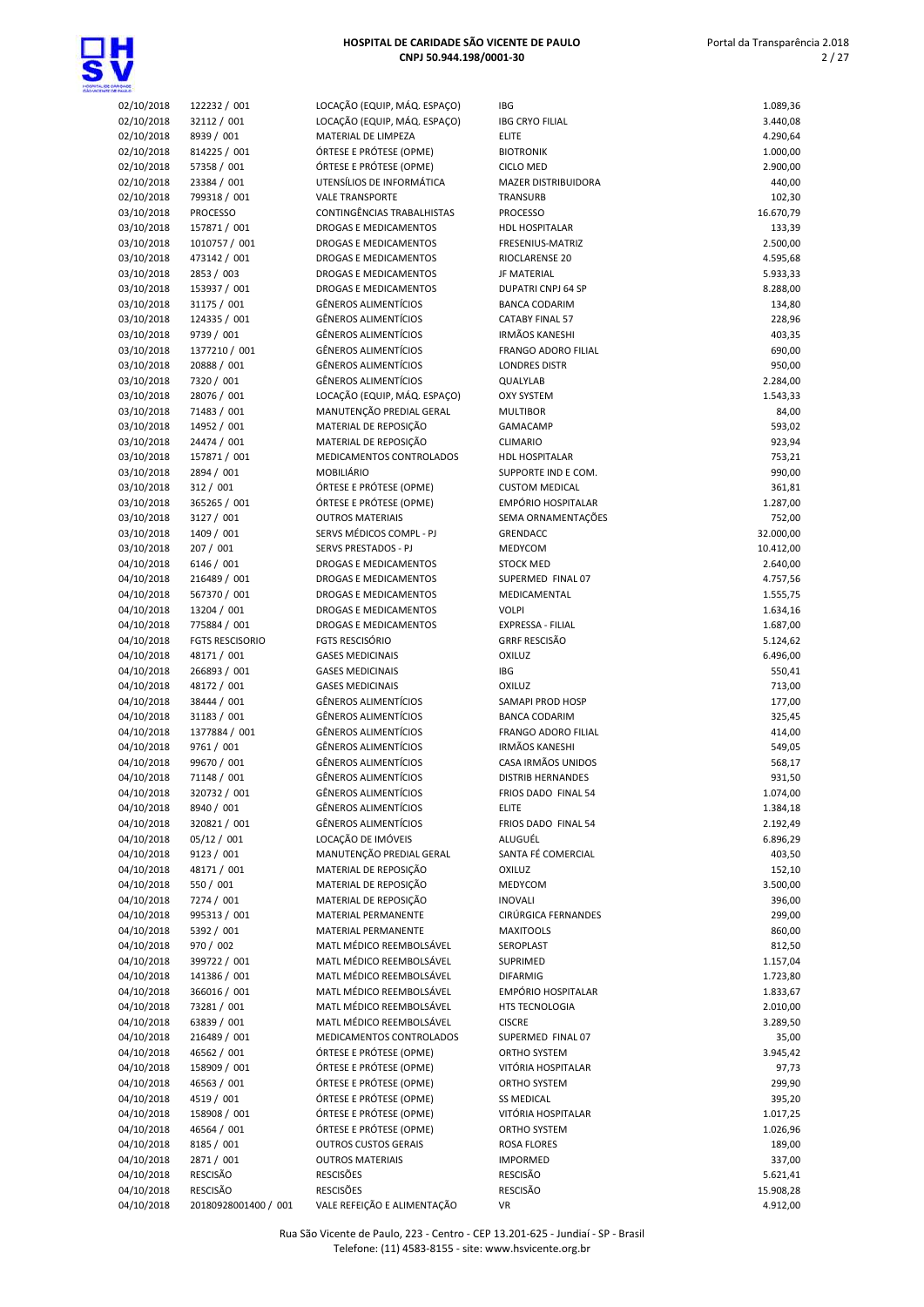

| 02/10/2018 | 122232 / 001           | LOC/        |
|------------|------------------------|-------------|
| 02/10/2018 | 32112 / 001            | LOC/        |
| 02/10/2018 | 8939 / 001             | MAT         |
| 02/10/2018 | 814225 / 001           | ÓRTI        |
| 02/10/2018 | 57358 / 001            | ÓRTI        |
| 02/10/2018 | 23384 / 001            | UTEI        |
| 02/10/2018 | 799318 / 001           | VALE        |
| 03/10/2018 | <b>PROCESSO</b>        | CON         |
| 03/10/2018 | 157871 / 001           | <b>DRO</b>  |
| 03/10/2018 | 1010757 / 001          | DRO         |
| 03/10/2018 | 473142 / 001           | DRO         |
| 03/10/2018 | 2853 / 003             | <b>DRO</b>  |
| 03/10/2018 | 153937 / 001           | <b>DRO</b>  |
| 03/10/2018 | 31175 / 001            | GÊN         |
|            |                        | GÊN         |
| 03/10/2018 | 124335 / 001           |             |
| 03/10/2018 | 9739 / 001             | GÊN         |
| 03/10/2018 | 1377210 / 001          | GÊN         |
| 03/10/2018 | 20888 / 001            | GÊN         |
| 03/10/2018 | 7320 / 001             | GÊN         |
| 03/10/2018 | 28076 / 001            | LOC/        |
| 03/10/2018 | 71483 / 001            | MAN         |
| 03/10/2018 | 14952 / 001            | MAT         |
| 03/10/2018 | 24474 / 001            | MAT         |
| 03/10/2018 | 157871 / 001           | MED         |
| 03/10/2018 | 2894 / 001             | <b>MOE</b>  |
| 03/10/2018 | 312 / 001              | ÓRTI        |
| 03/10/2018 | 365265 / 001           | ÓRTI        |
| 03/10/2018 | 3127 / 001             | OUT         |
| 03/10/2018 | 1409 / 001             | <b>SERV</b> |
| 03/10/2018 | 207 / 001              | <b>SERV</b> |
| 04/10/2018 | 6146 / 001             | DRO         |
| 04/10/2018 | 216489 / 001           | <b>DRO</b>  |
| 04/10/2018 | 567370 / 001           | DRO         |
| 04/10/2018 | 13204 / 001            | DRO         |
| 04/10/2018 | 775884 / 001           | DRO         |
| 04/10/2018 | <b>FGTS RESCISORIO</b> | <b>FGTS</b> |
| 04/10/2018 | 48171 / 001            | GASI        |
| 04/10/2018 | 266893 / 001           | GASI        |
| 04/10/2018 | 48172 / 001            | GASI        |
| 04/10/2018 | 38444 / 001            | GÊN         |
| 04/10/2018 | 31183 / 001            | GÊN         |
| 04/10/2018 | 1377884 / 001          | GÊN         |
| 04/10/2018 | 9761 / 001             | GÊN         |
| 04/10/2018 | 99670 / 001            | GÊN         |
| 04/10/2018 | 71148 / 001            | GÊN         |
| 04/10/2018 |                        | GÊN         |
|            | 320732 / 001           | GÊN         |
| 04/10/2018 | 8940 / 001             | GÊN         |
| 04/10/2018 | 320821 / 001           | LOC/        |
| 04/10/2018 | 05/12 / 001            | MAN         |
| 04/10/2018 | 9123 / 001             |             |
| 04/10/2018 | 48171 / 001            | MAT         |
| 04/10/2018 | 550 / 001              | MAT         |
| 04/10/2018 | 7274 / 001             | MAT         |
| 04/10/2018 | 995313 / 001           | MAT         |
| 04/10/2018 | 5392 / 001             | MAT         |
| 04/10/2018 | 970 / 002              | MAT         |
| 04/10/2018 | 399722 / 001           | MAT         |
| 04/10/2018 | 141386 / 001           | MAT         |
| 04/10/2018 | 366016 / 001           | MAT         |
| 04/10/2018 | 73281 / 001            | MAT         |
| 04/10/2018 | 63839 / 001            | MAT         |
| 04/10/2018 | 216489 / 001           | MED         |
| 04/10/2018 | 46562 / 001            | ÓRTI        |
| 04/10/2018 | 158909 / 001           | ÓRTI        |
| 04/10/2018 | 46563 / 001            | ÓRTI        |
| 04/10/2018 | 4519 / 001             | ÓRTI        |
| 04/10/2018 | 158908 / 001           | ÓRTI        |
| 04/10/2018 | 46564 / 001            | ÓRTI        |
| 04/10/2018 | 8185 / 001             | OUT         |
|            |                        |             |

| <b>TAILO</b>             |                              |                                                        |                                                     |                     |
|--------------------------|------------------------------|--------------------------------------------------------|-----------------------------------------------------|---------------------|
| 02/10/2018               | 122232 / 001                 | LOCAÇÃO (EQUIP, MÁQ. ESPAÇO)                           | IBG                                                 | 1.089,36            |
| 02/10/2018               | 32112 / 001                  | LOCAÇÃO (EQUIP, MÁQ. ESPAÇO)                           | <b>IBG CRYO FILIAL</b>                              | 3.440,08            |
| 02/10/2018               | 8939 / 001                   | MATERIAL DE LIMPEZA                                    | <b>ELITE</b>                                        | 4.290,64            |
| 02/10/2018               | 814225 / 001                 | ÓRTESE E PRÓTESE (OPME)                                | <b>BIOTRONIK</b>                                    | 1.000,00            |
| 02/10/2018               | 57358 / 001                  | ÓRTESE E PRÓTESE (OPME)                                | <b>CICLO MED</b>                                    | 2.900,00            |
| 02/10/2018<br>02/10/2018 | 23384 / 001<br>799318 / 001  | UTENSÍLIOS DE INFORMÁTICA<br><b>VALE TRANSPORTE</b>    | <b>MAZER DISTRIBUIDORA</b><br>TRANSURB              | 440,00<br>102,30    |
| 03/10/2018               | <b>PROCESSO</b>              | CONTINGÊNCIAS TRABALHISTAS                             | <b>PROCESSO</b>                                     | 16.670,79           |
| 03/10/2018               | 157871 / 001                 | DROGAS E MEDICAMENTOS                                  | <b>HDL HOSPITALAR</b>                               | 133,39              |
| 03/10/2018               | 1010757 / 001                | DROGAS E MEDICAMENTOS                                  | FRESENIUS-MATRIZ                                    | 2.500,00            |
| 03/10/2018               | 473142 / 001                 | DROGAS E MEDICAMENTOS                                  | RIOCLARENSE 20                                      | 4.595,68            |
| 03/10/2018               | 2853 / 003                   | DROGAS E MEDICAMENTOS                                  | <b>JF MATERIAL</b>                                  | 5.933,33            |
| 03/10/2018               | 153937 / 001                 | DROGAS E MEDICAMENTOS                                  | <b>DUPATRI CNPJ 64 SP</b>                           | 8.288,00            |
| 03/10/2018               | 31175 / 001                  | <b>GÊNEROS ALIMENTÍCIOS</b>                            | <b>BANCA CODARIM</b>                                | 134,80              |
| 03/10/2018               | 124335 / 001                 | <b>GÊNEROS ALIMENTÍCIOS</b>                            | <b>CATABY FINAL 57</b>                              | 228,96              |
| 03/10/2018               | 9739 / 001                   | <b>GÊNEROS ALIMENTÍCIOS</b><br>GÊNEROS ALIMENTÍCIOS    | <b>IRMÃOS KANESHI</b><br><b>FRANGO ADORO FILIAL</b> | 403,35              |
| 03/10/2018<br>03/10/2018 | 1377210 / 001<br>20888 / 001 | <b>GÊNEROS ALIMENTÍCIOS</b>                            | <b>LONDRES DISTR</b>                                | 690,00<br>950,00    |
| 03/10/2018               | 7320 / 001                   | <b>GÊNEROS ALIMENTÍCIOS</b>                            | QUALYLAB                                            | 2.284,00            |
| 03/10/2018               | 28076 / 001                  | LOCAÇÃO (EQUIP, MÁQ. ESPAÇO)                           | <b>OXY SYSTEM</b>                                   | 1.543,33            |
| 03/10/2018               | 71483 / 001                  | MANUTENÇÃO PREDIAL GERAL                               | <b>MULTIBOR</b>                                     | 84,00               |
| 03/10/2018               | 14952 / 001                  | MATERIAL DE REPOSIÇÃO                                  | GAMACAMP                                            | 593,02              |
| 03/10/2018               | 24474 / 001                  | MATERIAL DE REPOSIÇÃO                                  | <b>CLIMARIO</b>                                     | 923,94              |
| 03/10/2018               | 157871 / 001                 | MEDICAMENTOS CONTROLADOS                               | HDL HOSPITALAR                                      | 753,21              |
| 03/10/2018               | 2894 / 001                   | MOBILIÁRIO                                             | SUPPORTE IND E COM.                                 | 990,00              |
| 03/10/2018               | 312 / 001                    | ÓRTESE E PRÓTESE (OPME)                                | <b>CUSTOM MEDICAL</b>                               | 361,81              |
| 03/10/2018               | 365265 / 001                 | ÓRTESE E PRÓTESE (OPME)                                | EMPÓRIO HOSPITALAR                                  | 1.287,00            |
| 03/10/2018               | 3127 / 001<br>1409 / 001     | <b>OUTROS MATERIAIS</b><br>SERVS MÉDICOS COMPL - PJ    | SEMA ORNAMENTAÇÕES<br>GRENDACC                      | 752,00<br>32.000,00 |
| 03/10/2018<br>03/10/2018 | 207 / 001                    | SERVS PRESTADOS - PJ                                   | MEDYCOM                                             | 10.412,00           |
| 04/10/2018               | 6146 / 001                   | DROGAS E MEDICAMENTOS                                  | <b>STOCK MED</b>                                    | 2.640,00            |
| 04/10/2018               | 216489 / 001                 | DROGAS E MEDICAMENTOS                                  | SUPERMED FINAL 07                                   | 4.757,56            |
| 04/10/2018               | 567370 / 001                 | DROGAS E MEDICAMENTOS                                  | MEDICAMENTAL                                        | 1.555,75            |
| 04/10/2018               | 13204 / 001                  | DROGAS E MEDICAMENTOS                                  | <b>VOLPI</b>                                        | 1.634,16            |
| 04/10/2018               | 775884 / 001                 | DROGAS E MEDICAMENTOS                                  | <b>EXPRESSA - FILIAL</b>                            | 1.687,00            |
| 04/10/2018               | <b>FGTS RESCISORIO</b>       | <b>FGTS RESCISÓRIO</b>                                 | <b>GRRF RESCISÃO</b>                                | 5.124,62            |
| 04/10/2018               | 48171 / 001                  | <b>GASES MEDICINAIS</b>                                | OXILUZ                                              | 6.496,00            |
| 04/10/2018               | 266893 / 001                 | <b>GASES MEDICINAIS</b>                                | <b>IBG</b>                                          | 550,41              |
| 04/10/2018<br>04/10/2018 | 48172 / 001<br>38444 / 001   | <b>GASES MEDICINAIS</b><br><b>GÊNEROS ALIMENTÍCIOS</b> | OXILUZ<br>SAMAPI PROD HOSP                          | 713,00              |
| 04/10/2018               | 31183 / 001                  | <b>GÊNEROS ALIMENTÍCIOS</b>                            | <b>BANCA CODARIM</b>                                | 177,00<br>325,45    |
| 04/10/2018               | 1377884 / 001                | GÊNEROS ALIMENTÍCIOS                                   | <b>FRANGO ADORO FILIAL</b>                          | 414,00              |
| 04/10/2018               | 9761 / 001                   | <b>GÊNEROS ALIMENTÍCIOS</b>                            | <b>IRMÃOS KANESHI</b>                               | 549,05              |
| 04/10/2018               | 99670 / 001                  | <b>GÊNEROS ALIMENTÍCIOS</b>                            | CASA IRMÃOS UNIDOS                                  | 568,17              |
| 04/10/2018               | 71148 / 001                  | <b>GÊNEROS ALIMENTÍCIOS</b>                            | <b>DISTRIB HERNANDES</b>                            | 931,50              |
| 04/10/2018               | 320732 / 001                 | GÊNEROS ALIMENTÍCIOS                                   | FRIOS DADO FINAL 54                                 | 1.074,00            |
| 04/10/2018               | 8940 / 001                   | <b>GÊNEROS ALIMENTÍCIOS</b>                            | <b>ELITE</b>                                        | 1.384,18            |
| 04/10/2018               | 320821 / 001                 | GÊNEROS ALIMENTÍCIOS                                   | FRIOS DADO FINAL 54                                 | 2.192,49            |
| 04/10/2018               | 05/12 / 001                  | LOCAÇÃO DE IMÓVEIS<br>MANUTENÇÃO PREDIAL GERAL         | ALUGUÉL                                             | 6.896,29            |
| 04/10/2018<br>04/10/2018 | 9123 / 001<br>48171 / 001    | MATERIAL DE REPOSIÇÃO                                  | SANTA FÉ COMERCIAL<br><b>OXILUZ</b>                 | 403,50<br>152,10    |
| 04/10/2018               | 550 / 001                    | MATERIAL DE REPOSIÇÃO                                  | MEDYCOM                                             | 3.500,00            |
| 04/10/2018               | 7274 / 001                   | MATERIAL DE REPOSIÇÃO                                  | <b>INOVALI</b>                                      | 396,00              |
| 04/10/2018               | 995313 / 001                 | MATERIAL PERMANENTE                                    | CIRÚRGICA FERNANDES                                 | 299,00              |
| 04/10/2018               | 5392 / 001                   | MATERIAL PERMANENTE                                    | <b>MAXITOOLS</b>                                    | 860,00              |
| 04/10/2018               | 970 / 002                    | MATL MÉDICO REEMBOLSÁVEL                               | SEROPLAST                                           | 812,50              |
| 04/10/2018               | 399722 / 001                 | MATL MÉDICO REEMBOLSÁVEL                               | SUPRIMED                                            | 1.157,04            |
| 04/10/2018               | 141386 / 001                 | MATL MÉDICO REEMBOLSÁVEL                               | <b>DIFARMIG</b>                                     | 1.723,80            |
| 04/10/2018               | 366016 / 001                 | MATL MÉDICO REEMBOLSÁVEL                               | EMPÓRIO HOSPITALAR                                  | 1.833,67            |
| 04/10/2018               | 73281 / 001                  | MATL MÉDICO REEMBOLSÁVEL                               | HTS TECNOLOGIA                                      | 2.010,00            |
| 04/10/2018<br>04/10/2018 | 63839 / 001<br>216489 / 001  | MATL MÉDICO REEMBOLSÁVEL<br>MEDICAMENTOS CONTROLADOS   | <b>CISCRE</b><br>SUPERMED FINAL 07                  | 3.289,50<br>35,00   |
| 04/10/2018               | 46562 / 001                  | ÓRTESE E PRÓTESE (OPME)                                | ORTHO SYSTEM                                        | 3.945,42            |
| 04/10/2018               | 158909 / 001                 | ÓRTESE E PRÓTESE (OPME)                                | VITÓRIA HOSPITALAR                                  | 97,73               |
| 04/10/2018               | 46563 / 001                  | ÓRTESE E PRÓTESE (OPME)                                | ORTHO SYSTEM                                        | 299,90              |
| 04/10/2018               | 4519 / 001                   | ÓRTESE E PRÓTESE (OPME)                                | <b>SS MEDICAL</b>                                   | 395,20              |
| 04/10/2018               | 158908 / 001                 | ÓRTESE E PRÓTESE (OPME)                                | VITÓRIA HOSPITALAR                                  | 1.017,25            |
| 04/10/2018               | 46564 / 001                  | ÓRTESE E PRÓTESE (OPME)                                | ORTHO SYSTEM                                        | 1.026,96            |
| 04/10/2018               | 8185 / 001                   | <b>OUTROS CUSTOS GERAIS</b>                            | ROSA FLORES                                         | 189,00              |
| 04/10/2018               | 2871 / 001                   | <b>OUTROS MATERIAIS</b>                                | <b>IMPORMED</b>                                     | 337,00              |
| 04/10/2018               | RESCISÃO                     | <b>RESCISÕES</b>                                       | RESCISÃO                                            | 5.621,41            |
| 04/10/2018               | RESCISÃO                     | <b>RESCISÕES</b><br>VALE REFEIÇÃO E ALIMENTAÇÃO        | RESCISÃO                                            | 15.908,28           |
| 04/10/2018               | 20180928001400 / 001         |                                                        | VR                                                  | 4.912,00            |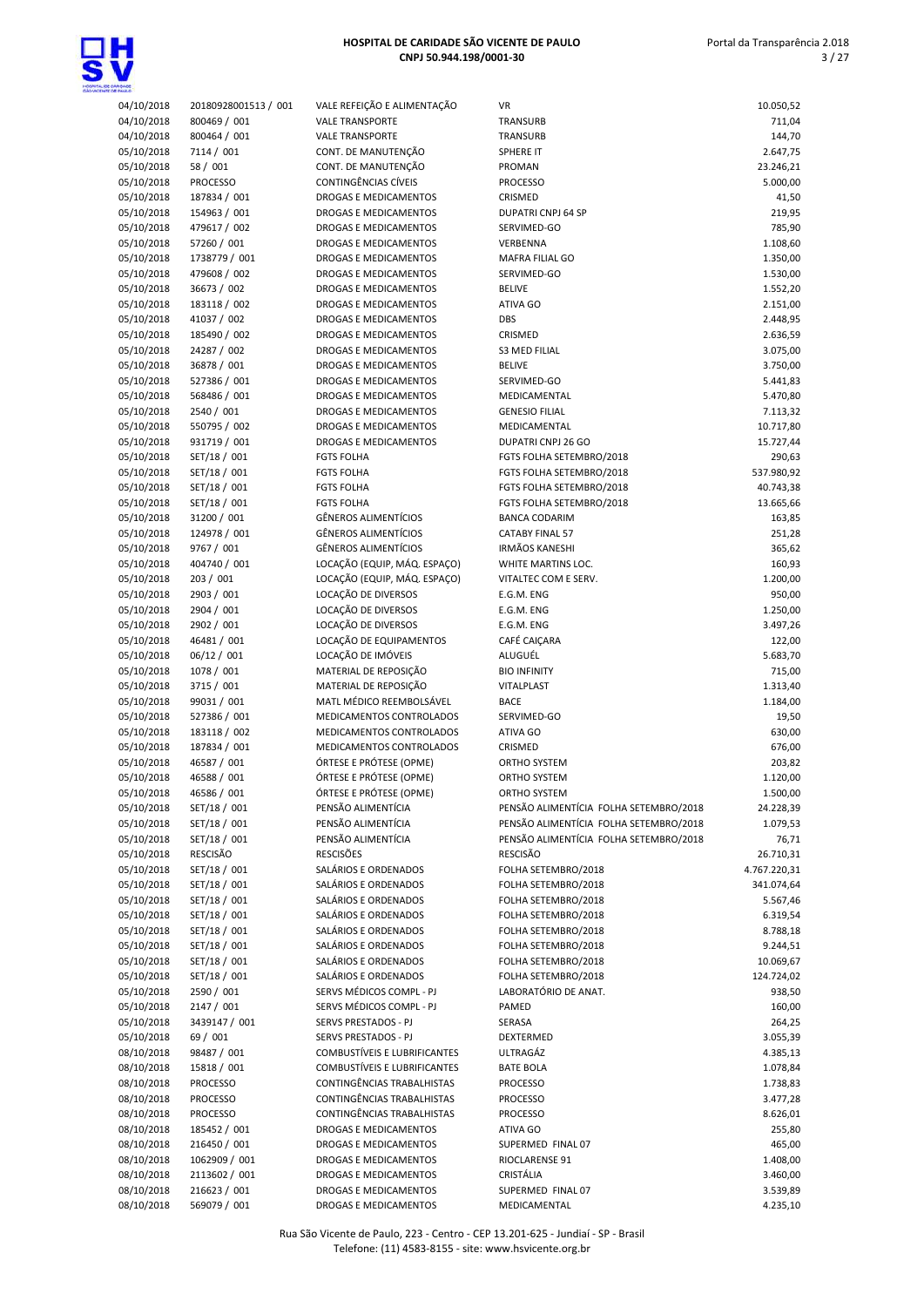

| up :                   |                            |                  |
|------------------------|----------------------------|------------------|
| 4/10/2018              | 20180928001513 / 001       | <b>VALE REFE</b> |
| 4/10/2018              | 800469 / 001               | VALE TRAM        |
| 1/10/2018              | 800464 / 001               | VALE TRAM        |
| 5/10/2018              | 7114 / 001                 | CONT. DE         |
| 5/10/2018              | 58 / 001                   | CONT. DE         |
| 5/10/2018              | <b>PROCESSO</b>            | CONTINGÊ         |
| 5/10/2018              | 187834 / 001               | <b>DROGASE</b>   |
| 5/10/2018              | 154963 / 001               | <b>DROGASE</b>   |
| 5/10/2018              | 479617 / 002               | <b>DROGASE</b>   |
| 5/10/2018              | 57260 / 001                | <b>DROGASE</b>   |
| 5/10/2018              | 1738779 / 001              | <b>DROGASE</b>   |
| 5/10/2018              | 479608 / 002               | <b>DROGASE</b>   |
| 5/10/2018              | 36673 / 002                | <b>DROGASE</b>   |
| 5/10/2018              | 183118 / 002               | <b>DROGASE</b>   |
| 5/10/2018              | 41037 / 002                | <b>DROGASE</b>   |
|                        |                            | <b>DROGASE</b>   |
| 5/10/2018<br>5/10/2018 | 185490 / 002               | <b>DROGASE</b>   |
|                        | 24287 / 002                |                  |
| 5/10/2018              | 36878 / 001                | <b>DROGASE</b>   |
| 5/10/2018              | 527386 / 001               | <b>DROGASE</b>   |
| 5/10/2018              | 568486 / 001               | <b>DROGASE</b>   |
| 5/10/2018              | 2540 / 001                 | <b>DROGASE</b>   |
| 5/10/2018              | 550795 / 002               | <b>DROGASE</b>   |
| 5/10/2018              | 931719 / 001               | <b>DROGASE</b>   |
| 5/10/2018              | SET/18 / 001               | <b>FGTS FOLH</b> |
| 5/10/2018              | SET/18 / 001               | <b>FGTS FOLF</b> |
| 5/10/2018              | SET/18 / 001               | <b>FGTS FOLF</b> |
| 5/10/2018              | SET/18 / 001               | <b>FGTS FOLF</b> |
| 5/10/2018              | 31200 / 001                | GÊNEROS.         |
| 5/10/2018              | 124978 / 001               | GÊNEROS.         |
| 5/10/2018              | 9767 / 001                 | GÊNEROS.         |
| 5/10/2018              | 404740 / 001               | LOCAÇÃO          |
| 5/10/2018              | 203 / 001                  | LOCAÇÃO          |
| 5/10/2018              | 2903 / 001                 | LOCAÇÃO          |
| 5/10/2018              | 2904 / 001                 | LOCAÇÃO          |
| 5/10/2018              | 2902 / 001                 | LOCAÇÃO          |
| 5/10/2018              | 46481 / 001                | LOCAÇÃO          |
| 5/10/2018              | 06/12 / 001                | LOCAÇÃO          |
| 5/10/2018              | 1078 / 001                 | MATERIAL         |
| 5/10/2018              | 3715 / 001                 | MATERIAL         |
| 5/10/2018              | 99031 / 001                | MATL MÉI         |
| 5/10/2018              | 527386 / 001               | MEDICAM          |
| 5/10/2018              | 183118 / 002               | MEDICAM          |
| 5/10/2018              | 187834 / 001               | MEDICAM          |
| 5/10/2018              |                            | ÓRTESE E I       |
|                        | 46587 / 001<br>46588 / 001 | ÓRTESE E I       |
| 5/10/2018              |                            |                  |
| 5/10/2018              | 46586 / 001                | <b>ORTESE E</b>  |
| 5/10/2018              | SET/18 / 001               | PENSÃO A         |
| 5/10/2018              | SET/18 / 001               | PENSÃO A         |
| 5/10/2018              | SET/18 / 001               | PENSÃO A         |
| 5/10/2018              | RESCISÃO                   | <b>RESCISÕES</b> |
| 5/10/2018              | SET/18 / 001               | SALÁRIOS         |
| 5/10/2018              | SET/18 / 001               | SALÁRIOS         |
| 5/10/2018              | SET/18 / 001               | SALÁRIOS         |
| 5/10/2018              | SET/18 / 001               | SALÁRIOS         |
| 5/10/2018              | SET/18 / 001               | SALÁRIOS         |
| 5/10/2018              | SET/18 / 001               | SALÁRIOS         |
| 5/10/2018              | SET/18 / 001               | SALÁRIOS         |
| 5/10/2018              | SET/18 / 001               | SALÁRIOS         |
| 5/10/2018              | 2590 / 001                 | SERVS MÉI        |
| 5/10/2018              | 2147 / 001                 | SERVS MÉI        |
| 5/10/2018              | 3439147 / 001              | <b>SERVS PRE</b> |
| 5/10/2018              | 69 / 001                   | <b>SERVS PRE</b> |
| 3/10/2018              | 98487 / 001                | COMBUST          |
| 3/10/2018              | 15818 / 001                | <b>COMBUST</b>   |
| 3/10/2018              | <b>PROCESSO</b>            | CONTINGÊ         |
| 3/10/2018              | PROCESSO                   | CONTINGÊ         |
| 3/10/2018              | <b>PROCESSO</b>            | CONTINGÊ         |
| 3/10/2018              | 185452 / 001               | <b>DROGASE</b>   |
| 3/10/2018              | 216450 / 001               | <b>DROGASE</b>   |
| 3/10/2018              | 1062909 / 001              | <b>DROGASE</b>   |
| 3/10/2018              | 2113602 / 001              | <b>DROGASE</b>   |
| 3/10/2018              | 216623 / 001               | <b>DROGASE</b>   |
| 3/10/2018              | 569079 / 001               | <b>DROGASE</b>   |
|                        |                            |                  |

| 04/10/2018 | 20180928001513 / 001 | VALE REFEIÇÃO E ALIMENTAÇÃO  | VR                                     | 10.050,52    |
|------------|----------------------|------------------------------|----------------------------------------|--------------|
| 04/10/2018 | 800469 / 001         | <b>VALE TRANSPORTE</b>       | TRANSURB                               | 711,04       |
| 04/10/2018 | 800464 / 001         | <b>VALE TRANSPORTE</b>       | TRANSURB                               | 144,70       |
| 05/10/2018 | 7114 / 001           | CONT. DE MANUTENÇÃO          | SPHERE IT                              | 2.647,75     |
| 05/10/2018 | 58 / 001             | CONT. DE MANUTENÇÃO          | PROMAN                                 | 23.246,21    |
| 05/10/2018 | <b>PROCESSO</b>      | CONTINGÊNCIAS CÍVEIS         | <b>PROCESSO</b>                        | 5.000,00     |
| 05/10/2018 | 187834 / 001         | DROGAS E MEDICAMENTOS        | CRISMED                                | 41,50        |
| 05/10/2018 | 154963 / 001         | DROGAS E MEDICAMENTOS        | DUPATRI CNPJ 64 SP                     | 219,95       |
| 05/10/2018 | 479617 / 002         | DROGAS E MEDICAMENTOS        | SERVIMED-GO                            | 785,90       |
| 05/10/2018 | 57260 / 001          | DROGAS E MEDICAMENTOS        | VERBENNA                               | 1.108,60     |
| 05/10/2018 | 1738779 / 001        | DROGAS E MEDICAMENTOS        | MAFRA FILIAL GO                        | 1.350,00     |
| 05/10/2018 | 479608 / 002         | DROGAS E MEDICAMENTOS        | SERVIMED-GO                            | 1.530,00     |
| 05/10/2018 | 36673 / 002          | DROGAS E MEDICAMENTOS        | <b>BELIVE</b>                          | 1.552,20     |
| 05/10/2018 | 183118 / 002         | DROGAS E MEDICAMENTOS        | ATIVA GO                               | 2.151,00     |
| 05/10/2018 | 41037 / 002          | DROGAS E MEDICAMENTOS        | DBS                                    | 2.448,95     |
| 05/10/2018 | 185490 / 002         | DROGAS E MEDICAMENTOS        | CRISMED                                | 2.636,59     |
| 05/10/2018 | 24287 / 002          | DROGAS E MEDICAMENTOS        | <b>S3 MED FILIAL</b>                   | 3.075,00     |
| 05/10/2018 | 36878 / 001          | DROGAS E MEDICAMENTOS        | <b>BELIVE</b>                          | 3.750,00     |
| 05/10/2018 | 527386 / 001         | DROGAS E MEDICAMENTOS        | SERVIMED-GO                            | 5.441,83     |
| 05/10/2018 | 568486 / 001         | DROGAS E MEDICAMENTOS        | MEDICAMENTAL                           | 5.470,80     |
| 05/10/2018 | 2540 / 001           | DROGAS E MEDICAMENTOS        | <b>GENESIO FILIAL</b>                  | 7.113,32     |
| 05/10/2018 | 550795 / 002         | DROGAS E MEDICAMENTOS        | MEDICAMENTAL                           | 10.717,80    |
| 05/10/2018 | 931719 / 001         | DROGAS E MEDICAMENTOS        | DUPATRI CNPJ 26 GO                     | 15.727,44    |
| 05/10/2018 | SET/18 / 001         | <b>FGTS FOLHA</b>            | FGTS FOLHA SETEMBRO/2018               | 290,63       |
| 05/10/2018 | SET/18 / 001         | <b>FGTS FOLHA</b>            | FGTS FOLHA SETEMBRO/2018               | 537.980,92   |
| 05/10/2018 | SET/18 / 001         | <b>FGTS FOLHA</b>            | FGTS FOLHA SETEMBRO/2018               | 40.743,38    |
| 05/10/2018 | SET/18 / 001         | <b>FGTS FOLHA</b>            | FGTS FOLHA SETEMBRO/2018               | 13.665,66    |
| 05/10/2018 | 31200 / 001          | <b>GÊNEROS ALIMENTÍCIOS</b>  | <b>BANCA CODARIM</b>                   | 163,85       |
| 05/10/2018 | 124978 / 001         | <b>GÊNEROS ALIMENTÍCIOS</b>  | <b>CATABY FINAL 57</b>                 | 251,28       |
| 05/10/2018 | 9767 / 001           | <b>GÊNEROS ALIMENTÍCIOS</b>  | <b>IRMÃOS KANESHI</b>                  | 365,62       |
| 05/10/2018 | 404740 / 001         | LOCAÇÃO (EQUIP, MÁQ. ESPAÇO) | WHITE MARTINS LOC.                     | 160,93       |
| 05/10/2018 | 203 / 001            | LOCAÇÃO (EQUIP, MÁQ. ESPAÇO) | VITALTEC COM E SERV.                   | 1.200,00     |
| 05/10/2018 | 2903 / 001           | LOCAÇÃO DE DIVERSOS          | E.G.M. ENG                             | 950,00       |
| 05/10/2018 | 2904 / 001           | LOCAÇÃO DE DIVERSOS          | E.G.M. ENG                             | 1.250,00     |
| 05/10/2018 | 2902 / 001           | LOCAÇÃO DE DIVERSOS          | E.G.M. ENG                             | 3.497,26     |
| 05/10/2018 | 46481 / 001          | LOCAÇÃO DE EQUIPAMENTOS      | CAFÉ CAIÇARA                           | 122,00       |
| 05/10/2018 | 06/12 / 001          | LOCAÇÃO DE IMÓVEIS           | ALUGUÉL                                | 5.683,70     |
| 05/10/2018 | 1078 / 001           | MATERIAL DE REPOSIÇÃO        | <b>BIO INFINITY</b>                    | 715,00       |
| 05/10/2018 | 3715 / 001           | MATERIAL DE REPOSIÇÃO        | VITALPLAST                             | 1.313,40     |
| 05/10/2018 | 99031 / 001          | MATL MÉDICO REEMBOLSÁVEL     | <b>BACE</b>                            | 1.184,00     |
| 05/10/2018 | 527386 / 001         | MEDICAMENTOS CONTROLADOS     | SERVIMED-GO                            | 19,50        |
| 05/10/2018 | 183118 / 002         | MEDICAMENTOS CONTROLADOS     | ATIVA GO                               | 630,00       |
| 05/10/2018 | 187834 / 001         | MEDICAMENTOS CONTROLADOS     | CRISMED                                | 676,00       |
| 05/10/2018 | 46587 / 001          | ÓRTESE E PRÓTESE (OPME)      | ORTHO SYSTEM                           | 203,82       |
| 05/10/2018 | 46588 / 001          | ÓRTESE E PRÓTESE (OPME)      | ORTHO SYSTEM                           | 1.120,00     |
| 05/10/2018 | 46586 / 001          | ÓRTESE E PRÓTESE (OPME)      | ORTHO SYSTEM                           | 1.500,00     |
| 05/10/2018 | SET/18 / 001         | PENSÃO ALIMENTÍCIA           | PENSÃO ALIMENTÍCIA FOLHA SETEMBRO/2018 | 24.228,39    |
| 05/10/2018 | SET/18 / 001         | PENSÃO ALIMENTÍCIA           | PENSÃO ALIMENTÍCIA FOLHA SETEMBRO/2018 | 1.079,53     |
| 05/10/2018 | SET/18 / 001         | PENSÃO ALIMENTÍCIA           | PENSÃO ALIMENTÍCIA FOLHA SETEMBRO/2018 | 76,71        |
| 05/10/2018 | RESCISÃO             | <b>RESCISÕES</b>             | RESCISÃO                               | 26.710,31    |
| 05/10/2018 | SET/18 / 001         | SALÁRIOS E ORDENADOS         | FOLHA SETEMBRO/2018                    | 4.767.220,31 |
| 05/10/2018 | SET/18 / 001         | SALÁRIOS E ORDENADOS         | FOLHA SETEMBRO/2018                    | 341.074,64   |
| 05/10/2018 | SET/18 / 001         | SALÁRIOS E ORDENADOS         | FOLHA SETEMBRO/2018                    | 5.567,46     |
| 05/10/2018 | SET/18 / 001         | SALÁRIOS E ORDENADOS         | FOLHA SETEMBRO/2018                    | 6.319,54     |
| 05/10/2018 | SET/18 / 001         | SALÁRIOS E ORDENADOS         | FOLHA SETEMBRO/2018                    | 8.788,18     |
| 05/10/2018 | SET/18 / 001         | SALÁRIOS E ORDENADOS         | FOLHA SETEMBRO/2018                    | 9.244,51     |
| 05/10/2018 | SET/18 / 001         | SALÁRIOS E ORDENADOS         | FOLHA SETEMBRO/2018                    | 10.069,67    |
| 05/10/2018 | SET/18 / 001         | SALÁRIOS E ORDENADOS         | FOLHA SETEMBRO/2018                    | 124.724,02   |
| 05/10/2018 | 2590 / 001           | SERVS MÉDICOS COMPL - PJ     | LABORATÓRIO DE ANAT.                   | 938,50       |
| 05/10/2018 | 2147 / 001           | SERVS MÉDICOS COMPL - PJ     | PAMED                                  | 160,00       |
| 05/10/2018 | 3439147 / 001        | SERVS PRESTADOS - PJ         | SERASA                                 | 264,25       |
| 05/10/2018 | 69 / 001             | SERVS PRESTADOS - PJ         | DEXTERMED                              | 3.055,39     |
| 08/10/2018 | 98487 / 001          | COMBUSTÍVEIS E LUBRIFICANTES | ULTRAGÁZ                               | 4.385,13     |
| 08/10/2018 | 15818 / 001          | COMBUSTÍVEIS E LUBRIFICANTES | <b>BATE BOLA</b>                       | 1.078,84     |
| 08/10/2018 | <b>PROCESSO</b>      | CONTINGÊNCIAS TRABALHISTAS   | <b>PROCESSO</b>                        | 1.738,83     |
| 08/10/2018 | PROCESSO             | CONTINGÊNCIAS TRABALHISTAS   | PROCESSO                               | 3.477,28     |
| 08/10/2018 | PROCESSO             | CONTINGÊNCIAS TRABALHISTAS   | <b>PROCESSO</b>                        | 8.626,01     |
| 08/10/2018 | 185452 / 001         | DROGAS E MEDICAMENTOS        | ATIVA GO                               | 255,80       |
| 08/10/2018 | 216450 / 001         | DROGAS E MEDICAMENTOS        | SUPERMED FINAL 07                      | 465,00       |
| 08/10/2018 | 1062909 / 001        | DROGAS E MEDICAMENTOS        | RIOCLARENSE 91                         | 1.408,00     |
| 08/10/2018 | 2113602 / 001        | DROGAS E MEDICAMENTOS        | CRISTÁLIA                              | 3.460,00     |
| 08/10/2018 | 216623 / 001         | DROGAS E MEDICAMENTOS        | SUPERMED FINAL 07                      | 3.539,89     |
| 08/10/2018 | 569079 / 001         | DROGAS E MEDICAMENTOS        | MEDICAMENTAL                           | 4.235,10     |
|            |                      |                              |                                        |              |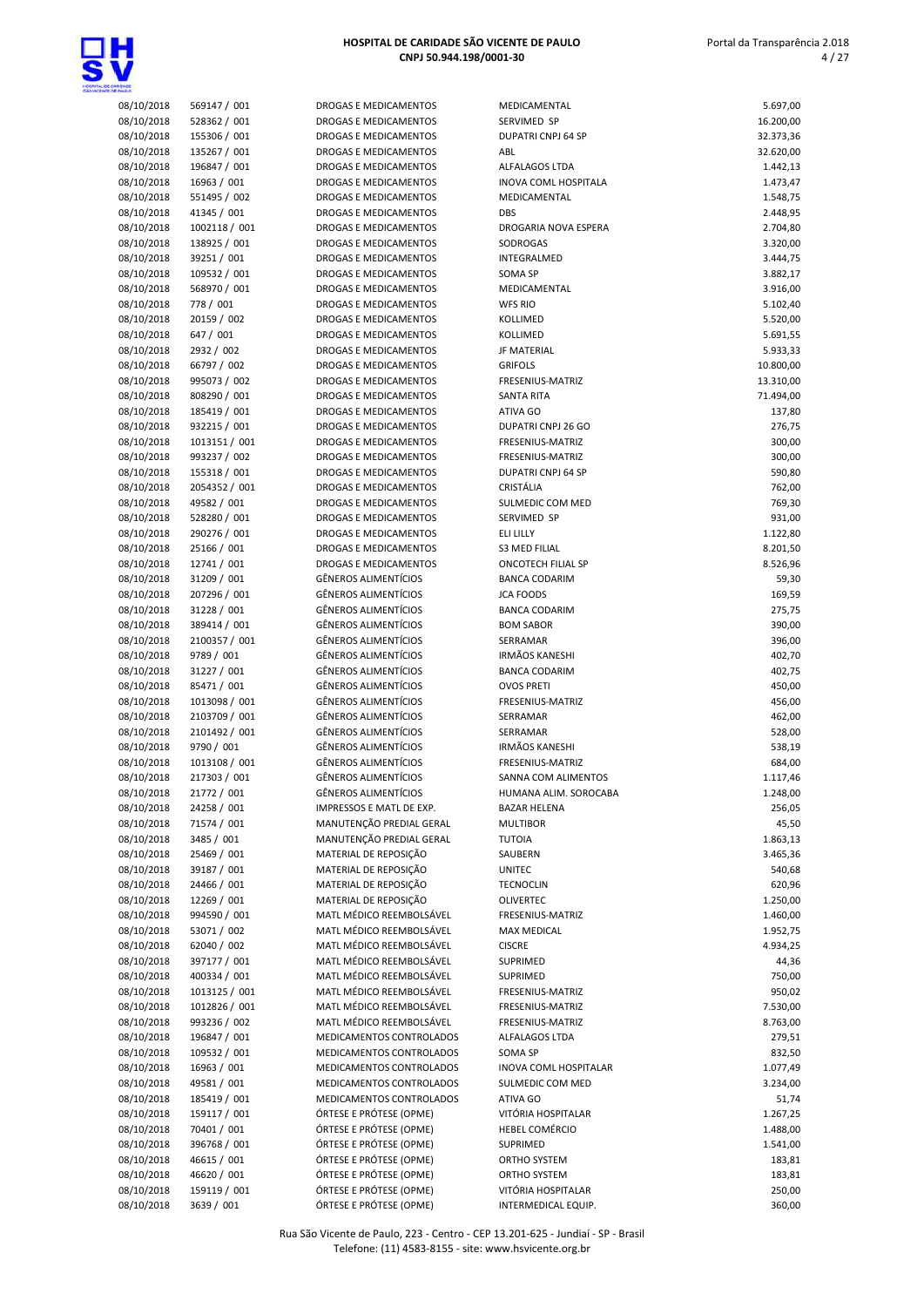

| 08/10/2018 | 569147 / 001  | <b>DROG</b>  |
|------------|---------------|--------------|
| 08/10/2018 | 528362 / 001  | <b>DROG</b>  |
| 08/10/2018 | 155306 / 001  | DROG         |
| 08/10/2018 | 135267 / 001  | <b>DROG</b>  |
| 08/10/2018 | 196847 / 001  | <b>DROG</b>  |
| 08/10/2018 | 16963 / 001   | <b>DROG</b>  |
| 08/10/2018 | 551495 / 002  | DROG         |
| 08/10/2018 | 41345 / 001   | <b>DROG</b>  |
| 08/10/2018 | 1002118 / 001 | <b>DROG</b>  |
| 08/10/2018 | 138925 / 001  | DROG         |
| 08/10/2018 | 39251 / 001   | <b>DROG</b>  |
| 08/10/2018 | 109532 / 001  | <b>DROG</b>  |
| 08/10/2018 | 568970 / 001  | <b>DROG</b>  |
| 08/10/2018 | 778 / 001     | DROG         |
| 08/10/2018 | 20159 / 002   | DROG         |
| 08/10/2018 | 647 / 001     | <b>DROG</b>  |
| 08/10/2018 | 2932 / 002    | DROG         |
| 08/10/2018 | 66797 / 002   | DROG         |
| 08/10/2018 | 995073 / 002  | DROG         |
| 08/10/2018 | 808290 / 001  | <b>DROG</b>  |
| 08/10/2018 | 185419 / 001  | <b>DROG</b>  |
| 08/10/2018 | 932215 / 001  | <b>DROG</b>  |
| 08/10/2018 | 1013151 / 001 | <b>DROG</b>  |
| 08/10/2018 | 993237 / 002  | DROG         |
| 08/10/2018 | 155318 / 001  | <b>DROG</b>  |
| 08/10/2018 | 2054352 / 001 | DROG         |
| 08/10/2018 | 49582 / 001   | <b>DROG</b>  |
| 08/10/2018 | 528280 / 001  | <b>DROG</b>  |
| 08/10/2018 | 290276 / 001  | <b>DROG</b>  |
| 08/10/2018 | 25166 / 001   | <b>DROG</b>  |
| 08/10/2018 | 12741 / 001   | <b>DROG</b>  |
| 08/10/2018 | 31209 / 001   | GÊNEI        |
| 08/10/2018 | 207296 / 001  | GÊNEI        |
| 08/10/2018 | 31228 / 001   | GÊNEI        |
| 08/10/2018 | 389414 / 001  | GÊNEI        |
| 08/10/2018 | 2100357 / 001 | GÊNEI        |
| 08/10/2018 | 9789 / 001    | GÊNEI        |
| 08/10/2018 | 31227 / 001   | GÊNEI        |
| 08/10/2018 | 85471 / 001   | GÊNEI        |
| 08/10/2018 | 1013098 / 001 | GÊNEI        |
| 08/10/2018 | 2103709 / 001 | GÊNEI        |
| 08/10/2018 | 2101492 / 001 | GÊNEI        |
| 08/10/2018 | 9790 / 001    | GÊNEI        |
| 08/10/2018 | 1013108 / 001 | GÊNEI        |
| 08/10/2018 | 217303 / 001  | GÊNEI        |
| 08/10/2018 | 21772/001     | GÊNEI        |
| 08/10/2018 | 24258 / 001   | <b>IMPRE</b> |
| 08/10/2018 | 71574 / 001   | MANL         |
| 08/10/2018 | 3485 / 001    | MANL         |
| 08/10/2018 | 25469 / 001   | <b>MATE</b>  |
| 08/10/2018 | 39187 / 001   | MATE         |
| 08/10/2018 | 24466 / 001   | <b>MATE</b>  |
| 08/10/2018 | 12269 / 001   | <b>MATE</b>  |
| 08/10/2018 | 994590 / 001  | MATL         |
| 08/10/2018 | 53071/002     | MATL         |
| 08/10/2018 | 62040 / 002   | <b>MATL</b>  |
| 08/10/2018 | 397177 / 001  | <b>MATL</b>  |
| 08/10/2018 | 400334 / 001  | MATL         |
| 08/10/2018 | 1013125 / 001 | MATL         |
| 08/10/2018 | 1012826 / 001 | <b>MATL</b>  |
| 08/10/2018 | 993236 / 002  | <b>MATL</b>  |
| 08/10/2018 | 196847 / 001  | <b>MEDIO</b> |
| 08/10/2018 | 109532 / 001  | <b>MEDIO</b> |
| 08/10/2018 | 16963 / 001   | <b>MEDIO</b> |
| 08/10/2018 | 49581 / 001   | <b>MEDIO</b> |
| 08/10/2018 | 185419 / 001  | <b>MEDIO</b> |
| 08/10/2018 | 159117 / 001  | ÓRTES        |
| 08/10/2018 | 70401 / 001   | ÓRTES        |
| 08/10/2018 | 396768 / 001  | ÓRTES        |
| 08/10/2018 | 46615 / 001   | ÓRTES        |
| 08/10/2018 | 46620 / 001   | ÓRTES        |
| 08/10/2018 | 159119 / 001  | ÓRTES        |
| 08/10/2018 | 3639 / 001    | ÓRTES        |

| ROGAS E MEDICAMENTOS                                    |
|---------------------------------------------------------|
| ROGAS E MEDICAMENTOS                                    |
| ROGAS E MEDICAMENTOS                                    |
| ROGAS E MEDICAMENTOS                                    |
| ROGAS E MEDICAMENTOS                                    |
| ROGAS E MEDICAMENTOS                                    |
|                                                         |
| ROGAS E MEDICAMENTOS                                    |
| ROGAS E MEDICAMENTOS                                    |
| ROGAS E MEDICAMENTOS                                    |
| ROGAS E MEDICAMENTOS                                    |
| ROGAS E MEDICAMENTOS                                    |
| ROGAS E MEDICAMENTOS                                    |
| ROGAS E MEDICAMENTOS                                    |
| ROGAS E MEDICAMENTOS                                    |
| ROGAS E MEDICAMENTOS                                    |
| ROGAS E MEDICAMENTOS                                    |
| ROGAS E MEDICAMENTOS                                    |
| ROGAS E MEDICAMENTOS                                    |
|                                                         |
| ROGAS E MEDICAMENTOS                                    |
| ROGAS E MEDICAMENTOS                                    |
| ROGAS E MEDICAMENTOS                                    |
| ROGAS E MEDICAMENTOS                                    |
| ROGAS E MEDICAMENTOS                                    |
| ROGAS E MEDICAMENTOS                                    |
| ROGAS E MEDICAMENTOS                                    |
| ROGAS E MEDICAMENTOS                                    |
| ROGAS E MEDICAMENTOS                                    |
| ROGAS E MEDICAMENTOS                                    |
|                                                         |
| ROGAS E MEDICAMENTOS                                    |
| ROGAS E MEDICAMENTOS                                    |
| ROGAS E MEDICAMENTOS                                    |
| ÊNEROS ALIMENTÍCIOS                                     |
| ÊNEROS ALIMENTÍCIOS                                     |
| ÊNEROS ALIMENTÍCIOS                                     |
| ÊNEROS ALIMENTÍCIOS                                     |
| ÊNEROS ALIMENTÍCIOS                                     |
|                                                         |
| ÊNEROS ALIMENTÍCIOS                                     |
| ÊNEROS ALIMENTÍCIOS                                     |
| ÊNEROS ALIMENTÍCIOS                                     |
| ÊNEROS ALIMENTÍCIOS                                     |
| ÊNEROS ALIMENTÍCIOS                                     |
| ÊNEROS ALIMENTÍCIOS                                     |
| ÊNEROS ALIMENTÍCIOS                                     |
| ÊNEROS ALIMENTÍCIOS                                     |
| ÊNEROS ALIMENTÍCIOS                                     |
| ÊNFROS ALIMENTÍCIOS                                     |
|                                                         |
| <b>APRESSOS E MATL DE EXP.</b>                          |
| IANUTENÇÃO PREDIAL GERAL                                |
| IANUTENÇÃO PREDIAL GERAL                                |
| IATERIAL DE REPOSIÇÃO                                   |
| IATERIAL DE REPOSIÇÃO                                   |
| IATERIAL DE REPOSIÇÃO                                   |
| <b>ATERIAL DE REPOSIÇÃO</b>                             |
| IATL MÉDICO REEMBOLSÁVEL                                |
| IATL MÉDICO REEMBOLSÁVEL                                |
|                                                         |
| IATL MÉDICO REEMBOLSÁVEL                                |
| IATL MÉDICO REEMBOLSÁVEL                                |
| ATL MÉDICO REEMBOLSÁVEL                                 |
| IATL MÉDICO REEMBOLSÁVEL                                |
| IATL MÉDICO REEMBOLSÁVEL                                |
| IATL MÉDICO REEMBOLSÁVEL                                |
| <b>EDICAMENTOS CONTROLADOS</b>                          |
| <b>EDICAMENTOS CONTROLADOS</b>                          |
|                                                         |
| <b>EDICAMENTOS CONTROLADOS</b>                          |
| <b>EDICAMENTOS CONTROLADOS</b>                          |
| <b>EDICAMENTOS CONTROLADOS</b>                          |
| RTESE E PRÓTESE (OPME)                                  |
| RTESE E PRÓTESE (OPME)                                  |
| RTESE E PRÓTESE (OPME)                                  |
| RTESE E PRÓTESE (OPME)                                  |
| RTESE E PRÓTESE (OPME)                                  |
|                                                         |
| RTESE E PRÓTESE (OPME)<br><b>DTECE E DDÁTECE (ODME)</b> |
|                                                         |

| 08/10/2018               | 569147 / 001                | DROGAS E MEDICAMENTOS                                      | MEDICAMENTAL                             | 5.697,00         |
|--------------------------|-----------------------------|------------------------------------------------------------|------------------------------------------|------------------|
| 08/10/2018               | 528362 / 001                | DROGAS E MEDICAMENTOS                                      | SERVIMED SP                              | 16.200,00        |
| 08/10/2018               | 155306 / 001                | DROGAS E MEDICAMENTOS                                      | DUPATRI CNPJ 64 SP                       | 32.373,36        |
| 08/10/2018               | 135267 / 001                | DROGAS E MEDICAMENTOS                                      | ABL                                      | 32.620,00        |
| 08/10/2018               | 196847 / 001                | DROGAS E MEDICAMENTOS                                      | ALFALAGOS LTDA                           | 1.442,13         |
| 08/10/2018               | 16963 / 001                 | DROGAS E MEDICAMENTOS                                      | INOVA COML HOSPITALA                     | 1.473,47         |
| 08/10/2018               | 551495 / 002                | DROGAS E MEDICAMENTOS                                      | MEDICAMENTAL                             | 1.548,75         |
| 08/10/2018               | 41345 / 001                 | DROGAS E MEDICAMENTOS                                      | <b>DBS</b>                               | 2.448,95         |
| 08/10/2018               | 1002118 / 001               | DROGAS E MEDICAMENTOS                                      | DROGARIA NOVA ESPERA                     | 2.704,80         |
| 08/10/2018               | 138925 / 001                | <b>DROGAS E MEDICAMENTOS</b>                               | SODROGAS                                 | 3.320,00         |
| 08/10/2018               | 39251 / 001                 | DROGAS E MEDICAMENTOS                                      | INTEGRALMED                              | 3.444,75         |
| 08/10/2018               | 109532 / 001                | DROGAS E MEDICAMENTOS                                      | SOMA SP                                  | 3.882,17         |
| 08/10/2018               | 568970 / 001                | DROGAS E MEDICAMENTOS                                      | MEDICAMENTAL                             | 3.916,00         |
| 08/10/2018               | 778 / 001                   | DROGAS E MEDICAMENTOS                                      | <b>WFS RIO</b>                           | 5.102,40         |
| 08/10/2018               | 20159 / 002                 | DROGAS E MEDICAMENTOS                                      | KOLLIMED                                 | 5.520,00         |
| 08/10/2018               | 647 / 001                   | <b>DROGAS E MEDICAMENTOS</b>                               | KOLLIMED                                 | 5.691,55         |
| 08/10/2018               | 2932 / 002                  | <b>DROGAS E MEDICAMENTOS</b>                               | <b>JF MATERIAL</b>                       | 5.933,33         |
| 08/10/2018               | 66797 / 002                 | DROGAS E MEDICAMENTOS                                      | <b>GRIFOLS</b>                           | 10.800,00        |
| 08/10/2018               | 995073 / 002                | DROGAS E MEDICAMENTOS                                      | FRESENIUS-MATRIZ                         | 13.310,00        |
| 08/10/2018               | 808290 / 001                | DROGAS E MEDICAMENTOS                                      | <b>SANTA RITA</b>                        | 71.494,00        |
| 08/10/2018               | 185419 / 001                | DROGAS E MEDICAMENTOS                                      | ATIVA GO                                 | 137,80           |
| 08/10/2018               | 932215 / 001                | DROGAS E MEDICAMENTOS                                      | DUPATRI CNPJ 26 GO                       | 276,75           |
| 08/10/2018               | 1013151 / 001               | DROGAS E MEDICAMENTOS                                      | FRESENIUS-MATRIZ                         | 300,00           |
| 08/10/2018               | 993237 / 002                | DROGAS E MEDICAMENTOS                                      | FRESENIUS-MATRIZ                         | 300,00           |
| 08/10/2018               | 155318 / 001                | DROGAS E MEDICAMENTOS                                      | <b>DUPATRI CNPJ 64 SP</b>                | 590,80           |
| 08/10/2018               | 2054352 / 001               | DROGAS E MEDICAMENTOS                                      | CRISTÁLIA                                | 762,00           |
| 08/10/2018               | 49582 / 001                 | DROGAS E MEDICAMENTOS                                      | SULMEDIC COM MED                         | 769,30           |
| 08/10/2018               | 528280 / 001                | DROGAS E MEDICAMENTOS                                      | SERVIMED SP                              | 931,00           |
| 08/10/2018               | 290276 / 001                | DROGAS E MEDICAMENTOS                                      | ELI LILLY                                | 1.122,80         |
| 08/10/2018               | 25166 / 001                 | DROGAS E MEDICAMENTOS                                      | <b>S3 MED FILIAL</b>                     | 8.201,50         |
| 08/10/2018               | 12741 / 001                 | DROGAS E MEDICAMENTOS                                      | ONCOTECH FILIAL SP                       | 8.526,96         |
| 08/10/2018               | 31209 / 001                 | <b>GÊNEROS ALIMENTÍCIOS</b>                                | <b>BANCA CODARIM</b>                     | 59,30            |
| 08/10/2018               | 207296 / 001                | <b>GÊNEROS ALIMENTÍCIOS</b>                                | <b>JCA FOODS</b>                         | 169,59           |
| 08/10/2018<br>08/10/2018 | 31228 / 001<br>389414 / 001 | <b>GÊNEROS ALIMENTÍCIOS</b><br><b>GÊNEROS ALIMENTÍCIOS</b> | <b>BANCA CODARIM</b><br><b>BOM SABOR</b> | 275,75<br>390,00 |
|                          | 2100357 / 001               | <b>GÊNEROS ALIMENTÍCIOS</b>                                | SERRAMAR                                 |                  |
| 08/10/2018<br>08/10/2018 | 9789 / 001                  | <b>GÊNEROS ALIMENTÍCIOS</b>                                | <b>IRMÃOS KANESHI</b>                    | 396,00<br>402,70 |
| 08/10/2018               | 31227 / 001                 | <b>GÊNEROS ALIMENTÍCIOS</b>                                | <b>BANCA CODARIM</b>                     | 402,75           |
| 08/10/2018               | 85471 / 001                 | <b>GÊNEROS ALIMENTÍCIOS</b>                                | <b>OVOS PRETI</b>                        | 450,00           |
| 08/10/2018               | 1013098 / 001               | <b>GÊNEROS ALIMENTÍCIOS</b>                                | FRESENIUS-MATRIZ                         | 456,00           |
| 08/10/2018               | 2103709 / 001               | <b>GÊNEROS ALIMENTÍCIOS</b>                                | SERRAMAR                                 | 462,00           |
| 08/10/2018               | 2101492 / 001               | <b>GÊNEROS ALIMENTÍCIOS</b>                                | SERRAMAR                                 | 528,00           |
| 08/10/2018               | 9790 / 001                  | <b>GÊNEROS ALIMENTÍCIOS</b>                                | <b>IRMÃOS KANESHI</b>                    | 538,19           |
| 08/10/2018               | 1013108 / 001               | <b>GÊNEROS ALIMENTÍCIOS</b>                                | FRESENIUS-MATRIZ                         | 684,00           |
| 08/10/2018               | 217303 / 001                | <b>GÊNEROS ALIMENTÍCIOS</b>                                | SANNA COM ALIMENTOS                      | 1.117,46         |
| 08/10/2018               | 21772 / 001                 | <b>GÊNEROS ALIMENTÍCIOS</b>                                | HUMANA ALIM. SOROCABA                    | 1.248,00         |
| 08/10/2018               | 24258 / 001                 | IMPRESSOS E MATL DE EXP.                                   | <b>BAZAR HELENA</b>                      | 256,05           |
| 08/10/2018               | 71574 / 001                 | MANUTENÇÃO PREDIAL GERAL                                   | <b>MULTIBOR</b>                          | 45,50            |
| 08/10/2018               | 3485 / 001                  | MANUTENÇÃO PREDIAL GERAL                                   | <b>TUTOIA</b>                            | 1.863,13         |
| 08/10/2018               | 25469 / 001                 | MATERIAL DE REPOSIÇÃO                                      | SAUBERN                                  | 3.465,36         |
| 08/10/2018               | 39187 / 001                 | MATERIAL DE REPOSIÇÃO                                      | <b>UNITEC</b>                            | 540,68           |
| 08/10/2018               | 24466 / 001                 | MATERIAL DE REPOSIÇÃO                                      | <b>TECNOCLIN</b>                         | 620,96           |
| 08/10/2018               | 12269 / 001                 | MATERIAL DE REPOSIÇÃO                                      | OLIVERTEC                                | 1.250,00         |
| 08/10/2018               | 994590 / 001                | MATL MÉDICO REEMBOLSÁVEL                                   | FRESENIUS-MATRIZ                         | 1.460,00         |
| 08/10/2018               | 53071 / 002                 | MATL MÉDICO REEMBOLSÁVEL                                   | <b>MAX MEDICAL</b>                       | 1.952,75         |
| 08/10/2018               | 62040 / 002                 | MATL MÉDICO REEMBOLSÁVEL                                   | <b>CISCRE</b>                            | 4.934,25         |
| 08/10/2018               | 397177 / 001                | MATL MÉDICO REEMBOLSÁVEL                                   | SUPRIMED                                 | 44,36            |
| 08/10/2018               | 400334 / 001                | MATL MÉDICO REEMBOLSÁVEL                                   | SUPRIMED                                 | 750,00           |
| 08/10/2018               | 1013125 / 001               | MATL MÉDICO REEMBOLSÁVEL                                   | FRESENIUS-MATRIZ                         | 950,02           |
| 08/10/2018               | 1012826 / 001               | MATL MÉDICO REEMBOLSÁVEL                                   | FRESENIUS-MATRIZ                         | 7.530,00         |
| 08/10/2018               | 993236 / 002                | MATL MÉDICO REEMBOLSÁVEL                                   | FRESENIUS-MATRIZ                         | 8.763,00         |
| 08/10/2018               | 196847 / 001                | MEDICAMENTOS CONTROLADOS                                   | ALFALAGOS LTDA                           | 279,51           |
| 08/10/2018               | 109532 / 001                | MEDICAMENTOS CONTROLADOS                                   | SOMA SP                                  | 832,50           |
| 08/10/2018               | 16963 / 001                 | MEDICAMENTOS CONTROLADOS                                   | INOVA COML HOSPITALAR                    | 1.077,49         |
| 08/10/2018               | 49581 / 001                 | MEDICAMENTOS CONTROLADOS                                   | SULMEDIC COM MED                         | 3.234,00         |
| 08/10/2018               | 185419 / 001                | MEDICAMENTOS CONTROLADOS                                   | ATIVA GO                                 | 51,74            |
| 08/10/2018               | 159117 / 001                | ÓRTESE E PRÓTESE (OPME)                                    | VITÓRIA HOSPITALAR                       | 1.267,25         |
| 08/10/2018               | 70401 / 001                 | ÓRTESE E PRÓTESE (OPME)                                    | <b>HEBEL COMÉRCIO</b>                    | 1.488,00         |
| 08/10/2018               | 396768 / 001                | ÓRTESE E PRÓTESE (OPME)                                    | SUPRIMED                                 | 1.541,00         |
| 08/10/2018               | 46615 / 001                 | ÓRTESE E PRÓTESE (OPME)                                    | ORTHO SYSTEM                             | 183,81           |
| 08/10/2018               | 46620 / 001                 | ÓRTESE E PRÓTESE (OPME)                                    | ORTHO SYSTEM                             | 183,81           |
| 08/10/2018               | 159119 / 001                | ÓRTESE E PRÓTESE (OPME)                                    | VITÓRIA HOSPITALAR                       | 250,00           |
| 08/10/2018               | 3639 / 001                  | ÓRTESE E PRÓTESE (OPME)                                    | INTERMEDICAL EQUIP.                      | 360,00           |
|                          |                             |                                                            |                                          |                  |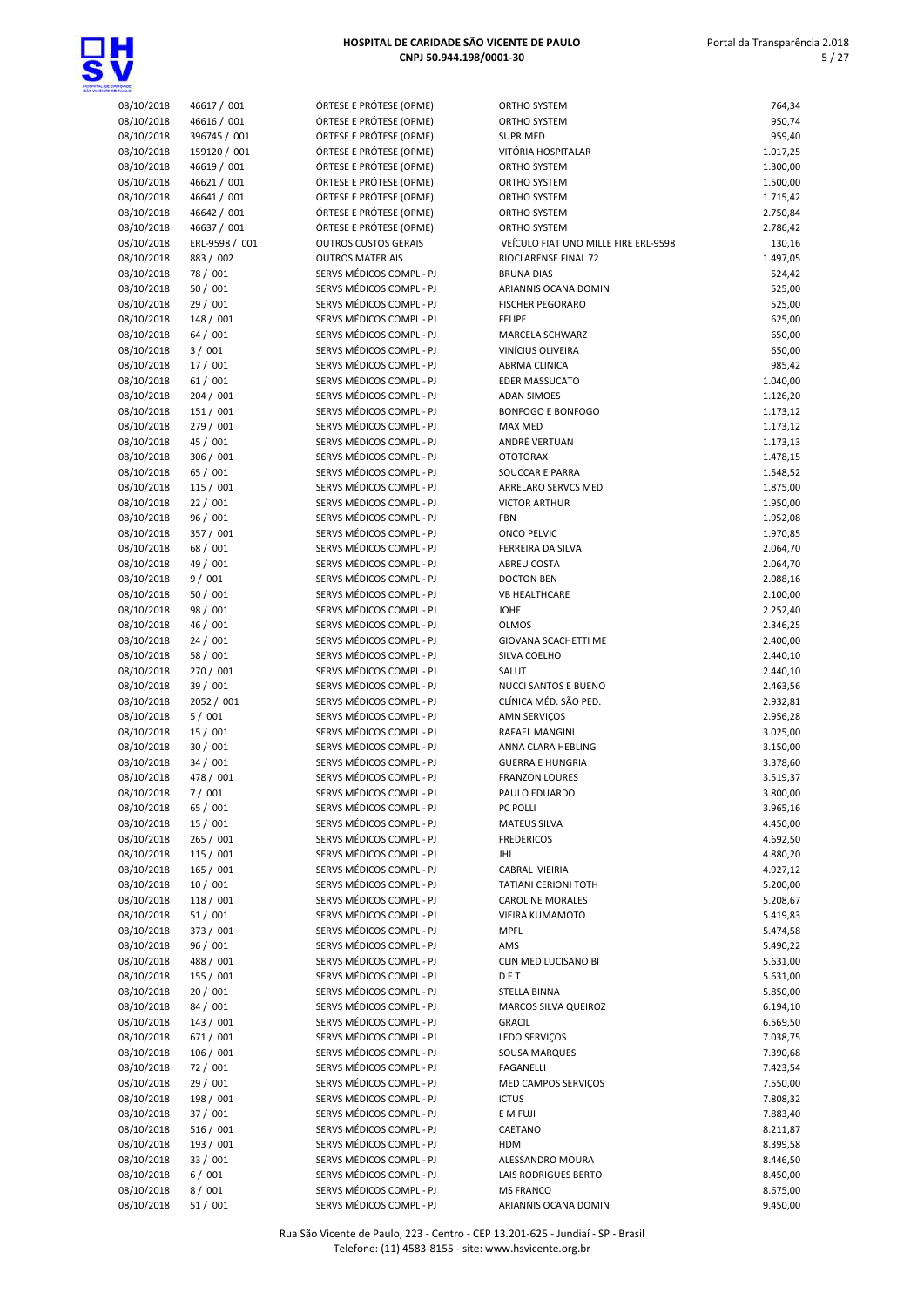

| HOSPITAL DE CARIDADE SÃO VICENTE DE PAULO |
|-------------------------------------------|
| CNPJ 50.944.198/0001-30                   |

 Portal da Transparência 2.018 5 / 27

| <b>DASE</b>              |                            |                                                      |                                                |                      |
|--------------------------|----------------------------|------------------------------------------------------|------------------------------------------------|----------------------|
| 08/10/2018               | 46617 / 001                | ÓRTESE E PRÓTESE (OPME)                              | ORTHO SYSTEM                                   | 764,34               |
| 08/10/2018               | 46616 / 001                | ÓRTESE E PRÓTESE (OPME)                              | ORTHO SYSTEM                                   | 950,74               |
| 08/10/2018               | 396745 / 001               | ÓRTESE E PRÓTESE (OPME)                              | <b>SUPRIMED</b>                                | 959,40               |
| 08/10/2018               | 159120 / 001               | ÓRTESE E PRÓTESE (OPME)                              | VITÓRIA HOSPITALAR                             | 1.017,25             |
| 08/10/2018               | 46619 / 001                | ÓRTESE E PRÓTESE (OPME)<br>ÓRTESE E PRÓTESE (OPME)   | ORTHO SYSTEM                                   | 1.300,00<br>1.500,00 |
| 08/10/2018<br>08/10/2018 | 46621 / 001<br>46641 / 001 | ÓRTESE E PRÓTESE (OPME)                              | ORTHO SYSTEM<br>ORTHO SYSTEM                   | 1.715,42             |
| 08/10/2018               | 46642 / 001                | ÓRTESE E PRÓTESE (OPME)                              | ORTHO SYSTEM                                   | 2.750,84             |
| 08/10/2018               | 46637 / 001                | ÓRTESE E PRÓTESE (OPME)                              | ORTHO SYSTEM                                   | 2.786,42             |
| 08/10/2018               | ERL-9598 / 001             | <b>OUTROS CUSTOS GERAIS</b>                          | VEÍCULO FIAT UNO MILLE FIRE ERL-9598           | 130,16               |
| 08/10/2018               | 883 / 002                  | <b>OUTROS MATERIAIS</b>                              | RIOCLARENSE FINAL 72                           | 1.497,05             |
| 08/10/2018               | 78 / 001                   | SERVS MÉDICOS COMPL - PJ                             | <b>BRUNA DIAS</b>                              | 524,42               |
| 08/10/2018               | 50 / 001                   | SERVS MÉDICOS COMPL - PJ                             | ARIANNIS OCANA DOMIN                           | 525,00               |
| 08/10/2018               | 29 / 001                   | SERVS MÉDICOS COMPL - PJ                             | <b>FISCHER PEGORARO</b>                        | 525,00               |
| 08/10/2018               | 148 / 001                  | SERVS MÉDICOS COMPL - PJ                             | <b>FELIPE</b>                                  | 625,00               |
| 08/10/2018               | 64 / 001                   | SERVS MÉDICOS COMPL - PJ                             | MARCELA SCHWARZ                                | 650,00               |
| 08/10/2018               | 3/001                      | SERVS MÉDICOS COMPL - PJ                             | VINÍCIUS OLIVEIRA                              | 650,00               |
| 08/10/2018               | 17 / 001                   | SERVS MÉDICOS COMPL - PJ                             | ABRMA CLINICA                                  | 985,42               |
| 08/10/2018               | 61/001                     | SERVS MÉDICOS COMPL - PJ<br>SERVS MÉDICOS COMPL - PJ | EDER MASSUCATO                                 | 1.040,00             |
| 08/10/2018<br>08/10/2018 | 204 / 001<br>151 / 001     | SERVS MÉDICOS COMPL - PJ                             | <b>ADAN SIMOES</b><br><b>BONFOGO E BONFOGO</b> | 1.126,20             |
| 08/10/2018               | 279 / 001                  | SERVS MÉDICOS COMPL - PJ                             | <b>MAX MED</b>                                 | 1.173,12<br>1.173,12 |
| 08/10/2018               | 45 / 001                   | SERVS MÉDICOS COMPL - PJ                             | ANDRÉ VERTUAN                                  | 1.173,13             |
| 08/10/2018               | 306 / 001                  | SERVS MÉDICOS COMPL - PJ                             | <b>OTOTORAX</b>                                | 1.478,15             |
| 08/10/2018               | 65 / 001                   | SERVS MÉDICOS COMPL - PJ                             | SOUCCAR E PARRA                                | 1.548,52             |
| 08/10/2018               | 115 / 001                  | SERVS MÉDICOS COMPL - PJ                             | ARRELARO SERVCS MED                            | 1.875,00             |
| 08/10/2018               | 22/001                     | SERVS MÉDICOS COMPL - PJ                             | <b>VICTOR ARTHUR</b>                           | 1.950,00             |
| 08/10/2018               | 96 / 001                   | SERVS MÉDICOS COMPL - PJ                             | <b>FBN</b>                                     | 1.952,08             |
| 08/10/2018               | 357 / 001                  | SERVS MÉDICOS COMPL - PJ                             | ONCO PELVIC                                    | 1.970,85             |
| 08/10/2018               | 68 / 001                   | SERVS MÉDICOS COMPL - PJ                             | FERREIRA DA SILVA                              | 2.064,70             |
| 08/10/2018               | 49 / 001                   | SERVS MÉDICOS COMPL - PJ                             | ABREU COSTA                                    | 2.064,70             |
| 08/10/2018               | 9/001                      | SERVS MÉDICOS COMPL - PJ                             | <b>DOCTON BEN</b>                              | 2.088,16             |
| 08/10/2018               | 50 / 001                   | SERVS MÉDICOS COMPL - PJ                             | <b>VB HEALTHCARE</b>                           | 2.100,00             |
| 08/10/2018               | 98 / 001                   | SERVS MÉDICOS COMPL - PJ                             | <b>JOHE</b>                                    | 2.252,40             |
| 08/10/2018               | 46 / 001                   | SERVS MÉDICOS COMPL - PJ                             | <b>OLMOS</b>                                   | 2.346,25             |
| 08/10/2018               | 24/001                     | SERVS MÉDICOS COMPL - PJ                             | GIOVANA SCACHETTI ME                           | 2.400,00             |
| 08/10/2018               | 58 / 001                   | SERVS MÉDICOS COMPL - PJ                             | SILVA COELHO                                   | 2.440,10             |
| 08/10/2018<br>08/10/2018 | 270 / 001                  | SERVS MÉDICOS COMPL - PJ                             | SALUT                                          | 2.440,10             |
| 08/10/2018               | 39 / 001<br>2052 / 001     | SERVS MÉDICOS COMPL - PJ<br>SERVS MÉDICOS COMPL - PJ | NUCCI SANTOS E BUENO<br>CLÍNICA MÉD. SÃO PED.  | 2.463,56<br>2.932,81 |
| 08/10/2018               | 5/001                      | SERVS MÉDICOS COMPL - PJ                             | <b>AMN SERVICOS</b>                            | 2.956,28             |
| 08/10/2018               | 15 / 001                   | SERVS MÉDICOS COMPL - PJ                             | RAFAEL MANGINI                                 | 3.025,00             |
| 08/10/2018               | 30 / 001                   | SERVS MÉDICOS COMPL - PJ                             | ANNA CLARA HEBLING                             | 3.150,00             |
| 08/10/2018               | 34/001                     | SERVS MÉDICOS COMPL - PJ                             | <b>GUERRA E HUNGRIA</b>                        | 3.378,60             |
| 08/10/2018               | 478 / 001                  | SERVS MÉDICOS COMPL - PJ                             | <b>FRANZON LOURES</b>                          | 3.519,37             |
| 08/10/2018               | 7/001                      | SERVS MÉDICOS COMPL - PJ                             | PAULO EDUARDO                                  | 3.800,00             |
| 08/10/2018               | 65 / 001                   | SERVS MÉDICOS COMPL - PJ                             | PC POLLI                                       | 3.965,16             |
| 08/10/2018               | 15 / 001                   | SERVS MÉDICOS COMPL - PJ                             | <b>MATEUS SILVA</b>                            | 4.450,00             |
| 08/10/2018               | 265 / 001                  | SERVS MÉDICOS COMPL - PJ                             | <b>FREDERICOS</b>                              | 4.692,50             |
| 08/10/2018               | 115 / 001                  | SERVS MÉDICOS COMPL - PJ                             | <b>JHL</b>                                     | 4.880,20             |
| 08/10/2018               | 165 / 001                  | SERVS MÉDICOS COMPL - PJ                             | CABRAL VIEIRIA                                 | 4.927,12             |
| 08/10/2018               | 10/001                     | SERVS MÉDICOS COMPL - PJ                             | TATIANI CERIONI TOTH                           | 5.200,00             |
| 08/10/2018               | 118 / 001                  | SERVS MÉDICOS COMPL - PJ                             | <b>CAROLINE MORALES</b>                        | 5.208,67             |
| 08/10/2018               | 51/001                     | SERVS MÉDICOS COMPL - PJ                             | VIEIRA KUMAMOTO                                | 5.419,83             |
| 08/10/2018               | 373 / 001                  | SERVS MÉDICOS COMPL - PJ                             | <b>MPFL</b>                                    | 5.474,58             |
| 08/10/2018<br>08/10/2018 | 96 / 001<br>488 / 001      | SERVS MÉDICOS COMPL - PJ<br>SERVS MÉDICOS COMPL - PJ | AMS<br>CLIN MED LUCISANO BI                    | 5.490,22             |
| 08/10/2018               | 155 / 001                  | SERVS MÉDICOS COMPL - PJ                             | DET                                            | 5.631,00<br>5.631,00 |
| 08/10/2018               | 20 / 001                   | SERVS MÉDICOS COMPL - PJ                             | STELLA BINNA                                   | 5.850,00             |
| 08/10/2018               | 84 / 001                   | SERVS MÉDICOS COMPL - PJ                             | MARCOS SILVA QUEIROZ                           | 6.194,10             |
| 08/10/2018               | 143 / 001                  | SERVS MÉDICOS COMPL - PJ                             | <b>GRACIL</b>                                  | 6.569,50             |
| 08/10/2018               | 671 / 001                  | SERVS MÉDICOS COMPL - PJ                             | LEDO SERVIÇOS                                  | 7.038,75             |
| 08/10/2018               | 106 / 001                  | SERVS MÉDICOS COMPL - PJ                             | SOUSA MARQUES                                  | 7.390,68             |
| 08/10/2018               | 72 / 001                   | SERVS MÉDICOS COMPL - PJ                             | <b>FAGANELLI</b>                               | 7.423,54             |
| 08/10/2018               | 29 / 001                   | SERVS MÉDICOS COMPL - PJ                             | MED CAMPOS SERVIÇOS                            | 7.550,00             |
| 08/10/2018               | 198 / 001                  | SERVS MÉDICOS COMPL - PJ                             | <b>ICTUS</b>                                   | 7.808,32             |
| 08/10/2018               | 37 / 001                   | SERVS MÉDICOS COMPL - PJ                             | E M FUJI                                       | 7.883,40             |
| 08/10/2018               | 516 / 001                  | SERVS MÉDICOS COMPL - PJ                             | CAETANO                                        | 8.211,87             |
| 08/10/2018               | 193 / 001                  | SERVS MÉDICOS COMPL - PJ                             | <b>HDM</b>                                     | 8.399,58             |
| 08/10/2018               | 33 / 001                   | SERVS MÉDICOS COMPL - PJ                             | ALESSANDRO MOURA                               | 8.446,50             |
| 08/10/2018               | 6/001                      | SERVS MÉDICOS COMPL - PJ                             | LAIS RODRIGUES BERTO                           | 8.450,00             |
| 08/10/2018               | 8/001                      | SERVS MÉDICOS COMPL - PJ                             | <b>MS FRANCO</b>                               | 8.675,00             |
| 08/10/2018               | 51 / 001                   | SERVS MÉDICOS COMPL - PJ                             | ARIANNIS OCANA DOMIN                           | 9.450,00             |

| ORTHO SYSTEM                         | 764,34   |
|--------------------------------------|----------|
| ORTHO SYSTEM                         | 950,74   |
| SUPRIMED                             | 959,40   |
| VITÓRIA HOSPITALAR                   | 1.017,25 |
| ORTHO SYSTEM                         | 1.300,00 |
| <b>ORTHO SYSTEM</b>                  | 1.500,00 |
|                                      |          |
| ORTHO SYSTEM                         | 1.715,42 |
| <b>ORTHO SYSTEM</b>                  | 2.750,84 |
| ORTHO SYSTEM                         | 2.786,42 |
| VEÍCULO FIAT UNO MILLE FIRE ERL-9598 | 130,16   |
| RIOCLARENSE FINAL 72                 | 1.497,05 |
| <b>BRUNA DIAS</b>                    | 524,42   |
| ARIANNIS OCANA DOMIN                 | 525,00   |
| <b>FISCHER PEGORARO</b>              | 525,00   |
| <b>FELIPE</b>                        | 625,00   |
| MARCELA SCHWARZ                      | 650,00   |
| VINÍCIUS OLIVEIRA                    | 650,00   |
| ABRMA CLINICA                        | 985,42   |
| <b>EDER MASSUCATO</b>                |          |
|                                      | 1.040,00 |
| <b>ADAN SIMOES</b>                   | 1.126,20 |
| <b>BONFOGO E BONFOGO</b>             | 1.173,12 |
| MAX MED                              | 1.173,12 |
| ANDRÉ VERTUAN                        | 1.173,13 |
| <b>OTOTORAX</b>                      | 1.478,15 |
| SOUCCAR E PARRA                      | 1.548,52 |
| ARRELARO SERVCS MED                  | 1.875,00 |
| <b>VICTOR ARTHUR</b>                 | 1.950,00 |
| <b>FBN</b>                           | 1.952,08 |
| <b>ONCO PELVIC</b>                   | 1.970,85 |
| FERREIRA DA SILVA                    | 2.064,70 |
| <b>ABREU COSTA</b>                   | 2.064,70 |
| <b>DOCTON BEN</b>                    | 2.088,16 |
| <b>VB HEALTHCARE</b>                 | 2.100,00 |
| JOHE                                 | 2.252,40 |
| <b>OLMOS</b>                         | 2.346,25 |
| <b>GIOVANA SCACHETTI ME</b>          | 2.400,00 |
| SILVA COELHO                         |          |
|                                      | 2.440,10 |
| SALUT                                | 2.440,10 |
| NUCCI SANTOS E BUENO                 | 2.463,56 |
| CLÍNICA MÉD. SÃO PED.                | 2.932,81 |
| AMN SERVIÇOS                         | 2.956,28 |
| <b>RAFAEL MANGINI</b>                | 3.025,00 |
| ANNA CLARA HEBLING                   | 3.150,00 |
| <b>GUERRA E HUNGRIA</b>              | 3.378,60 |
| <b>FRANZON LOURES</b>                | 3.519,37 |
| PAULO EDUARDO                        | 3.800,00 |
| <b>PC POLLI</b>                      | 3.965,16 |
| <b>MATEUS SILVA</b>                  | 4.450,00 |
| <b>FREDERICOS</b>                    | 4.692,50 |
| JHL                                  | 4.880,20 |
| CABRAL VIEIRIA                       | 4.927,12 |
| TATIANI CERIONI TOTH                 | 5.200,00 |
| <b>CAROLINE MORALES</b>              | 5.208,67 |
| VIEIRA KUMAMOTO                      | 5.419,83 |
| <b>MPFL</b>                          | 5.474,58 |
| AMS                                  | 5.490,22 |
| CLIN MED LUCISANO BI                 |          |
|                                      | 5.631,00 |
| DET                                  | 5.631,00 |
| STELLA BINNA                         | 5.850,00 |
| MARCOS SILVA QUEIROZ                 | 6.194,10 |
| <b>GRACIL</b>                        | 6.569,50 |
| LEDO SERVIÇOS                        | 7.038,75 |
| SOUSA MARQUES                        | 7.390,68 |
| FAGANELLI                            | 7.423,54 |
| MED CAMPOS SERVIÇOS                  | 7.550,00 |
| <b>ICTUS</b>                         | 7.808,32 |
| E M FUJI                             | 7.883,40 |
| CAETANO                              | 8.211,87 |
| HDM                                  | 8.399,58 |
| ALESSANDRO MOURA                     | 8.446,50 |
| LAIS RODRIGUES BERTO                 | 8.450,00 |
| <b>MS FRANCO</b>                     | 8.675,00 |
| ARIANNIS OCANA DOMIN                 | 9.450,00 |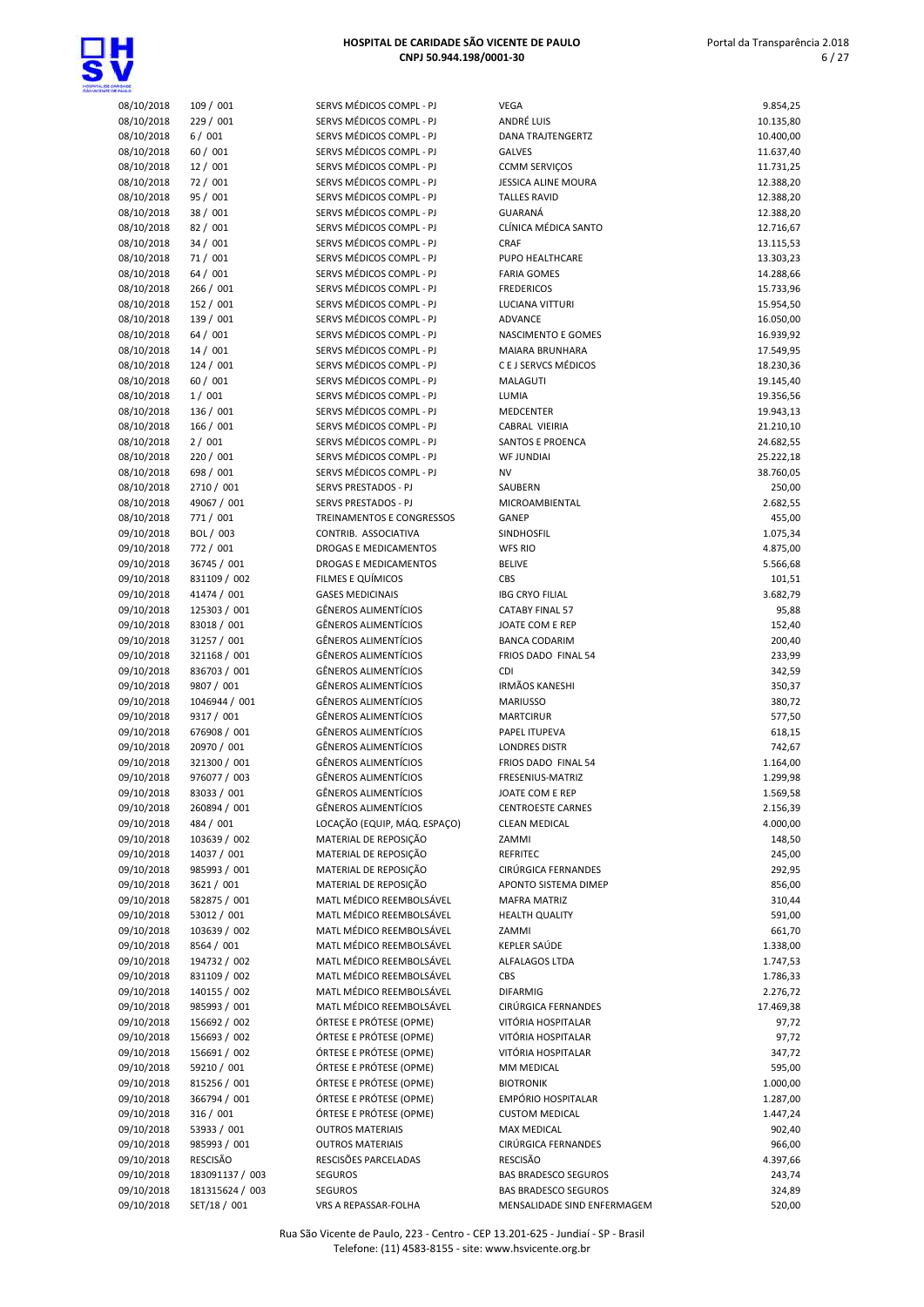

| 08/10/2018               | 109 / 001                  | SERVS MÉD              |
|--------------------------|----------------------------|------------------------|
| 08/10/2018               | 229 / 001                  | SERVS MÉI              |
| 08/10/2018               | 6/001                      | SERVS MÉI              |
| 08/10/2018               | 60 / 001                   | SERVS MÉI              |
| 08/10/2018               | 12 / 001                   | SERVS MÉI              |
| 08/10/2018               | 72 / 001                   | SERVS MÉI              |
| 08/10/2018               | 95 / 001                   | SERVS MÉD              |
| 08/10/2018               | 38 / 001                   | SERVS MÉI              |
| 08/10/2018               | 82 / 001                   | SERVS MÉI              |
| 08/10/2018<br>08/10/2018 | 34 / 001                   | SERVS MÉD<br>SERVS MÉD |
|                          | 71/001<br>64 / 001         | SERVS MÉI              |
| 08/10/2018<br>08/10/2018 | 266 / 001                  | SERVS MÉI              |
| 08/10/2018               | 152 / 001                  | SERVS MÉD              |
| 08/10/2018               | 139 / 001                  | SERVS MÉD              |
| 08/10/2018               | 64/001                     | SERVS MÉI              |
| 08/10/2018               | 14/001                     | SERVS MÉI              |
| 08/10/2018               | 124 / 001                  | SERVS MÉD              |
| 08/10/2018               | 60 / 001                   | SERVS MÉI              |
| 08/10/2018               | 1/001                      | SERVS MÉI              |
| 08/10/2018               | 136 / 001                  | SERVS MÉI              |
| 08/10/2018               | 166 / 001                  | SERVS MÉD              |
| 08/10/2018               | 2/001                      | SERVS MÉD              |
| 08/10/2018               | 220 / 001                  | SERVS MÉD              |
| 08/10/2018               | 698 / 001                  | SERVS MÉD              |
| 08/10/2018               | 2710 / 001                 | <b>SERVS PRE</b>       |
| 08/10/2018               | 49067 / 001                | <b>SERVS PRE</b>       |
| 08/10/2018               | 771 / 001                  | TREINAME               |
| 09/10/2018               | BOL / 003                  | CONTRIB.               |
| 09/10/2018               | 772 / 001                  | <b>DROGASE</b>         |
| 09/10/2018               | 36745 / 001                | <b>DROGASE</b>         |
| 09/10/2018               | 831109 / 002               | FILMES E C             |
| 09/10/2018               | 41474 / 001                | <b>GASES MEI</b>       |
| 09/10/2018               | 125303 / 001               | GÊNEROS /              |
| 09/10/2018               | 83018 / 001                | GÊNEROS /              |
| 09/10/2018               | 31257 / 001                | GÊNEROS /              |
| 09/10/2018               | 321168 / 001               | GÊNEROS /              |
| 09/10/2018               | 836703 / 001               | GÊNEROS /              |
| 09/10/2018               | 9807 / 001                 | GÊNEROS /              |
| 09/10/2018               | 1046944 / 001              | GÊNEROS /              |
| 09/10/2018<br>09/10/2018 | 9317 / 001<br>676908 / 001 | GÊNEROS /<br>GÊNEROS / |
| 09/10/2018               | 20970 / 001                | GÊNEROS /              |
| 09/10/2018               | 321300 / 001               | GÊNEROS /              |
| 09/10/2018               | 976077 / 003               | GÊNEROS /              |
| 09/10/2018               | 83033 / 001                | GÊNEROS /              |
| 09/10/2018               | 260894 / 001               | GÊNEROS /              |
| 09/10/2018               | 484 / 001                  | LOCAÇÃO (              |
| 09/10/2018               | 103639 / 002               | MATERIAL               |
| 09/10/2018               | 14037 / 001                | MATERIAL               |
| 09/10/2018               | 985993 / 001               | <b>MATERIAL</b>        |
| 09/10/2018               | 3621 / 001                 | MATERIAL               |
| 09/10/2018               | 582875 / 001               | MATL MÉD               |
| 09/10/2018               | 53012 / 001                | MATL MÉD               |
| 09/10/2018               | 103639 / 002               | MATL MÉD               |
| 09/10/2018               | 8564 / 001                 | MATL MÉD               |
| 09/10/2018               | 194732 / 002               | MATL MÉD               |
| 09/10/2018               | 831109 / 002               | MATL MÉD               |
| 09/10/2018               | 140155 / 002               | MATL MÉD               |
| 09/10/2018               | 985993 / 001               | MATL MÉD               |
| 09/10/2018               | 156692 / 002               | ÓRTESE E F             |
| 09/10/2018               | 156693 / 002               | ÓRTESE E F             |
| 09/10/2018               | 156691 / 002               | ÓRTESE E F             |
| 09/10/2018               | 59210 / 001                | ÓRTESE E F             |
| 09/10/2018               | 815256 / 001               | ÓRTESE E F             |
| 09/10/2018               | 366794 / 001               | ÓRTESE E F             |
| 09/10/2018               | 316 / 001                  | ÓRTESE E F             |
| 09/10/2018               | 53933 / 001                | <b>OUTROS M</b>        |
| 09/10/2018               | 985993 / 001               | <b>OUTROS M</b>        |
| 09/10/2018               | RESCISÃO                   | <b>RESCISÕES</b>       |
| 09/10/2018               | 183091137 / 003            | SEGUROS                |

| VS MÉDICOS COMPL - PJ                          |
|------------------------------------------------|
| VS MÉDICOS COMPL - PJ                          |
| VS MÉDICOS COMPL - PJ                          |
| VS MÉDICOS COMPL - PJ                          |
| VS MÉDICOS COMPL - PJ                          |
| VS MÉDICOS COMPL - PJ                          |
| VS MÉDICOS COMPL - PJ                          |
| VS MÉDICOS COMPL - PJ                          |
| VS MÉDICOS COMPL - PJ                          |
| VS MÉDICOS COMPL - PJ<br>VS MÉDICOS COMPL - PJ |
| VS MÉDICOS COMPL - PJ                          |
| VS MÉDICOS COMPL - PJ                          |
| VS MÉDICOS COMPL - PJ                          |
| VS MÉDICOS COMPL - PJ                          |
| VS MÉDICOS COMPL - PJ                          |
| VS MÉDICOS COMPL - PJ                          |
| VS MÉDICOS COMPL - PJ                          |
| VS MÉDICOS COMPL - PJ                          |
| VS MÉDICOS COMPL - PJ                          |
| VS MÉDICOS COMPL - PJ                          |
| VS MÉDICOS COMPL - PJ                          |
| VS MÉDICOS COMPL - PJ<br>VS MÉDICOS COMPL - PJ |
| VS MÉDICOS COMPL - PJ                          |
| VS PRESTADOS - PJ                              |
| VS PRESTADOS - PJ                              |
| <b>INAMENTOS E CONGRESSOS</b>                  |
| <b>ITRIB. ASSOCIATIVA</b>                      |
| <b>OGAS E MEDICAMENTOS</b>                     |
| <b>OGAS E MEDICAMENTOS</b>                     |
| AES E QUÍMICOS                                 |
| <b>ES MEDICINAIS</b>                           |
| IEROS ALIMENTÍCIOS                             |
| IEROS ALIMENTÍCIOS                             |
| IEROS ALIMENTÍCIOS                             |
| IEROS ALIMENTÍCIOS<br>IEROS ALIMENTÍCIOS       |
| IEROS ALIMENTÍCIOS                             |
| IEROS ALIMENTÍCIOS                             |
| <b>IEROS ALIMENTÍCIOS</b>                      |
| IEROS ALIMENTÍCIOS                             |
| IEROS ALIMENTÍCIOS                             |
| IEROS ALIMENTÍCIOS                             |
| IEROS ALIMENTÍCIOS                             |
| <b>IEROS ALIMENTÍCIOS</b>                      |
| IEROS ALIMENTÍCIOS                             |
| ACÃO (EQUIP, MÁQ. ESPACO)                      |
| TERIAL DE REPOSIÇÃO                            |
| TERIAL DE REPOSIÇÃO<br>TERIAL DE REPOSIÇÃO     |
| TERIAL DE REPOSIÇÃO                            |
| TL MÉDICO REEMBOLSÁVEL                         |
| TL MÉDICO REEMBOLSÁVEL                         |
| TL MÉDICO REEMBOLSÁVEL                         |
| TL MÉDICO REEMBOLSÁVEL                         |
| TL MÉDICO REEMBOLSÁVEL                         |
| TL MÉDICO REEMBOLSÁVEL                         |
| TL MÉDICO REEMBOLSÁVEL                         |
| TL MÉDICO REEMBOLSÁVEL                         |
| ESE E PRÓTESE (OPME)                           |
| ESE E PRÓTESE (OPME)                           |
| 'ESE E PRÓTESE (OPME)                          |
| ESE E PRÓTESE (OPME)<br>ESE E PRÓTESE (OPME)   |
| ESE E PRÓTESE (OPME)                           |
| ESE E PRÓTESE (OPME)                           |
| <b>FROS MATERIAIS</b>                          |
| <b>FROS MATERIAIS</b>                          |
| CISÕES PARCELADAS                              |
| <b>UROS</b>                                    |
| 1100c                                          |

| <b>TAULO</b>             |                          |                                                      |                             |                        |
|--------------------------|--------------------------|------------------------------------------------------|-----------------------------|------------------------|
| 08/10/2018               | 109 / 001                | SERVS MÉDICOS COMPL - PJ                             | <b>VEGA</b>                 | 9.854,25               |
| 08/10/2018               | 229 / 001                | SERVS MÉDICOS COMPL - PJ                             | ANDRÉ LUIS                  | 10.135,80              |
| 08/10/2018               | 6/001                    | SERVS MÉDICOS COMPL - PJ                             | <b>DANA TRAJTENGERTZ</b>    | 10.400,00              |
| 08/10/2018               | 60 / 001                 | SERVS MÉDICOS COMPL - PJ                             | <b>GALVES</b>               | 11.637,40              |
| 08/10/2018               | 12/001                   | SERVS MÉDICOS COMPL - PJ                             | <b>CCMM SERVIÇOS</b>        | 11.731,25              |
| 08/10/2018               | 72 / 001                 | SERVS MÉDICOS COMPL - PJ                             | <b>JESSICA ALINE MOURA</b>  | 12.388,20              |
| 08/10/2018               | 95 / 001                 | SERVS MÉDICOS COMPL - PJ                             | <b>TALLES RAVID</b>         | 12.388,20              |
| 08/10/2018               | 38 / 001                 | SERVS MÉDICOS COMPL - PJ                             | GUARANÁ                     | 12.388,20              |
| 08/10/2018               | 82 / 001                 | SERVS MÉDICOS COMPL - PJ                             | CLÍNICA MÉDICA SANTO        | 12.716,67              |
| 08/10/2018               | 34 / 001                 | SERVS MÉDICOS COMPL - PJ                             | CRAF                        | 13.115,53              |
| 08/10/2018               | 71/001                   | SERVS MÉDICOS COMPL - PJ                             | PUPO HEALTHCARE             | 13.303,23              |
| 08/10/2018               | 64 / 001                 | SERVS MÉDICOS COMPL - PJ                             | <b>FARIA GOMES</b>          | 14.288,66              |
| 08/10/2018               | 266 / 001                | SERVS MÉDICOS COMPL - PJ                             | <b>FREDERICOS</b>           | 15.733,96              |
| 08/10/2018               | 152 / 001                | SERVS MÉDICOS COMPL - PJ                             | LUCIANA VITTURI             | 15.954,50              |
| 08/10/2018               | 139 / 001                | SERVS MÉDICOS COMPL - PJ                             | ADVANCE                     | 16.050,00              |
| 08/10/2018               | 64 / 001                 | SERVS MÉDICOS COMPL - PJ                             | NASCIMENTO E GOMES          | 16.939,92              |
| 08/10/2018               | 14/001                   | SERVS MÉDICOS COMPL - PJ                             | MAIARA BRUNHARA             | 17.549,95              |
| 08/10/2018               | 124 / 001                | SERVS MÉDICOS COMPL - PJ                             | C E J SERVCS MÉDICOS        | 18.230,36              |
| 08/10/2018               | 60 / 001                 | SERVS MÉDICOS COMPL - PJ<br>SERVS MÉDICOS COMPL - PJ | MALAGUTI                    | 19.145,40              |
| 08/10/2018               | 1/001                    |                                                      | LUMIA                       | 19.356,56              |
| 08/10/2018               | 136 / 001                | SERVS MÉDICOS COMPL - PJ<br>SERVS MÉDICOS COMPL - PJ | MEDCENTER<br>CABRAL VIEIRIA | 19.943,13              |
| 08/10/2018               | 166 / 001                |                                                      | <b>SANTOS E PROENCA</b>     | 21.210,10              |
| 08/10/2018               | 2/001                    | SERVS MÉDICOS COMPL - PJ                             |                             | 24.682,55              |
| 08/10/2018               | 220 / 001                | SERVS MÉDICOS COMPL - PJ<br>SERVS MÉDICOS COMPL - PJ | <b>WF JUNDIAI</b>           | 25.222,18<br>38.760,05 |
| 08/10/2018<br>08/10/2018 | 698 / 001                | <b>SERVS PRESTADOS - PJ</b>                          | <b>NV</b><br>SAUBERN        |                        |
|                          | 2710 / 001               | SERVS PRESTADOS - PJ                                 | MICROAMBIENTAL              | 250,00                 |
| 08/10/2018<br>08/10/2018 | 49067 / 001<br>771 / 001 | TREINAMENTOS E CONGRESSOS                            | GANEP                       | 2.682,55<br>455,00     |
| 09/10/2018               | BOL / 003                | CONTRIB. ASSOCIATIVA                                 | SINDHOSFIL                  | 1.075,34               |
| 09/10/2018               | 772 / 001                | <b>DROGAS E MEDICAMENTOS</b>                         | <b>WFS RIO</b>              | 4.875,00               |
| 09/10/2018               | 36745 / 001              | <b>DROGAS E MEDICAMENTOS</b>                         | <b>BELIVE</b>               | 5.566,68               |
| 09/10/2018               | 831109 / 002             | FILMES E QUÍMICOS                                    | CBS                         | 101,51                 |
| 09/10/2018               | 41474 / 001              | <b>GASES MEDICINAIS</b>                              | <b>IBG CRYO FILIAL</b>      | 3.682,79               |
| 09/10/2018               | 125303 / 001             | <b>GÊNEROS ALIMENTÍCIOS</b>                          | <b>CATABY FINAL 57</b>      | 95,88                  |
| 09/10/2018               | 83018 / 001              | <b>GÊNEROS ALIMENTÍCIOS</b>                          | JOATE COM E REP             | 152,40                 |
| 09/10/2018               | 31257 / 001              | <b>GÊNEROS ALIMENTÍCIOS</b>                          | <b>BANCA CODARIM</b>        | 200,40                 |
| 09/10/2018               | 321168 / 001             | <b>GÊNEROS ALIMENTÍCIOS</b>                          | FRIOS DADO FINAL 54         | 233,99                 |
| 09/10/2018               | 836703 / 001             | <b>GÊNEROS ALIMENTÍCIOS</b>                          | <b>CDI</b>                  | 342,59                 |
| 09/10/2018               | 9807 / 001               | <b>GÊNEROS ALIMENTÍCIOS</b>                          | <b>IRMÃOS KANESHI</b>       | 350,37                 |
| 09/10/2018               | 1046944 / 001            | <b>GÊNEROS ALIMENTÍCIOS</b>                          | <b>MARIUSSO</b>             | 380,72                 |
| 09/10/2018               | 9317 / 001               | <b>GÊNEROS ALIMENTÍCIOS</b>                          | <b>MARTCIRUR</b>            | 577,50                 |
| 09/10/2018               | 676908 / 001             | <b>GÊNEROS ALIMENTÍCIOS</b>                          | PAPEL ITUPEVA               | 618,15                 |
| 09/10/2018               | 20970 / 001              | <b>GÊNEROS ALIMENTÍCIOS</b>                          | <b>LONDRES DISTR</b>        | 742,67                 |
| 09/10/2018               | 321300 / 001             | <b>GÊNEROS ALIMENTÍCIOS</b>                          | FRIOS DADO FINAL 54         | 1.164,00               |
| 09/10/2018               | 976077 / 003             | <b>GÊNEROS ALIMENTÍCIOS</b>                          | FRESENIUS-MATRIZ            | 1.299,98               |
| 09/10/2018               | 83033 / 001              | <b>GÊNEROS ALIMENTÍCIOS</b>                          | JOATE COM E REP             | 1.569,58               |
| 09/10/2018               | 260894 / 001             | <b>GÊNEROS ALIMENTÍCIOS</b>                          | <b>CENTROESTE CARNES</b>    | 2.156,39               |
| 09/10/2018               | 484 / 001                | LOCAÇÃO (EQUIP, MÁQ. ESPAÇO)                         | <b>CLEAN MEDICAL</b>        | 4.000,00               |
| 09/10/2018               | 103639 / 002             | MATERIAL DE REPOSIÇÃO                                | ZAMMI                       | 148,50                 |
| 09/10/2018               | 14037 / 001              | MATERIAL DE REPOSIÇÃO                                | <b>REFRITEC</b>             | 245,00                 |
| 09/10/2018               | 985993 / 001             | MATERIAL DE REPOSIÇÃO                                | CIRÚRGICA FERNANDES         | 292,95                 |
| 09/10/2018               | 3621 / 001               | MATERIAL DE REPOSIÇÃO                                | APONTO SISTEMA DIMEP        | 856,00                 |
| 09/10/2018               | 582875 / 001             | MATL MÉDICO REEMBOLSÁVEL                             | <b>MAFRA MATRIZ</b>         | 310,44                 |
| 09/10/2018               | 53012 / 001              | MATL MÉDICO REEMBOLSÁVEL                             | <b>HEALTH QUALITY</b>       | 591,00                 |
| 09/10/2018               | 103639 / 002             | MATL MÉDICO REEMBOLSÁVEL                             | ZAMMI                       | 661,70                 |
| 09/10/2018               | 8564 / 001               | MATL MÉDICO REEMBOLSÁVEL                             | KEPLER SAÚDE                | 1.338,00               |
| 09/10/2018               | 194732 / 002             | MATL MÉDICO REEMBOLSÁVEL                             | ALFALAGOS LTDA              | 1.747,53               |
| 09/10/2018               | 831109 / 002             | MATL MÉDICO REEMBOLSÁVEL                             | <b>CBS</b>                  | 1.786,33               |
| 09/10/2018               | 140155 / 002             | MATL MÉDICO REEMBOLSÁVEL                             | <b>DIFARMIG</b>             | 2.276,72               |
| 09/10/2018               | 985993 / 001             | MATL MÉDICO REEMBOLSÁVEL                             | CIRÚRGICA FERNANDES         | 17.469,38              |
| 09/10/2018               | 156692 / 002             | ÓRTESE E PRÓTESE (OPME)                              | VITÓRIA HOSPITALAR          | 97,72                  |
| 09/10/2018               | 156693 / 002             | ÓRTESE E PRÓTESE (OPME)                              | VITÓRIA HOSPITALAR          | 97,72                  |
| 09/10/2018               | 156691 / 002             | ÓRTESE E PRÓTESE (OPME)                              | VITÓRIA HOSPITALAR          | 347,72                 |
| 09/10/2018               | 59210 / 001              | ÓRTESE E PRÓTESE (OPME)                              | MM MEDICAL                  | 595,00                 |
| 09/10/2018               | 815256 / 001             | ÓRTESE E PRÓTESE (OPME)                              | <b>BIOTRONIK</b>            | 1.000,00               |
| 09/10/2018               | 366794 / 001             | ÓRTESE E PRÓTESE (OPME)                              | EMPÓRIO HOSPITALAR          | 1.287,00               |
| 09/10/2018               | 316 / 001                | ÓRTESE E PRÓTESE (OPME)                              | <b>CUSTOM MEDICAL</b>       | 1.447,24               |
| 09/10/2018               | 53933 / 001              | <b>OUTROS MATERIAIS</b>                              | <b>MAX MEDICAL</b>          | 902,40                 |
| 09/10/2018               | 985993 / 001             | <b>OUTROS MATERIAIS</b>                              | CIRÚRGICA FERNANDES         | 966,00                 |
| 09/10/2018               | <b>RESCISÃO</b>          | RESCISÕES PARCELADAS                                 | RESCISÃO                    | 4.397,66               |
| 09/10/2018               | 183091137 / 003          | SEGUROS                                              | <b>BAS BRADESCO SEGUROS</b> | 243,74                 |
| 09/10/2018               | 181315624 / 003          | SEGUROS                                              | <b>BAS BRADESCO SEGUROS</b> | 324,89                 |
| 09/10/2018               | SET/18 / 001             | VRS A REPASSAR-FOLHA                                 | MENSALIDADE SIND ENFERMAGEM | 520,00                 |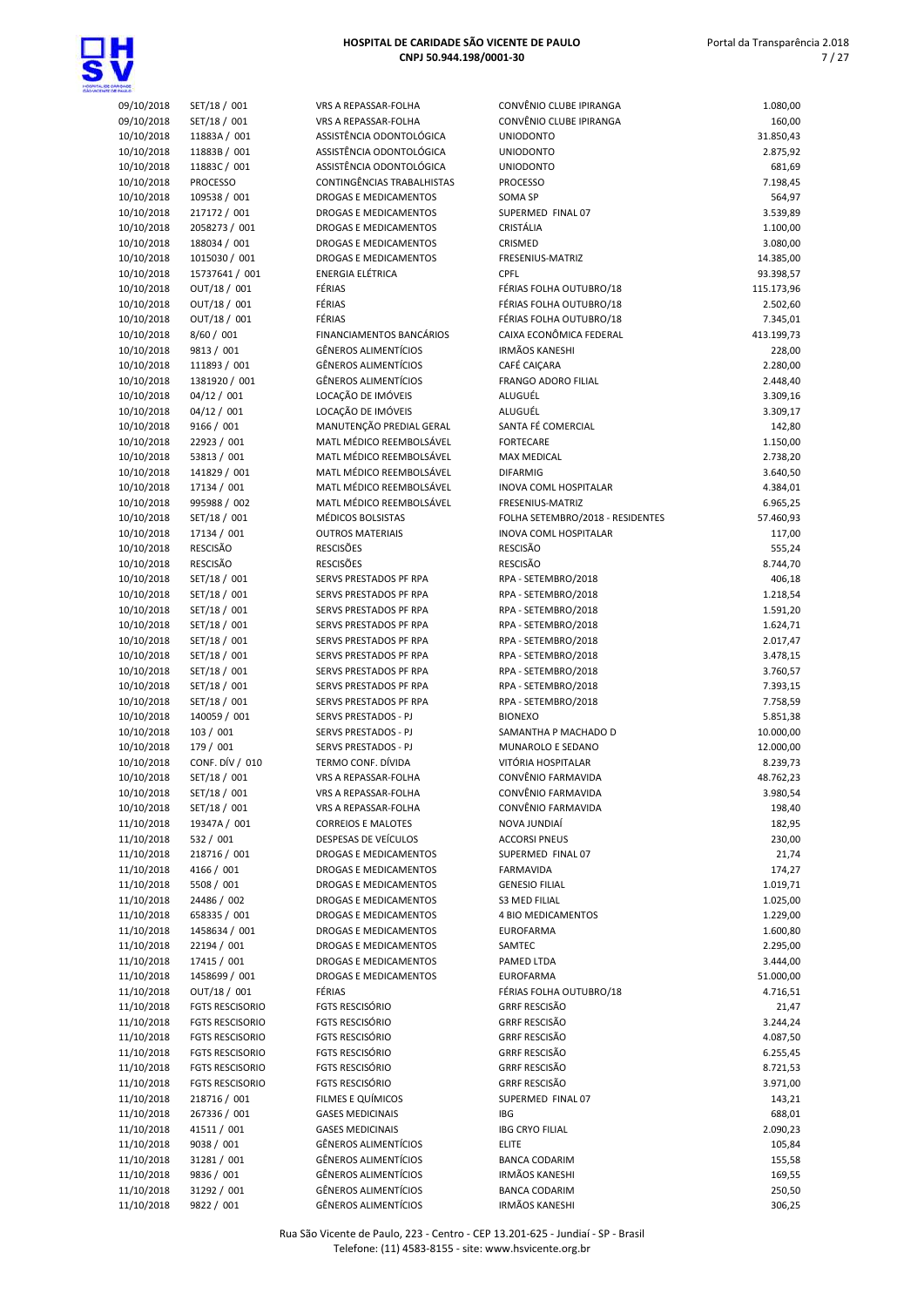

| 09/10/2018               |                           |
|--------------------------|---------------------------|
|                          | SET/18 / 001              |
| 09/10/2018               | SET/18 / 001              |
| 10/10/2018               | 11883A / 001              |
|                          |                           |
| 10/10/2018               | 11883B / 001              |
| 10/10/2018               | 11883C / 001              |
| 10/10/2018               | <b>PROCESSO</b>           |
| 10/10/2018               |                           |
|                          | 109538 / 001              |
| 10/10/2018               | 217172 / 001              |
| 10/10/2018               | 2058273 / 001             |
| 10/10/2018               | 188034 / 001              |
|                          |                           |
| 10/10/2018               | 1015030 / 001             |
| 10/10/2018               | 15737641 / 001            |
| 10/10/2018               | OUT/18 / 001              |
|                          | OUT/18 / 001              |
| 10/10/2018               |                           |
| 10/10/2018               | OUT/18 / 001              |
| 10/10/2018               | 8/60 / 001                |
| 10/10/2018               | 9813 / 001                |
|                          |                           |
| 10/10/2018               | 111893 / 001              |
| 10/10/2018               | 1381920 / 001             |
| 10/10/2018               | 04/12 / 001               |
|                          | 04/12 / 001               |
| 10/10/2018               |                           |
| 10/10/2018               | 9166 / 001                |
| 10/10/2018               | 22923 / 001               |
| 10/10/2018               | 53813 / 001               |
|                          |                           |
| 10/10/2018               | 141829 / 001              |
| 10/10/2018               | 17134 / 001               |
| 10/10/2018               | 995988 / 002              |
| 10/10/2018               | SET/18 / 001              |
|                          |                           |
| 10/10/2018               | 17134 / 001               |
| 10/10/2018               | RESCISÃO                  |
| 10/10/2018               | RESCISÃO                  |
| 10/10/2018               | SET/18 / 001              |
| 10/10/2018               | SET/18 / 001              |
|                          |                           |
| 10/10/2018               | SET/18 / 001              |
| 10/10/2018               | SET/18 / 001              |
| 10/10/2018               | SET/18 / 001              |
| 10/10/2018               | SET/18 / 001              |
|                          |                           |
| 10/10/2018               | SET/18 / 001              |
|                          | SET/18 / 001              |
| 10/10/2018               |                           |
|                          |                           |
| 10/10/2018               | SET/18 / 001              |
| 10/10/2018               | 140059 / 001              |
| 10/10/2018               | 103 / 001                 |
| 10/10/2018               | 179 / 001                 |
| 10/10/2018               |                           |
|                          | CONF. DÍV / 010           |
| 10/10/2018               | SET/18 / 001              |
| 10/10/2018               | SET/18 / 001              |
| 10/10/2018               | SET/18 / 001              |
| 11/10/2018               | 19347A / 001              |
|                          |                           |
| 11/10/2018               | 532 / 001                 |
| 11/10/2018               | 218716 / 001              |
| 11/10/2018               | 4166 / 001                |
| 11/10/2018               | 5508 / 001                |
| 11/10/2018               | 24486 / 002               |
|                          |                           |
| 11/10/2018               | 658335 / 001              |
| 11/10/2018               | 1458634 / 001             |
| 11/10/2018               | 22194 / 001               |
| 11/10/2018               | 17415 / 001               |
|                          |                           |
| 11/10/2018               | 1458699 / 001             |
| 11/10/2018               | OUT/18 / 001              |
| 11/10/2018               | <b>FGTS RESCISORIO</b>    |
| 11/10/2018               | <b>FGTS RESCISORIO</b>    |
| 11/10/2018               | FGTS RESCISORIO           |
|                          |                           |
| 11/10/2018               | <b>FGTS RESCISORIO</b>    |
| 11/10/2018               | <b>FGTS RESCISORIO</b>    |
| 11/10/2018               | <b>FGTS RESCISORIO</b>    |
| 11/10/2018               | 218716 / 001              |
| 11/10/2018               | 267336 / 001              |
|                          |                           |
| 11/10/2018               | 41511 / 001               |
| 11/10/2018               | 9038 / 001                |
| 11/10/2018               | 31281 / 001               |
| 11/10/2018<br>11/10/2018 | 9836 / 001<br>31292 / 001 |

| 09/10/2018               | SET/18 / 001                       | VRS A REPASSAR-FOLHA                                       | CONVÊNIO CLUBE IPIRANGA                          | 1.080,00               |
|--------------------------|------------------------------------|------------------------------------------------------------|--------------------------------------------------|------------------------|
| 09/10/2018               | SET/18 / 001                       | VRS A REPASSAR-FOLHA                                       | CONVÊNIO CLUBE IPIRANGA                          | 160,00                 |
| 10/10/2018               | 11883A / 001                       | ASSISTÊNCIA ODONTOLÓGICA<br>ASSISTÊNCIA ODONTOLÓGICA       | <b>UNIODONTO</b>                                 | 31.850,43              |
| 10/10/2018<br>10/10/2018 | 11883B / 001<br>11883C / 001       | ASSISTÊNCIA ODONTOLÓGICA                                   | <b>UNIODONTO</b><br><b>UNIODONTO</b>             | 2.875,92<br>681,69     |
| 10/10/2018               | <b>PROCESSO</b>                    | CONTINGÊNCIAS TRABALHISTAS                                 | <b>PROCESSO</b>                                  | 7.198,45               |
| 10/10/2018               | 109538 / 001                       | <b>DROGAS E MEDICAMENTOS</b>                               | SOMA SP                                          | 564,97                 |
| 10/10/2018               | 217172 / 001                       | DROGAS E MEDICAMENTOS                                      | SUPERMED FINAL 07                                | 3.539,89               |
| 10/10/2018               | 2058273 / 001                      | DROGAS E MEDICAMENTOS                                      | CRISTÁLIA                                        | 1.100,00               |
| 10/10/2018               | 188034 / 001                       | DROGAS E MEDICAMENTOS                                      | CRISMED                                          | 3.080,00               |
| 10/10/2018               | 1015030 / 001                      | DROGAS E MEDICAMENTOS                                      | FRESENIUS-MATRIZ                                 | 14.385,00              |
| 10/10/2018               | 15737641 / 001                     | <b>ENERGIA ELÉTRICA</b>                                    | CPFL                                             | 93.398,57              |
| 10/10/2018               | OUT/18 / 001                       | FÉRIAS                                                     | FÉRIAS FOLHA OUTUBRO/18                          | 115.173,96             |
| 10/10/2018               | OUT/18 / 001                       | FÉRIAS                                                     | FÉRIAS FOLHA OUTUBRO/18                          | 2.502,60               |
| 10/10/2018               | OUT/18 / 001                       | FÉRIAS                                                     | FÉRIAS FOLHA OUTUBRO/18                          | 7.345,01               |
| 10/10/2018               | 8/60 / 001                         | FINANCIAMENTOS BANCÁRIOS<br><b>GÊNEROS ALIMENTÍCIOS</b>    | CAIXA ECONÔMICA FEDERAL<br><b>IRMÃOS KANESHI</b> | 413.199,73             |
| 10/10/2018<br>10/10/2018 | 9813 / 001<br>111893 / 001         | <b>GÊNEROS ALIMENTÍCIOS</b>                                | CAFÉ CAIÇARA                                     | 228,00<br>2.280,00     |
| 10/10/2018               | 1381920 / 001                      | <b>GÊNEROS ALIMENTÍCIOS</b>                                | FRANGO ADORO FILIAL                              | 2.448,40               |
| 10/10/2018               | 04/12 / 001                        | LOCAÇÃO DE IMÓVEIS                                         | ALUGUÉL                                          | 3.309,16               |
| 10/10/2018               | 04/12 / 001                        | LOCAÇÃO DE IMÓVEIS                                         | ALUGUÉL                                          | 3.309,17               |
| 10/10/2018               | 9166 / 001                         | MANUTENÇÃO PREDIAL GERAL                                   | SANTA FÉ COMERCIAL                               | 142,80                 |
| 10/10/2018               | 22923 / 001                        | MATL MÉDICO REEMBOLSÁVEL                                   | <b>FORTECARE</b>                                 | 1.150,00               |
| 10/10/2018               | 53813 / 001                        | MATL MÉDICO REEMBOLSÁVEL                                   | <b>MAX MEDICAL</b>                               | 2.738,20               |
| 10/10/2018               | 141829 / 001                       | MATL MÉDICO REEMBOLSÁVEL                                   | <b>DIFARMIG</b>                                  | 3.640,50               |
| 10/10/2018               | 17134 / 001                        | MATL MÉDICO REEMBOLSÁVEL                                   | <b>INOVA COML HOSPITALAR</b>                     | 4.384,01               |
| 10/10/2018               | 995988 / 002                       | MATL MÉDICO REEMBOLSÁVEL                                   | FRESENIUS-MATRIZ                                 | 6.965,25               |
| 10/10/2018               | SET/18 / 001                       | MÉDICOS BOLSISTAS                                          | FOLHA SETEMBRO/2018 - RESIDENTES                 | 57.460,93              |
| 10/10/2018               | 17134 / 001                        | <b>OUTROS MATERIAIS</b>                                    | INOVA COML HOSPITALAR                            | 117,00                 |
| 10/10/2018<br>10/10/2018 | <b>RESCISÃO</b><br><b>RESCISÃO</b> | <b>RESCISÕES</b><br><b>RESCISÕES</b>                       | <b>RESCISÃO</b><br>RESCISÃO                      | 555,24<br>8.744,70     |
| 10/10/2018               | SET/18 / 001                       | SERVS PRESTADOS PF RPA                                     | RPA - SETEMBRO/2018                              | 406,18                 |
| 10/10/2018               | SET/18 / 001                       | SERVS PRESTADOS PF RPA                                     | RPA - SETEMBRO/2018                              | 1.218,54               |
| 10/10/2018               | SET/18 / 001                       | SERVS PRESTADOS PF RPA                                     | RPA - SETEMBRO/2018                              | 1.591,20               |
| 10/10/2018               | SET/18 / 001                       | SERVS PRESTADOS PF RPA                                     | RPA - SETEMBRO/2018                              | 1.624,71               |
| 10/10/2018               | SET/18 / 001                       | SERVS PRESTADOS PF RPA                                     | RPA - SETEMBRO/2018                              | 2.017,47               |
| 10/10/2018               | SET/18 / 001                       | SERVS PRESTADOS PF RPA                                     | RPA - SETEMBRO/2018                              | 3.478,15               |
| 10/10/2018               | SET/18 / 001                       | SERVS PRESTADOS PF RPA                                     | RPA - SETEMBRO/2018                              | 3.760,57               |
| 10/10/2018               | SET/18 / 001                       | SERVS PRESTADOS PF RPA                                     | RPA - SETEMBRO/2018                              | 7.393,15               |
| 10/10/2018               | SET/18 / 001                       | SERVS PRESTADOS PF RPA                                     | RPA - SETEMBRO/2018                              | 7.758,59               |
| 10/10/2018               | 140059 / 001                       | SERVS PRESTADOS - PJ                                       | <b>BIONEXO</b>                                   | 5.851,38               |
| 10/10/2018<br>10/10/2018 | 103 / 001<br>179 / 001             | SERVS PRESTADOS - PJ<br><b>SERVS PRESTADOS - PJ</b>        | SAMANTHA P MACHADO D<br>MUNAROLO E SEDANO        | 10.000,00<br>12.000,00 |
| 10/10/2018               | CONF. DÍV / 010                    | TERMO CONF. DÍVIDA                                         | VITÓRIA HOSPITALAR                               | 8.239,73               |
| 10/10/2018               | SET/18 / 001                       | VRS A REPASSAR-FOLHA                                       | CONVÊNIO FARMAVIDA                               | 48.762,23              |
| 10/10/2018               | SET/18 / 001                       | VRS A REPASSAR-FOLHA                                       | CONVÊNIO FARMAVIDA                               | 3.980,54               |
| 10/10/2018               | SET/18 / 001                       | VRS A REPASSAR-FOLHA                                       | CONVÊNIO FARMAVIDA                               | 198,40                 |
| 11/10/2018               | 19347A / 001                       | <b>CORREIOS E MALOTES</b>                                  | NOVA JUNDIAÍ                                     | 182,95                 |
| 11/10/2018               | 532 / 001                          | DESPESAS DE VEÍCULOS                                       | <b>ACCORSI PNEUS</b>                             | 230,00                 |
| 11/10/2018               | 218716 / 001                       | DROGAS E MEDICAMENTOS                                      | SUPERMED FINAL 07                                | 21,74                  |
| 11/10/2018               | 4166 / 001                         | DROGAS E MEDICAMENTOS                                      | <b>FARMAVIDA</b>                                 | 174,27                 |
| 11/10/2018               | 5508 / 001                         | <b>DROGAS E MEDICAMENTOS</b>                               | <b>GENESIO FILIAL</b>                            | 1.019,71               |
| 11/10/2018               | 24486 / 002                        | DROGAS E MEDICAMENTOS                                      | <b>S3 MED FILIAL</b>                             | 1.025,00               |
| 11/10/2018               | 658335 / 001                       | DROGAS E MEDICAMENTOS                                      | 4 BIO MEDICAMENTOS                               | 1.229,00               |
| 11/10/2018               | 1458634 / 001                      | DROGAS E MEDICAMENTOS                                      | <b>EUROFARMA</b>                                 | 1.600,80               |
| 11/10/2018<br>11/10/2018 | 22194 / 001<br>17415 / 001         | DROGAS E MEDICAMENTOS<br>DROGAS E MEDICAMENTOS             | SAMTEC<br>PAMED LTDA                             | 2.295,00<br>3.444,00   |
| 11/10/2018               | 1458699 / 001                      | DROGAS E MEDICAMENTOS                                      | <b>EUROFARMA</b>                                 | 51.000,00              |
| 11/10/2018               | OUT/18 / 001                       | FÉRIAS                                                     | FÉRIAS FOLHA OUTUBRO/18                          | 4.716,51               |
| 11/10/2018               | <b>FGTS RESCISORIO</b>             | <b>FGTS RESCISÓRIO</b>                                     | <b>GRRF RESCISÃO</b>                             | 21,47                  |
| 11/10/2018               | <b>FGTS RESCISORIO</b>             | FGTS RESCISÓRIO                                            | <b>GRRF RESCISÃO</b>                             | 3.244,24               |
| 11/10/2018               | <b>FGTS RESCISORIO</b>             | FGTS RESCISÓRIO                                            | <b>GRRF RESCISÃO</b>                             | 4.087,50               |
| 11/10/2018               | <b>FGTS RESCISORIO</b>             | FGTS RESCISÓRIO                                            | <b>GRRF RESCISÃO</b>                             | 6.255,45               |
| 11/10/2018               | <b>FGTS RESCISORIO</b>             | <b>FGTS RESCISÓRIO</b>                                     | <b>GRRF RESCISÃO</b>                             | 8.721,53               |
| 11/10/2018               | <b>FGTS RESCISORIO</b>             | <b>FGTS RESCISÓRIO</b>                                     | <b>GRRF RESCISÃO</b>                             | 3.971,00               |
| 11/10/2018               | 218716 / 001                       | FILMES E QUÍMICOS                                          | SUPERMED FINAL 07                                | 143,21                 |
| 11/10/2018               | 267336 / 001                       | <b>GASES MEDICINAIS</b>                                    | IBG                                              | 688,01                 |
| 11/10/2018               | 41511 / 001                        | <b>GASES MEDICINAIS</b>                                    | <b>IBG CRYO FILIAL</b>                           | 2.090,23               |
| 11/10/2018               | 9038 / 001                         | <b>GÊNEROS ALIMENTÍCIOS</b>                                | <b>ELITE</b>                                     | 105,84                 |
| 11/10/2018               | 31281 / 001                        | <b>GÊNEROS ALIMENTÍCIOS</b>                                | <b>BANCA CODARIM</b>                             | 155,58                 |
| 11/10/2018               | 9836 / 001                         | <b>GÊNEROS ALIMENTÍCIOS</b><br><b>GÊNEROS ALIMENTÍCIOS</b> | <b>IRMÃOS KANESHI</b>                            | 169,55                 |
| 11/10/2018<br>11/10/2018 | 31292 / 001<br>9822 / 001          | <b>GÊNEROS ALIMENTÍCIOS</b>                                | <b>BANCA CODARIM</b><br><b>IRMÃOS KANESHI</b>    | 250,50<br>306,25       |
|                          |                                    |                                                            |                                                  |                        |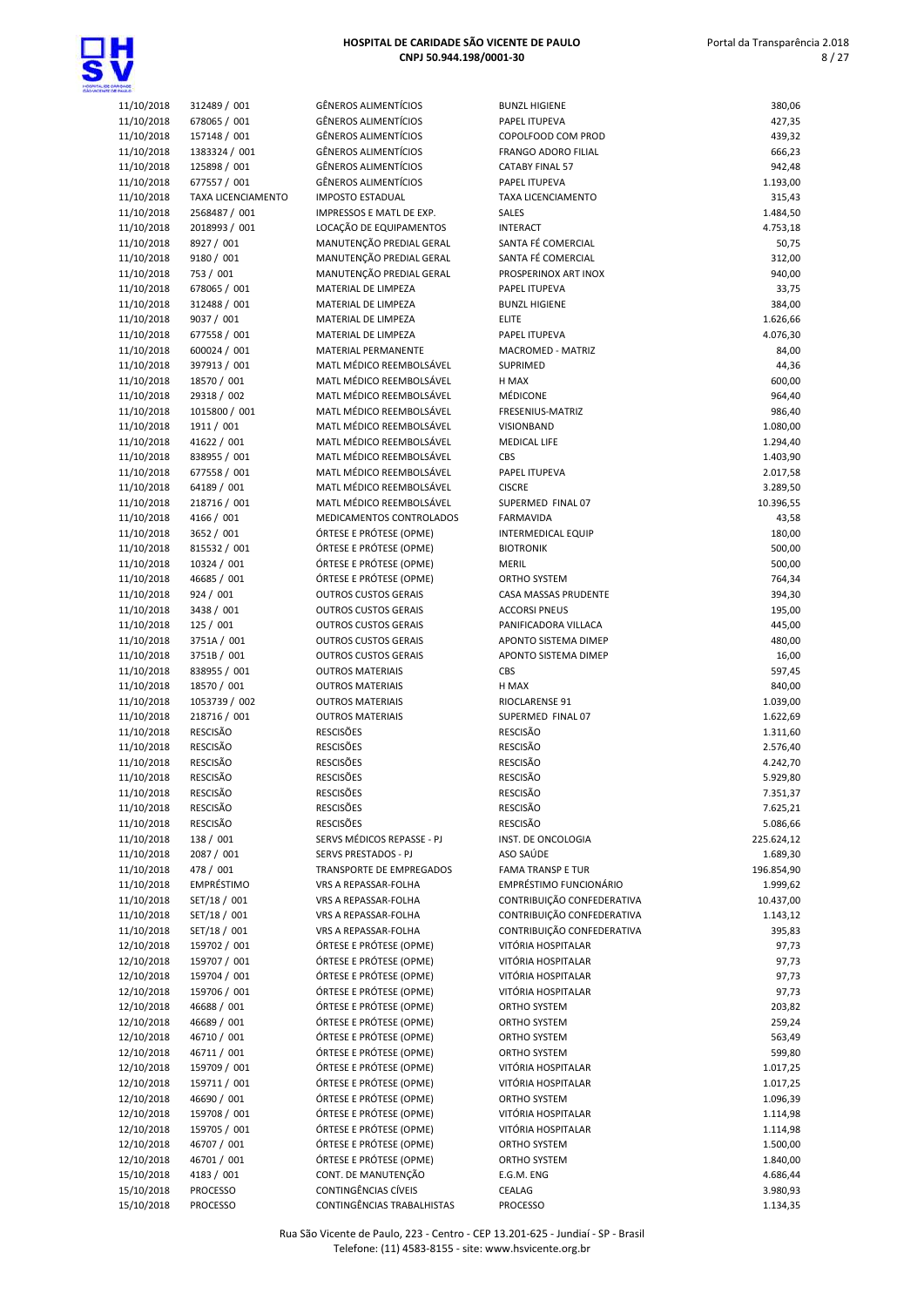

| MROADE                   |                               |
|--------------------------|-------------------------------|
| 11/10/2018               | 312489 / 001                  |
| 11/10/2018               | 678065 / 001                  |
| 11/10/2018               | 157148 / 001                  |
| 11/10/2018<br>11/10/2018 | 1383324 / 001<br>125898 / 001 |
| 11/10/2018               | 677557 / 001                  |
| 11/10/2018               | TAXA LICENCIAMEI              |
| 11/10/2018               | 2568487 / 001                 |
| 11/10/2018               | 2018993 / 001                 |
| 11/10/2018               | 8927 / 001                    |
| 11/10/2018               | 9180 / 001                    |
| 11/10/2018               | 753 / 001                     |
| 11/10/2018               | 678065 / 001                  |
| 11/10/2018<br>11/10/2018 | 312488 / 001<br>9037 / 001    |
| 11/10/2018               | 677558 / 001                  |
| 11/10/2018               | 600024 / 001                  |
| 11/10/2018               | 397913 / 001                  |
| 11/10/2018               | 18570 / 001                   |
| 11/10/2018               | 29318 / 002                   |
| 11/10/2018               | 1015800 / 001                 |
| 11/10/2018<br>11/10/2018 | 1911 / 001<br>41622 / 001     |
| 11/10/2018               | 838955 / 001                  |
| 11/10/2018               | 677558 / 001                  |
| 11/10/2018               | 64189 / 001                   |
| 11/10/2018               | 218716 / 001                  |
| 11/10/2018               | 4166 / 001                    |
| 11/10/2018               | 3652 / 001                    |
| 11/10/2018               | 815532 / 001<br>10324 / 001   |
| 11/10/2018<br>11/10/2018 | 46685 / 001                   |
| 11/10/2018               | 924 / 001                     |
| 11/10/2018               | 3438 / 001                    |
| 11/10/2018               | 125 / 001                     |
| 11/10/2018               | 3751A/001                     |
| 11/10/2018               | 3751B/001                     |
| 11/10/2018               | 838955 / 001                  |
| 11/10/2018<br>11/10/2018 | 18570 / 001<br>1053739 / 002  |
| 11/10/2018               | 218716 / 001                  |
| 11/10/2018               | RESCISÃO                      |
| 11/10/2018               | RESCISÃO                      |
| 11/10/2018               | RESCISÃO                      |
| 11/10/2018               | RESCISÃO                      |
| 11/10/2018               | RESCISÃO                      |
| 11/10/2018<br>11/10/2018 | RESCISÃO<br>RESCISÃO          |
| 11/10/2018               | 138 / 001                     |
| 11/10/2018               | 2087 / 001                    |
| 11/10/2018               | 478 / 001                     |
| 11/10/2018               | EMPRÉSTIMO                    |
| 11/10/2018               | SET/18 / 001                  |
| 11/10/2018               | SET/18 / 001                  |
| 11/10/2018<br>12/10/2018 | SET/18 / 001<br>159702 / 001  |
| 12/10/2018               | 159707 / 001                  |
| 12/10/2018               | 159704 / 001                  |
| 12/10/2018               | 159706 / 001                  |
| 12/10/2018               | 46688 / 001                   |
| 12/10/2018               | 46689 / 001                   |
| 12/10/2018               | 46710 / 001<br>46711 / 001    |
| 12/10/2018<br>12/10/2018 | 159709 / 001                  |
| 12/10/2018               | 159711 / 001                  |
| 12/10/2018               | 46690 / 001                   |
| 12/10/2018               | 159708 / 001                  |
| 12/10/2018               | 159705 / 001                  |
| 12/10/2018               | 46707 / 001                   |
| 12/10/2018               | 46701 / 001                   |
| 15/10/2018<br>15/10/2018 | 4183 / 001<br>PROCESSO        |
|                          |                               |

| <b>WARD</b>              |                               |                                                            |                                              |                        |
|--------------------------|-------------------------------|------------------------------------------------------------|----------------------------------------------|------------------------|
| 11/10/2018               | 312489 / 001                  | <b>GÊNEROS ALIMENTÍCIOS</b>                                | <b>BUNZL HIGIENE</b>                         | 380,06                 |
| 11/10/2018               | 678065 / 001                  | <b>GÊNEROS ALIMENTÍCIOS</b><br><b>GÊNEROS ALIMENTÍCIOS</b> | PAPEL ITUPEVA                                | 427,35                 |
| 11/10/2018<br>11/10/2018 | 157148 / 001<br>1383324 / 001 | <b>GÊNEROS ALIMENTÍCIOS</b>                                | COPOLFOOD COM PROD<br>FRANGO ADORO FILIAL    | 439,32<br>666,23       |
| 11/10/2018               | 125898 / 001                  | <b>GÊNEROS ALIMENTÍCIOS</b>                                | <b>CATABY FINAL 57</b>                       | 942,48                 |
| 11/10/2018               | 677557 / 001                  | <b>GÊNEROS ALIMENTÍCIOS</b>                                | PAPEL ITUPEVA                                | 1.193,00               |
| 11/10/2018               | TAXA LICENCIAMENTO            | <b>IMPOSTO ESTADUAL</b>                                    | TAXA LICENCIAMENTO                           | 315,43                 |
| 11/10/2018               | 2568487 / 001                 | IMPRESSOS E MATL DE EXP.                                   | SALES                                        | 1.484,50               |
| 11/10/2018               | 2018993 / 001                 | LOCAÇÃO DE EQUIPAMENTOS                                    | <b>INTERACT</b>                              | 4.753,18               |
| 11/10/2018               | 8927 / 001                    | MANUTENÇÃO PREDIAL GERAL                                   | SANTA FÉ COMERCIAL                           | 50,75                  |
| 11/10/2018               | 9180 / 001                    | MANUTENÇÃO PREDIAL GERAL                                   | SANTA FÉ COMERCIAL                           | 312,00                 |
| 11/10/2018               | 753 / 001                     | MANUTENÇÃO PREDIAL GERAL<br>MATERIAL DE LIMPEZA            | PROSPERINOX ART INOX                         | 940,00                 |
| 11/10/2018<br>11/10/2018 | 678065 / 001<br>312488 / 001  | MATERIAL DE LIMPEZA                                        | PAPEL ITUPEVA<br><b>BUNZL HIGIENE</b>        | 33,75<br>384,00        |
| 11/10/2018               | 9037 / 001                    | MATERIAL DE LIMPEZA                                        | <b>ELITE</b>                                 | 1.626,66               |
| 11/10/2018               | 677558 / 001                  | MATERIAL DE LIMPEZA                                        | PAPEL ITUPEVA                                | 4.076,30               |
| 11/10/2018               | 600024 / 001                  | MATERIAL PERMANENTE                                        | MACROMED - MATRIZ                            | 84,00                  |
| 11/10/2018               | 397913 / 001                  | MATL MÉDICO REEMBOLSÁVEL                                   | SUPRIMED                                     | 44,36                  |
| 11/10/2018               | 18570 / 001                   | MATL MÉDICO REEMBOLSÁVEL                                   | H MAX                                        | 600,00                 |
| 11/10/2018               | 29318 / 002                   | MATL MÉDICO REEMBOLSÁVEL                                   | <b>MÉDICONE</b>                              | 964,40                 |
| 11/10/2018               | 1015800 / 001                 | MATL MÉDICO REEMBOLSÁVEL                                   | FRESENIUS-MATRIZ                             | 986,40                 |
| 11/10/2018               | 1911 / 001                    | MATL MÉDICO REEMBOLSÁVEL                                   | VISIONBAND                                   | 1.080,00               |
| 11/10/2018               | 41622 / 001                   | MATL MÉDICO REEMBOLSÁVEL                                   | MEDICAL LIFE                                 | 1.294,40               |
| 11/10/2018               | 838955 / 001                  | MATL MÉDICO REEMBOLSÁVEL<br>MATL MÉDICO REEMBOLSÁVEL       | CBS                                          | 1.403,90               |
| 11/10/2018<br>11/10/2018 | 677558 / 001<br>64189 / 001   | MATL MÉDICO REEMBOLSÁVEL                                   | PAPEL ITUPEVA<br><b>CISCRE</b>               | 2.017,58<br>3.289,50   |
| 11/10/2018               | 218716 / 001                  | MATL MÉDICO REEMBOLSÁVEL                                   | SUPERMED FINAL 07                            | 10.396,55              |
| 11/10/2018               | 4166 / 001                    | MEDICAMENTOS CONTROLADOS                                   | <b>FARMAVIDA</b>                             | 43,58                  |
| 11/10/2018               | 3652 / 001                    | ÓRTESE E PRÓTESE (OPME)                                    | <b>INTERMEDICAL EQUIP</b>                    | 180,00                 |
| 11/10/2018               | 815532 / 001                  | ÓRTESE E PRÓTESE (OPME)                                    | <b>BIOTRONIK</b>                             | 500,00                 |
| 11/10/2018               | 10324 / 001                   | ÓRTESE E PRÓTESE (OPME)                                    | <b>MERIL</b>                                 | 500,00                 |
| 11/10/2018               | 46685 / 001                   | ÓRTESE E PRÓTESE (OPME)                                    | ORTHO SYSTEM                                 | 764,34                 |
| 11/10/2018               | 924 / 001                     | <b>OUTROS CUSTOS GERAIS</b>                                | CASA MASSAS PRUDENTE                         | 394,30                 |
| 11/10/2018               | 3438 / 001                    | <b>OUTROS CUSTOS GERAIS</b>                                | <b>ACCORSI PNEUS</b>                         | 195,00                 |
| 11/10/2018               | 125 / 001                     | <b>OUTROS CUSTOS GERAIS</b>                                | PANIFICADORA VILLACA                         | 445,00                 |
| 11/10/2018<br>11/10/2018 | 3751A / 001<br>3751B / 001    | <b>OUTROS CUSTOS GERAIS</b><br><b>OUTROS CUSTOS GERAIS</b> | APONTO SISTEMA DIMEP<br>APONTO SISTEMA DIMEP | 480,00<br>16,00        |
| 11/10/2018               | 838955 / 001                  | <b>OUTROS MATERIAIS</b>                                    | CBS                                          | 597,45                 |
| 11/10/2018               | 18570 / 001                   | <b>OUTROS MATERIAIS</b>                                    | H MAX                                        | 840,00                 |
| 11/10/2018               | 1053739 / 002                 | <b>OUTROS MATERIAIS</b>                                    | RIOCLARENSE 91                               | 1.039,00               |
| 11/10/2018               | 218716 / 001                  | <b>OUTROS MATERIAIS</b>                                    | SUPERMED FINAL 07                            | 1.622,69               |
| 11/10/2018               | <b>RESCISÃO</b>               | <b>RESCISÕES</b>                                           | RESCISÃO                                     | 1.311,60               |
| 11/10/2018               | <b>RESCISÃO</b>               | <b>RESCISÕES</b>                                           | RESCISÃO                                     | 2.576,40               |
| 11/10/2018               | <b>RESCISÃO</b>               | <b>RESCISÕES</b>                                           | <b>RESCISÃO</b>                              | 4.242,70               |
| 11/10/2018               | <b>RESCISÃO</b>               | <b>RESCISÕES</b>                                           | RESCISÃO                                     | 5.929,80               |
| 11/10/2018               | RESCISÃO                      | <b>RESCISÕES</b>                                           | RESCISÃO                                     | 7.351,37               |
| 11/10/2018               | RESCISÃO                      | <b>RESCISÕES</b>                                           | RESCISÃO<br>RESCISÃO                         | 7.625,21               |
| 11/10/2018<br>11/10/2018 | RESCISÃO<br>138 / 001         | <b>RESCISÕES</b><br>SERVS MÉDICOS REPASSE - PJ             | INST. DE ONCOLOGIA                           | 5.086,66<br>225.624,12 |
| 11/10/2018               | 2087 / 001                    | SERVS PRESTADOS - PJ                                       | ASO SAÚDE                                    | 1.689,30               |
| 11/10/2018               | 478 / 001                     | TRANSPORTE DE EMPREGADOS                                   | <b>FAMA TRANSP E TUR</b>                     | 196.854,90             |
| 11/10/2018               | EMPRÉSTIMO                    | VRS A REPASSAR-FOLHA                                       | <b>EMPRÉSTIMO FUNCIONÁRIO</b>                | 1.999,62               |
| 11/10/2018               | SET/18 / 001                  | VRS A REPASSAR-FOLHA                                       | CONTRIBUIÇÃO CONFEDERATIVA                   | 10.437,00              |
| 11/10/2018               | SET/18 / 001                  | VRS A REPASSAR-FOLHA                                       | CONTRIBUIÇÃO CONFEDERATIVA                   | 1.143,12               |
| 11/10/2018               | SET/18 / 001                  | VRS A REPASSAR-FOLHA                                       | CONTRIBUIÇÃO CONFEDERATIVA                   | 395,83                 |
| 12/10/2018               | 159702 / 001                  | ÓRTESE E PRÓTESE (OPME)                                    | VITÓRIA HOSPITALAR                           | 97,73                  |
| 12/10/2018               | 159707 / 001                  | ÓRTESE E PRÓTESE (OPME)                                    | VITÓRIA HOSPITALAR                           | 97,73                  |
| 12/10/2018               | 159704 / 001                  | ÓRTESE E PRÓTESE (OPME)                                    | VITÓRIA HOSPITALAR                           | 97,73                  |
| 12/10/2018               | 159706 / 001                  | ÓRTESE E PRÓTESE (OPME)                                    | VITÓRIA HOSPITALAR                           | 97,73                  |
| 12/10/2018<br>12/10/2018 | 46688 / 001<br>46689 / 001    | ÓRTESE E PRÓTESE (OPME)<br>ÓRTESE E PRÓTESE (OPME)         | ORTHO SYSTEM<br>ORTHO SYSTEM                 | 203,82<br>259,24       |
| 12/10/2018               | 46710 / 001                   | ÓRTESE E PRÓTESE (OPME)                                    | ORTHO SYSTEM                                 | 563,49                 |
| 12/10/2018               | 46711 / 001                   | ÓRTESE E PRÓTESE (OPME)                                    | ORTHO SYSTEM                                 | 599,80                 |
| 12/10/2018               | 159709 / 001                  | ÓRTESE E PRÓTESE (OPME)                                    | VITÓRIA HOSPITALAR                           | 1.017,25               |
| 12/10/2018               | 159711 / 001                  | ÓRTESE E PRÓTESE (OPME)                                    | VITÓRIA HOSPITALAR                           | 1.017,25               |
| 12/10/2018               | 46690 / 001                   | ÓRTESE E PRÓTESE (OPME)                                    | ORTHO SYSTEM                                 | 1.096,39               |
| 12/10/2018               | 159708 / 001                  | ÓRTESE E PRÓTESE (OPME)                                    | VITÓRIA HOSPITALAR                           | 1.114,98               |
| 12/10/2018               | 159705 / 001                  | ÓRTESE E PRÓTESE (OPME)                                    | VITÓRIA HOSPITALAR                           | 1.114,98               |
| 12/10/2018               | 46707 / 001                   | ÓRTESE E PRÓTESE (OPME)                                    | ORTHO SYSTEM                                 | 1.500,00               |
| 12/10/2018               | 46701 / 001                   | ÓRTESE E PRÓTESE (OPME)                                    | ORTHO SYSTEM                                 | 1.840,00               |
| 15/10/2018               | 4183 / 001                    | CONT. DE MANUTENÇÃO                                        | E.G.M. ENG                                   | 4.686,44               |
| 15/10/2018               | PROCESSO                      | CONTINGÊNCIAS CÍVEIS                                       | CEALAG                                       | 3.980,93               |
| 15/10/2018               | PROCESSO                      | CONTINGÊNCIAS TRABALHISTAS                                 | PROCESSO                                     | 1.134,35               |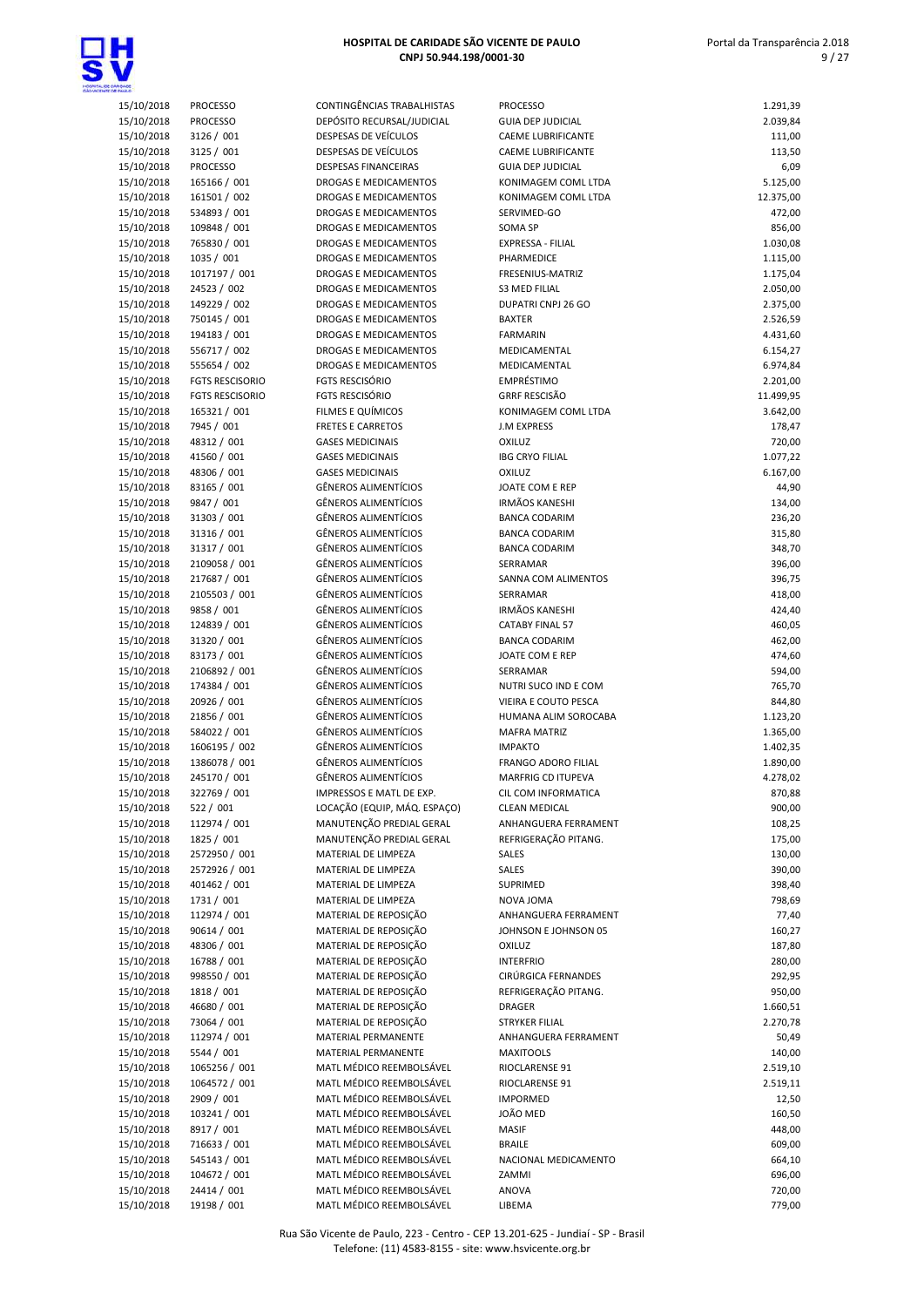

| <b>TALLC</b>             |                            |                                                     |
|--------------------------|----------------------------|-----------------------------------------------------|
| 15/10/2018               | <b>PROCESSO</b>            | CONTINGÊNCIAS TRABALHISTAS                          |
| 15/10/2018               | <b>PROCESSO</b>            | DEPÓSITO RECURSAL/JUDICIAL                          |
| 15/10/2018               | 3126 / 001                 | DESPESAS DE VEÍCULOS                                |
| 15/10/2018               | 3125 / 001                 | <b>DESPESAS DE VEÍCULOS</b>                         |
| 15/10/2018               | <b>PROCESSO</b>            | <b>DESPESAS FINANCEIRAS</b>                         |
| 15/10/2018               | 165166 / 001               | DROGAS E MEDICAMENTOS                               |
| 15/10/2018               | 161501 / 002               | <b>DROGAS E MEDICAMENTOS</b>                        |
| 15/10/2018               | 534893 / 001               | DROGAS E MEDICAMENTOS                               |
| 15/10/2018               | 109848 / 001               | DROGAS E MEDICAMENTOS                               |
| 15/10/2018               | 765830 / 001               | DROGAS E MEDICAMENTOS                               |
| 15/10/2018               | 1035 / 001                 | <b>DROGAS E MEDICAMENTOS</b>                        |
| 15/10/2018               | 1017197 / 001              | <b>DROGAS E MEDICAMENTOS</b>                        |
| 15/10/2018               | 24523 / 002                | <b>DROGAS E MEDICAMENTOS</b>                        |
| 15/10/2018               | 149229 / 002               | DROGAS E MEDICAMENTOS                               |
| 15/10/2018               | 750145 / 001               | DROGAS E MEDICAMENTOS                               |
| 15/10/2018               | 194183 / 001               | DROGAS E MEDICAMENTOS                               |
| 15/10/2018               | 556717 / 002               | DROGAS E MEDICAMENTOS                               |
| 15/10/2018               | 555654 / 002               | DROGAS E MEDICAMENTOS                               |
| 15/10/2018               | <b>FGTS RESCISORIO</b>     | FGTS RESCISÓRIO                                     |
| 15/10/2018               | <b>FGTS RESCISORIO</b>     | <b>FGTS RESCISÓRIO</b>                              |
| 15/10/2018               | 165321 / 001               | <b>FILMES E QUÍMICOS</b>                            |
| 15/10/2018               | 7945 / 001<br>48312 / 001  | <b>FRETES E CARRETOS</b><br><b>GASES MEDICINAIS</b> |
| 15/10/2018               |                            | <b>GASES MEDICINAIS</b>                             |
| 15/10/2018<br>15/10/2018 | 41560 / 001<br>48306 / 001 | <b>GASES MEDICINAIS</b>                             |
| 15/10/2018               | 83165 / 001                | GÊNEROS ALIMENTÍCIOS                                |
| 15/10/2018               | 9847 / 001                 | <b>GÊNEROS ALIMENTÍCIOS</b>                         |
| 15/10/2018               | 31303 / 001                | <b>GÊNEROS ALIMENTÍCIOS</b>                         |
| 15/10/2018               | 31316 / 001                | <b>GÊNEROS ALIMENTÍCIOS</b>                         |
| 15/10/2018               | 31317 / 001                | <b>GÊNEROS ALIMENTÍCIOS</b>                         |
| 15/10/2018               | 2109058 / 001              | GÊNEROS ALIMENTÍCIOS                                |
| 15/10/2018               | 217687 / 001               | <b>GÊNEROS ALIMENTÍCIOS</b>                         |
| 15/10/2018               | 2105503 / 001              | <b>GÊNEROS ALIMENTÍCIOS</b>                         |
| 15/10/2018               | 9858 / 001                 | <b>GÊNEROS ALIMENTÍCIOS</b>                         |
| 15/10/2018               | 124839 / 001               | GÊNEROS ALIMENTÍCIOS                                |
| 15/10/2018               | 31320 / 001                | GÊNEROS ALIMENTÍCIOS                                |
| 15/10/2018               | 83173 / 001                | <b>GÊNEROS ALIMENTÍCIOS</b>                         |
| 15/10/2018               | 2106892 / 001              | <b>GÊNEROS ALIMENTÍCIOS</b>                         |
| 15/10/2018               | 174384 / 001               | <b>GÊNEROS ALIMENTÍCIOS</b>                         |
| 15/10/2018               | 20926 / 001                | GÊNEROS ALIMENTÍCIOS                                |
| 15/10/2018               | 21856 / 001                | <b>GÊNEROS ALIMENTÍCIOS</b>                         |
| 15/10/2018               | 584022 / 001               | GÊNEROS ALIMENTÍCIOS                                |
| 15/10/2018               | 1606195 / 002              | <b>GÊNEROS ALIMENTÍCIOS</b>                         |
| 15/10/2018               | 1386078 / 001              | <b>GÊNEROS ALIMENTÍCIOS</b>                         |
| 15/10/2018               | 245170 / 001               | <b>GÊNEROS ALIMENTÍCIOS</b>                         |
| 15/10/2018               | 322769 / 001               | IMPRESSOS E MATL DE EXP.                            |
| 15/10/2018               | 522 / 001                  | LOCAÇÃO (EQUIP, MÁQ. ESPAÇ(                         |
| 15/10/2018               | 112974 / 001               | MANUTENÇÃO PREDIAL GERAL                            |
| 15/10/2018               | 1825 / 001                 | MANUTENÇÃO PREDIAL GERAL                            |
| 15/10/2018               | 2572950 / 001              | MATERIAL DE LIMPEZA                                 |
| 15/10/2018               | 2572926 / 001              | MATERIAL DE LIMPEZA                                 |
| 15/10/2018               | 401462 / 001               | MATERIAL DE LIMPEZA                                 |
| 15/10/2018               | 1731 / 001                 | MATERIAL DE LIMPEZA                                 |
| 15/10/2018               | 112974 / 001               | MATERIAL DE REPOSIÇÃO                               |
| 15/10/2018               | 90614 / 001                | MATERIAL DE REPOSIÇÃO                               |
| 15/10/2018               | 48306 / 001                | MATERIAL DE REPOSIÇÃO                               |
| 15/10/2018               | 16788 / 001                | MATERIAL DE REPOSIÇÃO                               |
| 15/10/2018               | 998550 / 001               | MATERIAL DE REPOSIÇÃO                               |
| 15/10/2018               | 1818 / 001                 | MATERIAL DE REPOSIÇÃO<br>MATERIAL DE REPOSIÇÃO      |
| 15/10/2018               | 46680 / 001                | MATERIAL DE REPOSIÇÃO                               |
| 15/10/2018               | 73064 / 001                | MATERIAL PERMANENTE                                 |
| 15/10/2018<br>15/10/2018 | 112974 / 001<br>5544 / 001 | MATERIAL PERMANENTE                                 |
| 15/10/2018               | 1065256 / 001              | MATL MÉDICO REEMBOLSÁVEL                            |
| 15/10/2018               | 1064572 / 001              | MATL MÉDICO REEMBOLSÁVEL                            |
| 15/10/2018               | 2909 / 001                 | MATL MÉDICO REEMBOLSÁVEL                            |
| 15/10/2018               | 103241 / 001               | MATL MÉDICO REEMBOLSÁVEL                            |
| 15/10/2018               | 8917 / 001                 | MATL MÉDICO REEMBOLSÁVEL                            |
| 15/10/2018               | 716633 / 001               | MATL MÉDICO REEMBOLSÁVEL                            |
| 15/10/2018               | 545143 / 001               | MATL MÉDICO REEMBOLSÁVEL                            |
| 15/10/2018               | 104672 / 001               | MATL MÉDICO REEMBOLSÁVEL                            |
| 15/10/2018               | 24414 / 001                | MATL MÉDICO REEMBOLSÁVEL                            |

| <b>MALO</b>              |                               |                                                            |                                            |                       |
|--------------------------|-------------------------------|------------------------------------------------------------|--------------------------------------------|-----------------------|
| 15/10/2018               | <b>PROCESSO</b>               | CONTINGÊNCIAS TRABALHISTAS                                 | <b>PROCESSO</b>                            | 1.291,39              |
| 15/10/2018               | <b>PROCESSO</b>               | DEPÓSITO RECURSAL/JUDICIAL                                 | <b>GUIA DEP JUDICIAL</b>                   | 2.039,84              |
| 15/10/2018               | 3126 / 001                    | DESPESAS DE VEÍCULOS                                       | CAEME LUBRIFICANTE                         | 111,00                |
| 15/10/2018               | 3125 / 001                    | DESPESAS DE VEÍCULOS                                       | CAEME LUBRIFICANTE                         | 113,50                |
| 15/10/2018               | <b>PROCESSO</b>               | <b>DESPESAS FINANCEIRAS</b>                                | <b>GUIA DEP JUDICIAL</b>                   | 6,09                  |
| 15/10/2018<br>15/10/2018 | 165166 / 001<br>161501 / 002  | DROGAS E MEDICAMENTOS<br>DROGAS E MEDICAMENTOS             | KONIMAGEM COML LTDA<br>KONIMAGEM COML LTDA | 5.125,00<br>12.375,00 |
| 15/10/2018               | 534893 / 001                  | DROGAS E MEDICAMENTOS                                      | SERVIMED-GO                                | 472,00                |
| 15/10/2018               | 109848 / 001                  | DROGAS E MEDICAMENTOS                                      | SOMA SP                                    | 856,00                |
| 15/10/2018               | 765830 / 001                  | DROGAS E MEDICAMENTOS                                      | <b>EXPRESSA - FILIAL</b>                   | 1.030,08              |
| 15/10/2018               | 1035 / 001                    | DROGAS E MEDICAMENTOS                                      | PHARMEDICE                                 | 1.115,00              |
| 15/10/2018               | 1017197 / 001                 | DROGAS E MEDICAMENTOS                                      | FRESENIUS-MATRIZ                           | 1.175,04              |
| 15/10/2018               | 24523 / 002                   | DROGAS E MEDICAMENTOS                                      | <b>S3 MED FILIAL</b>                       | 2.050,00              |
| 15/10/2018               | 149229 / 002                  | DROGAS E MEDICAMENTOS                                      | DUPATRI CNPJ 26 GO                         | 2.375,00              |
| 15/10/2018               | 750145 / 001                  | DROGAS E MEDICAMENTOS                                      | <b>BAXTER</b>                              | 2.526,59              |
| 15/10/2018               | 194183 / 001                  | DROGAS E MEDICAMENTOS                                      | <b>FARMARIN</b>                            | 4.431,60              |
| 15/10/2018               | 556717 / 002                  | DROGAS E MEDICAMENTOS                                      | MEDICAMENTAL                               | 6.154,27              |
| 15/10/2018               | 555654 / 002                  | DROGAS E MEDICAMENTOS                                      | MEDICAMENTAL                               | 6.974,84              |
| 15/10/2018               | <b>FGTS RESCISORIO</b>        | <b>FGTS RESCISÓRIO</b>                                     | EMPRÉSTIMO                                 | 2.201,00              |
| 15/10/2018               | <b>FGTS RESCISORIO</b>        | <b>FGTS RESCISÓRIO</b>                                     | <b>GRRF RESCISÃO</b>                       | 11.499,95             |
| 15/10/2018               | 165321 / 001                  | FILMES E QUÍMICOS                                          | KONIMAGEM COML LTDA                        | 3.642,00              |
| 15/10/2018               | 7945 / 001                    | <b>FRETES E CARRETOS</b>                                   | <b>J.M EXPRESS</b>                         | 178,47                |
| 15/10/2018               | 48312 / 001                   | <b>GASES MEDICINAIS</b>                                    | OXILUZ                                     | 720,00                |
| 15/10/2018               | 41560 / 001                   | <b>GASES MEDICINAIS</b>                                    | <b>IBG CRYO FILIAL</b>                     | 1.077,22              |
| 15/10/2018<br>15/10/2018 | 48306 / 001                   | <b>GASES MEDICINAIS</b>                                    | OXILUZ<br>JOATE COM E REP                  | 6.167,00              |
| 15/10/2018               | 83165 / 001<br>9847 / 001     | <b>GÊNEROS ALIMENTÍCIOS</b><br><b>GÊNEROS ALIMENTÍCIOS</b> | <b>IRMÃOS KANESHI</b>                      | 44,90<br>134,00       |
| 15/10/2018               | 31303 / 001                   | GÊNEROS ALIMENTÍCIOS                                       | <b>BANCA CODARIM</b>                       | 236,20                |
| 15/10/2018               | 31316 / 001                   | <b>GÊNEROS ALIMENTÍCIOS</b>                                | <b>BANCA CODARIM</b>                       | 315,80                |
| 15/10/2018               | 31317 / 001                   | <b>GÊNEROS ALIMENTÍCIOS</b>                                | <b>BANCA CODARIM</b>                       | 348,70                |
| 15/10/2018               | 2109058 / 001                 | <b>GÊNEROS ALIMENTÍCIOS</b>                                | SERRAMAR                                   | 396,00                |
| 15/10/2018               | 217687 / 001                  | <b>GÊNEROS ALIMENTÍCIOS</b>                                | SANNA COM ALIMENTOS                        | 396,75                |
| 15/10/2018               | 2105503 / 001                 | <b>GÊNEROS ALIMENTÍCIOS</b>                                | SERRAMAR                                   | 418,00                |
| 15/10/2018               | 9858 / 001                    | <b>GÊNEROS ALIMENTÍCIOS</b>                                | <b>IRMÃOS KANESHI</b>                      | 424,40                |
| 15/10/2018               | 124839 / 001                  | <b>GÊNEROS ALIMENTÍCIOS</b>                                | <b>CATABY FINAL 57</b>                     | 460,05                |
| 15/10/2018               | 31320 / 001                   | <b>GÊNEROS ALIMENTÍCIOS</b>                                | <b>BANCA CODARIM</b>                       | 462,00                |
| 15/10/2018               | 83173 / 001                   | <b>GÊNEROS ALIMENTÍCIOS</b>                                | JOATE COM E REP                            | 474,60                |
| 15/10/2018               | 2106892 / 001                 | <b>GÊNEROS ALIMENTÍCIOS</b>                                | SERRAMAR                                   | 594,00                |
| 15/10/2018               | 174384 / 001                  | GÊNEROS ALIMENTÍCIOS                                       | NUTRI SUCO IND E COM                       | 765,70                |
| 15/10/2018               | 20926 / 001                   | <b>GÊNEROS ALIMENTÍCIOS</b>                                | <b>VIEIRA E COUTO PESCA</b>                | 844,80                |
| 15/10/2018               | 21856 / 001                   | <b>GÊNEROS ALIMENTÍCIOS</b>                                | HUMANA ALIM SOROCABA                       | 1.123,20              |
| 15/10/2018               | 584022 / 001<br>1606195 / 002 | <b>GÊNEROS ALIMENTÍCIOS</b><br><b>GÊNEROS ALIMENTÍCIOS</b> | <b>MAFRA MATRIZ</b>                        | 1.365,00              |
| 15/10/2018<br>15/10/2018 | 1386078 / 001                 | <b>GÊNEROS ALIMENTÍCIOS</b>                                | <b>IMPAKTO</b><br>FRANGO ADORO FILIAL      | 1.402,35<br>1.890,00  |
| 15/10/2018               | 245170 / 001                  | <b>GÊNEROS ALIMENTÍCIOS</b>                                | MARFRIG CD ITUPEVA                         | 4.278,02              |
| 15/10/2018               | 322769 / 001                  | IMPRESSOS E MATL DE EXP.                                   | CIL COM INFORMATICA                        | 870,88                |
| 15/10/2018               | 522 / 001                     | LOCAÇÃO (EQUIP, MÁQ. ESPAÇO)                               | <b>CLEAN MEDICAL</b>                       | 900,00                |
| 15/10/2018               | 112974 / 001                  | MANUTENÇÃO PREDIAL GERAL                                   | ANHANGUERA FERRAMENT                       | 108,25                |
| 15/10/2018               | 1825 / 001                    | MANUTENÇÃO PREDIAL GERAL                                   | REFRIGERAÇÃO PITANG.                       | 175,00                |
| 15/10/2018               | 2572950 / 001                 | MATERIAL DE LIMPEZA                                        | SALES                                      | 130,00                |
| 15/10/2018               | 2572926 / 001                 | MATERIAL DE LIMPEZA                                        | SALES                                      | 390,00                |
| 15/10/2018               | 401462 / 001                  | MATERIAL DE LIMPEZA                                        | SUPRIMED                                   | 398,40                |
| 15/10/2018               | 1731 / 001                    | MATERIAL DE LIMPEZA                                        | NOVA JOMA                                  | 798,69                |
| 15/10/2018               | 112974 / 001                  | MATERIAL DE REPOSIÇÃO                                      | ANHANGUERA FERRAMENT                       | 77,40                 |
| 15/10/2018               | 90614 / 001                   | MATERIAL DE REPOSIÇÃO                                      | JOHNSON E JOHNSON 05                       | 160,27                |
| 15/10/2018               | 48306 / 001                   | MATERIAL DE REPOSIÇÃO                                      | OXILUZ                                     | 187,80                |
| 15/10/2018               | 16788 / 001                   | MATERIAL DE REPOSIÇÃO                                      | <b>INTERFRIO</b>                           | 280,00                |
| 15/10/2018               | 998550 / 001                  | MATERIAL DE REPOSIÇÃO                                      | CIRÚRGICA FERNANDES                        | 292,95                |
| 15/10/2018               | 1818 / 001                    | MATERIAL DE REPOSIÇÃO                                      | REFRIGERAÇÃO PITANG.                       | 950,00                |
| 15/10/2018<br>15/10/2018 | 46680 / 001<br>73064 / 001    | MATERIAL DE REPOSIÇÃO<br>MATERIAL DE REPOSIÇÃO             | <b>DRAGER</b><br>STRYKER FILIAL            | 1.660,51              |
| 15/10/2018               | 112974 / 001                  | MATERIAL PERMANENTE                                        | ANHANGUERA FERRAMENT                       | 2.270,78<br>50,49     |
| 15/10/2018               | 5544 / 001                    | MATERIAL PERMANENTE                                        | <b>MAXITOOLS</b>                           | 140,00                |
| 15/10/2018               | 1065256 / 001                 | MATL MÉDICO REEMBOLSÁVEL                                   | RIOCLARENSE 91                             | 2.519,10              |
| 15/10/2018               | 1064572 / 001                 | MATL MÉDICO REEMBOLSÁVEL                                   | RIOCLARENSE 91                             | 2.519,11              |
| 15/10/2018               | 2909 / 001                    | MATL MÉDICO REEMBOLSÁVEL                                   | <b>IMPORMED</b>                            | 12,50                 |
| 15/10/2018               | 103241 / 001                  | MATL MÉDICO REEMBOLSÁVEL                                   | JOÃO MED                                   | 160,50                |
| 15/10/2018               | 8917 / 001                    | MATL MÉDICO REEMBOLSÁVEL                                   | <b>MASIF</b>                               | 448,00                |
| 15/10/2018               | 716633 / 001                  | MATL MÉDICO REEMBOLSÁVEL                                   | <b>BRAILE</b>                              | 609,00                |
| 15/10/2018               | 545143 / 001                  | MATL MÉDICO REEMBOLSÁVEL                                   | NACIONAL MEDICAMENTO                       | 664,10                |
| 15/10/2018               | 104672 / 001                  | MATL MÉDICO REEMBOLSÁVEL                                   | ZAMMI                                      | 696,00                |
| 15/10/2018               | 24414 / 001                   | MATL MÉDICO REEMBOLSÁVEL                                   | ANOVA                                      | 720,00                |
| 15/10/2018               | 19198 / 001                   | MATL MÉDICO REEMBOLSÁVEL                                   | LIBEMA                                     | 779,00                |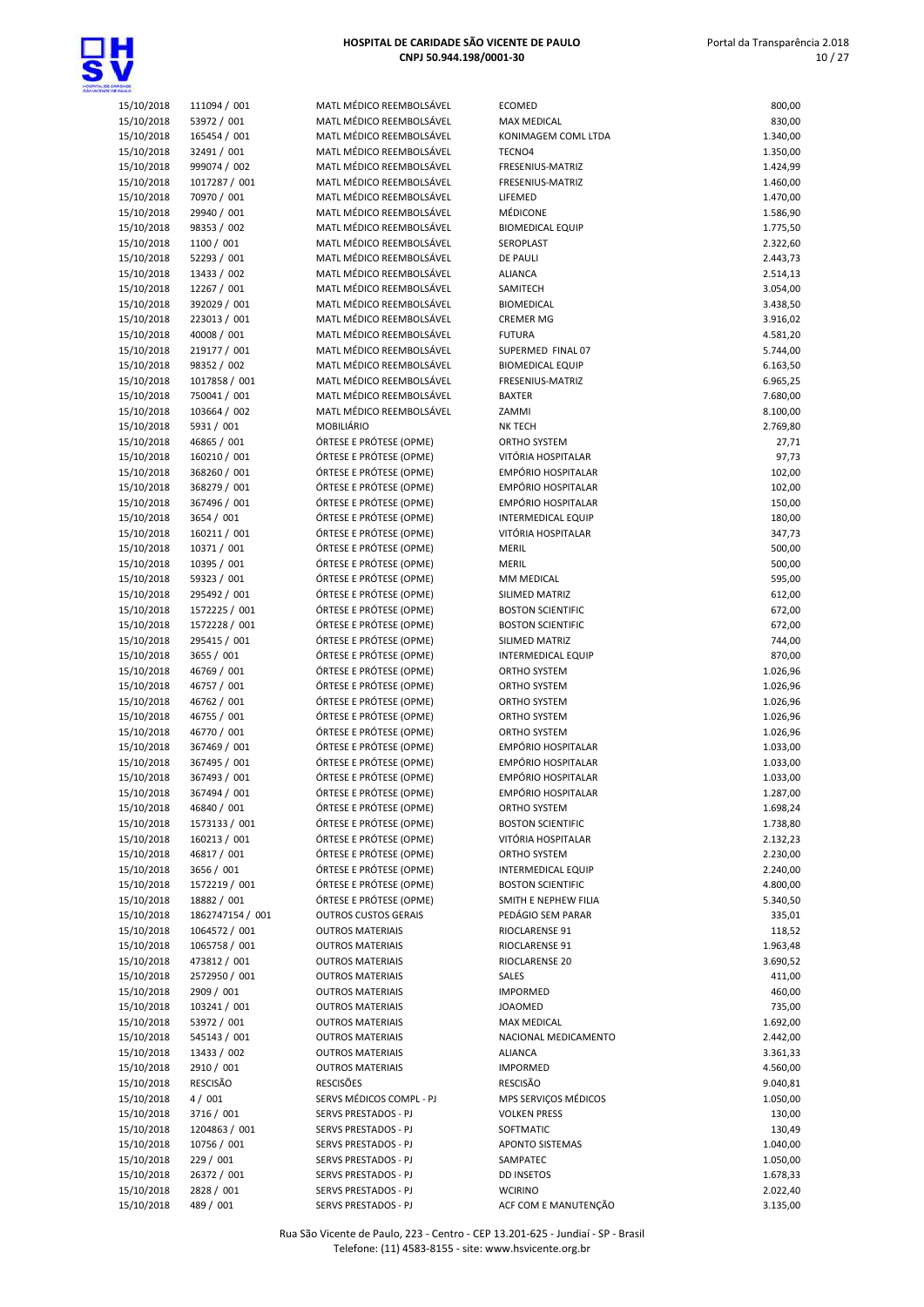

| 15/10/2018               | 111094 / 001            |
|--------------------------|-------------------------|
|                          | 53972 / 001             |
| 15/10/2018               |                         |
| 15/10/2018               | 165454 / 001            |
| 15/10/2018               | 32491 / 001             |
| 15/10/2018               | 999074 / 002            |
|                          |                         |
| 15/10/2018               | 1017287 / 001           |
| 15/10/2018               | 70970 / 001             |
| 15/10/2018               | 29940 / 001             |
|                          |                         |
| 15/10/2018               | 98353 / 002             |
| 15/10/2018               | 1100 / 001              |
| 15/10/2018               | 52293 / 001             |
| 15/10/2018               | 13433 / 002             |
|                          |                         |
| 15/10/2018               | 12267 / 001             |
| 15/10/2018               | 392029 / 001            |
| 15/10/2018               | 223013 / 001            |
| 15/10/2018               | 40008 / 001             |
|                          |                         |
| 15/10/2018               | 219177 / 001            |
| 15/10/2018               | 98352 / 002             |
| 15/10/2018               | 1017858 / 001           |
|                          |                         |
| 15/10/2018               | 750041 / 001            |
| 15/10/2018               | 103664 / 002            |
| 15/10/2018               | 5931 / 001              |
| 15/10/2018               | 46865 / 001             |
|                          |                         |
| 15/10/2018               | 160210 / 001            |
| 15/10/2018               | 368260 / 001            |
| 15/10/2018               | 368279 / 001            |
|                          |                         |
| 15/10/2018               | 367496 / 001            |
| 15/10/2018               | 3654 / 001              |
| 15/10/2018               | 160211 / 001            |
| 15/10/2018               | 10371 / 001             |
| 15/10/2018               | 10395 / 001             |
|                          |                         |
| 15/10/2018               | 59323 / 001             |
| 15/10/2018               | 295492 / 001            |
| 15/10/2018               | 1572225 / 001           |
| 15/10/2018               | 1572228 / 001           |
| 15/10/2018               | 295415 / 001            |
| 15/10/2018               | 3655 / 001              |
|                          |                         |
|                          |                         |
| 15/10/2018               | 46769 / 001             |
| 15/10/2018               | 46757 / 001             |
| 15/10/2018               | 46762 / 001             |
| 15/10/2018               | 46755 / 001             |
|                          |                         |
| 15/10/2018               | 46770 / 001             |
| 15/10/2018               | 367469 / 001            |
| 15/10/2018               | 367495 / 001            |
| 15/10/2018               | 367493 / 001            |
| 15/10/2018               | 367494 / 001            |
| 15/10/2018               | 46840 / 001             |
|                          |                         |
| 15/10/2018               | 1573133 / 001           |
| 15/10/2018               | 160213 / 001            |
| 15/10/2018               | 46817 / 001             |
| 15/10/2018               | 3656 / 001              |
| 15/10/2018               | 1572219 / 001           |
| 15/10/2018               | 18882 / 001             |
|                          |                         |
| 15/10/2018               | 1862747154 / 001        |
| 15/10/2018               | 1064572 / 001           |
| 15/10/2018               | 1065758 / 001           |
| 15/10/2018               | 473812 / 001            |
| 15/10/2018               | 2572950 / 001           |
|                          |                         |
| 15/10/2018               | 2909 / 001              |
| 15/10/2018               | 103241 / 001            |
| 15/10/2018               | 53972 / 001             |
| 15/10/2018               | 545143 / 001            |
| 15/10/2018               |                         |
|                          | 13433 / 002             |
| 15/10/2018               | 2910 / 001              |
| 15/10/2018               | RESCISÃO                |
| 15/10/2018               | 4/001                   |
| 15/10/2018               | 3716 / 001              |
| 15/10/2018               | 1204863 / 001           |
|                          |                         |
| 15/10/2018               | 10756 / 001             |
| 15/10/2018               | 229 / 001               |
| 15/10/2018<br>15/10/2018 | 26372/001<br>2828 / 001 |

| 1ATL MÉDICO REEMBOLSÁVEL                   |
|--------------------------------------------|
| 1ATL MÉDICO REEMBOLSÁVEL                   |
| 1ATL MÉDICO REEMBOLSÁVEL                   |
| 1ATL MÉDICO REEMBOLSÁVEL                   |
| 1ATL MÉDICO REEMBOLSÁVEL                   |
| 1ATL MÉDICO REEMBOLSÁVEL                   |
| 1ATL MÉDICO REEMBOLSÁVEL                   |
| 1ATL MÉDICO REEMBOLSÁVEL                   |
| MATL MÉDICO REEMBOLSÁVEL                   |
| 1ATL MÉDICO REEMBOLSÁVEL                   |
| 1ATL MÉDICO REEMBOLSÁVEL                   |
| 1ATL MÉDICO REEMBOLSÁVEL                   |
| 1ATL MÉDICO REEMBOLSÁVEL                   |
| 1ATL MÉDICO REEMBOLSÁVEL                   |
| 1ATL MÉDICO REEMBOLSÁVEL                   |
| MATL MÉDICO REEMBOLSÁVEL                   |
| 1ATL MÉDICO REEMBOLSÁVEL                   |
| 1ATL MÉDICO REEMBOLSÁVEL                   |
| 1ATL MÉDICO REEMBOLSÁVEL                   |
| 1ATL MÉDICO REEMBOLSÁVEL                   |
| MATL MÉDICO REEMBOLSÁVEL                   |
| 10BILIÁRIO                                 |
| PRTESE E PRÓTESE (OPME)                    |
| RTESE E PRÓTESE (OPME)                     |
| RTESE E PRÓTESE (OPME)                     |
| RTESE E PRÓTESE (OPME)                     |
| RTESE E PRÓTESE (OPME)                     |
| RTESE E PRÓTESE (OPME)                     |
| RTESE E PRÓTESE (OPME)                     |
| PRTESE E PRÓTESE (OPME)                    |
| PRTESE E PRÓTESE (OPME)                    |
| PRTESE E PRÓTESE (OPME)                    |
| RTESE E PRÓTESE (OPME)                     |
| RTESE E PRÓTESE (OPME)                     |
| RTESE E PRÓTESE (OPME)                     |
| RTESE E PRÓTESE (OPME)                     |
| PRTESE E PRÓTESE (OPME)                    |
| PRTESE E PRÓTESE (OPME)                    |
| PRTESE E PRÓTESE (OPME)                    |
| PRTESE E PRÓTESE (OPME)                    |
| RTESE E PRÓTESE (OPME)                     |
| PRTESE E PRÓTESE (OPME)                    |
| RTESE E PRÓTESE (OPME)                     |
| RTESE E PRÓTESE (OPME)                     |
| RTESE E PRÓTESE (OPME)                     |
| RTESE E PRÓTESE (OPME)                     |
| RTESE E PRÓTESE (OPME)                     |
| RTESE E PRÓTESE (OPME)                     |
| RTESE E PRÓTESE (OPME)                     |
| PRTESE E PRÓTESE (OPME)                    |
| PRTESE E PRÓTESE (OPME)                    |
| RTESE E PRÓTESE (OPME)                     |
| PRTESE E PRÓTESE (OPME)                    |
| UTROS CUSTOS GERAIS                        |
| UTROS MATERIAIS                            |
| UTROS MATERIAIS                            |
| UTROS MATERIAIS                            |
| UTROS MATERIAIS                            |
| UTROS MATERIAIS                            |
| UTROS MATERIAIS                            |
| UTROS MATERIAIS                            |
| UTROS MATERIAIS                            |
| UTROS MATERIAIS                            |
| UTROS MATERIAIS                            |
| <b>ESCISÕES</b>                            |
| ERVS MÉDICOS COMPL - PJ                    |
| ERVS PRESTADOS - PJ                        |
| ERVS PRESTADOS - PJ                        |
| ERVS PRESTADOS - PJ                        |
|                                            |
| ERVS PRESTADOS - PJ                        |
| ERVS PRESTADOS - PJ<br>ERVS PRESTADOS - PJ |

| <b>TANLO</b>             |                              |                                                      |                                          |                      |
|--------------------------|------------------------------|------------------------------------------------------|------------------------------------------|----------------------|
| 15/10/2018               | 111094 / 001                 | MATL MÉDICO REEMBOLSÁVEL                             | <b>ECOMED</b>                            | 800,00               |
| 15/10/2018               | 53972 / 001                  | MATL MÉDICO REEMBOLSÁVEL                             | <b>MAX MEDICAL</b>                       | 830,00               |
| 15/10/2018               | 165454 / 001                 | MATL MÉDICO REEMBOLSÁVEL                             | KONIMAGEM COML LTDA                      | 1.340,00             |
| 15/10/2018               | 32491 / 001                  | MATL MÉDICO REEMBOLSÁVEL                             | TECNO4                                   | 1.350,00             |
| 15/10/2018               | 999074 / 002                 | MATL MÉDICO REEMBOLSÁVEL                             | FRESENIUS-MATRIZ                         | 1.424,99             |
| 15/10/2018               | 1017287 / 001                | MATL MÉDICO REEMBOLSÁVEL                             | FRESENIUS-MATRIZ                         | 1.460,00             |
| 15/10/2018               | 70970 / 001                  | MATL MÉDICO REEMBOLSÁVEL<br>MATL MÉDICO REEMBOLSÁVEL | LIFEMED<br>MÉDICONE                      | 1.470,00             |
| 15/10/2018<br>15/10/2018 | 29940 / 001<br>98353 / 002   | MATL MÉDICO REEMBOLSÁVEL                             | <b>BIOMEDICAL EQUIP</b>                  | 1.586,90<br>1.775,50 |
| 15/10/2018               | 1100 / 001                   | MATL MÉDICO REEMBOLSÁVEL                             | SEROPLAST                                | 2.322,60             |
| 15/10/2018               | 52293 / 001                  | MATL MÉDICO REEMBOLSÁVEL                             | <b>DE PAULI</b>                          | 2.443,73             |
| 15/10/2018               | 13433 / 002                  | MATL MÉDICO REEMBOLSÁVEL                             | <b>ALIANCA</b>                           | 2.514,13             |
| 15/10/2018               | 12267 / 001                  | MATL MÉDICO REEMBOLSÁVEL                             | SAMITECH                                 | 3.054,00             |
| 15/10/2018               | 392029 / 001                 | MATL MÉDICO REEMBOLSÁVEL                             | <b>BIOMEDICAL</b>                        | 3.438,50             |
| 15/10/2018               | 223013 / 001                 | MATL MÉDICO REEMBOLSÁVEL                             | <b>CREMER MG</b>                         | 3.916,02             |
| 15/10/2018               | 40008 / 001                  | MATL MÉDICO REEMBOLSÁVEL                             | <b>FUTURA</b>                            | 4.581,20             |
| 15/10/2018               | 219177 / 001                 | MATL MÉDICO REEMBOLSÁVEL                             | SUPERMED FINAL 07                        | 5.744,00             |
| 15/10/2018               | 98352 / 002                  | MATL MÉDICO REEMBOLSÁVEL                             | <b>BIOMEDICAL EQUIP</b>                  | 6.163,50             |
| 15/10/2018               | 1017858 / 001                | MATL MÉDICO REEMBOLSÁVEL                             | FRESENIUS-MATRIZ                         | 6.965,25             |
| 15/10/2018               | 750041 / 001                 | MATL MÉDICO REEMBOLSÁVEL                             | <b>BAXTER</b>                            | 7.680,00             |
| 15/10/2018               | 103664 / 002<br>5931 / 001   | MATL MÉDICO REEMBOLSÁVEL<br><b>MOBILIÁRIO</b>        | ZAMMI<br><b>NK TECH</b>                  | 8.100,00             |
| 15/10/2018<br>15/10/2018 | 46865 / 001                  | ÓRTESE E PRÓTESE (OPME)                              | <b>ORTHO SYSTEM</b>                      | 2.769,80<br>27,71    |
| 15/10/2018               | 160210 / 001                 | ÓRTESE E PRÓTESE (OPME)                              | VITÓRIA HOSPITALAR                       | 97,73                |
| 15/10/2018               | 368260 / 001                 | ÓRTESE E PRÓTESE (OPME)                              | <b>EMPÓRIO HOSPITALAR</b>                | 102,00               |
| 15/10/2018               | 368279 / 001                 | ÓRTESE E PRÓTESE (OPME)                              | EMPÓRIO HOSPITALAR                       | 102,00               |
| 15/10/2018               | 367496 / 001                 | ÓRTESE E PRÓTESE (OPME)                              | EMPÓRIO HOSPITALAR                       | 150,00               |
| 15/10/2018               | 3654 / 001                   | ÓRTESE E PRÓTESE (OPME)                              | <b>INTERMEDICAL EQUIP</b>                | 180,00               |
| 15/10/2018               | 160211 / 001                 | ÓRTESE E PRÓTESE (OPME)                              | VITÓRIA HOSPITALAR                       | 347,73               |
| 15/10/2018               | 10371 / 001                  | ÓRTESE E PRÓTESE (OPME)                              | MERIL                                    | 500,00               |
| 15/10/2018               | 10395 / 001                  | ÓRTESE E PRÓTESE (OPME)                              | MERIL                                    | 500,00               |
| 15/10/2018               | 59323 / 001                  | ÓRTESE E PRÓTESE (OPME)                              | MM MEDICAL                               | 595,00               |
| 15/10/2018               | 295492 / 001                 | ÓRTESE E PRÓTESE (OPME)                              | SILIMED MATRIZ                           | 612,00               |
| 15/10/2018               | 1572225 / 001                | ÓRTESE E PRÓTESE (OPME)                              | <b>BOSTON SCIENTIFIC</b>                 | 672,00               |
| 15/10/2018               | 1572228 / 001                | ÓRTESE E PRÓTESE (OPME)                              | <b>BOSTON SCIENTIFIC</b>                 | 672,00               |
| 15/10/2018               | 295415 / 001                 | ÓRTESE E PRÓTESE (OPME)                              | SILIMED MATRIZ                           | 744,00               |
| 15/10/2018               | 3655 / 001                   | ÓRTESE E PRÓTESE (OPME)                              | <b>INTERMEDICAL EQUIP</b>                | 870,00               |
| 15/10/2018               | 46769 / 001                  | ÓRTESE E PRÓTESE (OPME)                              | ORTHO SYSTEM                             | 1.026,96             |
| 15/10/2018               | 46757 / 001                  | ÓRTESE E PRÓTESE (OPME)                              | ORTHO SYSTEM                             | 1.026,96             |
| 15/10/2018               | 46762 / 001                  | ÓRTESE E PRÓTESE (OPME)                              | ORTHO SYSTEM                             | 1.026,96             |
| 15/10/2018               | 46755 / 001                  | ÓRTESE E PRÓTESE (OPME)                              | ORTHO SYSTEM                             | 1.026,96             |
| 15/10/2018               | 46770 / 001                  | ÓRTESE E PRÓTESE (OPME)                              | ORTHO SYSTEM                             | 1.026,96             |
| 15/10/2018               | 367469 / 001<br>367495 / 001 | ÓRTESE E PRÓTESE (OPME)                              | EMPÓRIO HOSPITALAR<br>EMPÓRIO HOSPITALAR | 1.033,00             |
| 15/10/2018               | 367493 / 001                 | ÓRTESE E PRÓTESE (OPME)<br>ÓRTESE E PRÓTESE (OPME)   | EMPÓRIO HOSPITALAR                       | 1.033,00             |
| 15/10/2018<br>15/10/2018 | 367494 / 001                 | ÓRTESE E PRÓTESE (OPME)                              | <b>EMPÓRIO HOSPITALAR</b>                | 1.033,00<br>1.287,00 |
| 15/10/2018               | 46840 / 001                  | ÓRTESE E PRÓTESE (OPME)                              | ORTHO SYSTEM                             | 1.698,24             |
| 15/10/2018               | 1573133 / 001                | ÓRTESE E PRÓTESE (OPME)                              | <b>BOSTON SCIENTIFIC</b>                 | 1.738,80             |
| 15/10/2018               | 160213 / 001                 | ÓRTESE E PRÓTESE (OPME)                              | VITÓRIA HOSPITALAR                       | 2.132,23             |
| 15/10/2018               | 46817 / 001                  | ÓRTESE E PRÓTESE (OPME)                              | ORTHO SYSTEM                             | 2.230,00             |
| 15/10/2018               | 3656 / 001                   | ÓRTESE E PRÓTESE (OPME)                              | INTERMEDICAL EQUIP                       | 2.240,00             |
| 15/10/2018               | 1572219 / 001                | ÓRTESE E PRÓTESE (OPME)                              | <b>BOSTON SCIENTIFIC</b>                 | 4.800,00             |
| 15/10/2018               | 18882 / 001                  | ÓRTESE E PRÓTESE (OPME)                              | SMITH E NEPHEW FILIA                     | 5.340,50             |
| 15/10/2018               | 1862747154 / 001             | <b>OUTROS CUSTOS GERAIS</b>                          | PEDÁGIO SEM PARAR                        | 335,01               |
| 15/10/2018               | 1064572 / 001                | <b>OUTROS MATERIAIS</b>                              | RIOCLARENSE 91                           | 118,52               |
| 15/10/2018               | 1065758 / 001                | <b>OUTROS MATERIAIS</b>                              | RIOCLARENSE 91                           | 1.963,48             |
| 15/10/2018               | 473812 / 001                 | <b>OUTROS MATERIAIS</b>                              | RIOCLARENSE 20                           | 3.690,52             |
| 15/10/2018               | 2572950 / 001                | <b>OUTROS MATERIAIS</b>                              | SALES                                    | 411,00               |
| 15/10/2018               | 2909 / 001                   | <b>OUTROS MATERIAIS</b>                              | <b>IMPORMED</b>                          | 460,00               |
| 15/10/2018               | 103241 / 001                 | <b>OUTROS MATERIAIS</b>                              | <b>JOAOMED</b>                           | 735,00               |
| 15/10/2018               | 53972 / 001                  | <b>OUTROS MATERIAIS</b>                              | <b>MAX MEDICAL</b>                       | 1.692,00             |
| 15/10/2018               | 545143 / 001                 | <b>OUTROS MATERIAIS</b>                              | NACIONAL MEDICAMENTO                     | 2.442,00             |
| 15/10/2018               | 13433 / 002                  | <b>OUTROS MATERIAIS</b>                              | <b>ALIANCA</b>                           | 3.361,33             |
| 15/10/2018               | 2910 / 001                   | <b>OUTROS MATERIAIS</b>                              | <b>IMPORMED</b>                          | 4.560,00             |
| 15/10/2018               | RESCISÃO                     | <b>RESCISÕES</b>                                     | RESCISÃO                                 | 9.040,81             |
| 15/10/2018               | 4/001                        | SERVS MÉDICOS COMPL - PJ                             | MPS SERVIÇOS MÉDICOS                     | 1.050,00             |
| 15/10/2018               | 3716 / 001                   | SERVS PRESTADOS - PJ                                 | <b>VOLKEN PRESS</b>                      | 130,00               |
| 15/10/2018               | 1204863 / 001<br>10756 / 001 | SERVS PRESTADOS - PJ<br>SERVS PRESTADOS - PJ         | SOFTMATIC<br>APONTO SISTEMAS             | 130,49               |
| 15/10/2018<br>15/10/2018 | 229 / 001                    | SERVS PRESTADOS - PJ                                 | SAMPATEC                                 | 1.040,00<br>1.050,00 |
| 15/10/2018               | 26372 / 001                  | SERVS PRESTADOS - PJ                                 | <b>DD INSETOS</b>                        | 1.678,33             |
| 15/10/2018               | 2828 / 001                   | SERVS PRESTADOS - PJ                                 | <b>WCIRINO</b>                           | 2.022,40             |
| 15/10/2018               | 489 / 001                    | SERVS PRESTADOS - PJ                                 | ACF COM E MANUTENÇÃO                     | 3.135,00             |
|                          |                              |                                                      |                                          |                      |

Rua São Vicente de Paulo, 223 - Centro - CEP 13.201-625 - Jundiaí - SP - Brasil Telefone: (11) 4583-8155 - site: www.hsvicente.org.br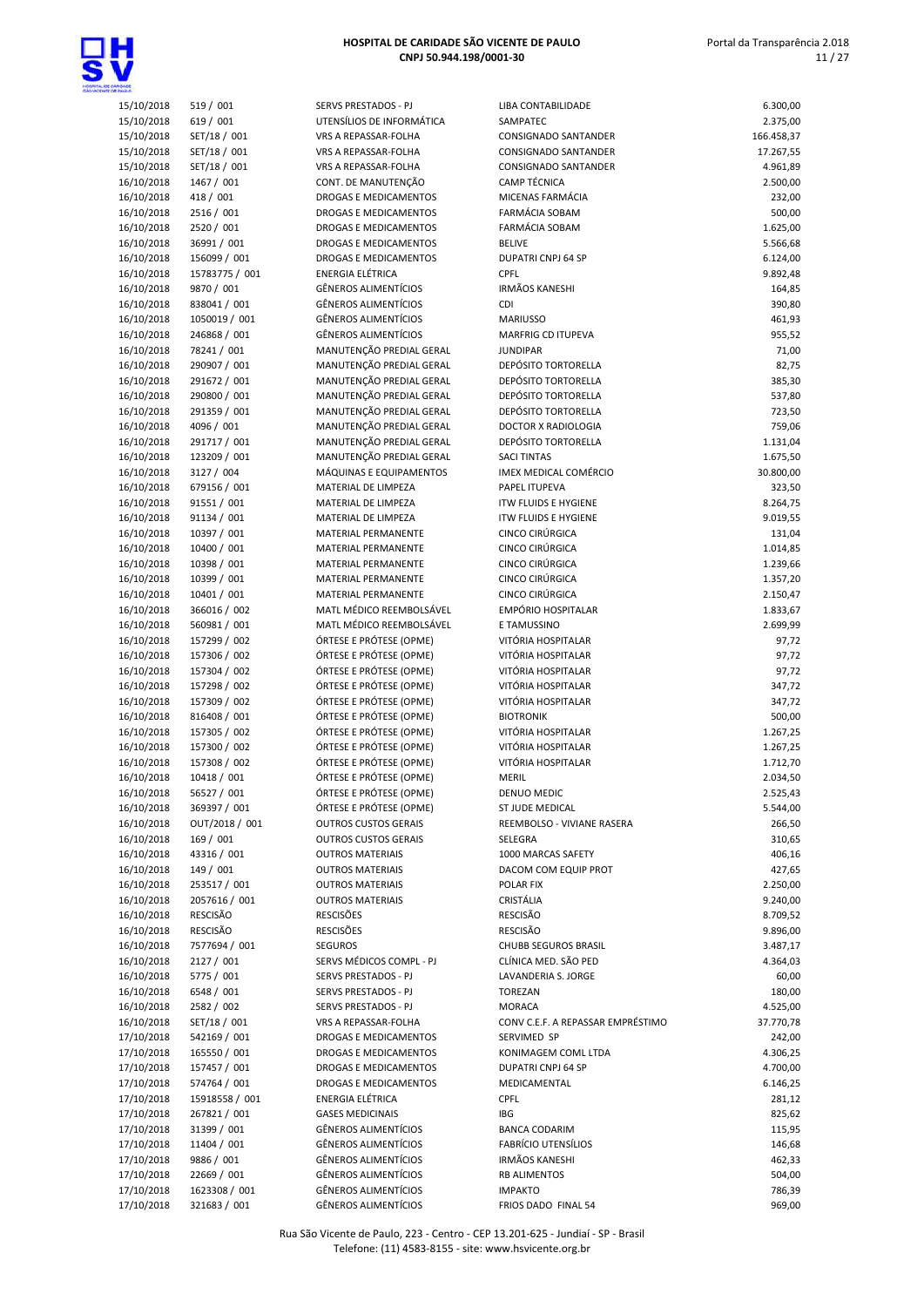

| <b>MARGE</b>             |                               |
|--------------------------|-------------------------------|
| 15/10/2018               | 519 / 001                     |
| 15/10/2018               | 619 / 001                     |
| 15/10/2018               | SET/18 / 001                  |
| 15/10/2018               | SET/18 / 001                  |
| 15/10/2018               | SET/18 / 001                  |
| 16/10/2018               | 1467 / 001<br>418 / 001       |
| 16/10/2018<br>16/10/2018 | 2516 / 001                    |
| 16/10/2018               | 2520 / 001                    |
| 16/10/2018               | 36991 / 001                   |
| 16/10/2018               | 156099 / 001                  |
| 16/10/2018               | 15783775 / 001                |
| 16/10/2018               | 9870 / 001                    |
| 16/10/2018               | 838041 / 001                  |
| 16/10/2018<br>16/10/2018 | 1050019 / 001<br>246868 / 001 |
| 16/10/2018               | 78241 / 001                   |
| 16/10/2018               | 290907 / 001                  |
| 16/10/2018               | 291672 / 001                  |
| 16/10/2018               | 290800 / 001                  |
| 16/10/2018               | 291359 / 001                  |
| 16/10/2018               | 4096 / 001                    |
| 16/10/2018               | 291717 / 001                  |
| 16/10/2018<br>16/10/2018 | 123209 / 001<br>3127 / 004    |
| 16/10/2018               | 679156 / 001                  |
| 16/10/2018               | 91551 / 001                   |
| 16/10/2018               | 91134 / 001                   |
| 16/10/2018               | 10397 / 001                   |
| 16/10/2018               | 10400 / 001                   |
| 16/10/2018<br>16/10/2018 | 10398 / 001<br>10399 / 001    |
| 16/10/2018               | 10401 / 001                   |
| 16/10/2018               | 366016 / 002                  |
| 16/10/2018               | 560981 / 001                  |
| 16/10/2018               | 157299 / 002                  |
| 16/10/2018               | 157306 / 002                  |
| 16/10/2018               | 157304 / 002                  |
| 16/10/2018<br>16/10/2018 | 157298 / 002<br>157309 / 002  |
| 16/10/2018               | 816408 / 001                  |
| 16/10/2018               | 157305 / 002                  |
| 16/10/2018               | 157300 / 002                  |
| 16/10/2018               | 157308 / 002                  |
| 16/10/2018               | 10418 / 001                   |
| 16/10/2018<br>16/10/2018 | 56527 / 001<br>369397 / 001   |
| 16/10/2018               | OUT/2018 / 001                |
| 16/10/2018               | 169 / 001                     |
| 16/10/2018               | 43316 / 001                   |
| 16/10/2018               | 149 / 001                     |
| 16/10/2018               | 253517 / 001                  |
| 16/10/2018<br>16/10/2018 | 2057616 / 001<br>RESCISÃO     |
| 16/10/2018               | <b>RESCISÃO</b>               |
| 16/10/2018               | 7577694 / 001                 |
| 16/10/2018               | 2127 / 001                    |
| 16/10/2018               | 5775 / 001                    |
| 16/10/2018               | 6548 / 001                    |
| 16/10/2018               | 2582 / 002                    |
| 16/10/2018<br>17/10/2018 | SET/18 / 001<br>542169 / 001  |
| 17/10/2018               | 165550 / 001                  |
| 17/10/2018               | 157457 / 001                  |
| 17/10/2018               | 574764 / 001                  |
| 17/10/2018               | 15918558 / 001                |
| 17/10/2018               | 267821 / 001                  |
| 17/10/2018               | 31399 / 001<br>11404 / 001    |
| 17/10/2018<br>17/10/2018 | 9886 / 001                    |
| 17/10/2018               | 22669 / 001                   |
| 17/10/2018               | 1623308 / 001                 |

| <b>THULD</b>             |                            |                                                |                                              |                    |
|--------------------------|----------------------------|------------------------------------------------|----------------------------------------------|--------------------|
| 15/10/2018               | 519 / 001                  | SERVS PRESTADOS - PJ                           | LIBA CONTABILIDADE                           | 6.300,00           |
| 15/10/2018               | 619 / 001                  | UTENSÍLIOS DE INFORMÁTICA                      | SAMPATEC                                     | 2.375,00           |
| 15/10/2018               | SET/18 / 001               | VRS A REPASSAR-FOLHA                           | CONSIGNADO SANTANDER                         | 166.458,37         |
| 15/10/2018               | SET/18 / 001               | VRS A REPASSAR-FOLHA                           | CONSIGNADO SANTANDER                         | 17.267,55          |
| 15/10/2018               | SET/18 / 001               | VRS A REPASSAR-FOLHA                           | <b>CONSIGNADO SANTANDER</b>                  | 4.961,89           |
| 16/10/2018               | 1467 / 001                 | CONT. DE MANUTENÇÃO                            | <b>CAMP TÉCNICA</b>                          | 2.500,00           |
| 16/10/2018               | 418 / 001                  | DROGAS E MEDICAMENTOS                          | MICENAS FARMÁCIA                             | 232,00             |
| 16/10/2018               | 2516 / 001                 | DROGAS E MEDICAMENTOS                          | FARMÁCIA SOBAM                               | 500,00             |
| 16/10/2018               | 2520 / 001                 | DROGAS E MEDICAMENTOS                          | <b>FARMÁCIA SOBAM</b>                        | 1.625,00           |
| 16/10/2018               | 36991 / 001                | DROGAS E MEDICAMENTOS                          | <b>BELIVE</b>                                | 5.566,68           |
| 16/10/2018               | 156099 / 001               | <b>DROGAS E MEDICAMENTOS</b>                   | <b>DUPATRI CNPJ 64 SP</b>                    | 6.124,00           |
| 16/10/2018               | 15783775 / 001             | <b>ENERGIA ELÉTRICA</b>                        | CPFL                                         | 9.892,48           |
| 16/10/2018               | 9870 / 001                 | <b>GÊNEROS ALIMENTÍCIOS</b>                    | <b>IRMÃOS KANESHI</b>                        | 164,85             |
| 16/10/2018               | 838041 / 001               | GÊNEROS ALIMENTÍCIOS                           | CDI                                          | 390,80             |
| 16/10/2018               | 1050019 / 001              | <b>GÊNEROS ALIMENTÍCIOS</b>                    | <b>MARIUSSO</b>                              | 461,93             |
| 16/10/2018               | 246868 / 001               | <b>GÊNEROS ALIMENTÍCIOS</b>                    | MARFRIG CD ITUPEVA                           | 955,52             |
| 16/10/2018               | 78241 / 001                | MANUTENÇÃO PREDIAL GERAL                       | <b>JUNDIPAR</b>                              | 71,00              |
| 16/10/2018               | 290907 / 001               | MANUTENÇÃO PREDIAL GERAL                       | <b>DEPÓSITO TORTORELLA</b>                   | 82,75              |
| 16/10/2018               | 291672 / 001               | MANUTENÇÃO PREDIAL GERAL                       | <b>DEPÓSITO TORTORELLA</b>                   | 385,30             |
| 16/10/2018               | 290800 / 001               | MANUTENÇÃO PREDIAL GERAL                       | <b>DEPÓSITO TORTORELLA</b>                   | 537,80             |
| 16/10/2018               | 291359 / 001               | MANUTENÇÃO PREDIAL GERAL                       | <b>DEPÓSITO TORTORELLA</b>                   | 723,50             |
| 16/10/2018               | 4096 / 001                 | MANUTENÇÃO PREDIAL GERAL                       | <b>DOCTOR X RADIOLOGIA</b>                   | 759,06             |
| 16/10/2018               | 291717 / 001               | MANUTENÇÃO PREDIAL GERAL                       | <b>DEPÓSITO TORTORELLA</b>                   | 1.131,04           |
| 16/10/2018               | 123209 / 001               | MANUTENÇÃO PREDIAL GERAL                       | <b>SACI TINTAS</b><br>IMEX MEDICAL COMÉRCIO  | 1.675,50           |
| 16/10/2018               | 3127 / 004                 | MÁQUINAS E EQUIPAMENTOS<br>MATERIAL DE LIMPEZA |                                              | 30.800,00          |
| 16/10/2018               | 679156 / 001               | MATERIAL DE LIMPEZA                            | PAPEL ITUPEVA<br><b>ITW FLUIDS E HYGIENE</b> | 323,50             |
| 16/10/2018               | 91551 / 001                |                                                | <b>ITW FLUIDS E HYGIENE</b>                  | 8.264,75           |
| 16/10/2018<br>16/10/2018 | 91134 / 001                | MATERIAL DE LIMPEZA<br>MATERIAL PERMANENTE     | CINCO CIRÚRGICA                              | 9.019,55           |
|                          | 10397 / 001<br>10400 / 001 | MATERIAL PERMANENTE                            | CINCO CIRÚRGICA                              | 131,04<br>1.014,85 |
| 16/10/2018<br>16/10/2018 | 10398 / 001                | MATERIAL PERMANENTE                            | CINCO CIRÚRGICA                              | 1.239,66           |
|                          | 10399 / 001                | MATERIAL PERMANENTE                            | CINCO CIRÚRGICA                              | 1.357,20           |
| 16/10/2018<br>16/10/2018 | 10401 / 001                | MATERIAL PERMANENTE                            | CINCO CIRÚRGICA                              | 2.150,47           |
| 16/10/2018               | 366016 / 002               | MATL MÉDICO REEMBOLSÁVEL                       | <b>EMPÓRIO HOSPITALAR</b>                    | 1.833,67           |
| 16/10/2018               | 560981 / 001               | MATL MÉDICO REEMBOLSÁVEL                       | E TAMUSSINO                                  | 2.699,99           |
| 16/10/2018               | 157299 / 002               | ÓRTESE E PRÓTESE (OPME)                        | VITÓRIA HOSPITALAR                           | 97,72              |
| 16/10/2018               | 157306 / 002               | ÓRTESE E PRÓTESE (OPME)                        | VITÓRIA HOSPITALAR                           | 97,72              |
| 16/10/2018               | 157304 / 002               | ÓRTESE E PRÓTESE (OPME)                        | VITÓRIA HOSPITALAR                           | 97,72              |
| 16/10/2018               | 157298 / 002               | ÓRTESE E PRÓTESE (OPME)                        | VITÓRIA HOSPITALAR                           | 347,72             |
| 16/10/2018               | 157309 / 002               | ÓRTESE E PRÓTESE (OPME)                        | VITÓRIA HOSPITALAR                           | 347,72             |
| 16/10/2018               | 816408 / 001               | ÓRTESE E PRÓTESE (OPME)                        | <b>BIOTRONIK</b>                             | 500,00             |
| 16/10/2018               | 157305 / 002               | ÓRTESE E PRÓTESE (OPME)                        | VITÓRIA HOSPITALAR                           | 1.267,25           |
| 16/10/2018               | 157300 / 002               | ÓRTESE E PRÓTESE (OPME)                        | VITÓRIA HOSPITALAR                           | 1.267,25           |
| 16/10/2018               | 157308 / 002               | ÓRTESE E PRÓTESE (OPME)                        | VITÓRIA HOSPITALAR                           | 1.712,70           |
| 16/10/2018               | 10418 / 001                | ÓRTESE E PRÓTESE (OPME)                        | <b>MERIL</b>                                 | 2.034,50           |
| 16/10/2018               | 56527 / 001                | ÓRTESE E PRÓTESE (OPME)                        | DENUO MEDIC                                  | 2.525,43           |
| 16/10/2018               | 369397 / 001               | ÓRTESE E PRÓTESE (OPME)                        | ST JUDE MEDICAL                              | 5.544,00           |
| 16/10/2018               | OUT/2018 / 001             | <b>OUTROS CUSTOS GERAIS</b>                    | REEMBOLSO - VIVIANE RASERA                   | 266,50             |
| 16/10/2018               | 169 / 001                  | <b>OUTROS CUSTOS GERAIS</b>                    | SELEGRA                                      | 310,65             |
| 16/10/2018               | 43316 / 001                | <b>OUTROS MATERIAIS</b>                        | 1000 MARCAS SAFETY                           | 406,16             |
| 16/10/2018               | 149 / 001                  | <b>OUTROS MATERIAIS</b>                        | DACOM COM EQUIP PROT                         | 427,65             |
| 16/10/2018               | 253517 / 001               | <b>OUTROS MATERIAIS</b>                        | POLAR FIX                                    | 2.250,00           |
| 16/10/2018               | 2057616 / 001              | <b>OUTROS MATERIAIS</b>                        | CRISTÁLIA                                    | 9.240,00           |
| 16/10/2018               | RESCISÃO                   | <b>RESCISÕES</b>                               | RESCISÃO                                     | 8.709,52           |
| 16/10/2018               | RESCISÃO                   | <b>RESCISÕES</b>                               | RESCISÃO                                     | 9.896,00           |
| 16/10/2018               | 7577694 / 001              | <b>SEGUROS</b>                                 | CHUBB SEGUROS BRASIL                         | 3.487,17           |
| 16/10/2018               | 2127 / 001                 | SERVS MÉDICOS COMPL - PJ                       | CLÍNICA MED. SÃO PED                         | 4.364,03           |
| 16/10/2018               | 5775 / 001                 | SERVS PRESTADOS - PJ                           | LAVANDERIA S. JORGE                          | 60,00              |
| 16/10/2018               | 6548 / 001                 | SERVS PRESTADOS - PJ                           | TOREZAN                                      | 180,00             |
| 16/10/2018               | 2582 / 002                 | SERVS PRESTADOS - PJ                           | MORACA                                       | 4.525,00           |
| 16/10/2018               | SET/18 / 001               | VRS A REPASSAR-FOLHA                           | CONV C.E.F. A REPASSAR EMPRÉSTIMO            | 37.770,78          |
| 17/10/2018               | 542169 / 001               | DROGAS E MEDICAMENTOS                          | SERVIMED SP                                  | 242,00             |
| 17/10/2018               | 165550 / 001               | DROGAS E MEDICAMENTOS                          | KONIMAGEM COML LTDA                          | 4.306,25           |
| 17/10/2018               | 157457 / 001               | DROGAS E MEDICAMENTOS                          | DUPATRI CNPJ 64 SP                           | 4.700,00           |
| 17/10/2018               | 574764 / 001               | DROGAS E MEDICAMENTOS                          | MEDICAMENTAL                                 | 6.146,25           |
| 17/10/2018               | 15918558 / 001             | ENERGIA ELÉTRICA                               | CPFL                                         | 281,12             |
| 17/10/2018               | 267821 / 001               | <b>GASES MEDICINAIS</b>                        | IBG                                          | 825,62             |
| 17/10/2018               | 31399 / 001                | <b>GÊNEROS ALIMENTÍCIOS</b>                    | <b>BANCA CODARIM</b>                         | 115,95             |
| 17/10/2018               | 11404 / 001                | GÊNEROS ALIMENTÍCIOS                           | <b>FABRÍCIO UTENSÍLIOS</b>                   | 146,68             |
| 17/10/2018               | 9886 / 001                 | GÊNEROS ALIMENTÍCIOS                           | <b>IRMÃOS KANESHI</b>                        | 462,33             |
| 17/10/2018               | 22669 / 001                | GÊNEROS ALIMENTÍCIOS                           | <b>RB ALIMENTOS</b>                          | 504,00             |
| 17/10/2018               | 1623308 / 001              | GÊNEROS ALIMENTÍCIOS                           | <b>IMPAKTO</b>                               | 786,39             |
| 17/10/2018               | 321683 / 001               | GÊNEROS ALIMENTÍCIOS                           | FRIOS DADO FINAL 54                          | 969,00             |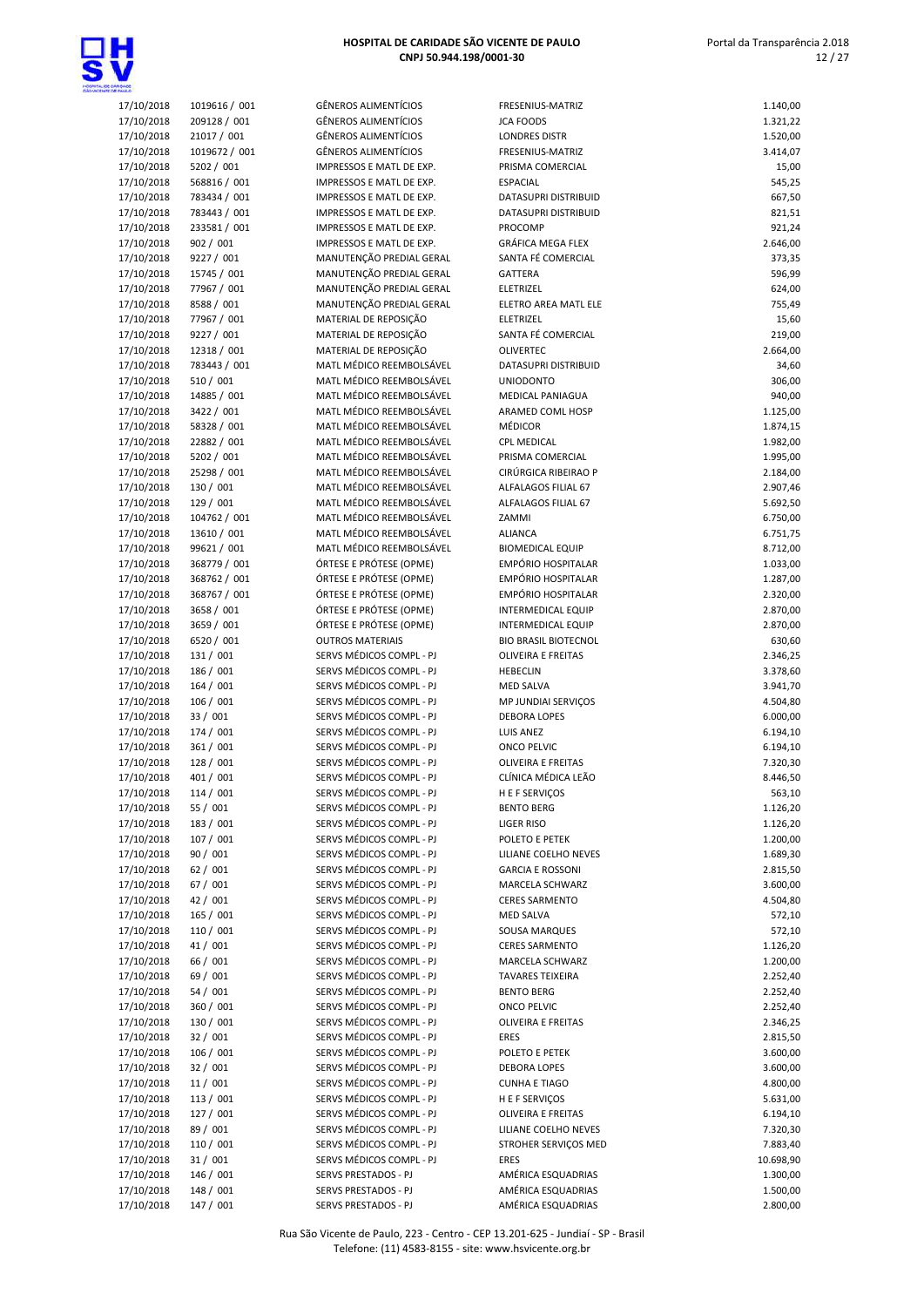

| 7/10/2018 | 1019616 / 001 | <b>GÊNEROS ALIMENTÍCIO</b>                        |
|-----------|---------------|---------------------------------------------------|
| 7/10/2018 | 209128 / 001  | <b>GÊNEROS ALIMENTÍCIO</b>                        |
| 7/10/2018 | 21017 / 001   | <b>GÊNEROS ALIMENTÍCIO</b>                        |
| 7/10/2018 | 1019672 / 001 | <b>GÊNEROS ALIMENTÍCIO</b>                        |
| 7/10/2018 | 5202 / 001    | <b>IMPRESSOS E MATL DE</b>                        |
| 7/10/2018 | 568816 / 001  | <b>IMPRESSOS E MATL DE</b>                        |
| 7/10/2018 | 783434 / 001  | <b>IMPRESSOS E MATL DE</b>                        |
| 7/10/2018 | 783443 / 001  | <b>IMPRESSOS E MATL DE</b>                        |
| 7/10/2018 | 233581 / 001  | <b>IMPRESSOS E MATL DE</b>                        |
|           |               | <b>IMPRESSOS E MATL DE</b>                        |
| 7/10/2018 | 902 / 001     | MANUTENÇÃO PREDIAI                                |
| 7/10/2018 | 9227 / 001    |                                                   |
| 7/10/2018 | 15745 / 001   | MANUTENÇÃO PREDIAI                                |
| 7/10/2018 | 77967 / 001   | MANUTENÇÃO PREDIAI                                |
| 7/10/2018 | 8588 / 001    | MANUTENÇÃO PREDIAI                                |
| 7/10/2018 | 77967 / 001   | MATERIAL DE REPOSIÇÃ                              |
| 7/10/2018 | 9227 / 001    | MATERIAL DE REPOSIÇÃ                              |
| 7/10/2018 | 12318 / 001   | MATERIAL DE REPOSIÇÃ                              |
| 7/10/2018 | 783443 / 001  | MATL MÉDICO REEMBO                                |
| 7/10/2018 | 510 / 001     | MATL MÉDICO REEMBO                                |
| 7/10/2018 | 14885 / 001   | MATL MÉDICO REEMBO                                |
| 7/10/2018 | 3422 / 001    | MATL MÉDICO REEMBO                                |
| 7/10/2018 | 58328 / 001   | MATL MÉDICO REEMBO                                |
| 7/10/2018 | 22882 / 001   | MATL MÉDICO REEMBO                                |
| 7/10/2018 | 5202 / 001    | MATL MÉDICO REEMBO                                |
| 7/10/2018 | 25298 / 001   | MATL MÉDICO REEMBO                                |
| 7/10/2018 | 130 / 001     | MATL MÉDICO REEMBO                                |
| 7/10/2018 | 129 / 001     | MATL MÉDICO REEMBO                                |
| 7/10/2018 | 104762 / 001  | MATL MÉDICO REEMBO                                |
| 7/10/2018 | 13610 / 001   | MATL MÉDICO REEMBO                                |
| 7/10/2018 | 99621 / 001   | MATL MÉDICO REEMBO                                |
| 7/10/2018 | 368779 / 001  | ÓRTESE E PRÓTESE (OP                              |
| 7/10/2018 | 368762 / 001  | ÓRTESE E PRÓTESE (OP                              |
| 7/10/2018 | 368767 / 001  | ÓRTESE E PRÓTESE (OP                              |
| 7/10/2018 | 3658 / 001    | ÓRTESE E PRÓTESE (OP                              |
| 7/10/2018 | 3659 / 001    | ÓRTESE E PRÓTESE (OP                              |
| 7/10/2018 | 6520 / 001    | <b>OUTROS MATERIAIS</b>                           |
| 7/10/2018 | 131 / 001     | SERVS MÉDICOS COMPI                               |
| 7/10/2018 | 186 / 001     | SERVS MÉDICOS COMPI                               |
| 7/10/2018 | 164 / 001     | SERVS MÉDICOS COMPI                               |
| 7/10/2018 | 106 / 001     | SERVS MÉDICOS COMPI                               |
| 7/10/2018 | 33 / 001      | SERVS MÉDICOS COMPI                               |
| 7/10/2018 | 174 / 001     | SERVS MÉDICOS COMPI                               |
| 7/10/2018 | 361 / 001     | SERVS MÉDICOS COMPI                               |
|           | 128 / 001     | SERVS MÉDICOS COMPI                               |
| 7/10/2018 |               | SERVS MÉDICOS COMPI                               |
| 7/10/2018 | 401 / 001     |                                                   |
| 7/10/2018 | 114 / 001     | SERVS MÉDICOS COMPI                               |
| 7/10/2018 | 55 / 001      | SERVS MÉDICOS COMPI<br><b>SERVS MÉDICOS COMPI</b> |
| 7/10/2018 | 183 / 001     |                                                   |
| 7/10/2018 | 107 / 001     | SERVS MÉDICOS COMPI                               |
| 7/10/2018 | 90 / 001      | SERVS MÉDICOS COMPI                               |
| 7/10/2018 | 62 / 001      | SERVS MÉDICOS COMPI                               |
| 7/10/2018 | 67 / 001      | <b>SERVS MÉDICOS COMPI</b>                        |
| 7/10/2018 | 42 / 001      | SERVS MÉDICOS COMPI                               |
| 7/10/2018 | 165 / 001     | SERVS MÉDICOS COMPI                               |
| 7/10/2018 | 110 / 001     | SERVS MÉDICOS COMPI                               |
| 7/10/2018 | 41 / 001      | SERVS MÉDICOS COMPI                               |
| 7/10/2018 | 66 / 001      | SERVS MÉDICOS COMPI                               |
| 7/10/2018 | 69 / 001      | SERVS MÉDICOS COMPI                               |
| 7/10/2018 | 54 / 001      | SERVS MÉDICOS COMPI                               |
| 7/10/2018 | 360 / 001     | SERVS MÉDICOS COMPI                               |
| 7/10/2018 | 130 / 001     | SERVS MÉDICOS COMPI                               |
| 7/10/2018 | 32 / 001      | SERVS MÉDICOS COMPI                               |
| 7/10/2018 | 106 / 001     | SERVS MÉDICOS COMPI                               |
| 7/10/2018 | 32 / 001      | SERVS MÉDICOS COMPI                               |
| 7/10/2018 | 11/001        | SERVS MÉDICOS COMPI                               |
| 7/10/2018 | 113 / 001     | SERVS MÉDICOS COMPI                               |
| 7/10/2018 | 127 / 001     | SERVS MÉDICOS COMPI                               |
| 7/10/2018 | 89 / 001      | SERVS MÉDICOS COMPI                               |
| 7/10/2018 | 110 / 001     | SERVS MÉDICOS COMPI                               |
| 7/10/2018 | 31 / 001      | SERVS MÉDICOS COMPI                               |
| 7/10/2018 | 146 / 001     | SERVS PRESTADOS - PJ                              |
|           |               |                                                   |

| unquoe<br>Ethnes         |                              |                                                      |                                              |                      |
|--------------------------|------------------------------|------------------------------------------------------|----------------------------------------------|----------------------|
| 17/10/2018               | 1019616 / 001                | <b>GÊNEROS ALIMENTÍCIOS</b>                          | FRESENIUS-MATRIZ                             | 1.140,00             |
| 17/10/2018               | 209128 / 001                 | <b>GÊNEROS ALIMENTÍCIOS</b>                          | <b>JCA FOODS</b>                             | 1.321,22             |
| 17/10/2018               | 21017 / 001                  | <b>GÊNEROS ALIMENTÍCIOS</b>                          | <b>LONDRES DISTR</b>                         | 1.520,00             |
| 17/10/2018               | 1019672 / 001                | <b>GÊNEROS ALIMENTÍCIOS</b>                          | FRESENIUS-MATRIZ                             | 3.414,07             |
| 17/10/2018               | 5202 / 001                   | IMPRESSOS E MATL DE EXP.                             | PRISMA COMERCIAL                             | 15,00                |
| 17/10/2018               | 568816 / 001                 | IMPRESSOS E MATL DE EXP.                             | <b>ESPACIAL</b>                              | 545,25               |
| 17/10/2018               | 783434 / 001<br>783443 / 001 | IMPRESSOS E MATL DE EXP.<br>IMPRESSOS E MATL DE EXP. | DATASUPRI DISTRIBUID<br>DATASUPRI DISTRIBUID | 667,50               |
| 17/10/2018<br>17/10/2018 | 233581 / 001                 | IMPRESSOS E MATL DE EXP.                             | PROCOMP                                      | 821,51<br>921,24     |
| 17/10/2018               | 902 / 001                    | IMPRESSOS E MATL DE EXP.                             | GRÁFICA MEGA FLEX                            | 2.646,00             |
| 17/10/2018               | 9227 / 001                   | MANUTENÇÃO PREDIAL GERAL                             | SANTA FÉ COMERCIAL                           | 373,35               |
| 17/10/2018               | 15745 / 001                  | MANUTENÇÃO PREDIAL GERAL                             | <b>GATTERA</b>                               | 596,99               |
| 17/10/2018               | 77967 / 001                  | MANUTENÇÃO PREDIAL GERAL                             | ELETRIZEL                                    | 624,00               |
| 17/10/2018               | 8588 / 001                   | MANUTENÇÃO PREDIAL GERAL                             | ELETRO AREA MATL ELE                         | 755,49               |
| 17/10/2018               | 77967 / 001                  | MATERIAL DE REPOSIÇÃO                                | ELETRIZEL                                    | 15,60                |
| 17/10/2018               | 9227 / 001                   | MATERIAL DE REPOSIÇÃO                                | SANTA FÉ COMERCIAL                           | 219,00               |
| 17/10/2018               | 12318 / 001                  | MATERIAL DE REPOSIÇÃO                                | <b>OLIVERTEC</b>                             | 2.664,00             |
| 17/10/2018               | 783443 / 001                 | MATL MÉDICO REEMBOLSÁVEL                             | DATASUPRI DISTRIBUID                         | 34,60                |
| 17/10/2018               | 510 / 001                    | MATL MÉDICO REEMBOLSÁVEL                             | <b>UNIODONTO</b>                             | 306,00               |
| 17/10/2018               | 14885 / 001                  | MATL MÉDICO REEMBOLSÁVEL                             | <b>MEDICAL PANIAGUA</b>                      | 940,00               |
| 17/10/2018               | 3422 / 001                   | MATL MÉDICO REEMBOLSÁVEL                             | ARAMED COML HOSP                             | 1.125,00             |
| 17/10/2018               | 58328 / 001                  | MATL MÉDICO REEMBOLSÁVEL                             | <b>MÉDICOR</b>                               | 1.874,15             |
| 17/10/2018               | 22882 / 001                  | MATL MÉDICO REEMBOLSÁVEL                             | <b>CPL MEDICAL</b>                           | 1.982,00             |
| 17/10/2018               | 5202 / 001                   | MATL MÉDICO REEMBOLSÁVEL                             | PRISMA COMERCIAL                             | 1.995,00             |
| 17/10/2018               | 25298 / 001                  | MATL MÉDICO REEMBOLSÁVEL                             | CIRÚRGICA RIBEIRAO P                         | 2.184,00             |
| 17/10/2018               | 130 / 001                    | MATL MÉDICO REEMBOLSÁVEL                             | ALFALAGOS FILIAL 67                          | 2.907,46             |
| 17/10/2018               | 129 / 001                    | MATL MÉDICO REEMBOLSÁVEL                             | ALFALAGOS FILIAL 67                          | 5.692,50             |
| 17/10/2018               | 104762 / 001                 | MATL MÉDICO REEMBOLSÁVEL                             | ZAMMI                                        | 6.750,00             |
| 17/10/2018<br>17/10/2018 | 13610 / 001<br>99621 / 001   | MATL MÉDICO REEMBOLSÁVEL<br>MATL MÉDICO REEMBOLSÁVEL | <b>ALIANCA</b><br><b>BIOMEDICAL EQUIP</b>    | 6.751,75<br>8.712,00 |
| 17/10/2018               | 368779 / 001                 | ÓRTESE E PRÓTESE (OPME)                              | EMPÓRIO HOSPITALAR                           | 1.033,00             |
| 17/10/2018               | 368762 / 001                 | ÓRTESE E PRÓTESE (OPME)                              | EMPÓRIO HOSPITALAR                           | 1.287,00             |
| 17/10/2018               | 368767 / 001                 | ÓRTESE E PRÓTESE (OPME)                              | EMPÓRIO HOSPITALAR                           | 2.320,00             |
| 17/10/2018               | 3658 / 001                   | ÓRTESE E PRÓTESE (OPME)                              | <b>INTERMEDICAL EQUIP</b>                    | 2.870,00             |
| 17/10/2018               | 3659 / 001                   | ÓRTESE E PRÓTESE (OPME)                              | <b>INTERMEDICAL EQUIP</b>                    | 2.870,00             |
| 17/10/2018               | 6520 / 001                   | <b>OUTROS MATERIAIS</b>                              | <b>BIO BRASIL BIOTECNOL</b>                  | 630,60               |
| 17/10/2018               | 131 / 001                    | SERVS MÉDICOS COMPL - PJ                             | <b>OLIVEIRA E FREITAS</b>                    | 2.346,25             |
| 17/10/2018               | 186 / 001                    | SERVS MÉDICOS COMPL - PJ                             | <b>HEBECLIN</b>                              | 3.378,60             |
| 17/10/2018               | 164 / 001                    | SERVS MÉDICOS COMPL - PJ                             | <b>MED SALVA</b>                             | 3.941,70             |
| 17/10/2018               | 106 / 001                    | SERVS MÉDICOS COMPL - PJ                             | MP JUNDIAI SERVICOS                          | 4.504,80             |
| 17/10/2018               | 33 / 001                     | SERVS MÉDICOS COMPL - PJ                             | <b>DEBORA LOPES</b>                          | 6.000,00             |
| 17/10/2018               | 174 / 001                    | SERVS MÉDICOS COMPL - PJ                             | <b>LUIS ANEZ</b>                             | 6.194,10             |
| 17/10/2018               | 361 / 001                    | SERVS MÉDICOS COMPL - PJ                             | ONCO PELVIC                                  | 6.194,10             |
| 17/10/2018               | 128 / 001                    | SERVS MÉDICOS COMPL - PJ                             | <b>OLIVEIRA E FREITAS</b>                    | 7.320,30             |
| 17/10/2018               | 401 / 001                    | SERVS MÉDICOS COMPL - PJ                             | CLÍNICA MÉDICA LEÃO                          | 8.446,50             |
| 17/10/2018               | 114 / 001                    | SERVS MÉDICOS COMPL - PJ                             | H E F SERVIÇOS                               | 563,10               |
| 17/10/2018               | 55 / 001                     | SERVS MÉDICOS COMPL - PJ                             | <b>BENTO BERG</b>                            | 1.126,20             |
| 17/10/2018               | 183 / 001                    | SERVS MÉDICOS COMPL - PJ<br>SERVS MÉDICOS COMPL - PJ | LIGER RISO                                   | 1.126,20             |
| 17/10/2018               | 107 / 001                    | SERVS MÉDICOS COMPL - PJ                             | POLETO E PETEK<br>LILIANE COELHO NEVES       | 1.200,00             |
| 17/10/2018<br>17/10/2018 | 90 / 001<br>62/001           | SERVS MÉDICOS COMPL - PJ                             | <b>GARCIA E ROSSONI</b>                      | 1.689,30<br>2.815,50 |
| 17/10/2018               | 67 / 001                     | SERVS MÉDICOS COMPL - PJ                             | MARCELA SCHWARZ                              | 3.600,00             |
| 17/10/2018               | 42 / 001                     | SERVS MÉDICOS COMPL - PJ                             | <b>CERES SARMENTO</b>                        | 4.504,80             |
| 17/10/2018               | 165 / 001                    | SERVS MÉDICOS COMPL - PJ                             | <b>MED SALVA</b>                             | 572,10               |
| 17/10/2018               | 110 / 001                    | SERVS MÉDICOS COMPL - PJ                             | SOUSA MARQUES                                | 572,10               |
| 17/10/2018               | 41 / 001                     | SERVS MÉDICOS COMPL - PJ                             | <b>CERES SARMENTO</b>                        | 1.126,20             |
| 17/10/2018               | 66 / 001                     | SERVS MÉDICOS COMPL - PJ                             | MARCELA SCHWARZ                              | 1.200,00             |
| 17/10/2018               | 69 / 001                     | SERVS MÉDICOS COMPL - PJ                             | <b>TAVARES TEIXEIRA</b>                      | 2.252,40             |
| 17/10/2018               | 54 / 001                     | SERVS MÉDICOS COMPL - PJ                             | <b>BENTO BERG</b>                            | 2.252,40             |
| 17/10/2018               | 360 / 001                    | SERVS MÉDICOS COMPL - PJ                             | ONCO PELVIC                                  | 2.252,40             |
| 17/10/2018               | 130 / 001                    | SERVS MÉDICOS COMPL - PJ                             | OLIVEIRA E FREITAS                           | 2.346,25             |
| 17/10/2018               | 32/001                       | SERVS MÉDICOS COMPL - PJ                             | ERES                                         | 2.815,50             |
| 17/10/2018               | 106 / 001                    | SERVS MÉDICOS COMPL - PJ                             | POLETO E PETEK                               | 3.600,00             |
| 17/10/2018               | 32 / 001                     | SERVS MÉDICOS COMPL - PJ                             | <b>DEBORA LOPES</b>                          | 3.600,00             |
| 17/10/2018               | 11/001                       | SERVS MÉDICOS COMPL - PJ                             | <b>CUNHA E TIAGO</b>                         | 4.800,00             |
| 17/10/2018               | 113 / 001                    | SERVS MÉDICOS COMPL - PJ                             | H E F SERVIÇOS                               | 5.631,00             |
| 17/10/2018               | 127 / 001                    | SERVS MÉDICOS COMPL - PJ                             | OLIVEIRA E FREITAS                           | 6.194,10             |
| 17/10/2018               | 89 / 001                     | SERVS MÉDICOS COMPL - PJ                             | LILIANE COELHO NEVES                         | 7.320,30             |
| 17/10/2018               | 110 / 001                    | SERVS MÉDICOS COMPL - PJ                             | STROHER SERVIÇOS MED                         | 7.883,40             |
| 17/10/2018               | 31/001                       | SERVS MÉDICOS COMPL - PJ                             | ERES                                         | 10.698,90            |
| 17/10/2018               | 146 / 001                    | SERVS PRESTADOS - PJ                                 | AMÉRICA ESQUADRIAS                           | 1.300,00             |
| 17/10/2018<br>17/10/2018 | 148 / 001<br>147 / 001       | SERVS PRESTADOS - PJ                                 | AMÉRICA ESQUADRIAS<br>AMÉRICA ESQUADRIAS     | 1.500,00<br>2.800,00 |
|                          |                              | SERVS PRESTADOS - PJ                                 |                                              |                      |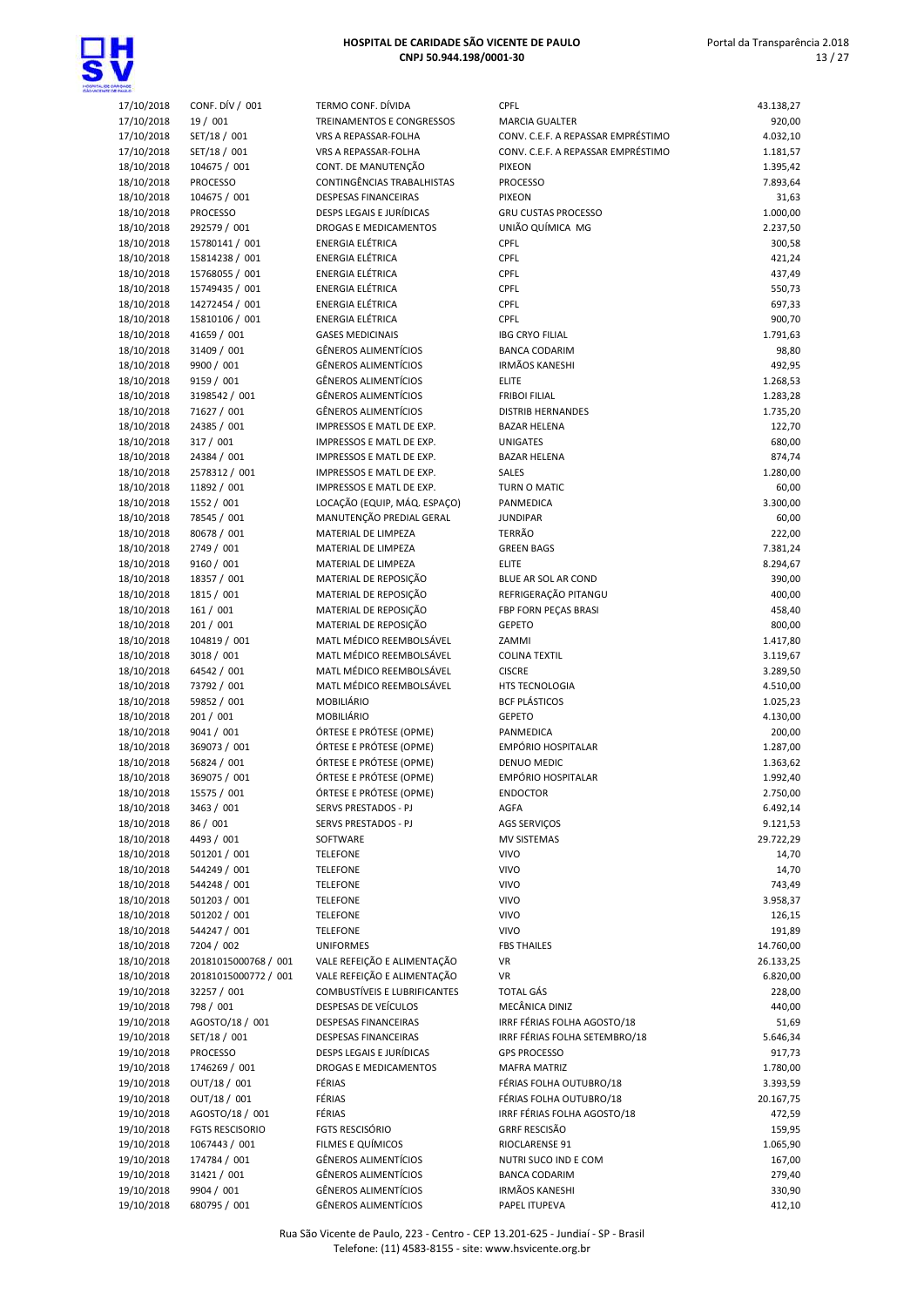



| 17/10/2018               | CONF. DÍV / 001         | TERMO CONF. DÍVIDA                                   | <b>CPFL</b>                            | 43.138,27          |
|--------------------------|-------------------------|------------------------------------------------------|----------------------------------------|--------------------|
| 17/10/2018               | 19 / 001                | TREINAMENTOS E CONGRESSOS                            | <b>MARCIA GUALTER</b>                  | 920,00             |
| 17/10/2018               | SET/18 / 001            | VRS A REPASSAR-FOLHA                                 | CONV. C.E.F. A REPASSAR EMPRÉSTIMO     | 4.032,10           |
| 17/10/2018               | SET/18 / 001            | VRS A REPASSAR-FOLHA                                 | CONV. C.E.F. A REPASSAR EMPRÉSTIMO     | 1.181,57           |
| 18/10/2018               | 104675 / 001            | CONT. DE MANUTENÇÃO                                  | <b>PIXEON</b>                          | 1.395,42           |
| 18/10/2018               | <b>PROCESSO</b>         | CONTINGÊNCIAS TRABALHISTAS                           | <b>PROCESSO</b>                        | 7.893,64           |
| 18/10/2018               | 104675 / 001            | <b>DESPESAS FINANCEIRAS</b>                          | <b>PIXEON</b>                          | 31,63              |
| 18/10/2018               | <b>PROCESSO</b>         | <b>DESPS LEGAIS E JURÍDICAS</b>                      | <b>GRU CUSTAS PROCESSO</b>             | 1.000,00           |
| 18/10/2018               | 292579 / 001            | DROGAS E MEDICAMENTOS                                | UNIÃO QUÍMICA MG                       | 2.237,50           |
| 18/10/2018               | 15780141 / 001          | ENERGIA ELÉTRICA                                     | <b>CPFL</b>                            | 300,58             |
| 18/10/2018               | 15814238 / 001          | ENERGIA ELÉTRICA                                     | <b>CPFL</b>                            | 421,24             |
| 18/10/2018               | 15768055 / 001          | ENERGIA ELÉTRICA                                     | <b>CPFL</b>                            | 437,49             |
| 18/10/2018               | 15749435 / 001          | ENERGIA ELÉTRICA                                     | <b>CPFL</b>                            | 550,73             |
| 18/10/2018               | 14272454 / 001          | ENERGIA ELÉTRICA                                     | <b>CPFL</b>                            | 697,33             |
| 18/10/2018               | 15810106 / 001          | ENERGIA ELÉTRICA                                     | <b>CPFL</b>                            | 900,70             |
| 18/10/2018               | 41659 / 001             | <b>GASES MEDICINAIS</b>                              | <b>IBG CRYO FILIAL</b>                 | 1.791,63           |
| 18/10/2018               | 31409 / 001             | <b>GÊNEROS ALIMENTÍCIOS</b>                          | <b>BANCA CODARIM</b>                   | 98,80              |
| 18/10/2018               | 9900 / 001              | <b>GÊNEROS ALIMENTÍCIOS</b>                          | <b>IRMÃOS KANESHI</b>                  | 492,95             |
| 18/10/2018               | 9159 / 001              | <b>GÊNEROS ALIMENTÍCIOS</b>                          | <b>ELITE</b>                           | 1.268,53           |
| 18/10/2018               | 3198542 / 001           | <b>GÊNEROS ALIMENTÍCIOS</b>                          | <b>FRIBOI FILIAL</b>                   | 1.283,28           |
| 18/10/2018               | 71627 / 001             | <b>GÊNEROS ALIMENTÍCIOS</b>                          | <b>DISTRIB HERNANDES</b>               | 1.735,20           |
| 18/10/2018               | 24385 / 001             | IMPRESSOS E MATL DE EXP.                             | <b>BAZAR HELENA</b>                    | 122,70             |
| 18/10/2018               | 317 / 001               | IMPRESSOS E MATL DE EXP.                             | <b>UNIGATES</b>                        | 680,00             |
| 18/10/2018               | 24384 / 001             | IMPRESSOS E MATL DE EXP.                             | <b>BAZAR HELENA</b>                    | 874,74             |
| 18/10/2018               | 2578312 / 001           | IMPRESSOS E MATL DE EXP.                             | SALES                                  | 1.280,00           |
| 18/10/2018               | 11892 / 001             | IMPRESSOS E MATL DE EXP.                             | TURN O MATIC                           | 60,00              |
| 18/10/2018               | 1552 / 001              | LOCAÇÃO (EQUIP, MÁQ. ESPAÇO)                         | PANMEDICA                              | 3.300,00           |
| 18/10/2018               | 78545 / 001             | MANUTENÇÃO PREDIAL GERAL                             | <b>JUNDIPAR</b>                        | 60,00              |
| 18/10/2018               | 80678 / 001             | MATERIAL DE LIMPEZA                                  | <b>TERRÃO</b>                          | 222,00             |
| 18/10/2018               | 2749 / 001              | MATERIAL DE LIMPEZA                                  | <b>GREEN BAGS</b>                      | 7.381,24           |
| 18/10/2018               | 9160 / 001              | MATERIAL DE LIMPEZA                                  | <b>ELITE</b>                           | 8.294,67           |
| 18/10/2018               | 18357 / 001             | MATERIAL DE REPOSIÇÃO                                | BLUE AR SOL AR COND                    | 390,00             |
| 18/10/2018               | 1815 / 001              | MATERIAL DE REPOSIÇÃO                                | REFRIGERAÇÃO PITANGU                   | 400,00             |
| 18/10/2018               | 161 / 001               | MATERIAL DE REPOSIÇÃO                                | FBP FORN PEÇAS BRASI                   | 458,40             |
| 18/10/2018               | 201 / 001               | MATERIAL DE REPOSIÇÃO                                | <b>GEPETO</b>                          | 800,00             |
| 18/10/2018               | 104819 / 001            | MATL MÉDICO REEMBOLSÁVEL                             | ZAMMI                                  | 1.417,80           |
| 18/10/2018               | 3018 / 001              | MATL MÉDICO REEMBOLSÁVEL                             | <b>COLINA TEXTIL</b>                   | 3.119,67           |
| 18/10/2018               | 64542 / 001             | MATL MÉDICO REEMBOLSÁVEL<br>MATL MÉDICO REEMBOLSÁVEL | <b>CISCRE</b>                          | 3.289,50           |
| 18/10/2018               | 73792 / 001             | MOBILIÁRIO                                           | HTS TECNOLOGIA<br><b>BCF PLÁSTICOS</b> | 4.510,00           |
| 18/10/2018               | 59852 / 001             |                                                      | <b>GEPETO</b>                          | 1.025,23           |
| 18/10/2018<br>18/10/2018 | 201 / 001<br>9041 / 001 | MOBILIÁRIO<br>ÓRTESE E PRÓTESE (OPME)                | PANMEDICA                              | 4.130,00<br>200,00 |
| 18/10/2018               | 369073 / 001            | ÓRTESE E PRÓTESE (OPME)                              | EMPÓRIO HOSPITALAR                     | 1.287,00           |
| 18/10/2018               | 56824 / 001             | ÓRTESE E PRÓTESE (OPME)                              | DENUO MEDIC                            | 1.363,62           |
| 18/10/2018               | 369075 / 001            | ÓRTESE E PRÓTESE (OPME)                              | <b>EMPÓRIO HOSPITALAR</b>              | 1.992,40           |
| 18/10/2018               | 15575 / 001             |                                                      | ENDOCTOR                               | 2.750,00           |
| 18/10/2018               | 3463 / 001              | ORTESE E PROTESE (OPME)<br>SERVS PRESTADOS - PJ      | AGFA                                   | 6.492,14           |
| 18/10/2018               | 86 / 001                | SERVS PRESTADOS - PJ                                 | <b>AGS SERVIÇOS</b>                    | 9.121,53           |
| 18/10/2018               | 4493 / 001              | SOFTWARE                                             | MV SISTEMAS                            | 29.722,29          |
| 18/10/2018               | 501201 / 001            | <b>TELEFONE</b>                                      | <b>VIVO</b>                            | 14,70              |
| 18/10/2018               | 544249 / 001            | <b>TELEFONE</b>                                      | <b>VIVO</b>                            | 14,70              |
| 18/10/2018               | 544248 / 001            | <b>TELEFONE</b>                                      | <b>VIVO</b>                            | 743,49             |
| 18/10/2018               | 501203 / 001            | <b>TELEFONE</b>                                      | <b>VIVO</b>                            | 3.958,37           |
| 18/10/2018               | 501202 / 001            | <b>TELEFONE</b>                                      | <b>VIVO</b>                            | 126,15             |
| 18/10/2018               | 544247 / 001            | <b>TELEFONE</b>                                      | <b>VIVO</b>                            | 191,89             |
| 18/10/2018               | 7204 / 002              | <b>UNIFORMES</b>                                     | <b>FBS THAILES</b>                     | 14.760,00          |
| 18/10/2018               | 20181015000768 / 001    | VALE REFEIÇÃO E ALIMENTAÇÃO                          | VR                                     | 26.133,25          |
| 18/10/2018               | 20181015000772 / 001    | VALE REFEIÇÃO E ALIMENTAÇÃO                          | VR                                     | 6.820,00           |
| 19/10/2018               | 32257 / 001             | COMBUSTÍVEIS E LUBRIFICANTES                         | <b>TOTAL GÁS</b>                       | 228,00             |
| 19/10/2018               | 798 / 001               | DESPESAS DE VEÍCULOS                                 | MECÂNICA DINIZ                         | 440,00             |
| 19/10/2018               | AGOSTO/18 / 001         | DESPESAS FINANCEIRAS                                 | IRRF FÉRIAS FOLHA AGOSTO/18            | 51,69              |
| 19/10/2018               | SET/18 / 001            | DESPESAS FINANCEIRAS                                 | IRRF FÉRIAS FOLHA SETEMBRO/18          | 5.646,34           |
| 19/10/2018               | <b>PROCESSO</b>         | DESPS LEGAIS E JURÍDICAS                             | <b>GPS PROCESSO</b>                    | 917,73             |
| 19/10/2018               | 1746269 / 001           | DROGAS E MEDICAMENTOS                                | <b>MAFRA MATRIZ</b>                    | 1.780,00           |
| 19/10/2018               | OUT/18 / 001            | FÉRIAS                                               | FÉRIAS FOLHA OUTUBRO/18                | 3.393,59           |
| 19/10/2018               | OUT/18 / 001            | FÉRIAS                                               | FÉRIAS FOLHA OUTUBRO/18                | 20.167,75          |
| 19/10/2018               | AGOSTO/18 / 001         | FÉRIAS                                               | IRRF FÉRIAS FOLHA AGOSTO/18            | 472,59             |
| 19/10/2018               | <b>FGTS RESCISORIO</b>  | FGTS RESCISÓRIO                                      | <b>GRRF RESCISÃO</b>                   | 159,95             |
| 19/10/2018               | 1067443 / 001           | FILMES E QUÍMICOS                                    | RIOCLARENSE 91                         | 1.065,90           |
| 19/10/2018               | 174784 / 001            | <b>GÊNEROS ALIMENTÍCIOS</b>                          | NUTRI SUCO IND E COM                   | 167,00             |
| 19/10/2018               | 31421 / 001             | <b>GÊNEROS ALIMENTÍCIOS</b>                          | <b>BANCA CODARIM</b>                   | 279,40             |
| 19/10/2018               | 9904 / 001              | <b>GÊNEROS ALIMENTÍCIOS</b>                          | <b>IRMÃOS KANESHI</b>                  | 330,90             |
| 19/10/2018               | 680795 / 001            | <b>GÊNEROS ALIMENTÍCIOS</b>                          | PAPEL ITUPEVA                          | 412,10             |
|                          |                         |                                                      |                                        |                    |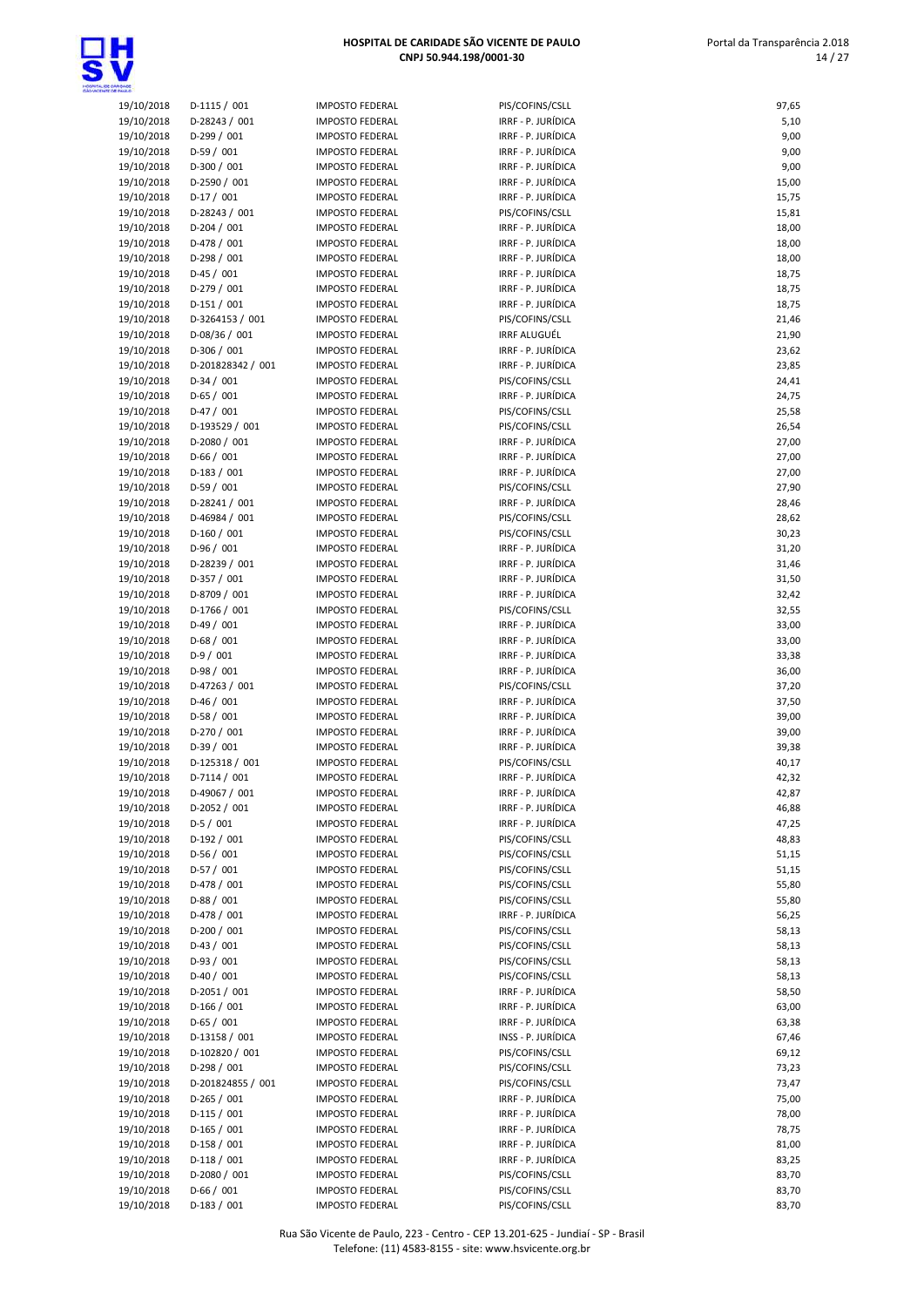

| 19/10/2018 | D-1115 / 001      |
|------------|-------------------|
| 19/10/2018 | D-28243 / 001     |
| 19/10/2018 | D-299 / 001       |
| 19/10/2018 | D-59 / 001        |
| 19/10/2018 | D-300 / 001       |
| 19/10/2018 | D-2590 / 001      |
| 19/10/2018 | D-17 / 001        |
|            |                   |
| 19/10/2018 | D-28243 / 001     |
| 19/10/2018 | D-204 / 001       |
| 19/10/2018 | D-478 / 001       |
| 19/10/2018 | D-298 / 001       |
| 19/10/2018 | D-45 / 001        |
| 19/10/2018 | D-279 / 001       |
| 19/10/2018 | $D-151/001$       |
| 19/10/2018 | D-3264153 / 001   |
| 19/10/2018 | D-08/36 / 001     |
| 19/10/2018 | D-306 / 001       |
| 19/10/2018 | D-201828342 / 001 |
| 19/10/2018 | D-34 / 001        |
| 19/10/2018 | $D-65/001$        |
| 19/10/2018 | D-47 / 001        |
| 19/10/2018 | D-193529 / 001    |
| 19/10/2018 | D-2080 / 001      |
|            |                   |
| 19/10/2018 | D-66 / 001        |
| 19/10/2018 | D-183 / 001       |
| 19/10/2018 | D-59 / 001        |
| 19/10/2018 | D-28241 / 001     |
| 19/10/2018 | D-46984 / 001     |
| 19/10/2018 | D-160 / 001       |
| 19/10/2018 | D-96 / 001        |
| 19/10/2018 | D-28239 / 001     |
| 19/10/2018 | D-357 / 001       |
| 19/10/2018 | D-8709 / 001      |
| 19/10/2018 | D-1766 / 001      |
| 19/10/2018 | D-49 / 001        |
| 19/10/2018 | $D-68/001$        |
| 19/10/2018 | D-9 / 001         |
| 19/10/2018 | D-98 / 001        |
| 19/10/2018 | D-47263 / 001     |
| 19/10/2018 | D-46 / 001        |
| 19/10/2018 | $D-58/001$        |
| 19/10/2018 | D-270 / 001       |
| 19/10/2018 | D-39 / 001        |
|            |                   |
| 19/10/2018 | D-125318 / 001    |
| 19/10/2018 | D-7114 / 001      |
| 19/10/2018 | D-49067 / 001     |
| 19/10/2018 | D-2052 / 001      |
| 19/10/2018 | D-5 / 001         |
| 19/10/2018 | D-192 / 001       |
| 19/10/2018 | D-56 / 001        |
| 19/10/2018 | D-57 / 001        |
| 19/10/2018 | D-478 / 001       |
| 19/10/2018 | D-88 / 001        |
| 19/10/2018 | D-478 / 001       |
| 19/10/2018 | D-200 / 001       |
| 19/10/2018 | D-43 / 001        |
| 19/10/2018 | D-93 / 001        |
| 19/10/2018 | D-40 / 001        |
| 19/10/2018 | D-2051/001        |
| 19/10/2018 | D-166 / 001       |
|            | D-65 / 001        |
| 19/10/2018 |                   |
| 19/10/2018 | D-13158 / 001     |
| 19/10/2018 | D-102820 / 001    |
| 19/10/2018 | D-298 / 001       |
| 19/10/2018 | D-201824855 / 001 |
| 19/10/2018 | D-265 / 001       |
| 19/10/2018 | D-115 / 001       |
| 19/10/2018 | D-165 / 001       |
| 19/10/2018 | D-158 / 001       |
| 19/10/2018 | D-118 / 001       |
| 19/10/2018 | D-2080 / 001      |
|            |                   |

| 19/10/2018               | $D-1115/001$                   | <b>IMPOSTO FEDERAL</b>                           | PIS/COFINS/CSLL                          | 97,65          |
|--------------------------|--------------------------------|--------------------------------------------------|------------------------------------------|----------------|
| 19/10/2018               | D-28243 / 001                  | <b>IMPOSTO FEDERAL</b>                           | IRRF - P. JURÍDICA                       | 5,10           |
| 19/10/2018               | D-299 / 001                    | <b>IMPOSTO FEDERAL</b>                           | IRRF - P. JURÍDICA                       | 9,00           |
| 19/10/2018               | $D-59/001$                     | <b>IMPOSTO FEDERAL</b>                           | IRRF - P. JURÍDICA                       | 9,00           |
| 19/10/2018               | $D-300 / 001$                  | <b>IMPOSTO FEDERAL</b>                           | IRRF - P. JURÍDICA                       | 9,00           |
| 19/10/2018<br>19/10/2018 | D-2590 / 001<br>$D-17/001$     | <b>IMPOSTO FEDERAL</b><br><b>IMPOSTO FEDERAL</b> | IRRF - P. JURÍDICA<br>IRRF - P. JURÍDICA | 15,00<br>15,75 |
| 19/10/2018               | D-28243 / 001                  | <b>IMPOSTO FEDERAL</b>                           | PIS/COFINS/CSLL                          | 15,81          |
| 19/10/2018               | $D-204 / 001$                  | <b>IMPOSTO FEDERAL</b>                           | IRRF - P. JURÍDICA                       | 18,00          |
| 19/10/2018               | D-478 / 001                    | <b>IMPOSTO FEDERAL</b>                           | IRRF - P. JURÍDICA                       | 18,00          |
| 19/10/2018               | $D-298 / 001$                  | <b>IMPOSTO FEDERAL</b>                           | IRRF - P. JURÍDICA                       | 18,00          |
| 19/10/2018               | $D-45/001$                     | <b>IMPOSTO FEDERAL</b>                           | IRRF - P. JURÍDICA                       | 18,75          |
| 19/10/2018               | D-279 / 001                    | <b>IMPOSTO FEDERAL</b>                           | IRRF - P. JURÍDICA                       | 18,75          |
| 19/10/2018<br>19/10/2018 | $D-151/001$<br>D-3264153 / 001 | <b>IMPOSTO FEDERAL</b><br><b>IMPOSTO FEDERAL</b> | IRRF - P. JURÍDICA<br>PIS/COFINS/CSLL    | 18,75<br>21,46 |
| 19/10/2018               | D-08/36 / 001                  | <b>IMPOSTO FEDERAL</b>                           | <b>IRRF ALUGUÉL</b>                      | 21,90          |
| 19/10/2018               | D-306 / 001                    | <b>IMPOSTO FEDERAL</b>                           | IRRF - P. JURÍDICA                       | 23,62          |
| 19/10/2018               | D-201828342 / 001              | <b>IMPOSTO FEDERAL</b>                           | IRRF - P. JURÍDICA                       | 23,85          |
| 19/10/2018               | $D-34/001$                     | <b>IMPOSTO FEDERAL</b>                           | PIS/COFINS/CSLL                          | 24,41          |
| 19/10/2018               | $D-65/001$                     | <b>IMPOSTO FEDERAL</b>                           | IRRF - P. JURÍDICA                       | 24,75          |
| 19/10/2018               | $D-47/001$                     | <b>IMPOSTO FEDERAL</b>                           | PIS/COFINS/CSLL                          | 25,58          |
| 19/10/2018<br>19/10/2018 | D-193529 / 001<br>D-2080 / 001 | <b>IMPOSTO FEDERAL</b><br><b>IMPOSTO FEDERAL</b> | PIS/COFINS/CSLL<br>IRRF - P. JURÍDICA    | 26,54<br>27,00 |
| 19/10/2018               | $D-66/001$                     | <b>IMPOSTO FEDERAL</b>                           | IRRF - P. JURÍDICA                       | 27,00          |
| 19/10/2018               | $D-183 / 001$                  | <b>IMPOSTO FEDERAL</b>                           | IRRF - P. JURÍDICA                       | 27,00          |
| 19/10/2018               | D-59 / 001                     | <b>IMPOSTO FEDERAL</b>                           | PIS/COFINS/CSLL                          | 27,90          |
| 19/10/2018               | D-28241 / 001                  | <b>IMPOSTO FEDERAL</b>                           | IRRF - P. JURÍDICA                       | 28,46          |
| 19/10/2018               | D-46984 / 001                  | <b>IMPOSTO FEDERAL</b>                           | PIS/COFINS/CSLL                          | 28,62          |
| 19/10/2018               | $D-160/001$                    | <b>IMPOSTO FEDERAL</b>                           | PIS/COFINS/CSLL                          | 30,23          |
| 19/10/2018<br>19/10/2018 | $D-96/001$<br>D-28239 / 001    | <b>IMPOSTO FEDERAL</b><br><b>IMPOSTO FEDERAL</b> | IRRF - P. JURÍDICA<br>IRRF - P. JURÍDICA | 31,20<br>31,46 |
| 19/10/2018               | D-357 / 001                    | <b>IMPOSTO FEDERAL</b>                           | IRRF - P. JURÍDICA                       | 31,50          |
| 19/10/2018               | D-8709 / 001                   | <b>IMPOSTO FEDERAL</b>                           | IRRF - P. JURÍDICA                       | 32,42          |
| 19/10/2018               | D-1766 / 001                   | <b>IMPOSTO FEDERAL</b>                           | PIS/COFINS/CSLL                          | 32,55          |
| 19/10/2018               | $D-49/001$                     | <b>IMPOSTO FEDERAL</b>                           | IRRF - P. JURÍDICA                       | 33,00          |
| 19/10/2018               | $D-68/001$                     | <b>IMPOSTO FEDERAL</b>                           | IRRF - P. JURÍDICA                       | 33,00          |
| 19/10/2018               | $D-9/001$                      | <b>IMPOSTO FEDERAL</b>                           | IRRF - P. JURÍDICA                       | 33,38          |
| 19/10/2018<br>19/10/2018 | D-98 / 001<br>D-47263 / 001    | <b>IMPOSTO FEDERAL</b><br><b>IMPOSTO FEDERAL</b> | IRRF - P. JURÍDICA<br>PIS/COFINS/CSLL    | 36,00<br>37,20 |
| 19/10/2018               | $D-46/001$                     | <b>IMPOSTO FEDERAL</b>                           | IRRF - P. JURÍDICA                       | 37,50          |
| 19/10/2018               | $D-58/001$                     | <b>IMPOSTO FEDERAL</b>                           | IRRF - P. JURÍDICA                       | 39,00          |
| 19/10/2018               | D-270 / 001                    | <b>IMPOSTO FEDERAL</b>                           | IRRF - P. JURÍDICA                       | 39,00          |
| 19/10/2018               | $D-39/001$                     | <b>IMPOSTO FEDERAL</b>                           | IRRF - P. JURÍDICA                       | 39,38          |
| 19/10/2018               | D-125318 / 001                 | <b>IMPOSTO FEDERAL</b>                           | PIS/COFINS/CSLL                          | 40,17          |
| 19/10/2018<br>19/10/2018 | D-7114 / 001<br>D-49067 / 001  | <b>IMPOSTO FEDERAL</b>                           | IRRF - P. JURÍDICA<br>IRRF - P. JURÍDICA | 42,32<br>42,87 |
| 19/10/2018               | D-2052 / 001                   | <b>IMPOSTO FEDERAL</b><br><b>IMPOSTO FEDERAL</b> | IRRF - P. JURÍDICA                       | 46,88          |
| 19/10/2018               | $D-5/001$                      | <b>IMPOSTO FEDERAL</b>                           | IRRF - P. JURÍDICA                       | 47,25          |
| 19/10/2018               | D-192 / 001                    | <b>IMPOSTO FEDERAL</b>                           | PIS/COFINS/CSLL                          | 48,83          |
| 19/10/2018               | $D-56/001$                     | <b>IMPOSTO FEDERAL</b>                           | PIS/COFINS/CSLL                          | 51,15          |
| 19/10/2018               | $D-57/001$                     | <b>IMPOSTO FEDERAL</b>                           | PIS/COFINS/CSLL                          | 51,15          |
| 19/10/2018               | $D-478/001$                    | <b>IMPOSTO FEDERAL</b>                           | PIS/COFINS/CSLL                          | 55,80          |
| 19/10/2018<br>19/10/2018 | $D-88/001$<br>D-478 / 001      | <b>IMPOSTO FEDERAL</b><br><b>IMPOSTO FEDERAL</b> | PIS/COFINS/CSLL<br>IRRF - P. JURÍDICA    | 55,80<br>56,25 |
| 19/10/2018               | $D-200 / 001$                  | <b>IMPOSTO FEDERAL</b>                           | PIS/COFINS/CSLL                          | 58,13          |
| 19/10/2018               | $D-43 / 001$                   | <b>IMPOSTO FEDERAL</b>                           | PIS/COFINS/CSLL                          | 58,13          |
| 19/10/2018               | $D-93/001$                     | <b>IMPOSTO FEDERAL</b>                           | PIS/COFINS/CSLL                          | 58,13          |
| 19/10/2018               | $D-40/001$                     | <b>IMPOSTO FEDERAL</b>                           | PIS/COFINS/CSLL                          | 58,13          |
| 19/10/2018               | D-2051 / 001                   | <b>IMPOSTO FEDERAL</b>                           | IRRF - P. JURÍDICA                       | 58,50          |
| 19/10/2018<br>19/10/2018 | $D-166 / 001$<br>$D-65/001$    | <b>IMPOSTO FEDERAL</b><br><b>IMPOSTO FEDERAL</b> | IRRF - P. JURÍDICA<br>IRRF - P. JURÍDICA | 63,00<br>63,38 |
| 19/10/2018               | D-13158 / 001                  | <b>IMPOSTO FEDERAL</b>                           | INSS - P. JURÍDICA                       | 67,46          |
| 19/10/2018               | D-102820 / 001                 | <b>IMPOSTO FEDERAL</b>                           | PIS/COFINS/CSLL                          | 69,12          |
| 19/10/2018               | $D-298/001$                    | <b>IMPOSTO FEDERAL</b>                           | PIS/COFINS/CSLL                          | 73,23          |
| 19/10/2018               | D-201824855 / 001              | <b>IMPOSTO FEDERAL</b>                           | PIS/COFINS/CSLL                          | 73,47          |
| 19/10/2018               | $D-265 / 001$                  | <b>IMPOSTO FEDERAL</b>                           | IRRF - P. JURÍDICA                       | 75,00          |
| 19/10/2018               | $D-115 / 001$                  | <b>IMPOSTO FEDERAL</b>                           | IRRF - P. JURÍDICA                       | 78,00          |
| 19/10/2018<br>19/10/2018 | $D-165 / 001$<br>$D-158/001$   | <b>IMPOSTO FEDERAL</b><br><b>IMPOSTO FEDERAL</b> | IRRF - P. JURÍDICA<br>IRRF - P. JURÍDICA | 78,75<br>81,00 |
| 19/10/2018               | $D-118/001$                    | <b>IMPOSTO FEDERAL</b>                           | IRRF - P. JURÍDICA                       | 83,25          |
| 19/10/2018               | D-2080 / 001                   | <b>IMPOSTO FEDERAL</b>                           | PIS/COFINS/CSLL                          | 83,70          |
| 19/10/2018               | $D-66/001$                     | <b>IMPOSTO FEDERAL</b>                           | PIS/COFINS/CSLL                          | 83,70          |
| 19/10/2018               | $D-183 / 001$                  | <b>IMPOSTO FEDERAL</b>                           | PIS/COFINS/CSLL                          | 83,70          |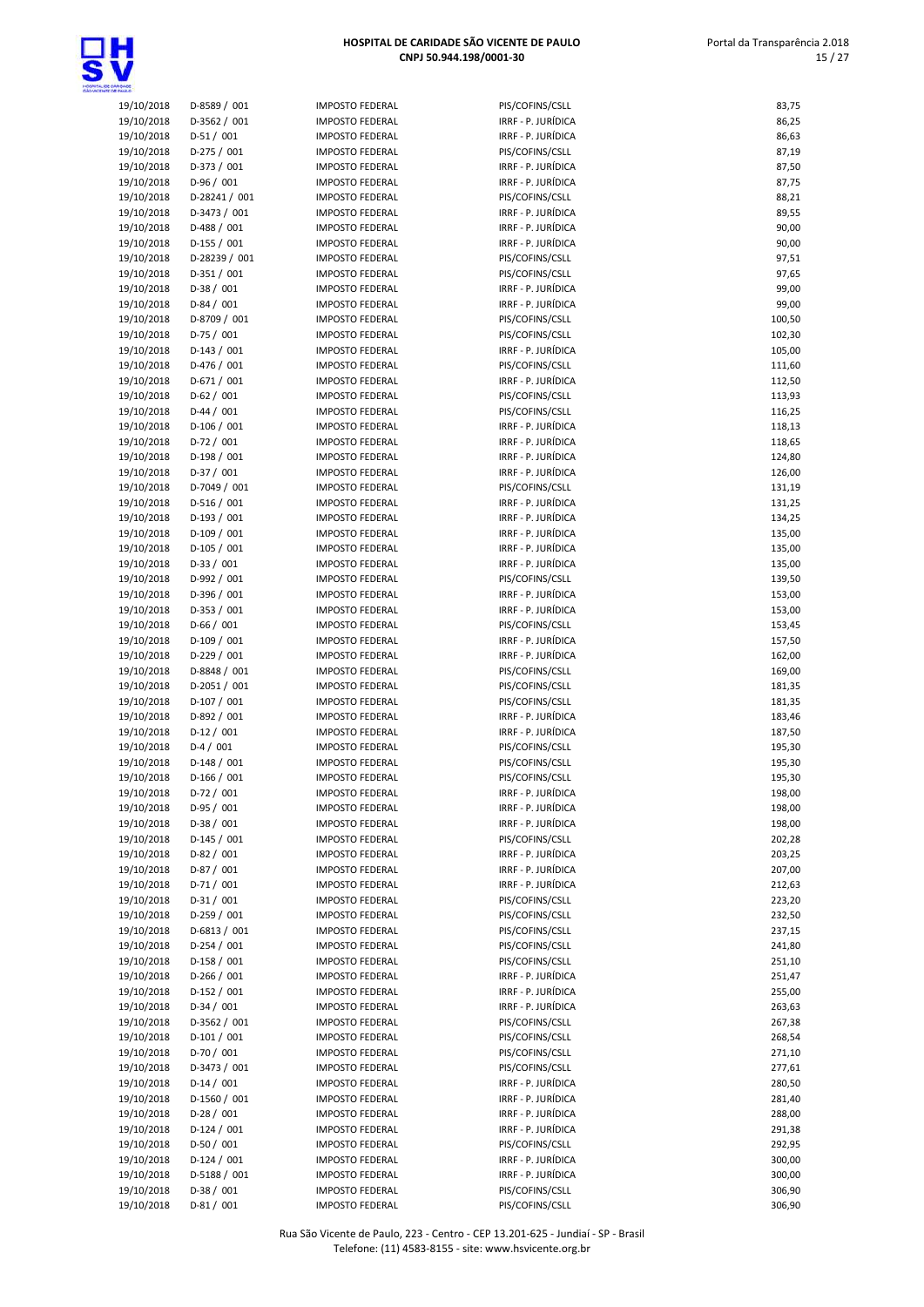

 Portal da Transparência 2.018 15 / 27

| <b>ROADE</b>             |                                |                                                  |                                          |                  |
|--------------------------|--------------------------------|--------------------------------------------------|------------------------------------------|------------------|
| 19/10/2018               | D-8589 / 001                   | <b>IMPOSTO FEDERAL</b>                           | PIS/COFINS/CSLL                          | 83,75            |
| 19/10/2018               | D-3562 / 001                   | <b>IMPOSTO FEDERAL</b>                           | IRRF - P. JURÍDICA                       | 86,25            |
| 19/10/2018               | $D-51/001$                     | <b>IMPOSTO FEDERAL</b>                           | IRRF - P. JURÍDICA                       | 86,63            |
| 19/10/2018               | $D-275/001$                    | <b>IMPOSTO FEDERAL</b>                           | PIS/COFINS/CSLL                          | 87,19            |
| 19/10/2018               | $D-373 / 001$                  | <b>IMPOSTO FEDERAL</b>                           | IRRF - P. JURÍDICA                       | 87,50            |
| 19/10/2018               | $D-96/001$                     | <b>IMPOSTO FEDERAL</b>                           | IRRF - P. JURÍDICA                       | 87,75            |
| 19/10/2018               | D-28241 / 001                  | <b>IMPOSTO FEDERAL</b>                           | PIS/COFINS/CSLL                          | 88,21            |
| 19/10/2018               | D-3473 / 001<br>$D-488 / 001$  | <b>IMPOSTO FEDERAL</b><br><b>IMPOSTO FEDERAL</b> | IRRF - P. JURÍDICA<br>IRRF - P. JURÍDICA | 89,55<br>90,00   |
| 19/10/2018<br>19/10/2018 | $D-155 / 001$                  | <b>IMPOSTO FEDERAL</b>                           | IRRF - P. JURÍDICA                       | 90,00            |
| 19/10/2018               | D-28239 / 001                  | <b>IMPOSTO FEDERAL</b>                           | PIS/COFINS/CSLL                          | 97,51            |
| 19/10/2018               | $D-351/001$                    | <b>IMPOSTO FEDERAL</b>                           | PIS/COFINS/CSLL                          | 97,65            |
| 19/10/2018               | $D-38/001$                     | <b>IMPOSTO FEDERAL</b>                           | IRRF - P. JURÍDICA                       | 99,00            |
| 19/10/2018               | $D-84/001$                     | <b>IMPOSTO FEDERAL</b>                           | IRRF - P. JURÍDICA                       | 99,00            |
| 19/10/2018               | D-8709 / 001                   | <b>IMPOSTO FEDERAL</b>                           | PIS/COFINS/CSLL                          | 100,50           |
| 19/10/2018               | $D-75/001$                     | <b>IMPOSTO FEDERAL</b>                           | PIS/COFINS/CSLL                          | 102,30           |
| 19/10/2018               | $D-143 / 001$                  | <b>IMPOSTO FEDERAL</b>                           | IRRF - P. JURÍDICA                       | 105,00           |
| 19/10/2018               | $D-476 / 001$                  | <b>IMPOSTO FEDERAL</b>                           | PIS/COFINS/CSLL                          | 111,60           |
| 19/10/2018               | $D-671/001$                    | <b>IMPOSTO FEDERAL</b>                           | IRRF - P. JURÍDICA                       | 112,50           |
| 19/10/2018               | $D-62/001$                     | <b>IMPOSTO FEDERAL</b>                           | PIS/COFINS/CSLL                          | 113,93           |
| 19/10/2018               | $D-44 / 001$                   | <b>IMPOSTO FEDERAL</b>                           | PIS/COFINS/CSLL                          | 116,25           |
| 19/10/2018               | $D-106 / 001$                  | <b>IMPOSTO FEDERAL</b>                           | IRRF - P. JURÍDICA                       | 118,13           |
| 19/10/2018               | $D-72/001$                     | <b>IMPOSTO FEDERAL</b>                           | IRRF - P. JURÍDICA                       | 118,65           |
| 19/10/2018               | $D-198/001$                    | <b>IMPOSTO FEDERAL</b><br><b>IMPOSTO FEDERAL</b> | IRRF - P. JURÍDICA                       | 124,80           |
| 19/10/2018<br>19/10/2018 | $D-37/001$<br>D-7049 / 001     | <b>IMPOSTO FEDERAL</b>                           | IRRF - P. JURÍDICA<br>PIS/COFINS/CSLL    | 126,00<br>131,19 |
| 19/10/2018               | $D-516 / 001$                  | <b>IMPOSTO FEDERAL</b>                           | IRRF - P. JURÍDICA                       | 131,25           |
| 19/10/2018               | $D-193 / 001$                  | <b>IMPOSTO FEDERAL</b>                           | IRRF - P. JURÍDICA                       | 134,25           |
| 19/10/2018               | $D-109/001$                    | <b>IMPOSTO FEDERAL</b>                           | IRRF - P. JURÍDICA                       | 135,00           |
| 19/10/2018               | $D-105/001$                    | <b>IMPOSTO FEDERAL</b>                           | IRRF - P. JURÍDICA                       | 135,00           |
| 19/10/2018               | $D-33 / 001$                   | <b>IMPOSTO FEDERAL</b>                           | IRRF - P. JURÍDICA                       | 135,00           |
| 19/10/2018               | D-992 / 001                    | <b>IMPOSTO FEDERAL</b>                           | PIS/COFINS/CSLL                          | 139,50           |
| 19/10/2018               | D-396 / 001                    | <b>IMPOSTO FEDERAL</b>                           | IRRF - P. JURÍDICA                       | 153,00           |
| 19/10/2018               | $D-353 / 001$                  | <b>IMPOSTO FEDERAL</b>                           | IRRF - P. JURÍDICA                       | 153,00           |
| 19/10/2018               | $D-66/001$                     | <b>IMPOSTO FEDERAL</b>                           | PIS/COFINS/CSLL                          | 153,45           |
| 19/10/2018               | $D-109/001$                    | <b>IMPOSTO FEDERAL</b>                           | IRRF - P. JURÍDICA                       | 157,50           |
| 19/10/2018               | $D-229/001$                    | <b>IMPOSTO FEDERAL</b>                           | IRRF - P. JURÍDICA                       | 162,00           |
| 19/10/2018               | D-8848 / 001                   | <b>IMPOSTO FEDERAL</b>                           | PIS/COFINS/CSLL                          | 169,00           |
| 19/10/2018               | D-2051 / 001                   | <b>IMPOSTO FEDERAL</b>                           | PIS/COFINS/CSLL                          | 181,35           |
| 19/10/2018               | $D-107/001$                    | <b>IMPOSTO FEDERAL</b>                           | PIS/COFINS/CSLL                          | 181,35           |
| 19/10/2018<br>19/10/2018 | D-892 / 001<br>$D-12/001$      | <b>IMPOSTO FEDERAL</b><br><b>IMPOSTO FEDERAL</b> | IRRF - P. JURÍDICA<br>IRRF - P. JURÍDICA | 183,46<br>187,50 |
| 19/10/2018               | $D-4/001$                      | <b>IMPOSTO FEDERAL</b>                           | PIS/COFINS/CSLL                          | 195,30           |
| 19/10/2018               | $D-148/001$                    | <b>IMPOSTO FEDERAL</b>                           | PIS/COFINS/CSLL                          | 195,30           |
| 19/10/2018               | $D-166 / 001$                  | <b>IMPOSTO FEDERAL</b>                           | PIS/COFINS/CSLL                          | 195,30           |
| 19/10/2018               | $D-72/001$                     | <b>IMPOSTO FEDERAL</b>                           | IRRF - P. JURÍDICA                       | 198,00           |
| 19/10/2018               | $D-95/001$                     | <b>IMPOSTO FEDERAL</b>                           | IRRF - P. JURÍDICA                       | 198,00           |
| 19/10/2018               | $D-38/001$                     | <b>IMPOSTO FEDERAL</b>                           | IRRF - P. JURÍDICA                       | 198,00           |
| 19/10/2018               | $D-145 / 001$                  | <b>IMPOSTO FEDERAL</b>                           | PIS/COFINS/CSLL                          | 202,28           |
| 19/10/2018               | $D-82 / 001$                   | <b>IMPOSTO FEDERAL</b>                           | IRRF - P. JURÍDICA                       | 203,25           |
| 19/10/2018               | $D-87/001$                     | <b>IMPOSTO FEDERAL</b>                           | IRRF - P. JURÍDICA                       | 207,00           |
| 19/10/2018               | D-71 / 001                     | <b>IMPOSTO FEDERAL</b>                           | IRRF - P. JURÍDICA                       | 212,63           |
| 19/10/2018               | $D-31/001$                     | <b>IMPOSTO FEDERAL</b>                           | PIS/COFINS/CSLL                          | 223,20           |
| 19/10/2018               | $D-259/001$                    | <b>IMPOSTO FEDERAL</b>                           | PIS/COFINS/CSLL                          | 232,50           |
| 19/10/2018               | $D-6813 / 001$                 | <b>IMPOSTO FEDERAL</b>                           | PIS/COFINS/CSLL                          | 237,15           |
| 19/10/2018               | $D-254 / 001$                  | <b>IMPOSTO FEDERAL</b>                           | PIS/COFINS/CSLL                          | 241,80           |
| 19/10/2018               | $D-158/001$                    | <b>IMPOSTO FEDERAL</b>                           | PIS/COFINS/CSLL                          | 251,10           |
| 19/10/2018<br>19/10/2018 | $D-266 / 001$<br>$D-152 / 001$ | <b>IMPOSTO FEDERAL</b><br><b>IMPOSTO FEDERAL</b> | IRRF - P. JURÍDICA<br>IRRF - P. JURÍDICA | 251,47<br>255,00 |
| 19/10/2018               | $D-34/001$                     | <b>IMPOSTO FEDERAL</b>                           | IRRF - P. JURÍDICA                       | 263,63           |
| 19/10/2018               | D-3562 / 001                   | <b>IMPOSTO FEDERAL</b>                           | PIS/COFINS/CSLL                          | 267,38           |
| 19/10/2018               | $D-101/001$                    | <b>IMPOSTO FEDERAL</b>                           | PIS/COFINS/CSLL                          | 268,54           |
| 19/10/2018               | $D-70/001$                     | <b>IMPOSTO FEDERAL</b>                           | PIS/COFINS/CSLL                          | 271,10           |
| 19/10/2018               | D-3473 / 001                   | <b>IMPOSTO FEDERAL</b>                           | PIS/COFINS/CSLL                          | 277,61           |
| 19/10/2018               | $D-14/001$                     | <b>IMPOSTO FEDERAL</b>                           | IRRF - P. JURÍDICA                       | 280,50           |
| 19/10/2018               | D-1560 / 001                   | <b>IMPOSTO FEDERAL</b>                           | IRRF - P. JURÍDICA                       | 281,40           |
| 19/10/2018               | $D-28/001$                     | <b>IMPOSTO FEDERAL</b>                           | IRRF - P. JURÍDICA                       | 288,00           |
| 19/10/2018               | $D-124 / 001$                  | <b>IMPOSTO FEDERAL</b>                           | IRRF - P. JURÍDICA                       | 291,38           |
| 19/10/2018               | $D-50/001$                     | <b>IMPOSTO FEDERAL</b>                           | PIS/COFINS/CSLL                          | 292,95           |
| 19/10/2018               | $D-124 / 001$                  | <b>IMPOSTO FEDERAL</b>                           | IRRF - P. JURÍDICA                       | 300,00           |
| 19/10/2018               | D-5188 / 001                   | <b>IMPOSTO FEDERAL</b>                           | IRRF - P. JURÍDICA                       | 300,00           |
| 19/10/2018               | $D-38/001$                     | <b>IMPOSTO FEDERAL</b>                           | PIS/COFINS/CSLL                          | 306,90           |

| <b>IS/COFINS/CSLL</b>                      |
|--------------------------------------------|
| RRF - P. JURÍDICA                          |
| RRF - P. JURÍDICA                          |
| <b>IS/COFINS/CSLL</b>                      |
| RRF - P. JURÍDICA                          |
| RRF - P. JURÍDICA                          |
| IS/COFINS/CSLL                             |
| RRF - P. JURÍDICA                          |
| RRF - P. JURÍDICA                          |
| RRF - P. JURÍDICA                          |
| IS/COFINS/CSLL                             |
| <b>IS/COFINS/CSLL</b>                      |
| RRF - P. JURÍDICA<br>RRF - P. JURÍDICA     |
| IS/COFINS/CSLL                             |
| <b>IS/COFINS/CSLL</b>                      |
| RRF - P. JURÍDICA                          |
| IS/COFINS/CSLL                             |
| RRF - P. JURÍDICA                          |
| <b>IS/COFINS/CSLL</b>                      |
| <b>IS/COFINS/CSLL</b>                      |
| RRF - P. JURÍDICA                          |
| RRF - P. JURÍDICA                          |
| RRF - P. JURÍDICA                          |
| RRF - P. JURÍDICA<br>IS/COFINS/CSLL        |
| RRF - P. JURÍDICA                          |
| RRF - P. JURÍDICA                          |
| RRF - P. JURÍDICA                          |
| RRF - P. JURÍDICA                          |
| RRF - P. JURÍDICA                          |
| <b>IS/COFINS/CSLL</b>                      |
| RRF - P. JURÍDICA                          |
| RRF - P. JURÍDICA                          |
| 'IS/COFINS/CSLL                            |
| RRF - P. JURÍDICA<br>RRF - P. JURÍDICA     |
| <b>IS/COFINS/CSLL</b>                      |
| 'IS/COFINS/CSLL                            |
| 'IS/COFINS/CSLL                            |
| RRF - P. JURÍDICA                          |
| RRF - P. JURÍDICA                          |
| <b>IS/COFINS/CSLL</b>                      |
| <b>IS/COFINS/CSLL</b>                      |
| <b>IS/COFINS/CSLL</b>                      |
| RRF - P. JURÍDICA<br>RRF - P. JURÍDICA     |
| RRF - P. JURÍDICA                          |
| <b>IS/COFINS/CSLL</b>                      |
| RRF - P. JURÍDICA                          |
| RRF - P. JURÍDICA                          |
| RRF - P. JURÍDICA                          |
| <b>IS/COFINS/CSLL</b>                      |
| <b>IS/COFINS/CSLL</b>                      |
| 'IS/COFINS/CSLL                            |
| IS/COFINS/CSLL                             |
| <b>IS/COFINS/CSLL</b><br>RRF - P. JURÍDICA |
| RRF - P. JURÍDICA                          |
| RRF - P. JURÍDICA                          |
| IS/COFINS/CSLL                             |
| <b>IS/COFINS/CSLL</b>                      |
| <b>IS/COFINS/CSLL</b>                      |
| <b>IS/COFINS/CSLL</b>                      |
| RRF - P. JURÍDICA                          |
| RRF - P. JURÍDICA                          |
| RRF - P. JURÍDICA                          |
| RRF - P. JURÍDICA<br><b>IS/COFINS/CSLL</b> |
| RRF - P. JURÍDICA                          |
| RRF - P. JURÍDICA                          |
|                                            |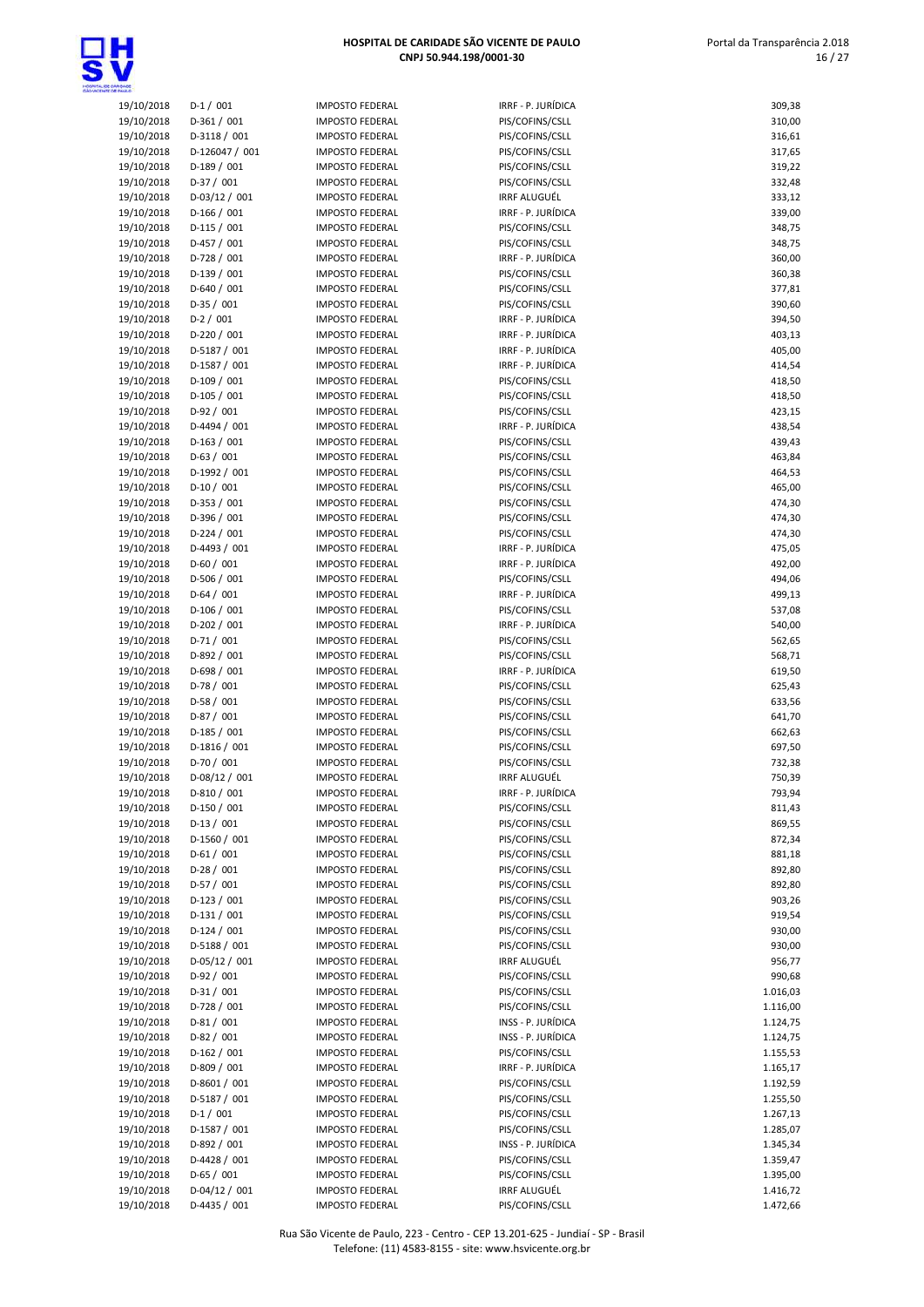

| 19/10/2018 | $D-1/001$       | <b>IMPOSTO FEDERAL</b> | IRRF - P. JURÍDICA  | 309,38   |
|------------|-----------------|------------------------|---------------------|----------|
| 19/10/2018 | $D-361/001$     | <b>IMPOSTO FEDERAL</b> | PIS/COFINS/CSLL     | 310,00   |
|            |                 |                        |                     |          |
| 19/10/2018 | D-3118 / 001    | <b>IMPOSTO FEDERAL</b> | PIS/COFINS/CSLL     | 316,61   |
| 19/10/2018 | D-126047 / 001  | <b>IMPOSTO FEDERAL</b> | PIS/COFINS/CSLL     | 317,65   |
| 19/10/2018 | $D-189/001$     | <b>IMPOSTO FEDERAL</b> | PIS/COFINS/CSLL     | 319,22   |
| 19/10/2018 | $D-37/001$      | <b>IMPOSTO FEDERAL</b> | PIS/COFINS/CSLL     | 332,48   |
| 19/10/2018 | $D-03/12 / 001$ | <b>IMPOSTO FEDERAL</b> | <b>IRRF ALUGUÉL</b> | 333,12   |
| 19/10/2018 | $D-166/001$     | <b>IMPOSTO FEDERAL</b> | IRRF - P. JURÍDICA  | 339,00   |
| 19/10/2018 | $D-115/001$     | <b>IMPOSTO FEDERAL</b> | PIS/COFINS/CSLL     | 348,75   |
| 19/10/2018 | $D-457/001$     | <b>IMPOSTO FEDERAL</b> | PIS/COFINS/CSLL     | 348,75   |
| 19/10/2018 | $D-728 / 001$   | <b>IMPOSTO FEDERAL</b> | IRRF - P. JURÍDICA  | 360,00   |
| 19/10/2018 | $D-139/001$     | <b>IMPOSTO FEDERAL</b> | PIS/COFINS/CSLL     | 360,38   |
| 19/10/2018 | $D-640 / 001$   | <b>IMPOSTO FEDERAL</b> | PIS/COFINS/CSLL     | 377,81   |
| 19/10/2018 | D-35 / 001      | <b>IMPOSTO FEDERAL</b> | PIS/COFINS/CSLL     | 390,60   |
| 19/10/2018 | $D-2 / 001$     | <b>IMPOSTO FEDERAL</b> | IRRF - P. JURÍDICA  | 394,50   |
|            | $D-220 / 001$   | <b>IMPOSTO FEDERAL</b> | IRRF - P. JURÍDICA  |          |
| 19/10/2018 |                 |                        |                     | 403,13   |
| 19/10/2018 | D-5187 / 001    | <b>IMPOSTO FEDERAL</b> | IRRF - P. JURÍDICA  | 405,00   |
| 19/10/2018 | D-1587 / 001    | <b>IMPOSTO FEDERAL</b> | IRRF - P. JURÍDICA  | 414,54   |
| 19/10/2018 | $D-109/001$     | <b>IMPOSTO FEDERAL</b> | PIS/COFINS/CSLL     | 418,50   |
| 19/10/2018 | $D-105/001$     | <b>IMPOSTO FEDERAL</b> | PIS/COFINS/CSLL     | 418,50   |
| 19/10/2018 | $D-92/001$      | <b>IMPOSTO FEDERAL</b> | PIS/COFINS/CSLL     | 423,15   |
| 19/10/2018 | D-4494 / 001    | <b>IMPOSTO FEDERAL</b> | IRRF - P. JURÍDICA  | 438,54   |
| 19/10/2018 | $D-163 / 001$   | <b>IMPOSTO FEDERAL</b> | PIS/COFINS/CSLL     | 439,43   |
| 19/10/2018 | $D-63/001$      | <b>IMPOSTO FEDERAL</b> | PIS/COFINS/CSLL     | 463,84   |
| 19/10/2018 | D-1992 / 001    | <b>IMPOSTO FEDERAL</b> | PIS/COFINS/CSLL     | 464,53   |
| 19/10/2018 | $D-10/001$      | <b>IMPOSTO FEDERAL</b> | PIS/COFINS/CSLL     | 465,00   |
| 19/10/2018 | $D-353 / 001$   | <b>IMPOSTO FEDERAL</b> | PIS/COFINS/CSLL     | 474,30   |
| 19/10/2018 | D-396 / 001     | <b>IMPOSTO FEDERAL</b> | PIS/COFINS/CSLL     | 474,30   |
|            | $D-224 / 001$   | <b>IMPOSTO FEDERAL</b> | PIS/COFINS/CSLL     |          |
| 19/10/2018 |                 |                        |                     | 474,30   |
| 19/10/2018 | D-4493 / 001    | <b>IMPOSTO FEDERAL</b> | IRRF - P. JURÍDICA  | 475,05   |
| 19/10/2018 | $D-60/001$      | <b>IMPOSTO FEDERAL</b> | IRRF - P. JURÍDICA  | 492,00   |
| 19/10/2018 | $D-506 / 001$   | <b>IMPOSTO FEDERAL</b> | PIS/COFINS/CSLL     | 494,06   |
| 19/10/2018 | $D-64/001$      | <b>IMPOSTO FEDERAL</b> | IRRF - P. JURÍDICA  | 499,13   |
| 19/10/2018 | $D-106 / 001$   | <b>IMPOSTO FEDERAL</b> | PIS/COFINS/CSLL     | 537,08   |
| 19/10/2018 | $D-202 / 001$   | <b>IMPOSTO FEDERAL</b> | IRRF - P. JURÍDICA  | 540,00   |
| 19/10/2018 | $D-71/001$      | <b>IMPOSTO FEDERAL</b> | PIS/COFINS/CSLL     | 562,65   |
| 19/10/2018 | D-892 / 001     | <b>IMPOSTO FEDERAL</b> | PIS/COFINS/CSLL     | 568,71   |
| 19/10/2018 | $D-698/001$     | <b>IMPOSTO FEDERAL</b> | IRRF - P. JURÍDICA  | 619,50   |
| 19/10/2018 | D-78 / 001      | <b>IMPOSTO FEDERAL</b> | PIS/COFINS/CSLL     | 625,43   |
| 19/10/2018 | $D-58/001$      | <b>IMPOSTO FEDERAL</b> | PIS/COFINS/CSLL     | 633,56   |
| 19/10/2018 | $D-87/001$      | <b>IMPOSTO FEDERAL</b> | PIS/COFINS/CSLL     | 641,70   |
| 19/10/2018 |                 |                        | PIS/COFINS/CSLL     | 662,63   |
|            | $D-185 / 001$   | <b>IMPOSTO FEDERAL</b> |                     |          |
| 19/10/2018 | D-1816 / 001    | <b>IMPOSTO FEDERAL</b> | PIS/COFINS/CSLL     | 697,50   |
| 19/10/2018 | $D-70/001$      | <b>IMPOSTO FEDERAL</b> | PIS/COFINS/CSLL     | 732,38   |
| 19/10/2018 | D-08/12 / 001   | <b>IMPOSTO FEDERAL</b> | <b>IRRF ALUGUÉL</b> | 750,39   |
| 19/10/2018 | D-810 / 001     | <b>IMPOSTO FEDERAL</b> | IRRF - P. JURÍDICA  | 793,94   |
| 19/10/2018 | $D-150/001$     | <b>IMPOSTO FEDERAL</b> | PIS/COFINS/CSLL     | 811,43   |
| 19/10/2018 | $D-13/001$      | <b>IMPOSTO FEDERAL</b> | PIS/COFINS/CSLL     | 869,55   |
| 19/10/2018 | D-1560 / 001    | <b>IMPOSTO FEDERAL</b> | PIS/COFINS/CSLL     | 872,34   |
| 19/10/2018 | $D-61/001$      | <b>IMPOSTO FEDERAL</b> | PIS/COFINS/CSLL     | 881,18   |
| 19/10/2018 | $D-28/001$      | <b>IMPOSTO FEDERAL</b> | PIS/COFINS/CSLL     | 892,80   |
| 19/10/2018 | $D-57/001$      | <b>IMPOSTO FEDERAL</b> | PIS/COFINS/CSLL     | 892,80   |
| 19/10/2018 | $D-123 / 001$   | <b>IMPOSTO FEDERAL</b> | PIS/COFINS/CSLL     | 903,26   |
| 19/10/2018 | $D-131/001$     | <b>IMPOSTO FEDERAL</b> | PIS/COFINS/CSLL     | 919,54   |
| 19/10/2018 | $D-124 / 001$   | <b>IMPOSTO FEDERAL</b> | PIS/COFINS/CSLL     | 930,00   |
|            |                 |                        |                     |          |
| 19/10/2018 | D-5188 / 001    | <b>IMPOSTO FEDERAL</b> | PIS/COFINS/CSLL     | 930,00   |
| 19/10/2018 | D-05/12 / 001   | <b>IMPOSTO FEDERAL</b> | <b>IRRF ALUGUÉL</b> | 956,77   |
| 19/10/2018 | D-92 / 001      | <b>IMPOSTO FEDERAL</b> | PIS/COFINS/CSLL     | 990,68   |
| 19/10/2018 | $D-31/001$      | <b>IMPOSTO FEDERAL</b> | PIS/COFINS/CSLL     | 1.016,03 |
| 19/10/2018 | $D-728/001$     | <b>IMPOSTO FEDERAL</b> | PIS/COFINS/CSLL     | 1.116,00 |
| 19/10/2018 | $D-81/001$      | <b>IMPOSTO FEDERAL</b> | INSS - P. JURÍDICA  | 1.124,75 |
| 19/10/2018 | $D-82 / 001$    | <b>IMPOSTO FEDERAL</b> | INSS - P. JURÍDICA  | 1.124,75 |
| 19/10/2018 | $D-162 / 001$   | <b>IMPOSTO FEDERAL</b> | PIS/COFINS/CSLL     | 1.155,53 |
| 19/10/2018 | D-809 / 001     | <b>IMPOSTO FEDERAL</b> | IRRF - P. JURÍDICA  | 1.165,17 |
| 19/10/2018 | D-8601 / 001    | <b>IMPOSTO FEDERAL</b> | PIS/COFINS/CSLL     | 1.192,59 |
| 19/10/2018 | D-5187 / 001    | <b>IMPOSTO FEDERAL</b> | PIS/COFINS/CSLL     | 1.255,50 |
| 19/10/2018 | $D-1/001$       | <b>IMPOSTO FEDERAL</b> | PIS/COFINS/CSLL     | 1.267,13 |
|            | D-1587 / 001    | <b>IMPOSTO FEDERAL</b> | PIS/COFINS/CSLL     |          |
| 19/10/2018 |                 |                        |                     | 1.285,07 |
| 19/10/2018 | D-892 / 001     | <b>IMPOSTO FEDERAL</b> | INSS - P. JURÍDICA  | 1.345,34 |
| 19/10/2018 | D-4428 / 001    | <b>IMPOSTO FEDERAL</b> | PIS/COFINS/CSLL     | 1.359,47 |
| 19/10/2018 | $D-65/001$      | <b>IMPOSTO FEDERAL</b> | PIS/COFINS/CSLL     | 1.395,00 |
| 10/10/2010 | 0.01/12 / 001   | IMADOCTO EFDEDAL       | 1005.011015         | $C$ $72$ |

| 19/10/2018               | $D-1/001$                     | <b>IMPOSTO FEDERAL</b>                           | IRRF - P. JURÍDICA                       | 309,38               |
|--------------------------|-------------------------------|--------------------------------------------------|------------------------------------------|----------------------|
| 19/10/2018               | $D-361/001$                   | <b>IMPOSTO FEDERAL</b>                           | PIS/COFINS/CSLL                          | 310,00               |
| 19/10/2018               | D-3118 / 001                  | <b>IMPOSTO FEDERAL</b>                           | PIS/COFINS/CSLL                          | 316,61               |
| 19/10/2018               | D-126047 / 001                | <b>IMPOSTO FEDERAL</b>                           | PIS/COFINS/CSLL                          | 317,65               |
| 19/10/2018<br>19/10/2018 | $D-189/001$<br>$D-37/001$     | <b>IMPOSTO FEDERAL</b><br><b>IMPOSTO FEDERAL</b> | PIS/COFINS/CSLL<br>PIS/COFINS/CSLL       | 319,22<br>332,48     |
| 19/10/2018               | $D-03/12 / 001$               | <b>IMPOSTO FEDERAL</b>                           | <b>IRRF ALUGUÉL</b>                      | 333,12               |
| 19/10/2018               | $D-166/001$                   | <b>IMPOSTO FEDERAL</b>                           | IRRF - P. JURÍDICA                       | 339,00               |
| 19/10/2018               | $D-115/001$                   | <b>IMPOSTO FEDERAL</b>                           | PIS/COFINS/CSLL                          | 348,75               |
| 19/10/2018               | $D-457/001$                   | <b>IMPOSTO FEDERAL</b>                           | PIS/COFINS/CSLL                          | 348,75               |
| 19/10/2018               | $D-728 / 001$                 | <b>IMPOSTO FEDERAL</b>                           | IRRF - P. JURÍDICA                       | 360,00               |
| 19/10/2018               | $D-139/001$                   | <b>IMPOSTO FEDERAL</b>                           | PIS/COFINS/CSLL                          | 360,38               |
| 19/10/2018               | $D-640 / 001$                 | <b>IMPOSTO FEDERAL</b>                           | PIS/COFINS/CSLL                          | 377,81               |
| 19/10/2018               | $D-35/001$                    | <b>IMPOSTO FEDERAL</b>                           | PIS/COFINS/CSLL                          | 390,60               |
| 19/10/2018               | $D-2 / 001$                   | <b>IMPOSTO FEDERAL</b>                           | IRRF - P. JURÍDICA                       | 394,50               |
| 19/10/2018               | $D-220 / 001$                 | <b>IMPOSTO FEDERAL</b>                           | IRRF - P. JURÍDICA                       | 403,13               |
| 19/10/2018<br>19/10/2018 | D-5187 / 001<br>D-1587 / 001  | <b>IMPOSTO FEDERAL</b><br><b>IMPOSTO FEDERAL</b> | IRRF - P. JURÍDICA<br>IRRF - P. JURÍDICA | 405,00<br>414,54     |
| 19/10/2018               | $D-109/001$                   | <b>IMPOSTO FEDERAL</b>                           | PIS/COFINS/CSLL                          | 418,50               |
| 19/10/2018               | $D-105/001$                   | <b>IMPOSTO FEDERAL</b>                           | PIS/COFINS/CSLL                          | 418,50               |
| 19/10/2018               | $D-92/001$                    | <b>IMPOSTO FEDERAL</b>                           | PIS/COFINS/CSLL                          | 423,15               |
| 19/10/2018               | D-4494 / 001                  | <b>IMPOSTO FEDERAL</b>                           | IRRF - P. JURÍDICA                       | 438,54               |
| 19/10/2018               | $D-163 / 001$                 | <b>IMPOSTO FEDERAL</b>                           | PIS/COFINS/CSLL                          | 439,43               |
| 19/10/2018               | $D-63/001$                    | <b>IMPOSTO FEDERAL</b>                           | PIS/COFINS/CSLL                          | 463,84               |
| 19/10/2018               | D-1992 / 001                  | <b>IMPOSTO FEDERAL</b>                           | PIS/COFINS/CSLL                          | 464,53               |
| 19/10/2018               | $D-10/001$                    | <b>IMPOSTO FEDERAL</b>                           | PIS/COFINS/CSLL                          | 465,00               |
| 19/10/2018               | $D-353 / 001$                 | <b>IMPOSTO FEDERAL</b>                           | PIS/COFINS/CSLL                          | 474,30               |
| 19/10/2018               | D-396 / 001                   | <b>IMPOSTO FEDERAL</b>                           | PIS/COFINS/CSLL                          | 474,30               |
| 19/10/2018<br>19/10/2018 | $D-224 / 001$<br>D-4493 / 001 | <b>IMPOSTO FEDERAL</b><br><b>IMPOSTO FEDERAL</b> | PIS/COFINS/CSLL<br>IRRF - P. JURÍDICA    | 474,30<br>475,05     |
| 19/10/2018               | $D-60/001$                    | <b>IMPOSTO FEDERAL</b>                           | IRRF - P. JURÍDICA                       | 492,00               |
| 19/10/2018               | D-506 / 001                   | <b>IMPOSTO FEDERAL</b>                           | PIS/COFINS/CSLL                          | 494,06               |
| 19/10/2018               | $D-64/001$                    | <b>IMPOSTO FEDERAL</b>                           | IRRF - P. JURÍDICA                       | 499,13               |
| 19/10/2018               | $D-106 / 001$                 | <b>IMPOSTO FEDERAL</b>                           | PIS/COFINS/CSLL                          | 537,08               |
| 19/10/2018               | $D-202 / 001$                 | <b>IMPOSTO FEDERAL</b>                           | IRRF - P. JURÍDICA                       | 540,00               |
| 19/10/2018               | $D-71/001$                    | <b>IMPOSTO FEDERAL</b>                           | PIS/COFINS/CSLL                          | 562,65               |
| 19/10/2018               | D-892 / 001                   | <b>IMPOSTO FEDERAL</b>                           | PIS/COFINS/CSLL                          | 568,71               |
| 19/10/2018               | $D-698/001$                   | <b>IMPOSTO FEDERAL</b>                           | IRRF - P. JURÍDICA                       | 619,50               |
| 19/10/2018               | $D-78/001$                    | <b>IMPOSTO FEDERAL</b>                           | PIS/COFINS/CSLL                          | 625,43               |
| 19/10/2018<br>19/10/2018 | $D-58/001$<br>$D-87/001$      | <b>IMPOSTO FEDERAL</b><br><b>IMPOSTO FEDERAL</b> | PIS/COFINS/CSLL<br>PIS/COFINS/CSLL       | 633,56<br>641,70     |
| 19/10/2018               | $D-185/001$                   | <b>IMPOSTO FEDERAL</b>                           | PIS/COFINS/CSLL                          | 662,63               |
| 19/10/2018               | D-1816 / 001                  | <b>IMPOSTO FEDERAL</b>                           | PIS/COFINS/CSLL                          | 697,50               |
| 19/10/2018               | $D-70/001$                    | <b>IMPOSTO FEDERAL</b>                           | PIS/COFINS/CSLL                          | 732,38               |
| 19/10/2018               | $D-08/12 / 001$               | <b>IMPOSTO FEDERAL</b>                           | <b>IRRF ALUGUÉL</b>                      | 750,39               |
| 19/10/2018               | D-810 / 001                   | <b>IMPOSTO FEDERAL</b>                           | IRRF - P. JURÍDICA                       | 793,94               |
| 19/10/2018               | $D-150/001$                   | <b>IMPOSTO FEDERAL</b>                           | PIS/COFINS/CSLL                          | 811,43               |
| 19/10/2018               | $D-13/001$                    | <b>IMPOSTO FEDERAL</b>                           | PIS/COFINS/CSLL                          | 869,55               |
| 19/10/2018               | D-1560 / 001                  | <b>IMPOSTO FEDERAL</b>                           | PIS/COFINS/CSLL                          | 872,34               |
| 19/10/2018               | $D-61/001$                    | <b>IMPOSTO FEDERAL</b>                           | PIS/COFINS/CSLL                          | 881,18               |
| 19/10/2018<br>19/10/2018 | $D-28/001$                    | <b>IMPOSTO FEDERAL</b>                           | PIS/COFINS/CSLL                          | 892,80               |
| 19/10/2018               | $D-57/001$<br>$D-123 / 001$   | <b>IMPOSTO FEDERAL</b><br><b>IMPOSTO FEDERAL</b> | PIS/COFINS/CSLL<br>PIS/COFINS/CSLL       | 892,80<br>903,26     |
| 19/10/2018               | $D-131/001$                   | <b>IMPOSTO FEDERAL</b>                           | PIS/COFINS/CSLL                          | 919,54               |
| 19/10/2018               | $D-124 / 001$                 | <b>IMPOSTO FEDERAL</b>                           | PIS/COFINS/CSLL                          | 930,00               |
| 19/10/2018               | D-5188 / 001                  | <b>IMPOSTO FEDERAL</b>                           | PIS/COFINS/CSLL                          | 930,00               |
| 19/10/2018               | $D-05/12 / 001$               | <b>IMPOSTO FEDERAL</b>                           | IRRF ALUGUÉL                             | 956,77               |
| 19/10/2018               | $D-92/001$                    | <b>IMPOSTO FEDERAL</b>                           | PIS/COFINS/CSLL                          | 990,68               |
| 19/10/2018               | $D-31/001$                    | <b>IMPOSTO FEDERAL</b>                           | PIS/COFINS/CSLL                          | 1.016,03             |
| 19/10/2018               | $D-728 / 001$                 | <b>IMPOSTO FEDERAL</b>                           | PIS/COFINS/CSLL                          | 1.116,00             |
| 19/10/2018               | $D-81/001$                    | <b>IMPOSTO FEDERAL</b>                           | INSS - P. JURÍDICA                       | 1.124,75             |
| 19/10/2018               | $D-82 / 001$                  | <b>IMPOSTO FEDERAL</b>                           | INSS - P. JURÍDICA                       | 1.124,75             |
| 19/10/2018               | $D-162 / 001$                 | <b>IMPOSTO FEDERAL</b>                           | PIS/COFINS/CSLL<br>IRRF - P. JURÍDICA    | 1.155,53             |
| 19/10/2018<br>19/10/2018 | $D-809/001$<br>D-8601 / 001   | <b>IMPOSTO FEDERAL</b><br><b>IMPOSTO FEDERAL</b> | PIS/COFINS/CSLL                          | 1.165,17<br>1.192,59 |
| 19/10/2018               | D-5187 / 001                  | <b>IMPOSTO FEDERAL</b>                           | PIS/COFINS/CSLL                          | 1.255,50             |
| 19/10/2018               | $D-1/001$                     | <b>IMPOSTO FEDERAL</b>                           | PIS/COFINS/CSLL                          | 1.267,13             |
| 19/10/2018               | D-1587 / 001                  | <b>IMPOSTO FEDERAL</b>                           | PIS/COFINS/CSLL                          | 1.285,07             |
| 19/10/2018               | D-892 / 001                   | <b>IMPOSTO FEDERAL</b>                           | INSS - P. JURÍDICA                       | 1.345,34             |
| 19/10/2018               | D-4428 / 001                  | <b>IMPOSTO FEDERAL</b>                           | PIS/COFINS/CSLL                          | 1.359,47             |
| 19/10/2018               | $D-65/001$                    | <b>IMPOSTO FEDERAL</b>                           | PIS/COFINS/CSLL                          | 1.395,00             |
| 19/10/2018               | $D-04/12/001$                 | <b>IMPOSTO FEDERAL</b>                           | <b>IRRF ALUGUÉL</b>                      | 1.416,72             |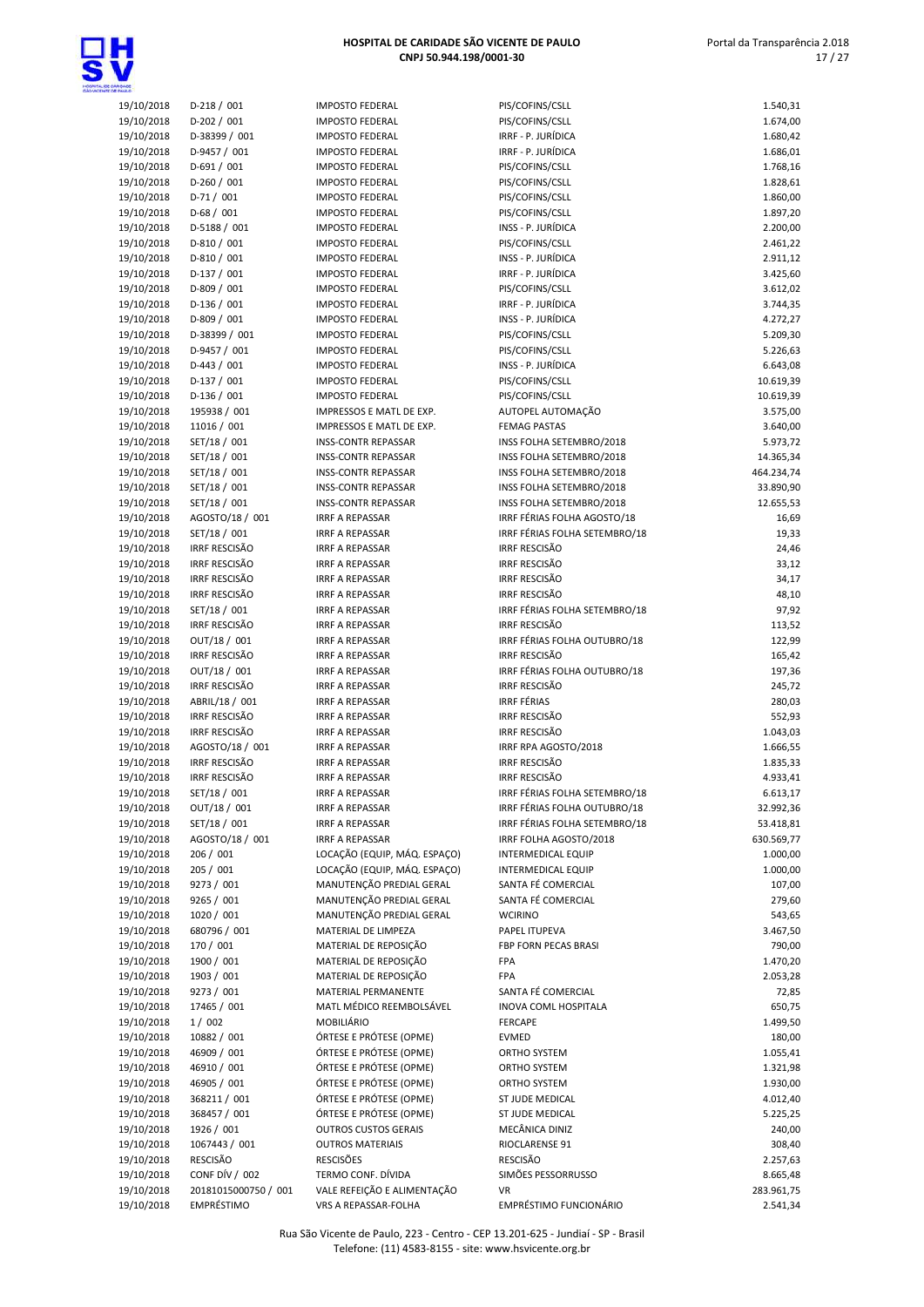

| 19/10/2018 | D-218 / 001          |
|------------|----------------------|
| 19/10/2018 | D-202 / 001          |
| 19/10/2018 | D-38399 / 001        |
|            |                      |
| 19/10/2018 | D-9457 / 001         |
| 19/10/2018 | D-691 / 001          |
| 19/10/2018 | D-260 / 001          |
|            |                      |
| 19/10/2018 | D-71 / 001           |
| 19/10/2018 | $D-68/001$           |
| 19/10/2018 | D-5188 / 001         |
|            |                      |
| 19/10/2018 | D-810 / 001          |
| 19/10/2018 | D-810 / 001          |
| 19/10/2018 | $D-137 / 001$        |
|            |                      |
| 19/10/2018 | D-809 / 001          |
| 19/10/2018 | D-136 / 001          |
| 19/10/2018 | D-809 / 001          |
| 19/10/2018 | D-38399 / 001        |
|            |                      |
| 19/10/2018 | D-9457 / 001         |
| 19/10/2018 | D-443 / 001          |
| 19/10/2018 | D-137 / 001          |
|            |                      |
| 19/10/2018 | D-136 / 001          |
| 19/10/2018 | 195938 / 001         |
| 19/10/2018 | 11016 / 001          |
| 19/10/2018 | SET/18 / 001         |
|            |                      |
| 19/10/2018 | SET/18 / 001         |
| 19/10/2018 | SET/18 / 001         |
| 19/10/2018 | SET/18 / 001         |
|            |                      |
| 19/10/2018 | SET/18 / 001         |
| 19/10/2018 | AGOSTO/18 / 001      |
| 19/10/2018 | SET/18 / 001         |
| 19/10/2018 | IRRF RESCISÃO        |
|            |                      |
| 19/10/2018 | IRRF RESCISÃO        |
| 19/10/2018 | IRRF RESCISÃO        |
| 19/10/2018 | IRRF RESCISÃO        |
|            |                      |
| 19/10/2018 | SET/18 / 001         |
| 19/10/2018 | IRRF RESCISÃO        |
| 19/10/2018 | OUT/18 / 001         |
| 19/10/2018 | IRRF RESCISÃO        |
|            | OUT/18 / 001         |
| 19/10/2018 |                      |
| 19/10/2018 | IRRF RESCISÃO        |
| 19/10/2018 | ABRIL/18 / 001       |
| 19/10/2018 | IRRF RESCISÃO        |
| 19/10/2018 | <b>IRRF RESCISÃO</b> |
|            |                      |
| 19/10/2018 | AGOSTO/18 / 001      |
| 19/10/2018 | IRRF RESCISÃO        |
| 19/10/2018 | IRRF RESCISÃO        |
|            |                      |
| 19/10/2018 | SET/18 / 001         |
| 19/10/2018 | OUT/18 / 001         |
| 19/10/2018 | SET/18 / 001         |
| 19/10/2018 | AGOSTO/18 / 001      |
|            |                      |
| 19/10/2018 | 206 / 001            |
| 19/10/2018 | 205 / 001            |
| 19/10/2018 | 9273 / 001           |
| 19/10/2018 | 9265 / 001           |
|            |                      |
| 19/10/2018 | 1020 / 001           |
| 19/10/2018 | 680796 / 001         |
| 19/10/2018 | 170 / 001            |
|            |                      |
| 19/10/2018 | 1900 / 001           |
| 19/10/2018 | 1903 / 001           |
| 19/10/2018 | 9273 / 001           |
| 19/10/2018 | 17465 / 001          |
|            |                      |
| 19/10/2018 | 1/002                |
| 19/10/2018 | 10882 / 001          |
| 19/10/2018 | 46909 / 001          |
| 19/10/2018 | 46910 / 001          |
|            |                      |
| 19/10/2018 | 46905 / 001          |
| 19/10/2018 | 368211 / 001         |
| 19/10/2018 | 368457 / 001         |
| 19/10/2018 | 1926 / 001           |
|            |                      |
| 19/10/2018 | 1067443 / 001        |
| 19/10/2018 | RESCISÃO             |
| 19/10/2018 | CONF DÍV / 002       |
| 19/10/2018 | 20181015000750 / 001 |
|            |                      |

| <b>DADE</b>              |                                              |                                                          |                                              |                      |
|--------------------------|----------------------------------------------|----------------------------------------------------------|----------------------------------------------|----------------------|
| 19/10/2018               | $D-218/001$                                  | <b>IMPOSTO FEDERAL</b>                                   | PIS/COFINS/CSLL                              | 1.540,31             |
| 19/10/2018               | $D-202 / 001$                                | <b>IMPOSTO FEDERAL</b>                                   | PIS/COFINS/CSLL                              | 1.674,00             |
| 19/10/2018               | D-38399 / 001                                | <b>IMPOSTO FEDERAL</b>                                   | IRRE - P. JURÍDICA                           | 1.680,42             |
| 19/10/2018               | D-9457 / 001                                 | <b>IMPOSTO FEDERAL</b>                                   | IRRF - P. JURÍDICA                           | 1.686,01             |
| 19/10/2018<br>19/10/2018 | $D-691/001$<br>$D-260/001$                   | <b>IMPOSTO FEDERAL</b><br><b>IMPOSTO FEDERAL</b>         | PIS/COFINS/CSLL<br>PIS/COFINS/CSLL           | 1.768,16<br>1.828,61 |
| 19/10/2018               | $D-71/001$                                   | <b>IMPOSTO FEDERAL</b>                                   | PIS/COFINS/CSLL                              | 1.860,00             |
| 19/10/2018               | $D-68/001$                                   | <b>IMPOSTO FEDERAL</b>                                   | PIS/COFINS/CSLL                              | 1.897,20             |
| 19/10/2018               | D-5188 / 001                                 | <b>IMPOSTO FEDERAL</b>                                   | INSS - P. JURÍDICA                           | 2.200,00             |
| 19/10/2018               | $D-810/001$                                  | <b>IMPOSTO FEDERAL</b>                                   | PIS/COFINS/CSLL                              | 2.461,22             |
| 19/10/2018               | D-810 / 001                                  | <b>IMPOSTO FEDERAL</b>                                   | INSS - P. JURÍDICA                           | 2.911,12             |
| 19/10/2018               | $D-137/001$                                  | <b>IMPOSTO FEDERAL</b>                                   | IRRF - P. JURÍDICA                           | 3.425,60             |
| 19/10/2018               | D-809 / 001                                  | <b>IMPOSTO FEDERAL</b>                                   | PIS/COFINS/CSLL                              | 3.612,02             |
| 19/10/2018               | $D-136 / 001$                                | <b>IMPOSTO FEDERAL</b>                                   | IRRF - P. JURÍDICA                           | 3.744,35             |
| 19/10/2018               | D-809 / 001                                  | <b>IMPOSTO FEDERAL</b>                                   | INSS - P. JURÍDICA                           | 4.272,27             |
| 19/10/2018               | D-38399 / 001                                | <b>IMPOSTO FEDERAL</b>                                   | PIS/COFINS/CSLL                              | 5.209,30             |
| 19/10/2018               | D-9457 / 001                                 | <b>IMPOSTO FEDERAL</b>                                   | PIS/COFINS/CSLL                              | 5.226,63             |
| 19/10/2018               | $D-443 / 001$                                | <b>IMPOSTO FEDERAL</b>                                   | INSS - P. JURÍDICA                           | 6.643,08             |
| 19/10/2018               | $D-137/001$                                  | <b>IMPOSTO FEDERAL</b>                                   | PIS/COFINS/CSLL                              | 10.619,39            |
| 19/10/2018               | $D-136 / 001$                                | <b>IMPOSTO FEDERAL</b>                                   | PIS/COFINS/CSLL                              | 10.619,39            |
| 19/10/2018               | 195938 / 001                                 | IMPRESSOS E MATL DE EXP.                                 | AUTOPEL AUTOMAÇÃO                            | 3.575,00             |
| 19/10/2018               | 11016 / 001                                  | IMPRESSOS E MATL DE EXP.                                 | <b>FEMAG PASTAS</b>                          | 3.640,00             |
| 19/10/2018               | SET/18 / 001                                 | <b>INSS-CONTR REPASSAR</b>                               | INSS FOLHA SETEMBRO/2018                     | 5.973,72             |
| 19/10/2018               | SET/18 / 001                                 | <b>INSS-CONTR REPASSAR</b>                               | INSS FOLHA SETEMBRO/2018                     | 14.365,34            |
| 19/10/2018               | SET/18 / 001                                 | <b>INSS-CONTR REPASSAR</b>                               | INSS FOLHA SETEMBRO/2018                     | 464.234,74           |
| 19/10/2018               | SET/18 / 001                                 | <b>INSS-CONTR REPASSAR</b>                               | INSS FOLHA SETEMBRO/2018                     | 33.890,90            |
| 19/10/2018               | SET/18 / 001                                 | <b>INSS-CONTR REPASSAR</b>                               | INSS FOLHA SETEMBRO/2018                     | 12.655,53            |
| 19/10/2018               | AGOSTO/18 / 001                              | <b>IRRF A REPASSAR</b>                                   | IRRF FÉRIAS FOLHA AGOSTO/18                  | 16,69                |
| 19/10/2018               | SET/18 / 001                                 | <b>IRRF A REPASSAR</b>                                   | IRRF FÉRIAS FOLHA SETEMBRO/18                | 19,33                |
| 19/10/2018<br>19/10/2018 | <b>IRRF RESCISÃO</b><br><b>IRRF RESCISÃO</b> | <b>IRRF A REPASSAR</b><br><b>IRRF A REPASSAR</b>         | <b>IRRF RESCISÃO</b><br><b>IRRF RESCISÃO</b> | 24,46<br>33,12       |
| 19/10/2018               | <b>IRRF RESCISÃO</b>                         | <b>IRRF A REPASSAR</b>                                   | <b>IRRF RESCISÃO</b>                         | 34,17                |
| 19/10/2018               | IRRF RESCISÃO                                | <b>IRRF A REPASSAR</b>                                   | <b>IRRF RESCISÃO</b>                         | 48,10                |
| 19/10/2018               | SET/18 / 001                                 | <b>IRRF A REPASSAR</b>                                   | IRRF FÉRIAS FOLHA SETEMBRO/18                | 97,92                |
| 19/10/2018               | <b>IRRF RESCISÃO</b>                         | <b>IRRF A REPASSAR</b>                                   | <b>IRRF RESCISÃO</b>                         | 113,52               |
| 19/10/2018               | OUT/18 / 001                                 | <b>IRRF A REPASSAR</b>                                   | IRRF FÉRIAS FOLHA OUTUBRO/18                 | 122,99               |
| 19/10/2018               | <b>IRRF RESCISÃO</b>                         | <b>IRRF A REPASSAR</b>                                   | <b>IRRF RESCISÃO</b>                         | 165,42               |
| 19/10/2018               | OUT/18 / 001                                 | <b>IRRF A REPASSAR</b>                                   | IRRF FÉRIAS FOLHA OUTUBRO/18                 | 197,36               |
| 19/10/2018               | IRRF RESCISÃO                                | <b>IRRF A REPASSAR</b>                                   | <b>IRRF RESCISÃO</b>                         | 245,72               |
| 19/10/2018               | ABRIL/18 / 001                               | <b>IRRF A REPASSAR</b>                                   | <b>IRRF FÉRIAS</b>                           | 280,03               |
| 19/10/2018               | <b>IRRF RESCISÃO</b>                         | <b>IRRF A REPASSAR</b>                                   | <b>IRRF RESCISÃO</b>                         | 552,93               |
| 19/10/2018               | <b>IRRF RESCISÃO</b>                         | <b>IRRF A REPASSAR</b>                                   | <b>IRRF RESCISÃO</b>                         | 1.043,03             |
| 19/10/2018               | AGOSTO/18 / 001                              | <b>IRRF A REPASSAR</b>                                   | IRRF RPA AGOSTO/2018                         | 1.666,55             |
| 19/10/2018               | <b>IRRF RESCISÃO</b>                         | <b>IRRF A REPASSAR</b>                                   | <b>IRRF RESCISÃO</b>                         | 1.835,33             |
| 19/10/2018               | <b>IRRF RESCISÃO</b>                         | <b>IRRF A REPASSAR</b>                                   | <b>IRRF RESCISÃO</b>                         | 4.933,41             |
| 19/10/2018               | SET/18 / 001                                 | <b>IRRF A REPASSAR</b>                                   | IRRF FÉRIAS FOLHA SETEMBRO/18                | 6.613,17             |
| 19/10/2018               | OUT/18 / 001                                 | <b>IRRF A REPASSAR</b>                                   | IRRF FÉRIAS FOLHA OUTUBRO/18                 | 32.992,36            |
| 19/10/2018               | SET/18 / 001                                 | <b>IRRF A REPASSAR</b>                                   | IRRF FÉRIAS FOLHA SETEMBRO/18                | 53.418,81            |
| 19/10/2018               | AGOSTO/18 / 001                              | <b>IRRF A REPASSAR</b>                                   | IRRF FOLHA AGOSTO/2018                       | 630.569,77           |
| 19/10/2018               | 206 / 001                                    | LOCAÇÃO (EQUIP, MÁQ. ESPAÇO)                             | <b>INTERMEDICAL EQUIP</b>                    | 1.000,00             |
| 19/10/2018               | 205 / 001                                    | LOCAÇÃO (EQUIP, MÁQ. ESPAÇO)<br>MANUTENÇÃO PREDIAL GERAL | INTERMEDICAL EQUIP<br>SANTA FÉ COMERCIAL     | 1.000,00             |
| 19/10/2018<br>19/10/2018 | 9273 / 001<br>9265 / 001                     | MANUTENÇÃO PREDIAL GERAL                                 | SANTA FÉ COMERCIAL                           | 107,00               |
| 19/10/2018               | 1020 / 001                                   | MANUTENÇÃO PREDIAL GERAL                                 | <b>WCIRINO</b>                               | 279,60<br>543,65     |
| 19/10/2018               | 680796 / 001                                 | MATERIAL DE LIMPEZA                                      | PAPEL ITUPEVA                                | 3.467,50             |
| 19/10/2018               | 170 / 001                                    | MATERIAL DE REPOSIÇÃO                                    | FBP FORN PECAS BRASI                         | 790,00               |
| 19/10/2018               | 1900 / 001                                   | MATERIAL DE REPOSIÇÃO                                    | FPA                                          | 1.470,20             |
| 19/10/2018               | 1903 / 001                                   | MATERIAL DE REPOSIÇÃO                                    | <b>FPA</b>                                   | 2.053,28             |
| 19/10/2018               | 9273 / 001                                   | MATERIAL PERMANENTE                                      | SANTA FÉ COMERCIAL                           | 72,85                |
| 19/10/2018               | 17465 / 001                                  | MATL MÉDICO REEMBOLSÁVEL                                 | INOVA COML HOSPITALA                         | 650,75               |
| 19/10/2018               | 1/002                                        | MOBILIÁRIO                                               | <b>FERCAPE</b>                               | 1.499,50             |
| 19/10/2018               | 10882 / 001                                  | ÓRTESE E PRÓTESE (OPME)                                  | EVMED                                        | 180,00               |
| 19/10/2018               | 46909 / 001                                  | ÓRTESE E PRÓTESE (OPME)                                  | ORTHO SYSTEM                                 | 1.055,41             |
| 19/10/2018               | 46910 / 001                                  | ÓRTESE E PRÓTESE (OPME)                                  | ORTHO SYSTEM                                 | 1.321,98             |
| 19/10/2018               | 46905 / 001                                  | ÓRTESE E PRÓTESE (OPME)                                  | ORTHO SYSTEM                                 | 1.930,00             |
| 19/10/2018               | 368211 / 001                                 | ÓRTESE E PRÓTESE (OPME)                                  | ST JUDE MEDICAL                              | 4.012,40             |
| 19/10/2018               | 368457 / 001                                 | ÓRTESE E PRÓTESE (OPME)                                  | ST JUDE MEDICAL                              | 5.225,25             |
| 19/10/2018               | 1926 / 001                                   | <b>OUTROS CUSTOS GERAIS</b>                              | MECÂNICA DINIZ                               | 240,00               |
| 19/10/2018               | 1067443 / 001                                | <b>OUTROS MATERIAIS</b>                                  | RIOCLARENSE 91                               | 308,40               |
| 19/10/2018               | RESCISÃO                                     | <b>RESCISÕES</b>                                         | <b>RESCISÃO</b>                              | 2.257,63             |
| 19/10/2018               | CONF DÍV / 002                               | TERMO CONF. DÍVIDA                                       | SIMÕES PESSORRUSSO                           | 8.665,48             |
| 19/10/2018               | 20181015000750 / 001                         | VALE REFEIÇÃO E ALIMENTAÇÃO                              | VR                                           | 283.961,75           |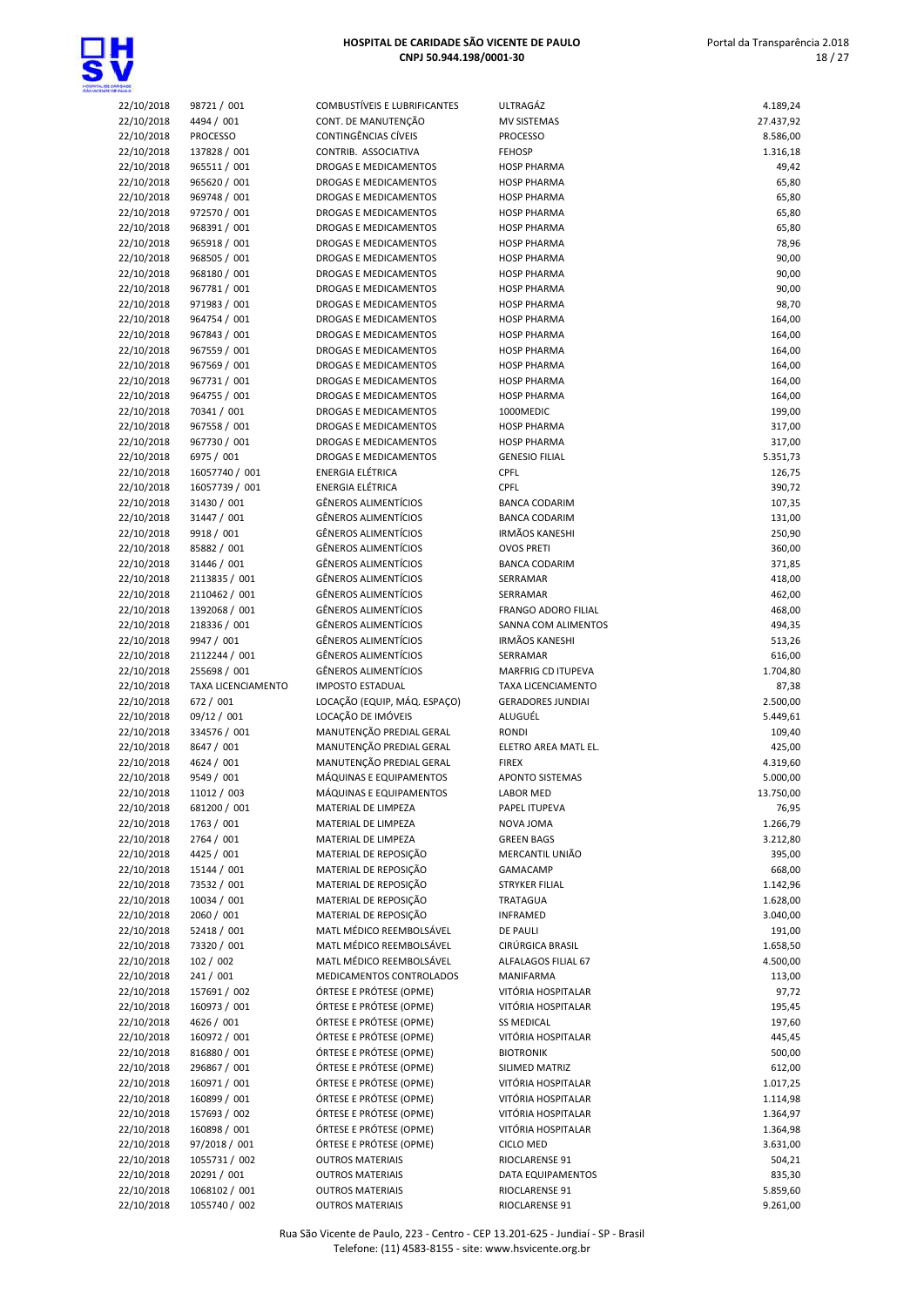

| 22/10/2018 | 98721 / 001        | COMBUSTÍVEIS E LUBRIFICANTES | ULTRAGÁZ                 | 4.189,24  |
|------------|--------------------|------------------------------|--------------------------|-----------|
|            |                    |                              | <b>MV SISTEMAS</b>       |           |
| 22/10/2018 | 4494 / 001         | CONT. DE MANUTENÇÃO          |                          | 27.437,92 |
| 22/10/2018 | <b>PROCESSO</b>    | <b>CONTINGÊNCIAS CÍVEIS</b>  | <b>PROCESSO</b>          | 8.586,00  |
| 22/10/2018 | 137828 / 001       | CONTRIB. ASSOCIATIVA         | <b>FEHOSP</b>            | 1.316,18  |
| 22/10/2018 | 965511 / 001       | DROGAS E MEDICAMENTOS        | <b>HOSP PHARMA</b>       | 49,42     |
| 22/10/2018 | 965620 / 001       | DROGAS E MEDICAMENTOS        | <b>HOSP PHARMA</b>       | 65,80     |
| 22/10/2018 | 969748 / 001       | DROGAS E MEDICAMENTOS        | <b>HOSP PHARMA</b>       | 65,80     |
| 22/10/2018 | 972570 / 001       | DROGAS E MEDICAMENTOS        | <b>HOSP PHARMA</b>       | 65,80     |
|            |                    |                              |                          |           |
| 22/10/2018 | 968391 / 001       | DROGAS E MEDICAMENTOS        | <b>HOSP PHARMA</b>       | 65,80     |
| 22/10/2018 | 965918 / 001       | DROGAS E MEDICAMENTOS        | <b>HOSP PHARMA</b>       | 78,96     |
| 22/10/2018 | 968505 / 001       | DROGAS E MEDICAMENTOS        | <b>HOSP PHARMA</b>       | 90,00     |
| 22/10/2018 | 968180 / 001       | DROGAS E MEDICAMENTOS        | <b>HOSP PHARMA</b>       | 90,00     |
| 22/10/2018 | 967781 / 001       | DROGAS E MEDICAMENTOS        | <b>HOSP PHARMA</b>       | 90,00     |
| 22/10/2018 | 971983 / 001       | DROGAS E MEDICAMENTOS        | <b>HOSP PHARMA</b>       | 98,70     |
|            |                    |                              |                          |           |
| 22/10/2018 | 964754 / 001       | DROGAS E MEDICAMENTOS        | <b>HOSP PHARMA</b>       | 164,00    |
| 22/10/2018 | 967843 / 001       | DROGAS E MEDICAMENTOS        | <b>HOSP PHARMA</b>       | 164,00    |
| 22/10/2018 | 967559 / 001       | DROGAS E MEDICAMENTOS        | <b>HOSP PHARMA</b>       | 164,00    |
| 22/10/2018 | 967569 / 001       | DROGAS E MEDICAMENTOS        | <b>HOSP PHARMA</b>       | 164,00    |
| 22/10/2018 | 967731 / 001       | DROGAS E MEDICAMENTOS        | <b>HOSP PHARMA</b>       | 164,00    |
| 22/10/2018 | 964755 / 001       | DROGAS E MEDICAMENTOS        | <b>HOSP PHARMA</b>       | 164,00    |
|            |                    |                              |                          |           |
| 22/10/2018 | 70341 / 001        | DROGAS E MEDICAMENTOS        | 1000MEDIC                | 199,00    |
| 22/10/2018 | 967558 / 001       | DROGAS E MEDICAMENTOS        | <b>HOSP PHARMA</b>       | 317,00    |
| 22/10/2018 | 967730 / 001       | DROGAS E MEDICAMENTOS        | <b>HOSP PHARMA</b>       | 317,00    |
| 22/10/2018 | 6975 / 001         | DROGAS E MEDICAMENTOS        | <b>GENESIO FILIAL</b>    | 5.351,73  |
| 22/10/2018 | 16057740 / 001     | ENERGIA ELÉTRICA             | CPFL                     | 126,75    |
| 22/10/2018 | 16057739 / 001     | ENERGIA ELÉTRICA             | CPFL                     | 390,72    |
|            |                    |                              |                          |           |
| 22/10/2018 | 31430 / 001        | <b>GÊNEROS ALIMENTÍCIOS</b>  | <b>BANCA CODARIM</b>     | 107,35    |
| 22/10/2018 | 31447 / 001        | <b>GÊNEROS ALIMENTÍCIOS</b>  | <b>BANCA CODARIM</b>     | 131,00    |
| 22/10/2018 | 9918 / 001         | <b>GÊNEROS ALIMENTÍCIOS</b>  | <b>IRMÃOS KANESHI</b>    | 250,90    |
| 22/10/2018 | 85882 / 001        | GÊNEROS ALIMENTÍCIOS         | <b>OVOS PRETI</b>        | 360,00    |
| 22/10/2018 | 31446 / 001        | GÊNEROS ALIMENTÍCIOS         | <b>BANCA CODARIM</b>     | 371,85    |
| 22/10/2018 | 2113835 / 001      | <b>GÊNEROS ALIMENTÍCIOS</b>  | SERRAMAR                 | 418,00    |
|            |                    |                              |                          |           |
| 22/10/2018 | 2110462 / 001      | GÊNEROS ALIMENTÍCIOS         | SERRAMAR                 | 462,00    |
| 22/10/2018 | 1392068 / 001      | GÊNEROS ALIMENTÍCIOS         | FRANGO ADORO FILIAL      | 468,00    |
| 22/10/2018 | 218336 / 001       | GÊNEROS ALIMENTÍCIOS         | SANNA COM ALIMENTOS      | 494,35    |
| 22/10/2018 | 9947 / 001         | <b>GÊNEROS ALIMENTÍCIOS</b>  | <b>IRMÃOS KANESHI</b>    | 513,26    |
| 22/10/2018 | 2112244 / 001      | GÊNEROS ALIMENTÍCIOS         | SERRAMAR                 | 616,00    |
| 22/10/2018 | 255698 / 001       | <b>GÊNEROS ALIMENTÍCIOS</b>  | MARFRIG CD ITUPEVA       | 1.704,80  |
|            |                    |                              |                          |           |
| 22/10/2018 | TAXA LICENCIAMENTO | <b>IMPOSTO ESTADUAL</b>      | TAXA LICENCIAMENTO       | 87,38     |
| 22/10/2018 | 672 / 001          | LOCAÇÃO (EQUIP, MÁQ. ESPAÇO) | <b>GERADORES JUNDIAI</b> | 2.500,00  |
| 22/10/2018 | 09/12 / 001        | LOCAÇÃO DE IMÓVEIS           | ALUGUÉL                  | 5.449,61  |
| 22/10/2018 | 334576 / 001       | MANUTENÇÃO PREDIAL GERAL     | <b>RONDI</b>             | 109,40    |
| 22/10/2018 | 8647 / 001         | MANUTENÇÃO PREDIAL GERAL     | ELETRO AREA MATL EL.     | 425,00    |
| 22/10/2018 | 4624 / 001         | MANUTENÇÃO PREDIAL GERAL     | <b>FIREX</b>             | 4.319,60  |
|            |                    |                              |                          |           |
| 22/10/2018 | 9549 / 001         | MÁQUINAS E EQUIPAMENTOS      | <b>APONTO SISTEMAS</b>   | 5.000,00  |
| 22/10/2018 | 11012 / 003        | MÁQUINAS E EQUIPAMENTOS      | LABOR MED                | 13.750,00 |
| 22/10/2018 | 681200 / 001       | MATERIAL DE LIMPEZA          | PAPEL ITUPEVA            | 76,95     |
| 22/10/2018 | 1763 / 001         | MATERIAL DE LIMPEZA          | NOVA JOMA                | 1.266,79  |
| 22/10/2018 | 2764 / 001         | MATERIAL DE LIMPEZA          | <b>GREEN BAGS</b>        | 3.212,80  |
| 22/10/2018 | 4425 / 001         | MATERIAL DE REPOSIÇÃO        | MERCANTIL UNIÃO          | 395,00    |
|            |                    |                              |                          |           |
| 22/10/2018 | 15144 / 001        | MATERIAL DE REPOSIÇÃO        | GAMACAMP                 | 668,00    |
| 22/10/2018 | 73532 / 001        | MATERIAL DE REPOSIÇÃO        | <b>STRYKER FILIAL</b>    | 1.142,96  |
| 22/10/2018 | 10034 / 001        | MATERIAL DE REPOSIÇÃO        | TRATAGUA                 | 1.628,00  |
| 22/10/2018 | 2060 / 001         | MATERIAL DE REPOSIÇÃO        | <b>INFRAMED</b>          | 3.040,00  |
| 22/10/2018 | 52418 / 001        | MATL MÉDICO REEMBOLSÁVEL     | DE PAULI                 | 191,00    |
| 22/10/2018 | 73320 / 001        | MATL MÉDICO REEMBOLSÁVEL     | CIRÚRGICA BRASIL         | 1.658,50  |
|            |                    |                              |                          |           |
| 22/10/2018 | 102 / 002          | MATL MÉDICO REEMBOLSÁVEL     | ALFALAGOS FILIAL 67      | 4.500,00  |
| 22/10/2018 | 241 / 001          | MEDICAMENTOS CONTROLADOS     | MANIFARMA                | 113,00    |
| 22/10/2018 | 157691 / 002       | ÓRTESE E PRÓTESE (OPME)      | VITÓRIA HOSPITALAR       | 97,72     |
| 22/10/2018 | 160973 / 001       | ÓRTESE E PRÓTESE (OPME)      | VITÓRIA HOSPITALAR       | 195,45    |
| 22/10/2018 | 4626 / 001         | ÓRTESE E PRÓTESE (OPME)      | <b>SS MEDICAL</b>        | 197,60    |
| 22/10/2018 | 160972 / 001       | ÓRTESE E PRÓTESE (OPME)      | VITÓRIA HOSPITALAR       | 445,45    |
|            |                    |                              |                          |           |
| 22/10/2018 | 816880 / 001       | ÓRTESE E PRÓTESE (OPME)      | <b>BIOTRONIK</b>         | 500,00    |
| 22/10/2018 | 296867 / 001       | ÓRTESE E PRÓTESE (OPME)      | SILIMED MATRIZ           | 612,00    |
| 22/10/2018 | 160971 / 001       | ÓRTESE E PRÓTESE (OPME)      | VITÓRIA HOSPITALAR       | 1.017,25  |
| 22/10/2018 | 160899 / 001       | ÓRTESE E PRÓTESE (OPME)      | VITÓRIA HOSPITALAR       | 1.114,98  |
| 22/10/2018 | 157693 / 002       | ÓRTESE E PRÓTESE (OPME)      | VITÓRIA HOSPITALAR       | 1.364,97  |
| 22/10/2018 | 160898 / 001       | ÓRTESE E PRÓTESE (OPME)      | VITÓRIA HOSPITALAR       | 1.364,98  |
|            |                    |                              |                          |           |
| 22/10/2018 | 97/2018 / 001      | ÓRTESE E PRÓTESE (OPME)      | CICLO MED                | 3.631,00  |
| 22/10/2018 | 1055731 / 002      | <b>OUTROS MATERIAIS</b>      | RIOCLARENSE 91           | 504,21    |
| 22/10/2018 | 20291 / 001        | <b>OUTROS MATERIAIS</b>      | DATA EQUIPAMENTOS        | 835,30    |
| 22/10/2018 | 1068102 / 001      | <b>OUTROS MATERIAIS</b>      | RIOCLARENSE 91           | 5.859,60  |
| 22/10/2018 | 1055740 / 002      | <b>OUTROS MATERIAIS</b>      | RIOCLARENSE 91           | 9.261,00  |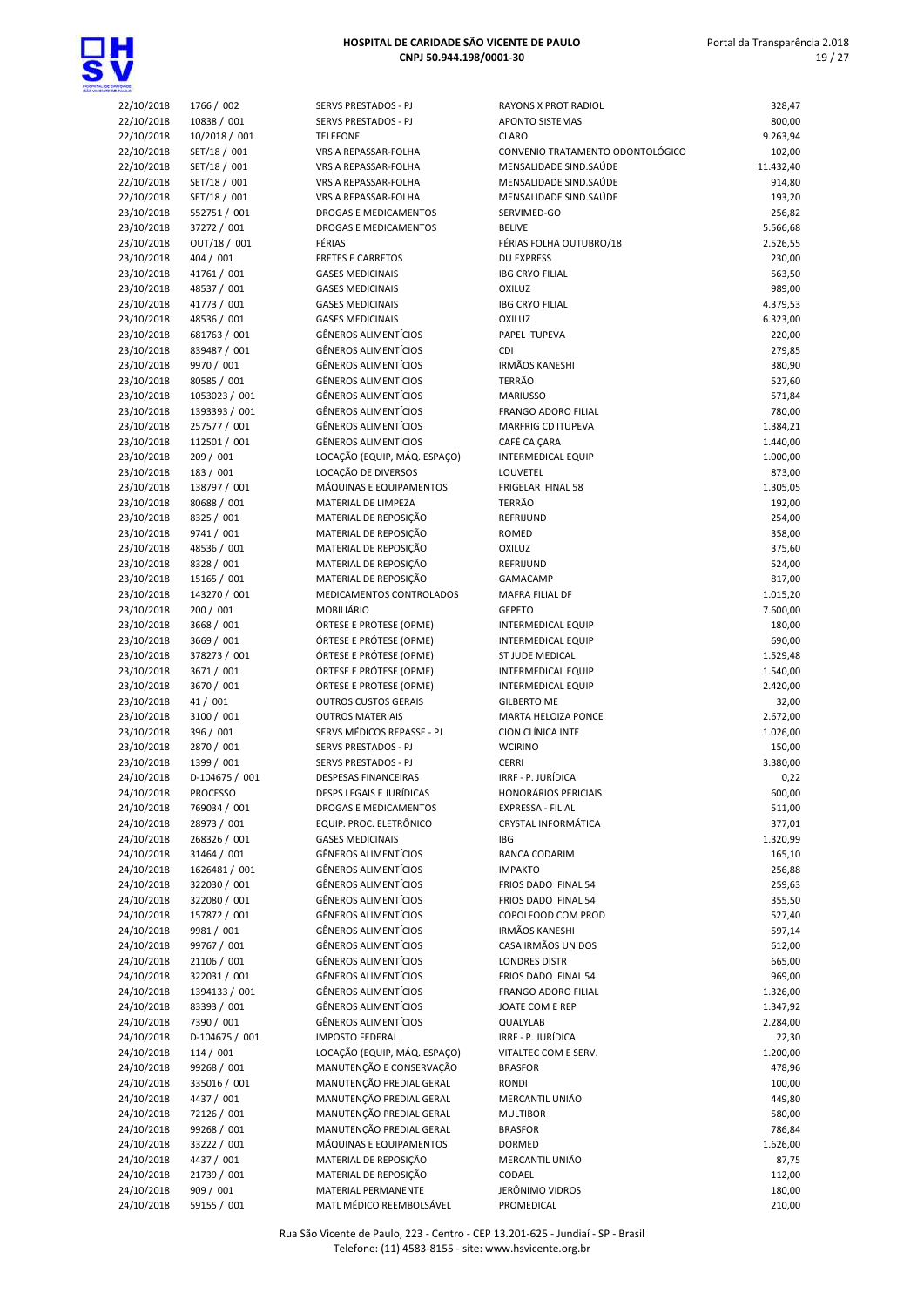



| 22/10/2018 | 1766 / 002      |
|------------|-----------------|
| 22/10/2018 | 10838 / 001     |
| 22/10/2018 | 10/2018 / 001   |
| 22/10/2018 | SET/18 / 001    |
| 22/10/2018 | SET/18 / 001    |
| 22/10/2018 | SET/18 / 001    |
|            | SET/18 / 001    |
| 22/10/2018 |                 |
| 23/10/2018 | 552751 / 001    |
| 23/10/2018 | 37272 / 001     |
| 23/10/2018 | OUT/18 / 001    |
| 23/10/2018 | 404 / 001       |
| 23/10/2018 | 41761 / 001     |
|            |                 |
| 23/10/2018 | 48537 / 001     |
| 23/10/2018 | 41773 / 001     |
| 23/10/2018 | 48536 / 001     |
| 23/10/2018 | 681763 / 001    |
| 23/10/2018 | 839487 / 001    |
| 23/10/2018 | 9970 / 001      |
|            |                 |
| 23/10/2018 | 80585 / 001     |
| 23/10/2018 | 1053023 / 001   |
| 23/10/2018 | 1393393 / 001   |
| 23/10/2018 | 257577 / 001    |
| 23/10/2018 | 112501 / 001    |
| 23/10/2018 | 209 / 001       |
|            |                 |
| 23/10/2018 | 183 / 001       |
| 23/10/2018 | 138797 / 001    |
| 23/10/2018 | 80688 / 001     |
| 23/10/2018 | 8325 / 001      |
| 23/10/2018 | 9741 / 001      |
| 23/10/2018 | 48536 / 001     |
|            | 8328 / 001      |
| 23/10/2018 |                 |
| 23/10/2018 | 15165 / 001     |
| 23/10/2018 | 143270 / 001    |
| 23/10/2018 | 200 / 001       |
| 23/10/2018 | 3668 / 001      |
| 23/10/2018 | 3669 / 001      |
| 23/10/2018 | 378273 / 001    |
| 23/10/2018 | 3671 / 001      |
|            |                 |
| 23/10/2018 | 3670 / 001      |
| 23/10/2018 | 41 / 001        |
| 23/10/2018 | 3100 / 001      |
| 23/10/2018 | 396 / 001       |
| 23/10/2018 | 2870 / 001      |
| 23/10/2018 | 1399 / 001      |
| 24/10/2018 | D-104675 / 001  |
|            |                 |
| 24/10/2018 | <b>PROCESSO</b> |
| 24/10/2018 | 769034 / 001    |
| 24/10/2018 | 28973 / 001     |
| 24/10/2018 | 268326 / 001    |
| 24/10/2018 | 31464 / 001     |
| 24/10/2018 | 1626481 / 001   |
| 24/10/2018 | 322030 / 001    |
|            |                 |
| 24/10/2018 | 322080 / 001    |
| 24/10/2018 | 157872 / 001    |
| 24/10/2018 | 9981 / 001      |
| 24/10/2018 | 99767 / 001     |
| 24/10/2018 | 21106 / 001     |
|            |                 |
|            |                 |
| 24/10/2018 | 322031/001      |
| 24/10/2018 | 1394133 / 001   |
| 24/10/2018 | 83393 / 001     |
| 24/10/2018 | 7390 / 001      |
| 24/10/2018 | D-104675 / 001  |
| 24/10/2018 | 114 / 001       |
| 24/10/2018 | 99268 / 001     |
|            |                 |
| 24/10/2018 | 335016 / 001    |
| 24/10/2018 | 4437 / 001      |
| 24/10/2018 | 72126 / 001     |
| 24/10/2018 | 99268 / 001     |
| 24/10/2018 | 33222 / 001     |
| 24/10/2018 | 4437 / 001      |
| 24/10/2018 | 21739 / 001     |
| 24/10/2018 | 909 / 001       |

| 22/10/2018               | 1766 / 002                 | SERVS PRESTADOS - PJ                                 | RAYONS X PROT RADIOL                                   | 328,47               |
|--------------------------|----------------------------|------------------------------------------------------|--------------------------------------------------------|----------------------|
| 22/10/2018               | 10838 / 001                | SERVS PRESTADOS - PJ                                 | <b>APONTO SISTEMAS</b>                                 | 800,00               |
| 22/10/2018               | 10/2018 / 001              | <b>TELEFONE</b>                                      | <b>CLARO</b>                                           | 9.263,94             |
| 22/10/2018               | SET/18 / 001               | VRS A REPASSAR-FOLHA                                 | CONVENIO TRATAMENTO ODONTOLÓGICO                       | 102,00               |
| 22/10/2018               | SET/18 / 001               | VRS A REPASSAR-FOLHA                                 | MENSALIDADE SIND.SAÚDE                                 | 11.432,40            |
| 22/10/2018               | SET/18 / 001               | VRS A REPASSAR-FOLHA                                 | MENSALIDADE SIND.SAÚDE                                 | 914,80               |
| 22/10/2018               | SET/18 / 001               | VRS A REPASSAR-FOLHA                                 | MENSALIDADE SIND.SAÚDE                                 | 193,20               |
| 23/10/2018               | 552751 / 001               | DROGAS E MEDICAMENTOS                                | SERVIMED-GO                                            | 256,82               |
| 23/10/2018               | 37272 / 001                | DROGAS E MEDICAMENTOS                                | <b>BELIVE</b>                                          | 5.566,68             |
| 23/10/2018               | OUT/18 / 001               | FÉRIAS                                               | FÉRIAS FOLHA OUTUBRO/18                                | 2.526,55             |
| 23/10/2018               | 404 / 001                  | <b>FRETES E CARRETOS</b>                             | <b>DU EXPRESS</b>                                      | 230,00               |
| 23/10/2018               | 41761 / 001                | <b>GASES MEDICINAIS</b>                              | <b>IBG CRYO FILIAL</b>                                 | 563,50               |
| 23/10/2018               | 48537 / 001                | <b>GASES MEDICINAIS</b><br><b>GASES MEDICINAIS</b>   | <b>OXILUZ</b><br><b>IBG CRYO FILIAL</b>                | 989,00<br>4.379,53   |
| 23/10/2018<br>23/10/2018 | 41773 / 001<br>48536 / 001 | <b>GASES MEDICINAIS</b>                              | <b>OXILUZ</b>                                          | 6.323,00             |
| 23/10/2018               | 681763 / 001               | <b>GÊNEROS ALIMENTÍCIOS</b>                          | PAPEL ITUPEVA                                          | 220,00               |
| 23/10/2018               | 839487 / 001               | <b>GÊNEROS ALIMENTÍCIOS</b>                          | CDI                                                    | 279,85               |
| 23/10/2018               | 9970 / 001                 | <b>GÊNEROS ALIMENTÍCIOS</b>                          | <b>IRMÃOS KANESHI</b>                                  | 380,90               |
| 23/10/2018               | 80585 / 001                | <b>GÊNEROS ALIMENTÍCIOS</b>                          | <b>TERRÃO</b>                                          | 527,60               |
| 23/10/2018               | 1053023 / 001              | <b>GÊNEROS ALIMENTÍCIOS</b>                          | <b>MARIUSSO</b>                                        | 571,84               |
| 23/10/2018               | 1393393 / 001              | <b>GÊNEROS ALIMENTÍCIOS</b>                          | FRANGO ADORO FILIAL                                    | 780,00               |
| 23/10/2018               | 257577 / 001               | <b>GÊNEROS ALIMENTÍCIOS</b>                          | <b>MARFRIG CD ITUPEVA</b>                              | 1.384,21             |
| 23/10/2018               | 112501 / 001               | <b>GÊNEROS ALIMENTÍCIOS</b>                          | CAFÉ CAIÇARA                                           | 1.440,00             |
| 23/10/2018               | 209 / 001                  | LOCAÇÃO (EQUIP, MÁQ. ESPAÇO)                         | <b>INTERMEDICAL EQUIP</b>                              | 1.000,00             |
| 23/10/2018               | 183 / 001                  | LOCAÇÃO DE DIVERSOS                                  | LOUVETEL                                               | 873,00               |
| 23/10/2018               | 138797 / 001               | MÁQUINAS E EQUIPAMENTOS                              | FRIGELAR FINAL 58                                      | 1.305,05             |
| 23/10/2018               | 80688 / 001                | MATERIAL DE LIMPEZA                                  | TERRÃO                                                 | 192,00               |
| 23/10/2018               | 8325 / 001                 | MATERIAL DE REPOSIÇÃO                                | REFRIJUND                                              | 254,00               |
| 23/10/2018               | 9741 / 001                 | MATERIAL DE REPOSIÇÃO                                | <b>ROMED</b>                                           | 358,00               |
| 23/10/2018               | 48536 / 001                | MATERIAL DE REPOSIÇÃO                                | <b>OXILUZ</b>                                          | 375,60               |
| 23/10/2018               | 8328 / 001                 | MATERIAL DE REPOSIÇÃO                                | REFRIJUND                                              | 524,00               |
| 23/10/2018               | 15165 / 001                | MATERIAL DE REPOSIÇÃO                                | GAMACAMP                                               | 817,00               |
| 23/10/2018               | 143270 / 001               | MEDICAMENTOS CONTROLADOS                             | MAFRA FILIAL DF                                        | 1.015,20             |
| 23/10/2018               | 200 / 001                  | <b>MOBILIÁRIO</b>                                    | <b>GEPETO</b>                                          | 7.600,00             |
| 23/10/2018               | 3668 / 001                 | ÓRTESE E PRÓTESE (OPME)                              | <b>INTERMEDICAL EQUIP</b>                              | 180,00               |
| 23/10/2018               | 3669 / 001                 | ÓRTESE E PRÓTESE (OPME)                              | <b>INTERMEDICAL EQUIP</b>                              | 690,00               |
| 23/10/2018               | 378273 / 001               | ÓRTESE E PRÓTESE (OPME)                              | ST JUDE MEDICAL                                        | 1.529,48             |
| 23/10/2018<br>23/10/2018 | 3671 / 001<br>3670 / 001   | ÓRTESE E PRÓTESE (OPME)<br>ÓRTESE E PRÓTESE (OPME)   | <b>INTERMEDICAL EQUIP</b><br><b>INTERMEDICAL EQUIP</b> | 1.540,00<br>2.420,00 |
| 23/10/2018               | 41 / 001                   | <b>OUTROS CUSTOS GERAIS</b>                          | <b>GILBERTO ME</b>                                     | 32,00                |
| 23/10/2018               | 3100 / 001                 | <b>OUTROS MATERIAIS</b>                              | MARTA HELOIZA PONCE                                    | 2.672,00             |
| 23/10/2018               | 396 / 001                  | SERVS MÉDICOS REPASSE - PJ                           | <b>CION CLÍNICA INTE</b>                               | 1.026,00             |
| 23/10/2018               | 2870 / 001                 | SERVS PRESTADOS - PJ                                 | <b>WCIRINO</b>                                         | 150,00               |
| 23/10/2018               | 1399 / 001                 | SERVS PRESTADOS - PJ                                 | <b>CERRI</b>                                           | 3.380,00             |
| 24/10/2018               | D-104675 / 001             | <b>DESPESAS FINANCEIRAS</b>                          | IRRF - P. JURÍDICA                                     | 0,22                 |
| 24/10/2018               | <b>PROCESSO</b>            | DESPS LEGAIS E JURÍDICAS                             | <b>HONORARIOS PERICIAIS</b>                            | 600,00               |
| 24/10/2018               | 769034 / 001               | DROGAS E MEDICAMENTOS                                | EXPRESSA - FILIAL                                      | 511,00               |
| 24/10/2018               | 28973 / 001                | EQUIP. PROC. ELETRÔNICO                              | <b>CRYSTAL INFORMÁTICA</b>                             | 377,01               |
| 24/10/2018               | 268326 / 001               | <b>GASES MEDICINAIS</b>                              | <b>IBG</b>                                             | 1.320,99             |
| 24/10/2018               | 31464 / 001                | <b>GÊNEROS ALIMENTÍCIOS</b>                          | <b>BANCA CODARIM</b>                                   | 165,10               |
| 24/10/2018               | 1626481 / 001              | <b>GÊNEROS ALIMENTÍCIOS</b>                          | <b>IMPAKTO</b>                                         | 256,88               |
| 24/10/2018               | 322030 / 001               | <b>GÊNEROS ALIMENTÍCIOS</b>                          | FRIOS DADO FINAL 54                                    | 259,63               |
| 24/10/2018               | 322080 / 001               | <b>GÊNEROS ALIMENTÍCIOS</b>                          | FRIOS DADO FINAL 54                                    | 355,50               |
| 24/10/2018               | 157872 / 001               | <b>GÊNEROS ALIMENTÍCIOS</b>                          | COPOLFOOD COM PROD                                     | 527,40               |
| 24/10/2018               | 9981 / 001                 | <b>GÊNEROS ALIMENTÍCIOS</b>                          | <b>IRMÃOS KANESHI</b>                                  | 597,14               |
| 24/10/2018               | 99767 / 001                | <b>GÊNEROS ALIMENTÍCIOS</b>                          | CASA IRMÃOS UNIDOS                                     | 612,00               |
| 24/10/2018               | 21106 / 001                | GÊNEROS ALIMENTÍCIOS                                 | <b>LONDRES DISTR</b>                                   | 665,00               |
| 24/10/2018               | 322031 / 001               | <b>GÊNEROS ALIMENTÍCIOS</b>                          | FRIOS DADO FINAL 54                                    | 969,00               |
| 24/10/2018               | 1394133 / 001              | GÊNEROS ALIMENTÍCIOS                                 | FRANGO ADORO FILIAL                                    | 1.326,00             |
| 24/10/2018               | 83393 / 001                | <b>GÊNEROS ALIMENTÍCIOS</b>                          | JOATE COM E REP                                        | 1.347,92             |
| 24/10/2018               | 7390 / 001                 | <b>GÊNEROS ALIMENTÍCIOS</b>                          | QUALYLAB                                               | 2.284,00             |
| 24/10/2018               | D-104675 / 001             | <b>IMPOSTO FEDERAL</b>                               | IRRF - P. JURÍDICA                                     | 22,30                |
| 24/10/2018               | 114 / 001                  | LOCAÇÃO (EQUIP, MÁQ. ESPAÇO)                         | VITALTEC COM E SERV.                                   | 1.200,00             |
| 24/10/2018               | 99268 / 001                | MANUTENÇÃO E CONSERVAÇÃO                             | <b>BRASFOR</b>                                         | 478,96               |
| 24/10/2018<br>24/10/2018 | 335016 / 001<br>4437 / 001 | MANUTENÇÃO PREDIAL GERAL<br>MANUTENÇÃO PREDIAL GERAL | RONDI<br>MERCANTIL UNIÃO                               | 100,00<br>449,80     |
| 24/10/2018               | 72126 / 001                | MANUTENÇÃO PREDIAL GERAL                             | <b>MULTIBOR</b>                                        | 580,00               |
| 24/10/2018               | 99268 / 001                | MANUTENÇÃO PREDIAL GERAL                             | <b>BRASFOR</b>                                         | 786,84               |
| 24/10/2018               | 33222 / 001                | MÁQUINAS E EQUIPAMENTOS                              | DORMED                                                 | 1.626,00             |
| 24/10/2018               | 4437 / 001                 | MATERIAL DE REPOSIÇÃO                                | MERCANTIL UNIÃO                                        | 87,75                |
| 24/10/2018               | 21739 / 001                | MATERIAL DE REPOSIÇÃO                                | CODAEL                                                 | 112,00               |
| 24/10/2018               | 909 / 001                  | MATERIAL PERMANENTE                                  | JERÔNIMO VIDROS                                        | 180,00               |
| 24/10/2018               | 59155 / 001                | MATL MÉDICO REEMBOLSÁVEL                             | PROMEDICAL                                             | 210,00               |

Rua São Vicente de Paulo, 223 - Centro - CEP 13.201-625 - Jundiaí - SP - Brasil Telefone: (11) 4583-8155 - site: www.hsvicente.org.br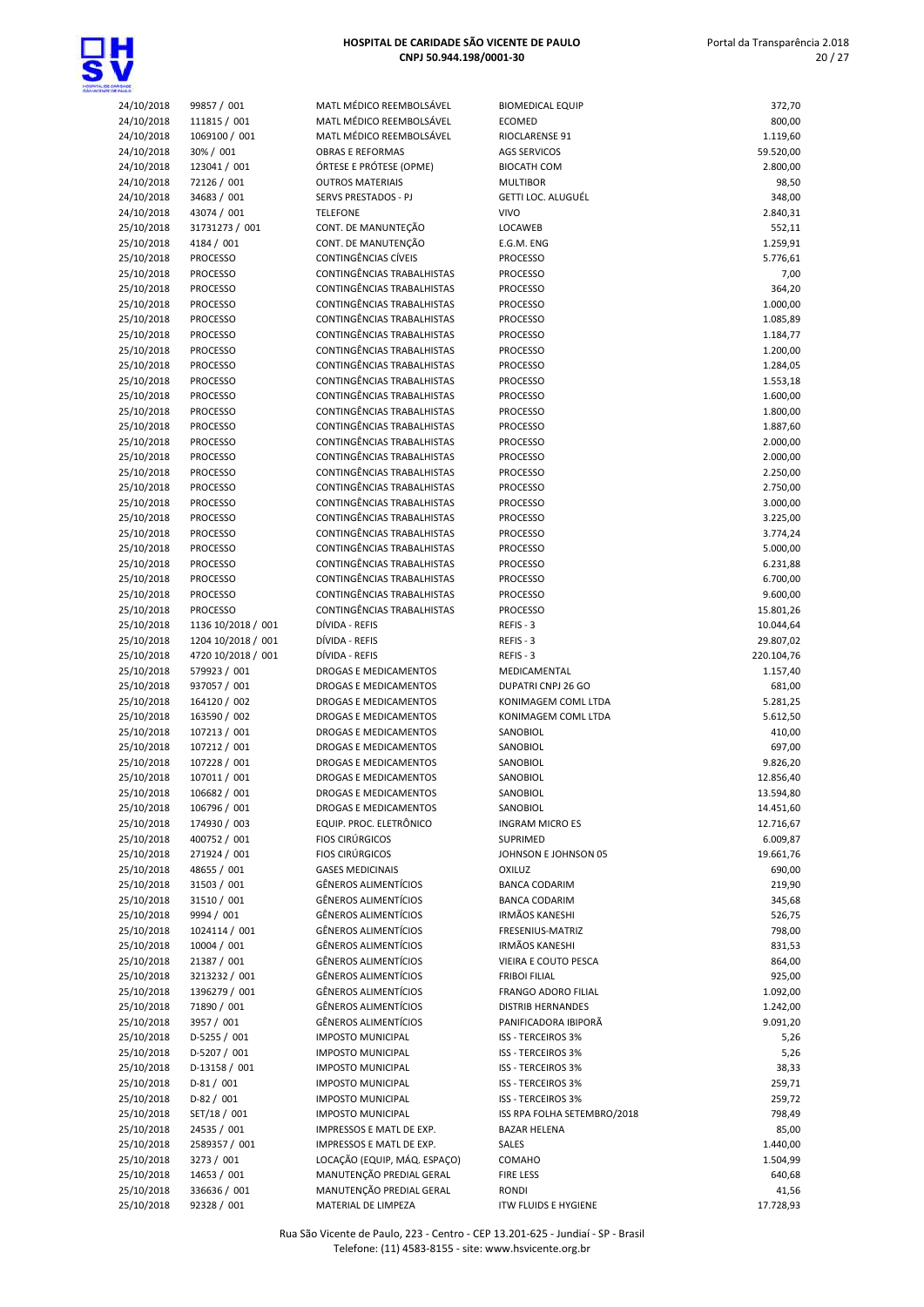

| 24/10/2018               | 99857 / 001                        |
|--------------------------|------------------------------------|
| 24/10/2018               | 111815 / 001                       |
| 24/10/2018               | 1069100 / 001                      |
| 24/10/2018               | 30% / 001                          |
| 24/10/2018               | 123041 / 001                       |
| 24/10/2018               | 72126 / 001                        |
| 24/10/2018               | 34683 / 001                        |
| 24/10/2018               | 43074 / 001                        |
| 25/10/2018               | 31731273 / 001                     |
| 25/10/2018               | 4184 / 001                         |
| 25/10/2018               | <b>PROCESSO</b>                    |
| 25/10/2018               | <b>PROCESSO</b>                    |
| 25/10/2018               | <b>PROCESSO</b>                    |
| 25/10/2018               | <b>PROCESSO</b>                    |
| 25/10/2018               | <b>PROCESSO</b>                    |
| 25/10/2018               | <b>PROCESSO</b>                    |
| 25/10/2018               | <b>PROCESSO</b>                    |
| 25/10/2018               | <b>PROCESSO</b>                    |
| 25/10/2018               | <b>PROCESSO</b>                    |
| 25/10/2018               | <b>PROCESSO</b>                    |
| 25/10/2018               | <b>PROCESSO</b>                    |
| 25/10/2018               | <b>PROCESSO</b>                    |
| 25/10/2018               | <b>PROCESSO</b>                    |
| 25/10/2018               | <b>PROCESSO</b>                    |
| 25/10/2018               | <b>PROCESSO</b>                    |
| 25/10/2018               | <b>PROCESSO</b>                    |
| 25/10/2018               | <b>PROCESSO</b>                    |
| 25/10/2018               | <b>PROCESSO</b>                    |
| 25/10/2018               | <b>PROCESSO</b>                    |
| 25/10/2018               | <b>PROCESSO</b><br><b>PROCESSO</b> |
| 25/10/2018               | <b>PROCESSO</b>                    |
| 25/10/2018<br>25/10/2018 | <b>PROCESSO</b>                    |
| 25/10/2018               | <b>PROCESSO</b>                    |
| 25/10/2018               | 1136 10/2018 / 001                 |
| 25/10/2018               | 1204 10/2018 / 001                 |
|                          |                                    |
|                          |                                    |
| 25/10/2018               | 4720 10/2018 / 001                 |
| 25/10/2018<br>25/10/2018 | 579923 / 001<br>937057 / 001       |
| 25/10/2018               | 164120 / 002                       |
| 25/10/2018               | 163590 / 002                       |
| 25/10/2018               | 107213 / 001                       |
| 25/10/2018               | 107212 / 001                       |
| 25/10/2018               | 107228 / 001                       |
| 25/10/2018               | 107011 / 001                       |
| 25/10/2018               | 106682/001                         |
| 25/10/2018               | 106796 / 001                       |
| 25/10/2018               | 174930 / 003                       |
| 25/10/2018               | 400752 / 001                       |
| 25/10/2018               | 271924 / 001                       |
| 25/10/2018               | 48655 / 001                        |
| 25/10/2018               | 31503 / 001                        |
| 25/10/2018               | 31510 / 001                        |
| 25/10/2018               | 9994 / 001                         |
| 25/10/2018               | 1024114 / 001                      |
| 25/10/2018               | 10004 / 001                        |
| 25/10/2018               | 21387 / 001                        |
| 25/10/2018               | 3213232/001                        |
| 25/10/2018               | 1396279 / 001                      |
| 25/10/2018               | 71890 / 001                        |
| 25/10/2018<br>25/10/2018 | 3957 / 001<br>D-5255 / 001         |
| 25/10/2018               | D-5207 / 001                       |
| 25/10/2018               | D-13158 / 001                      |
| 25/10/2018               | D-81 / 001                         |
| 25/10/2018               | D-82 / 001                         |
| 25/10/2018               | SET/18 / 001                       |
| 25/10/2018               | 24535 / 001                        |
| 25/10/2018               | 2589357 / 001                      |
| 25/10/2018<br>25/10/2018 | 3273 / 001<br>14653 / 001          |

| 24/10/2018               | 99857 / 001                        | MATL MÉDICO REEMBOLSÁVEL                                     | Е            |
|--------------------------|------------------------------------|--------------------------------------------------------------|--------------|
| 24/10/2018               | 111815 / 001                       | MATL MÉDICO REEMBOLSÁVEL                                     | Е            |
| 24/10/2018               | 1069100 / 001                      | MATL MÉDICO REEMBOLSÁVEL                                     | F            |
| 24/10/2018               | 30% / 001                          | <b>OBRAS E REFORMAS</b>                                      | ŀ            |
| 24/10/2018               | 123041 / 001                       | ÓRTESE E PRÓTESE (OPME)                                      | Е            |
| 24/10/2018               | 72126/001                          | <b>OUTROS MATERIAIS</b>                                      |              |
| 24/10/2018               | 34683 / 001                        | <b>SERVS PRESTADOS - PJ</b>                                  | C            |
| 24/10/2018               | 43074 / 001                        | <b>TELEFONE</b>                                              |              |
| 25/10/2018               | 31731273 / 001                     | CONT. DE MANUNTEÇÃO                                          | L            |
| 25/10/2018               | 4184 / 001                         | CONT. DE MANUTENÇÃO                                          | Е            |
| 25/10/2018               | <b>PROCESSO</b>                    | CONTINGÊNCIAS CÍVEIS<br>CONTINGÊNCIAS TRABALHISTAS           | F            |
| 25/10/2018<br>25/10/2018 | <b>PROCESSO</b><br>PROCESSO        | CONTINGÊNCIAS TRABALHISTAS                                   | F<br>F       |
| 25/10/2018               | <b>PROCESSO</b>                    | CONTINGÊNCIAS TRABALHISTAS                                   | F            |
| 25/10/2018               | <b>PROCESSO</b>                    | CONTINGÊNCIAS TRABALHISTAS                                   | F            |
| 25/10/2018               | <b>PROCESSO</b>                    | CONTINGÊNCIAS TRABALHISTAS                                   | F            |
| 25/10/2018               | <b>PROCESSO</b>                    | CONTINGÊNCIAS TRABALHISTAS                                   | F            |
| 25/10/2018               | <b>PROCESSO</b>                    | CONTINGÊNCIAS TRABALHISTAS                                   | F            |
| 25/10/2018               | <b>PROCESSO</b>                    | CONTINGÊNCIAS TRABALHISTAS                                   | F            |
| 25/10/2018               | <b>PROCESSO</b>                    | CONTINGÊNCIAS TRABALHISTAS                                   | F            |
| 25/10/2018               | <b>PROCESSO</b>                    | CONTINGÊNCIAS TRABALHISTAS                                   | F            |
| 25/10/2018               | <b>PROCESSO</b>                    | CONTINGÊNCIAS TRABALHISTAS                                   | F            |
| 25/10/2018               | <b>PROCESSO</b>                    | CONTINGÊNCIAS TRABALHISTAS                                   | F            |
| 25/10/2018               | <b>PROCESSO</b>                    | CONTINGÊNCIAS TRABALHISTAS                                   | F            |
| 25/10/2018               | <b>PROCESSO</b>                    | CONTINGÊNCIAS TRABALHISTAS                                   | F            |
| 25/10/2018               | <b>PROCESSO</b>                    | CONTINGÊNCIAS TRABALHISTAS                                   | F            |
| 25/10/2018               | <b>PROCESSO</b>                    | CONTINGÊNCIAS TRABALHISTAS                                   | F            |
| 25/10/2018               | <b>PROCESSO</b>                    | CONTINGÊNCIAS TRABALHISTAS<br>CONTINGÊNCIAS TRABALHISTAS     | F            |
| 25/10/2018<br>25/10/2018 | <b>PROCESSO</b><br><b>PROCESSO</b> | CONTINGÊNCIAS TRABALHISTAS                                   | F<br>F       |
| 25/10/2018               | PROCESSO                           | CONTINGÊNCIAS TRABALHISTAS                                   | F            |
| 25/10/2018               | <b>PROCESSO</b>                    | CONTINGÊNCIAS TRABALHISTAS                                   | F            |
| 25/10/2018               | <b>PROCESSO</b>                    | CONTINGÊNCIAS TRABALHISTAS                                   | F            |
| 25/10/2018               | <b>PROCESSO</b>                    | CONTINGÊNCIAS TRABALHISTAS                                   | F            |
| 25/10/2018               | 1136 10/2018 / 001                 | DÍVIDA - REFIS                                               | F            |
| 25/10/2018               | 1204 10/2018 / 001                 | DÍVIDA - REFIS                                               |              |
| 25/10/2018               | 4720 10/2018 / 001                 | DÍVIDA - REFIS                                               | F            |
| 25/10/2018               | 579923 / 001                       | DROGAS E MEDICAMENTOS                                        |              |
| 25/10/2018               | 937057 / 001                       | DROGAS E MEDICAMENTOS                                        | с            |
| 25/10/2018               | 164120 / 002                       | DROGAS E MEDICAMENTOS                                        | k            |
| 25/10/2018               | 163590 / 002                       | <b>DROGAS E MEDICAMENTOS</b>                                 | k            |
| 25/10/2018               | 107213 / 001                       | DROGAS E MEDICAMENTOS                                        | S            |
| 25/10/2018<br>25/10/2018 | 107212 / 001                       | <b>DROGAS E MEDICAMENTOS</b><br><b>DROGAS E MEDICAMENTOS</b> | S            |
| 25/10/2018               | 107228 / 001<br>107011 / 001       | <b>DROGAS E MEDICAMENTOS</b>                                 | S<br>Ś       |
| 25/10/2018               | 106682 / 001                       | DROGAS E MEDICAMENTOS                                        | S            |
| 25/10/2018               | 106796 / 001                       | DROGAS E MEDICAMENTOS                                        | S            |
| 25/10/2018               | 174930 / 003                       | EQUIP. PROC. ELETRÔNICO                                      | ı            |
| 25/10/2018               | 400752 / 001                       | <b>FIOS CIRÚRGICOS</b>                                       | S            |
| 25/10/2018               | 271924 / 001                       | <b>FIOS CIRÚRGICOS</b>                                       | J            |
| 25/10/2018               | 48655 / 001                        | <b>GASES MEDICINAIS</b>                                      | C            |
| 25/10/2018               | 31503 / 001                        | GÊNEROS ALIMENTÍCIOS                                         | E            |
| 25/10/2018               | 31510 / 001                        | <b>GÊNEROS ALIMENTÍCIOS</b>                                  | Ε            |
| 25/10/2018               | 9994 / 001                         | <b>GÊNEROS ALIMENTÍCIOS</b>                                  | ı            |
| 25/10/2018               | 1024114 / 001                      | <b>GÊNEROS ALIMENTÍCIOS</b>                                  | F            |
| 25/10/2018               | 10004 / 001                        | GÊNEROS ALIMENTÍCIOS                                         | ı            |
| 25/10/2018               | 21387 / 001                        | <b>GÊNEROS ALIMENTÍCIOS</b>                                  |              |
| 25/10/2018               | 3213232 / 001                      | <b>GÊNEROS ALIMENTÍCIOS</b><br>GÊNEROS ALIMENTÍCIOS          | F<br>F       |
| 25/10/2018<br>25/10/2018 | 1396279 / 001<br>71890 / 001       | <b>GÊNEROS ALIMENTÍCIOS</b>                                  | D            |
| 25/10/2018               | 3957 / 001                         | GÊNEROS ALIMENTÍCIOS                                         | F            |
| 25/10/2018               | D-5255 / 001                       | <b>IMPOSTO MUNICIPAL</b>                                     | Ľ            |
| 25/10/2018               | D-5207 / 001                       | <b>IMPOSTO MUNICIPAL</b>                                     | Ľ            |
| 25/10/2018               | D-13158 / 001                      | <b>IMPOSTO MUNICIPAL</b>                                     | Ľ            |
| 25/10/2018               | $D-81/001$                         | <b>IMPOSTO MUNICIPAL</b>                                     | Ľ            |
| 25/10/2018               | D-82 / 001                         | <b>IMPOSTO MUNICIPAL</b>                                     | Ľ            |
| 25/10/2018               | SET/18 / 001                       | <b>IMPOSTO MUNICIPAL</b>                                     | L            |
| 25/10/2018               | 24535 / 001                        | IMPRESSOS E MATL DE EXP.                                     | Ε            |
| 25/10/2018               | 2589357 / 001                      | IMPRESSOS E MATL DE EXP.                                     | S            |
| 25/10/2018               | 3273 / 001                         | LOCAÇÃO (EQUIP, MÁQ. ESPAÇO)                                 | $\mathsf{C}$ |
| 25/10/2018               | 14653 / 001                        | MANUTENÇÃO PREDIAL GERAL                                     | F            |
| 25/10/2018<br>25/10/2018 | 336636 / 001                       | MANUTENÇÃO PREDIAL GERAL<br>MATERIAL DE LIMPEZA              | F<br>ľ       |
|                          | 92328 / 001                        |                                                              |              |

| 24/10/2018 | 99857 / 001        | MATL MÉDICO REEMBOLSÁVEL     | <b>BIOMEDICAL EQUIP</b>     | 372,70                |
|------------|--------------------|------------------------------|-----------------------------|-----------------------|
| 24/10/2018 | 111815 / 001       | MATL MÉDICO REEMBOLSÁVEL     | <b>ECOMED</b>               | 800,00                |
| 24/10/2018 | 1069100 / 001      | MATL MÉDICO REEMBOLSÁVEL     | RIOCLARENSE 91              | 1.119,60              |
| 24/10/2018 | 30% / 001          | <b>OBRAS E REFORMAS</b>      | <b>AGS SERVICOS</b>         | 59.520,00             |
| 24/10/2018 | 123041 / 001       | ÓRTESE E PRÓTESE (OPME)      | <b>BIOCATH COM</b>          | 2.800,00              |
| 24/10/2018 | 72126 / 001        | <b>OUTROS MATERIAIS</b>      | <b>MULTIBOR</b>             | 98,50                 |
| 24/10/2018 | 34683 / 001        | SERVS PRESTADOS - PJ         | GETTI LOC. ALUGUÉL          | 348,00                |
| 24/10/2018 | 43074 / 001        | <b>TELEFONE</b>              | <b>VIVO</b>                 | 2.840,31              |
| 25/10/2018 | 31731273 / 001     | CONT. DE MANUNTEÇÃO          | LOCAWEB                     | 552,11                |
| 25/10/2018 | 4184 / 001         | CONT. DE MANUTENÇÃO          | E.G.M. ENG                  | 1.259,91              |
| 25/10/2018 | <b>PROCESSO</b>    | CONTINGÊNCIAS CÍVEIS         | <b>PROCESSO</b>             | 5.776,61              |
| 25/10/2018 | <b>PROCESSO</b>    | CONTINGÊNCIAS TRABALHISTAS   | <b>PROCESSO</b>             | 7,00                  |
| 25/10/2018 | <b>PROCESSO</b>    | CONTINGÊNCIAS TRABALHISTAS   | <b>PROCESSO</b>             | 364,20                |
| 25/10/2018 | <b>PROCESSO</b>    | CONTINGÊNCIAS TRABALHISTAS   | <b>PROCESSO</b>             | 1.000,00              |
| 25/10/2018 | <b>PROCESSO</b>    | CONTINGÊNCIAS TRABALHISTAS   | <b>PROCESSO</b>             | 1.085,89              |
| 25/10/2018 | <b>PROCESSO</b>    | CONTINGÊNCIAS TRABALHISTAS   | <b>PROCESSO</b>             | 1.184,77              |
|            | <b>PROCESSO</b>    | CONTINGÊNCIAS TRABALHISTAS   | <b>PROCESSO</b>             | 1.200,00              |
| 25/10/2018 |                    | CONTINGÊNCIAS TRABALHISTAS   |                             |                       |
| 25/10/2018 | <b>PROCESSO</b>    | CONTINGÊNCIAS TRABALHISTAS   | <b>PROCESSO</b>             | 1.284,05              |
| 25/10/2018 | <b>PROCESSO</b>    |                              | <b>PROCESSO</b>             | 1.553,18              |
| 25/10/2018 | <b>PROCESSO</b>    | CONTINGÊNCIAS TRABALHISTAS   | <b>PROCESSO</b>             | 1.600,00              |
| 25/10/2018 | <b>PROCESSO</b>    | CONTINGÊNCIAS TRABALHISTAS   | <b>PROCESSO</b>             | 1.800,00              |
| 25/10/2018 | <b>PROCESSO</b>    | CONTINGÊNCIAS TRABALHISTAS   | <b>PROCESSO</b>             | 1.887,60              |
| 25/10/2018 | <b>PROCESSO</b>    | CONTINGÊNCIAS TRABALHISTAS   | <b>PROCESSO</b>             | 2.000,00              |
| 25/10/2018 | <b>PROCESSO</b>    | CONTINGÊNCIAS TRABALHISTAS   | <b>PROCESSO</b>             | 2.000,00              |
| 25/10/2018 | <b>PROCESSO</b>    | CONTINGÊNCIAS TRABALHISTAS   | <b>PROCESSO</b>             | 2.250,00              |
| 25/10/2018 | <b>PROCESSO</b>    | CONTINGÊNCIAS TRABALHISTAS   | <b>PROCESSO</b>             | 2.750,00              |
| 25/10/2018 | <b>PROCESSO</b>    | CONTINGÊNCIAS TRABALHISTAS   | <b>PROCESSO</b>             | 3.000,00              |
| 25/10/2018 | <b>PROCESSO</b>    | CONTINGÊNCIAS TRABALHISTAS   | <b>PROCESSO</b>             | 3.225,00              |
| 25/10/2018 | <b>PROCESSO</b>    | CONTINGÊNCIAS TRABALHISTAS   | <b>PROCESSO</b>             | 3.774,24              |
| 25/10/2018 | <b>PROCESSO</b>    | CONTINGÊNCIAS TRABALHISTAS   | <b>PROCESSO</b>             | 5.000,00              |
| 25/10/2018 | <b>PROCESSO</b>    | CONTINGÊNCIAS TRABALHISTAS   | <b>PROCESSO</b>             | 6.231,88              |
| 25/10/2018 | <b>PROCESSO</b>    | CONTINGÊNCIAS TRABALHISTAS   | <b>PROCESSO</b>             | 6.700,00              |
| 25/10/2018 | <b>PROCESSO</b>    | CONTINGÊNCIAS TRABALHISTAS   | <b>PROCESSO</b>             | 9.600,00              |
| 25/10/2018 | <b>PROCESSO</b>    | CONTINGÊNCIAS TRABALHISTAS   | <b>PROCESSO</b>             | 15.801,26             |
| 25/10/2018 | 1136 10/2018 / 001 | DÍVIDA - REFIS               | REFIS - 3                   | 10.044,64             |
| 25/10/2018 | 1204 10/2018 / 001 | DÍVIDA - REFIS               | REFIS - 3                   | 29.807,02             |
| 25/10/2018 | 4720 10/2018 / 001 | DÍVIDA - REFIS               | REFIS - 3                   | 220.104,76            |
| 25/10/2018 | 579923 / 001       | DROGAS E MEDICAMENTOS        | MEDICAMENTAL                | 1.157,40              |
| 25/10/2018 | 937057 / 001       | DROGAS E MEDICAMENTOS        | DUPATRI CNPJ 26 GO          | 681,00                |
| 25/10/2018 | 164120 / 002       | DROGAS E MEDICAMENTOS        | KONIMAGEM COML LTDA         | 5.281,25              |
| 25/10/2018 | 163590 / 002       | DROGAS E MEDICAMENTOS        | KONIMAGEM COML LTDA         | 5.612,50              |
| 25/10/2018 | 107213 / 001       | DROGAS E MEDICAMENTOS        | SANOBIOL                    | 410,00                |
| 25/10/2018 | 107212 / 001       | DROGAS E MEDICAMENTOS        | SANOBIOL                    | 697,00                |
| 25/10/2018 | 107228 / 001       | DROGAS E MEDICAMENTOS        | SANOBIOL                    | 9.826,20              |
| 25/10/2018 | 107011 / 001       | <b>DROGAS E MEDICAMENTOS</b> | SANOBIOL                    | 12.856,40             |
| 25/10/2018 | 106682 / 001       | DROGAS E MEDICAMENTOS        | SANOBIOL                    | 13.594,80             |
| 25/10/2018 | 106796 / 001       | DROGAS E MEDICAMENTOS        | SANOBIOL                    | 14.451,60             |
|            | 174930 / 003       | EQUIP. PROC. ELETRÔNICO      |                             |                       |
| 25/10/2018 |                    |                              | <b>INGRAM MICRO ES</b>      | 12.716,67<br>6.009,87 |
| 25/10/2018 | 400752 / 001       | <b>FIOS CIRÚRGICOS</b>       | SUPRIMED                    |                       |
| 25/10/2018 | 271924 / 001       | <b>FIOS CIRÚRGICOS</b>       | JOHNSON E JOHNSON 05        | 19.661,76             |
| 25/10/2018 | 48655 / 001        | <b>GASES MEDICINAIS</b>      | <b>OXILUZ</b>               | 690,00                |
| 25/10/2018 | 31503 / 001        | <b>GÊNEROS ALIMENTÍCIOS</b>  | <b>BANCA CODARIM</b>        | 219,90                |
| 25/10/2018 | 31510 / 001        | <b>GÊNEROS ALIMENTÍCIOS</b>  | <b>BANCA CODARIM</b>        | 345,68                |
| 25/10/2018 | 9994 / 001         | GÊNEROS ALIMENTÍCIOS         | <b>IRMÃOS KANESHI</b>       | 526,75                |
| 25/10/2018 | 1024114 / 001      | GÊNEROS ALIMENTÍCIOS         | FRESENIUS-MATRIZ            | 798,00                |
| 25/10/2018 | 10004 / 001        | <b>GÊNEROS ALIMENTÍCIOS</b>  | <b>IRMÃOS KANESHI</b>       | 831,53                |
| 25/10/2018 | 21387 / 001        | <b>GÊNEROS ALIMENTÍCIOS</b>  | VIEIRA E COUTO PESCA        | 864,00                |
| 25/10/2018 | 3213232 / 001      | <b>GÊNEROS ALIMENTÍCIOS</b>  | <b>FRIBOI FILIAL</b>        | 925,00                |
| 25/10/2018 | 1396279 / 001      | GÊNEROS ALIMENTÍCIOS         | FRANGO ADORO FILIAL         | 1.092,00              |
| 25/10/2018 | 71890 / 001        | <b>GÊNEROS ALIMENTÍCIOS</b>  | <b>DISTRIB HERNANDES</b>    | 1.242,00              |
| 25/10/2018 | 3957 / 001         | GÊNEROS ALIMENTÍCIOS         | PANIFICADORA IBIPORÃ        | 9.091,20              |
| 25/10/2018 | D-5255 / 001       | <b>IMPOSTO MUNICIPAL</b>     | <b>ISS - TERCEIROS 3%</b>   | 5,26                  |
| 25/10/2018 | D-5207 / 001       | <b>IMPOSTO MUNICIPAL</b>     | <b>ISS - TERCEIROS 3%</b>   | 5,26                  |
| 25/10/2018 | D-13158 / 001      | <b>IMPOSTO MUNICIPAL</b>     | <b>ISS - TERCEIROS 3%</b>   | 38,33                 |
| 25/10/2018 | $D-81/001$         | <b>IMPOSTO MUNICIPAL</b>     | <b>ISS - TERCEIROS 3%</b>   | 259,71                |
| 25/10/2018 | $D-82 / 001$       | <b>IMPOSTO MUNICIPAL</b>     | <b>ISS - TERCEIROS 3%</b>   | 259,72                |
| 25/10/2018 | SET/18 / 001       | <b>IMPOSTO MUNICIPAL</b>     | ISS RPA FOLHA SETEMBRO/2018 | 798,49                |
| 25/10/2018 | 24535 / 001        | IMPRESSOS E MATL DE EXP.     | <b>BAZAR HELENA</b>         | 85,00                 |
| 25/10/2018 | 2589357 / 001      | IMPRESSOS E MATL DE EXP.     | SALES                       | 1.440,00              |
| 25/10/2018 | 3273 / 001         | LOCAÇÃO (EQUIP, MÁQ. ESPAÇO) | COMAHO                      | 1.504,99              |
| 25/10/2018 | 14653 / 001        | MANUTENÇÃO PREDIAL GERAL     | FIRE LESS                   | 640,68                |
| 25/10/2018 | 336636 / 001       | MANUTENÇÃO PREDIAL GERAL     | RONDI                       | 41,56                 |
| 25/10/2018 | 92328 / 001        | MATERIAL DE LIMPEZA          | <b>ITW FLUIDS E HYGIENE</b> | 17.728,93             |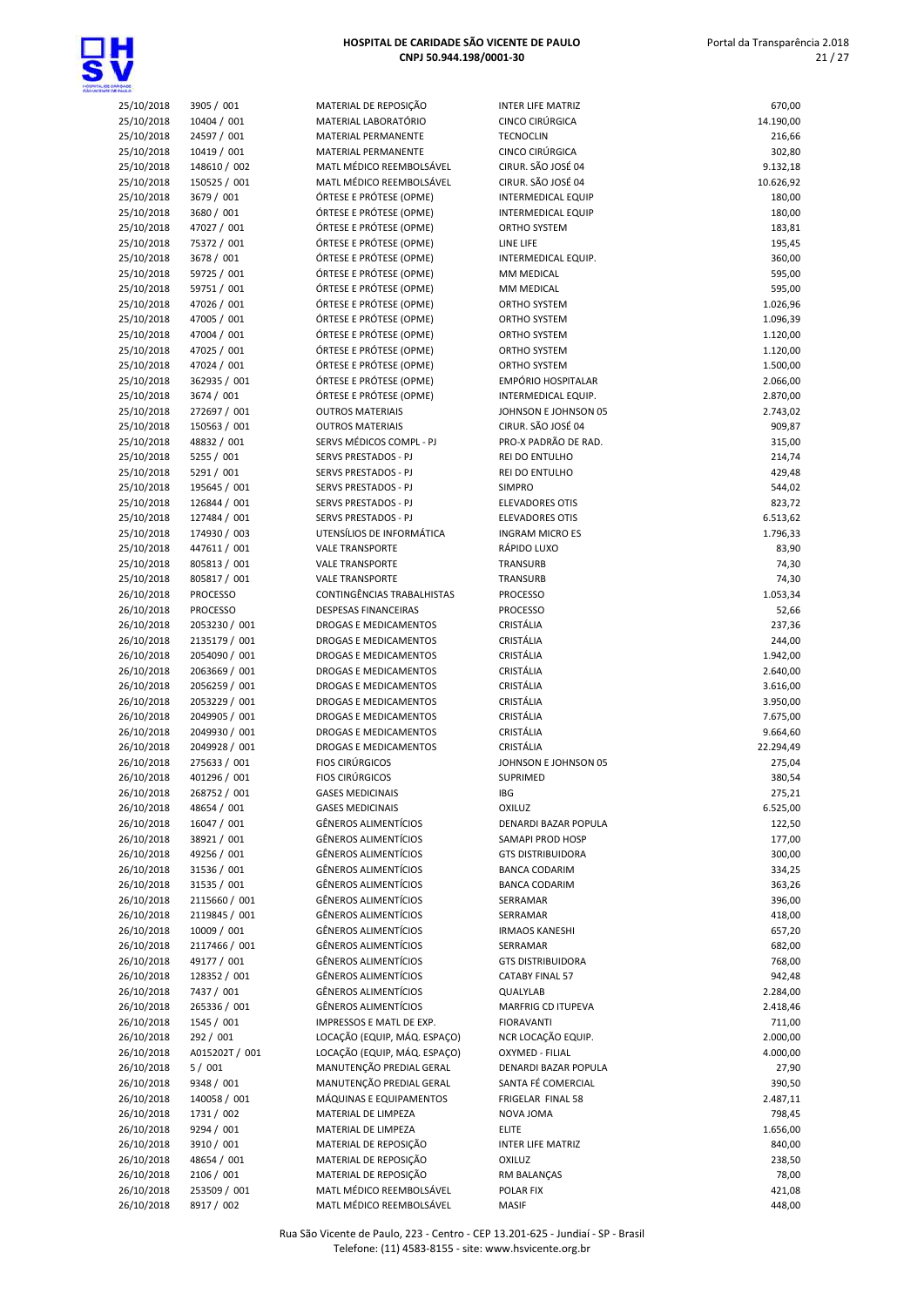

# 25/10/2018 3905 / 001 MATERIAL DE REPOSIÇÃO 25/10/2018 10404 / 001 MATERIAL LABORATÓRIO 25/10/2018 24597 / 001 MATERIAL PERMANENTE 25/10/2018 10419 / 001 MATERIAL PERMANENTE<br>25/10/2018 148610 / 002 MATL MÉDICO REEMBOL 25/10/2018 150525 / 001 MATL MÉDICO REEMBOLSÁVEL 25/10/2018 3679 / 001 ÓRTESE E PRÓTESE (OPME) 25/10/2018 3680 / 001 ÓRTESE E PRÓTESE (OPME) 25/10/2018 47027 / 001 ÓRTESE E PRÓTESE (OPME) 25/10/2018 75372 / 001 ÓRTESE E PRÓTESE (OPME) 25/10/2018 3678 / 001 ÓRTESE E PRÓTESE (OPME) 25/10/2018 59725 / 001 ÓRTESE E PRÓTESE (OPME) 25/10/2018 59751 / 001 ÓRTESE E PRÓTESE (OPME) 25/10/2018 47026 / 001 ÓRTESE E PRÓTESE (OPME) 25/10/2018 47005 / 001 ÓRTESE E PRÓTESE (OPME) 25/10/2018 47004 / 001 ÓRTESE E PRÓTESE (OPME) 25/10/2018 47025 / 001 ÓRTESE E PRÓTESE (OPME) 25/10/2018 47024 / 001 ÓRTESE E PRÓTESE (OPME) 25/10/2018 362935 / 001 ÓRTESE E PRÓTESE (OPME) 25/10/2018 3674 / 001 ÓRTESE E PRÓTESE (OPME) 25/10/2018 150563 / 001 OUTROS MATERIAIS 25/10/2018 48832 / 001 SERVS MÉDICOS COMPL - PJ 25/10/2018 5255 / 001 SERVS PRESTADOS - PJ 25/10/2018 195645 / 001 SERVS PRESTADOS - PJ 25/10/2018 126844 / 001 SERVS PRESTADOS - PJ 25/10/2018 127484 / 001 SERVS PRESTADOS - PJ 25/10/2018 174930 / 003 UTENSÍLIOS DE INFORMÁTICA 25/10/2018 447611 / 001 VALE TRANSPORTE 26/10/2018 PROCESSO CONTINGÊNCIAS TRABALHISTAS 26/10/2018 PROCESSO DESPESAS FINANCEIRAS 26/10/2018 2053230 / 001 DROGAS E MEDICAMENTOS 26/10/2018 2135179 / 001 DROGAS E MEDICAMENTOS 26/10/2018 2054090 / 001 DROGAS E MEDICAMENTOS 26/10/2018 2063669 / 001 DROGAS E MEDICAMENTOS 26/10/2018 2056259 / 001 DROGAS E MEDICAMENTOS 26/10/2018 2053229 / 001 DROGAS E MEDICAMENTOS 26/10/2018 2049905 / 001 DROGAS E MEDICAMENTOS 26/10/2018 2049930 / 001 DROGAS E MEDICAMENTOS 26/10/2018 2049928 / 001 DROGAS E MEDICAMENTOS 26/10/2018 268752 / 001 GASES MEDICINAIS 26/10/2018 16047 / 001 GÊNEROS ALIMENTÍCIOS 26/10/2018 38921 / 001 GÊNEROS ALIMENTÍCIOS SAMAPI PROD HOSP 177,00 26/10/2018 49256 / 001 GÊNEROS ALIMENTÍCIOS 26/10/2018 31535 / 001 GÊNEROS ALIMENTÍCIOS 26/10/2018 2115660 / 001 GÊNEROS ALIMENTÍCIOS 26/10/2018 2119845 / 001 GÊNEROS ALIMENTÍCIOS 26/10/2018 10009 / 001 GÊNEROS ALIMENTÍCIOS IRMAOS KANESHI 657,20 26/10/2018 2117466 / 001 GÊNEROS ALIMENTÍCIOS 26/10/2018 49177 / 001 GÊNEROS ALIMENTÍCIOS GTS DISTRIBUIDORA 768,00 26/10/2018 128352 / 001 GÊNEROS ALIMENTÍCIOS 26/10/2018 7437 / 001 GÊNEROS ALIMENTÍCIOS 26/10/2018 265336 / 001 GÊNEROS ALIMENTÍCIOS 26/10/2018 1545 / 001 IMPRESSOS E MATL DE EXP. 26/10/2018 292 / 001 LOCAÇÃO (EQUIP, MÁQ, ESPAÇO) 26/10/2018 A015202T / 001 LOCAÇÃO (EQUIP, MÁQ. ESPAÇO) 26/10/2018 5 / 001 MANUTENÇÃO PREDIAL GERAL 26/10/2018 9348 / 001 MANUTENÇÃO PREDIAL GERAL

| <b>DADE</b>              |                                 |                                                            |                                              |                      |
|--------------------------|---------------------------------|------------------------------------------------------------|----------------------------------------------|----------------------|
| 25/10/2018               | 3905 / 001                      | MATERIAL DE REPOSIÇÃO                                      | <b>INTER LIFE MATRIZ</b>                     | 670,00               |
| 25/10/2018               | 10404 / 001                     | MATERIAL LABORATÓRIO                                       | CINCO CIRÚRGICA<br><b>TECNOCLIN</b>          | 14.190,00            |
| 25/10/2018<br>25/10/2018 | 24597 / 001<br>10419 / 001      | MATERIAL PERMANENTE<br>MATERIAL PERMANENTE                 | CINCO CIRÚRGICA                              | 216,66<br>302,80     |
| 25/10/2018               | 148610 / 002                    | MATL MÉDICO REEMBOLSÁVEL                                   | CIRUR. SÃO JOSÉ 04                           | 9.132,18             |
| 25/10/2018               | 150525 / 001                    | MATL MÉDICO REEMBOLSÁVEL                                   | CIRUR. SÃO JOSÉ 04                           | 10.626,92            |
| 25/10/2018               | 3679 / 001                      | ÓRTESE E PRÓTESE (OPME)                                    | <b>INTERMEDICAL EQUIP</b>                    | 180,00               |
| 25/10/2018               | 3680 / 001                      | ÓRTESE E PRÓTESE (OPME)                                    | <b>INTERMEDICAL EQUIP</b>                    | 180,00               |
| 25/10/2018               | 47027 / 001                     | ÓRTESE E PRÓTESE (OPME)                                    | ORTHO SYSTEM                                 | 183,81               |
| 25/10/2018               | 75372 / 001                     | ÓRTESE E PRÓTESE (OPME)                                    | LINE LIFE                                    | 195,45               |
| 25/10/2018               | 3678 / 001                      | ÓRTESE E PRÓTESE (OPME)                                    | INTERMEDICAL EQUIP.                          | 360,00               |
| 25/10/2018               | 59725 / 001                     | ÓRTESE E PRÓTESE (OPME)                                    | MM MEDICAL                                   | 595,00               |
| 25/10/2018               | 59751 / 001                     | ÓRTESE E PRÓTESE (OPME)                                    | MM MEDICAL                                   | 595,00               |
| 25/10/2018               | 47026 / 001                     | ÓRTESE E PRÓTESE (OPME)<br>ÓRTESE E PRÓTESE (OPME)         | ORTHO SYSTEM                                 | 1.026,96             |
| 25/10/2018<br>25/10/2018 | 47005 / 001<br>47004 / 001      | ÓRTESE E PRÓTESE (OPME)                                    | ORTHO SYSTEM<br>ORTHO SYSTEM                 | 1.096,39<br>1.120,00 |
| 25/10/2018               | 47025 / 001                     | ÓRTESE E PRÓTESE (OPME)                                    | ORTHO SYSTEM                                 | 1.120,00             |
| 25/10/2018               | 47024 / 001                     | ÓRTESE E PRÓTESE (OPME)                                    | ORTHO SYSTEM                                 | 1.500,00             |
| 25/10/2018               | 362935 / 001                    | ÓRTESE E PRÓTESE (OPME)                                    | EMPÓRIO HOSPITALAR                           | 2.066,00             |
| 25/10/2018               | 3674 / 001                      | ÓRTESE E PRÓTESE (OPME)                                    | INTERMEDICAL EQUIP.                          | 2.870,00             |
| 25/10/2018               | 272697 / 001                    | <b>OUTROS MATERIAIS</b>                                    | JOHNSON E JOHNSON 05                         | 2.743,02             |
| 25/10/2018               | 150563 / 001                    | <b>OUTROS MATERIAIS</b>                                    | CIRUR. SÃO JOSÉ 04                           | 909,87               |
| 25/10/2018               | 48832 / 001                     | SERVS MÉDICOS COMPL - PJ                                   | PRO-X PADRÃO DE RAD.                         | 315,00               |
| 25/10/2018               | 5255 / 001                      | SERVS PRESTADOS - PJ                                       | REI DO ENTULHO                               | 214,74               |
| 25/10/2018               | 5291 / 001                      | SERVS PRESTADOS - PJ                                       | REI DO ENTULHO                               | 429,48               |
| 25/10/2018               | 195645 / 001                    | SERVS PRESTADOS - PJ                                       | <b>SIMPRO</b>                                | 544,02               |
| 25/10/2018               | 126844 / 001                    | SERVS PRESTADOS - PJ                                       | ELEVADORES OTIS                              | 823,72               |
| 25/10/2018               | 127484 / 001                    | SERVS PRESTADOS - PJ                                       | <b>ELEVADORES OTIS</b>                       | 6.513,62             |
| 25/10/2018               | 174930 / 003                    | UTENSÍLIOS DE INFORMÁTICA                                  | <b>INGRAM MICRO ES</b>                       | 1.796,33             |
| 25/10/2018               | 447611 / 001                    | <b>VALE TRANSPORTE</b>                                     | RÁPIDO LUXO                                  | 83,90                |
| 25/10/2018               | 805813 / 001                    | <b>VALE TRANSPORTE</b>                                     | TRANSURB                                     | 74,30                |
| 25/10/2018               | 805817 / 001<br><b>PROCESSO</b> | <b>VALE TRANSPORTE</b><br>CONTINGÊNCIAS TRABALHISTAS       | TRANSURB                                     | 74,30                |
| 26/10/2018<br>26/10/2018 | <b>PROCESSO</b>                 | <b>DESPESAS FINANCEIRAS</b>                                | <b>PROCESSO</b><br><b>PROCESSO</b>           | 1.053,34<br>52,66    |
| 26/10/2018               | 2053230 / 001                   | DROGAS E MEDICAMENTOS                                      | CRISTÁLIA                                    | 237,36               |
| 26/10/2018               | 2135179 / 001                   | DROGAS E MEDICAMENTOS                                      | CRISTÁLIA                                    | 244,00               |
| 26/10/2018               | 2054090 / 001                   | DROGAS E MEDICAMENTOS                                      | CRISTÁLIA                                    | 1.942,00             |
| 26/10/2018               | 2063669 / 001                   | DROGAS E MEDICAMENTOS                                      | CRISTÁLIA                                    | 2.640,00             |
| 26/10/2018               | 2056259 / 001                   | DROGAS E MEDICAMENTOS                                      | CRISTÁLIA                                    | 3.616,00             |
| 26/10/2018               | 2053229 / 001                   | DROGAS E MEDICAMENTOS                                      | CRISTÁLIA                                    | 3.950,00             |
| 26/10/2018               | 2049905 / 001                   | DROGAS E MEDICAMENTOS                                      | CRISTÁLIA                                    | 7.675,00             |
| 26/10/2018               | 2049930 / 001                   | DROGAS E MEDICAMENTOS                                      | CRISTÁLIA                                    | 9.664,60             |
| 26/10/2018               | 2049928 / 001                   | DROGAS E MEDICAMENTOS                                      | CRISTÁLIA                                    | 22.294,49            |
| 26/10/2018               | 275633 / 001                    | <b>FIOS CIRÚRGICOS</b>                                     | JOHNSON E JOHNSON 05                         | 275,04               |
| 26/10/2018               | 401296 / 001                    | <b>FIOS CIRÚRGICOS</b>                                     | SUPRIMED                                     | 380,54               |
| 26/10/2018               | 268752 / 001                    | <b>GASES MEDICINAIS</b>                                    | IBG                                          | 275,21               |
| 26/10/2018               | 48654 / 001                     | <b>GASES MEDICINAIS</b>                                    | <b>OXILUZ</b>                                | 6.525,00             |
| 26/10/2018               | 16047 / 001                     | <b>GÊNEROS ALIMENTÍCIOS</b>                                | DENARDI BAZAR POPULA                         | 122,50               |
| 26/10/2018               | 38921 / 001                     | <b>GÊNEROS ALIMENTÍCIOS</b>                                | SAMAPI PROD HOSP                             | 177,00               |
| 26/10/2018               | 49256 / 001                     | <b>GÊNEROS ALIMENTÍCIOS</b><br><b>GÊNEROS ALIMENTÍCIOS</b> | <b>GTS DISTRIBUIDORA</b>                     | 300,00               |
| 26/10/2018<br>26/10/2018 | 31536 / 001<br>31535 / 001      | <b>GÊNEROS ALIMENTÍCIOS</b>                                | <b>BANCA CODARIM</b><br><b>BANCA CODARIM</b> | 334,25               |
| 26/10/2018               | 2115660 / 001                   | <b>GÊNEROS ALIMENTÍCIOS</b>                                | SERRAMAR                                     | 363,26<br>396,00     |
| 26/10/2018               | 2119845 / 001                   | <b>GÊNEROS ALIMENTÍCIOS</b>                                | SERRAMAR                                     | 418,00               |
| 26/10/2018               | 10009 / 001                     | <b>GÊNEROS ALIMENTÍCIOS</b>                                | <b>IRMAOS KANESHI</b>                        | 657,20               |
| 26/10/2018               | 2117466 / 001                   | <b>GÊNEROS ALIMENTÍCIOS</b>                                | SERRAMAR                                     | 682,00               |
| 26/10/2018               | 49177 / 001                     | <b>GÊNEROS ALIMENTÍCIOS</b>                                | <b>GTS DISTRIBUIDORA</b>                     | 768,00               |
| 26/10/2018               | 128352 / 001                    | <b>GÊNEROS ALIMENTÍCIOS</b>                                | <b>CATABY FINAL 57</b>                       | 942,48               |
| 26/10/2018               | 7437 / 001                      | <b>GÊNEROS ALIMENTÍCIOS</b>                                | QUALYLAB                                     | 2.284,00             |
| 26/10/2018               | 265336 / 001                    | <b>GÊNEROS ALIMENTÍCIOS</b>                                | MARFRIG CD ITUPEVA                           | 2.418,46             |
| 26/10/2018               | 1545 / 001                      | IMPRESSOS E MATL DE EXP.                                   | <b>FIORAVANTI</b>                            | 711,00               |
| 26/10/2018               | 292 / 001                       | LOCAÇÃO (EQUIP, MÁQ. ESPAÇO)                               | NCR LOCAÇÃO EQUIP.                           | 2.000,00             |
| 26/10/2018               | A015202T / 001                  | LOCAÇÃO (EQUIP, MÁQ. ESPAÇO)                               | OXYMED - FILIAL                              | 4.000,00             |
| 26/10/2018               | 5/001                           | MANUTENÇÃO PREDIAL GERAL                                   | DENARDI BAZAR POPULA                         | 27,90                |
| 26/10/2018               | 9348 / 001                      | MANUTENÇÃO PREDIAL GERAL                                   | SANTA FÉ COMERCIAL                           | 390,50               |
| 26/10/2018               | 140058 / 001                    | MÁQUINAS E EQUIPAMENTOS                                    | FRIGELAR FINAL 58                            | 2.487,11             |
| 26/10/2018               | 1731 / 002                      | MATERIAL DE LIMPEZA                                        | NOVA JOMA                                    | 798,45               |
| 26/10/2018               | 9294 / 001                      | MATERIAL DE LIMPEZA                                        | <b>ELITE</b>                                 | 1.656,00             |
| 26/10/2018               | 3910 / 001                      | MATERIAL DE REPOSIÇÃO                                      | <b>INTER LIFE MATRIZ</b>                     | 840,00               |
| 26/10/2018<br>26/10/2018 | 48654 / 001<br>2106 / 001       | MATERIAL DE REPOSIÇÃO<br>MATERIAL DE REPOSIÇÃO             | <b>OXILUZ</b><br>RM BALANÇAS                 | 238,50<br>78,00      |
| 26/10/2018               | 253509 / 001                    | MATL MÉDICO REEMBOLSÁVEL                                   | POLAR FIX                                    | 421,08               |
| 26/10/2018               | 8917 / 002                      | MATL MÉDICO REEMBOLSÁVEL                                   | <b>MASIF</b>                                 | 448,00               |
|                          |                                 |                                                            |                                              |                      |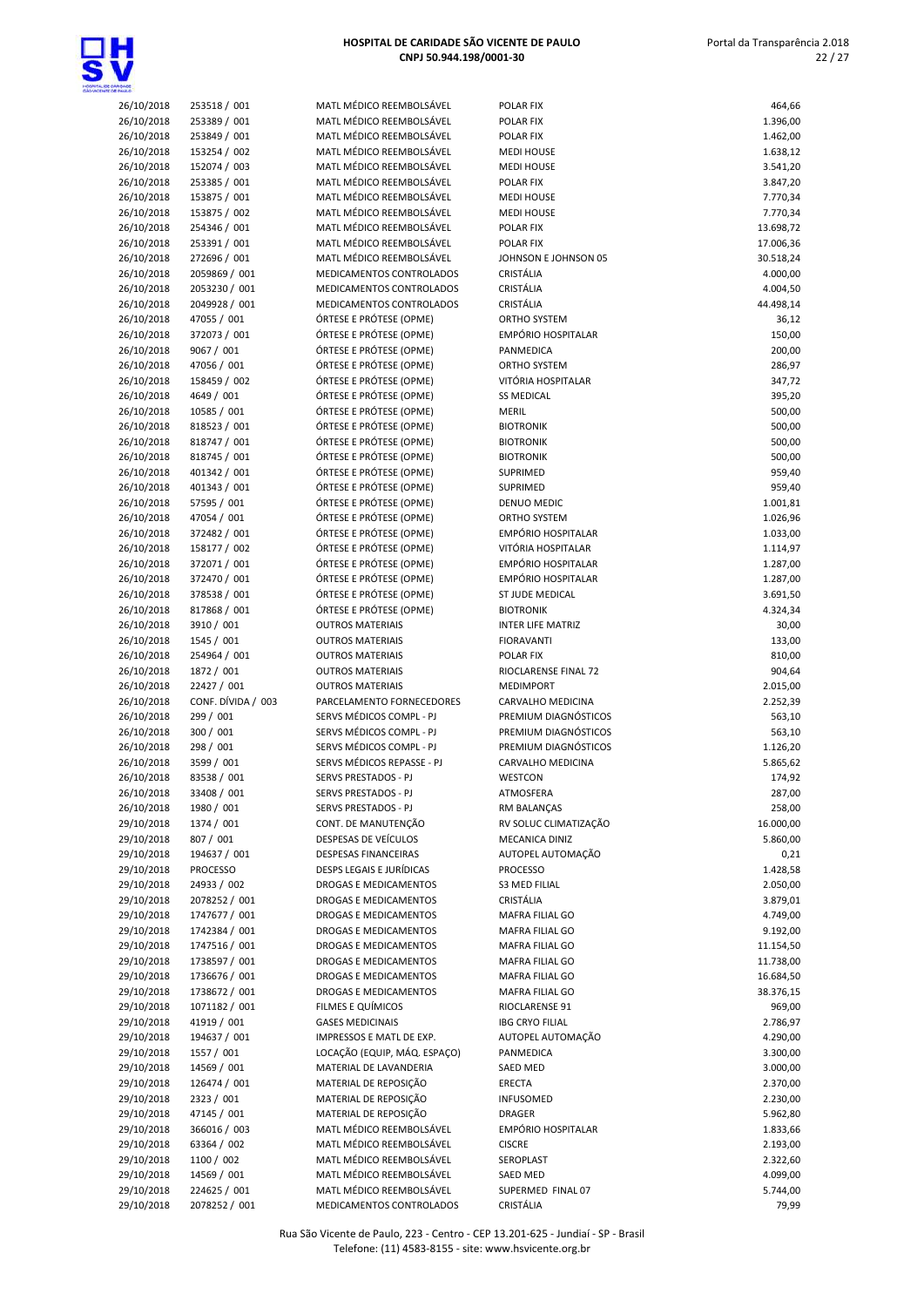

| 26/10/2018 | 253518 / 001       | MATL MÉDICO REEMBOLSÁVEL     | POLAR FIX                | 464,66    |
|------------|--------------------|------------------------------|--------------------------|-----------|
| 26/10/2018 | 253389 / 001       | MATL MÉDICO REEMBOLSÁVEL     | POLAR FIX                | 1.396,00  |
| 26/10/2018 | 253849 / 001       | MATL MÉDICO REEMBOLSÁVEL     | <b>POLAR FIX</b>         | 1.462,00  |
| 26/10/2018 | 153254 / 002       | MATL MÉDICO REEMBOLSÁVEL     | <b>MEDI HOUSE</b>        | 1.638,12  |
| 26/10/2018 | 152074 / 003       | MATL MÉDICO REEMBOLSÁVEL     | <b>MEDI HOUSE</b>        | 3.541,20  |
| 26/10/2018 | 253385 / 001       | MATL MÉDICO REEMBOLSÁVEL     | <b>POLAR FIX</b>         | 3.847,20  |
| 26/10/2018 | 153875 / 001       | MATL MÉDICO REEMBOLSÁVEL     | <b>MEDI HOUSE</b>        | 7.770,34  |
| 26/10/2018 | 153875 / 002       | MATL MÉDICO REEMBOLSÁVEL     | <b>MEDI HOUSE</b>        | 7.770,34  |
|            |                    | MATL MÉDICO REEMBOLSÁVEL     |                          |           |
| 26/10/2018 | 254346 / 001       |                              | POLAR FIX                | 13.698,72 |
| 26/10/2018 | 253391 / 001       | MATL MÉDICO REEMBOLSÁVEL     | POLAR FIX                | 17.006,36 |
| 26/10/2018 | 272696 / 001       | MATL MÉDICO REEMBOLSÁVEL     | JOHNSON E JOHNSON 05     | 30.518,24 |
| 26/10/2018 | 2059869 / 001      | MEDICAMENTOS CONTROLADOS     | CRISTÁLIA                | 4.000,00  |
| 26/10/2018 | 2053230 / 001      | MEDICAMENTOS CONTROLADOS     | CRISTÁLIA                | 4.004,50  |
| 26/10/2018 | 2049928 / 001      | MEDICAMENTOS CONTROLADOS     | CRISTÁLIA                | 44.498,14 |
| 26/10/2018 | 47055 / 001        | ÓRTESE E PRÓTESE (OPME)      | ORTHO SYSTEM             | 36,12     |
| 26/10/2018 | 372073 / 001       | ÓRTESE E PRÓTESE (OPME)      | EMPÓRIO HOSPITALAR       | 150,00    |
| 26/10/2018 | 9067 / 001         | ÓRTESE E PRÓTESE (OPME)      | PANMEDICA                | 200,00    |
| 26/10/2018 | 47056 / 001        | ÓRTESE E PRÓTESE (OPME)      | ORTHO SYSTEM             | 286,97    |
| 26/10/2018 | 158459 / 002       | ÓRTESE E PRÓTESE (OPME)      | VITÓRIA HOSPITALAR       | 347,72    |
| 26/10/2018 | 4649 / 001         | ÓRTESE E PRÓTESE (OPME)      | <b>SS MEDICAL</b>        | 395,20    |
| 26/10/2018 | 10585 / 001        | ÓRTESE E PRÓTESE (OPME)      | <b>MERIL</b>             | 500,00    |
| 26/10/2018 | 818523 / 001       | ÓRTESE E PRÓTESE (OPME)      | <b>BIOTRONIK</b>         | 500,00    |
| 26/10/2018 | 818747 / 001       | ÓRTESE E PRÓTESE (OPME)      | <b>BIOTRONIK</b>         | 500,00    |
|            | 818745 / 001       |                              |                          |           |
| 26/10/2018 |                    | ÓRTESE E PRÓTESE (OPME)      | <b>BIOTRONIK</b>         | 500,00    |
| 26/10/2018 | 401342 / 001       | ÓRTESE E PRÓTESE (OPME)      | SUPRIMED                 | 959,40    |
| 26/10/2018 | 401343 / 001       | ÓRTESE E PRÓTESE (OPME)      | <b>SUPRIMED</b>          | 959,40    |
| 26/10/2018 | 57595 / 001        | ÓRTESE E PRÓTESE (OPME)      | DENUO MEDIC              | 1.001,81  |
| 26/10/2018 | 47054 / 001        | ÓRTESE E PRÓTESE (OPME)      | ORTHO SYSTEM             | 1.026,96  |
| 26/10/2018 | 372482 / 001       | ÓRTESE E PRÓTESE (OPME)      | EMPÓRIO HOSPITALAR       | 1.033,00  |
| 26/10/2018 | 158177 / 002       | ÓRTESE E PRÓTESE (OPME)      | VITÓRIA HOSPITALAR       | 1.114,97  |
| 26/10/2018 | 372071 / 001       | ÓRTESE E PRÓTESE (OPME)      | EMPÓRIO HOSPITALAR       | 1.287,00  |
| 26/10/2018 | 372470 / 001       | ÓRTESE E PRÓTESE (OPME)      | EMPÓRIO HOSPITALAR       | 1.287,00  |
| 26/10/2018 | 378538 / 001       | ÓRTESE E PRÓTESE (OPME)      | ST JUDE MEDICAL          | 3.691,50  |
| 26/10/2018 | 817868 / 001       | ÓRTESE E PRÓTESE (OPME)      | <b>BIOTRONIK</b>         | 4.324,34  |
| 26/10/2018 | 3910 / 001         | <b>OUTROS MATERIAIS</b>      | <b>INTER LIFE MATRIZ</b> | 30,00     |
| 26/10/2018 | 1545 / 001         | <b>OUTROS MATERIAIS</b>      | <b>FIORAVANTI</b>        | 133,00    |
| 26/10/2018 | 254964 / 001       | <b>OUTROS MATERIAIS</b>      | POLAR FIX                | 810,00    |
|            |                    |                              |                          |           |
| 26/10/2018 | 1872 / 001         | <b>OUTROS MATERIAIS</b>      | RIOCLARENSE FINAL 72     | 904,64    |
| 26/10/2018 | 22427 / 001        | <b>OUTROS MATERIAIS</b>      | <b>MEDIMPORT</b>         | 2.015,00  |
| 26/10/2018 | CONF. DÍVIDA / 003 | PARCELAMENTO FORNECEDORES    | CARVALHO MEDICINA        | 2.252,39  |
| 26/10/2018 | 299 / 001          | SERVS MÉDICOS COMPL - PJ     | PREMIUM DIAGNÓSTICOS     | 563,10    |
| 26/10/2018 | 300 / 001          | SERVS MÉDICOS COMPL - PJ     | PREMIUM DIAGNÓSTICOS     | 563,10    |
| 26/10/2018 | 298 / 001          | SERVS MÉDICOS COMPL - PJ     | PREMIUM DIAGNÓSTICOS     | 1.126,20  |
| 26/10/2018 | 3599 / 001         | SERVS MÉDICOS REPASSE - PJ   | <b>CARVALHO MEDICINA</b> | 5.865,62  |
| 26/10/2018 | 83538 / 001        | <b>SERVS PRESTADOS - PJ</b>  | WESTCON                  | 174,92    |
| 26/10/2018 | 33408 / 001        | SERVS PRESTADOS - PJ         | ATMOSFERA                | 287,00    |
| 26/10/2018 | 1980 / 001         | SERVS PRESTADOS - PJ         | RM BALANÇAS              | 258,00    |
| 29/10/2018 | 1374 / 001         | CONT. DE MANUTENÇÃO          | RV SOLUC CLIMATIZAÇÃO    | 16.000,00 |
| 29/10/2018 | 807 / 001          | DESPESAS DE VEÍCULOS         | MECANICA DINIZ           | 5.860,00  |
| 29/10/2018 | 194637 / 001       | DESPESAS FINANCEIRAS         | AUTOPEL AUTOMAÇÃO        | 0,21      |
| 29/10/2018 | <b>PROCESSO</b>    | DESPS LEGAIS E JURÍDICAS     | <b>PROCESSO</b>          |           |
|            |                    |                              |                          | 1.428,58  |
| 29/10/2018 | 24933 / 002        | DROGAS E MEDICAMENTOS        | <b>S3 MED FILIAL</b>     | 2.050,00  |
| 29/10/2018 | 2078252 / 001      | DROGAS E MEDICAMENTOS        | CRISTÁLIA                | 3.879,01  |
| 29/10/2018 | 1747677 / 001      | DROGAS E MEDICAMENTOS        | MAFRA FILIAL GO          | 4.749,00  |
| 29/10/2018 | 1742384 / 001      | DROGAS E MEDICAMENTOS        | MAFRA FILIAL GO          | 9.192,00  |
| 29/10/2018 | 1747516 / 001      | DROGAS E MEDICAMENTOS        | MAFRA FILIAL GO          | 11.154,50 |
| 29/10/2018 | 1738597 / 001      | DROGAS E MEDICAMENTOS        | MAFRA FILIAL GO          | 11.738,00 |
| 29/10/2018 | 1736676 / 001      | DROGAS E MEDICAMENTOS        | MAFRA FILIAL GO          | 16.684,50 |
| 29/10/2018 | 1738672 / 001      | DROGAS E MEDICAMENTOS        | MAFRA FILIAL GO          | 38.376,15 |
| 29/10/2018 | 1071182 / 001      | FILMES E QUÍMICOS            | RIOCLARENSE 91           | 969,00    |
| 29/10/2018 | 41919 / 001        | <b>GASES MEDICINAIS</b>      | <b>IBG CRYO FILIAL</b>   | 2.786,97  |
| 29/10/2018 | 194637 / 001       | IMPRESSOS E MATL DE EXP.     | AUTOPEL AUTOMAÇÃO        | 4.290,00  |
| 29/10/2018 | 1557 / 001         | LOCAÇÃO (EQUIP, MÁQ. ESPAÇO) | PANMEDICA                | 3.300,00  |
| 29/10/2018 | 14569 / 001        | MATERIAL DE LAVANDERIA       | SAED MED                 | 3.000,00  |
|            |                    |                              |                          |           |
| 29/10/2018 | 126474 / 001       | MATERIAL DE REPOSIÇÃO        | ERECTA                   | 2.370,00  |
| 29/10/2018 | 2323 / 001         | MATERIAL DE REPOSIÇÃO        | INFUSOMED                | 2.230,00  |
| 29/10/2018 | 47145 / 001        | MATERIAL DE REPOSIÇÃO        | <b>DRAGER</b>            | 5.962,80  |
| 29/10/2018 | 366016 / 003       | MATL MÉDICO REEMBOLSÁVEL     | EMPÓRIO HOSPITALAR       | 1.833,66  |
| 29/10/2018 | 63364 / 002        | MATL MÉDICO REEMBOLSÁVEL     | <b>CISCRE</b>            | 2.193,00  |
| 29/10/2018 | 1100 / 002         | MATL MÉDICO REEMBOLSÁVEL     | SEROPLAST                | 2.322,60  |
| 29/10/2018 | 14569 / 001        | MATL MÉDICO REEMBOLSÁVEL     | SAED MED                 | 4.099,00  |
| 29/10/2018 | 224625 / 001       | MATL MÉDICO REEMBOLSÁVEL     | SUPERMED FINAL 07        | 5.744,00  |
| 29/10/2018 | 2078252 / 001      | MEDICAMENTOS CONTROLADOS     | CRISTÁLIA                | 79,99     |
|            |                    |                              |                          |           |

Rua São Vicente de Paulo, 223 - Centro - CEP 13.201-625 - Jundiaí - SP - Brasil Telefone: (11) 4583-8155 - site: www.hsvicente.org.br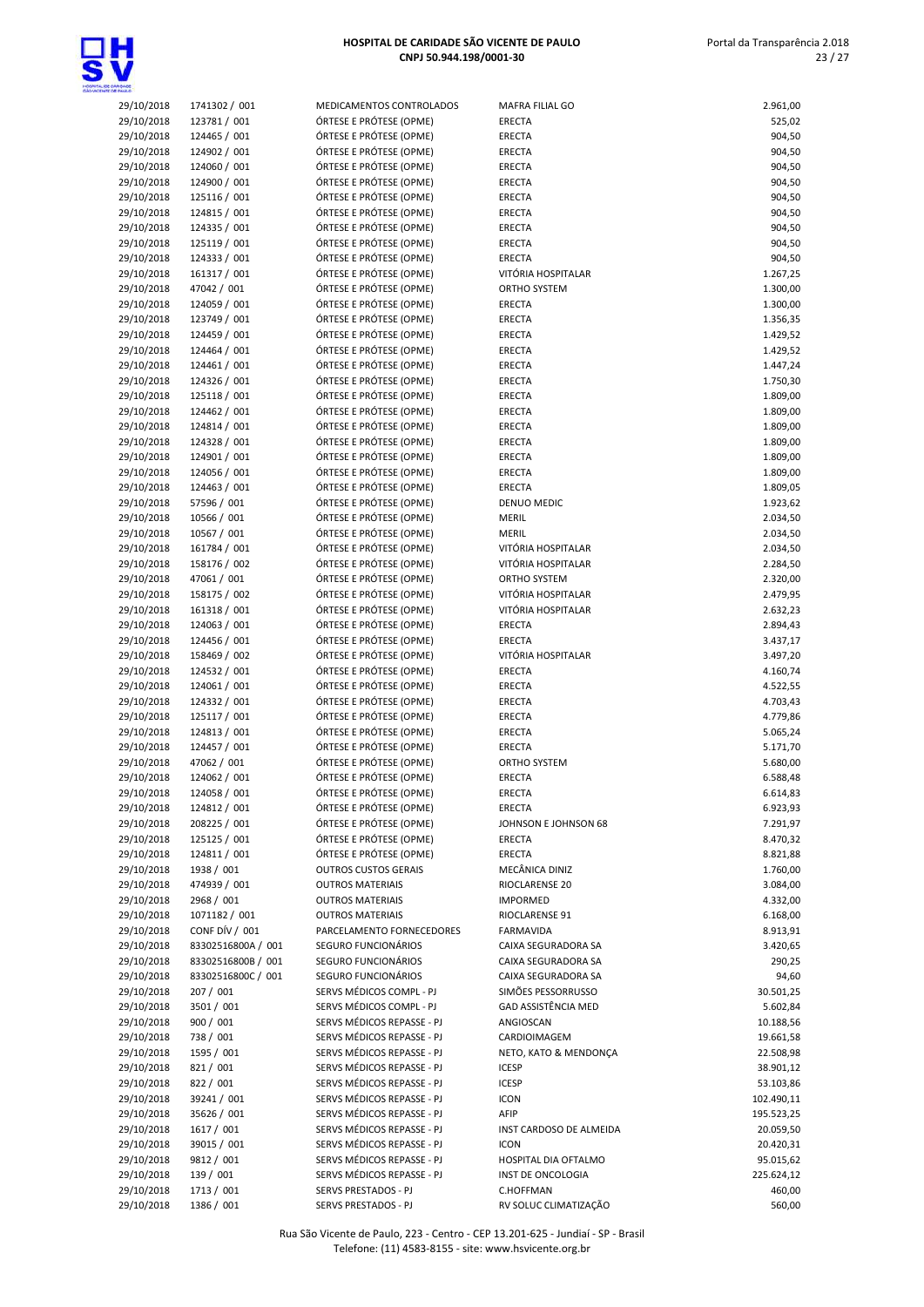

 Portal da Transparência 2.018 23 / 27

| DE CARIQADE<br>TE DE FAULO |                              |                                                          |                                        |                        |
|----------------------------|------------------------------|----------------------------------------------------------|----------------------------------------|------------------------|
| 29/10/2018                 | 1741302 / 001                | MEDICAMENTOS CONTROLADOS                                 | MAFRA FILIAL GO                        | 2.961,00               |
| 29/10/2018                 | 123781 / 001                 | ÓRTESE E PRÓTESE (OPME)                                  | ERECTA                                 | 525,02                 |
| 29/10/2018                 | 124465 / 001                 | ÓRTESE E PRÓTESE (OPME)                                  | ERECTA                                 | 904,50                 |
| 29/10/2018                 | 124902 / 001                 | ÓRTESE E PRÓTESE (OPME)                                  | <b>ERECTA</b>                          | 904,50                 |
| 29/10/2018                 | 124060 / 001                 | ÓRTESE E PRÓTESE (OPME)                                  | ERECTA                                 | 904,50                 |
| 29/10/2018                 | 124900 / 001                 | ÓRTESE E PRÓTESE (OPME)                                  | <b>ERECTA</b>                          | 904,50                 |
| 29/10/2018                 | 125116 / 001                 | ÓRTESE E PRÓTESE (OPME)                                  | ERECTA                                 | 904,50                 |
| 29/10/2018                 | 124815 / 001                 | ÓRTESE E PRÓTESE (OPME)                                  | ERECTA                                 | 904,50                 |
| 29/10/2018<br>29/10/2018   | 124335 / 001<br>125119 / 001 | ÓRTESE E PRÓTESE (OPME)<br>ÓRTESE E PRÓTESE (OPME)       | ERECTA<br>ERECTA                       | 904,50<br>904,50       |
| 29/10/2018                 | 124333 / 001                 | ÓRTESE E PRÓTESE (OPME)                                  | ERECTA                                 | 904,50                 |
| 29/10/2018                 | 161317 / 001                 | ÓRTESE E PRÓTESE (OPME)                                  | VITÓRIA HOSPITALAR                     | 1.267,25               |
| 29/10/2018                 | 47042 / 001                  | ÓRTESE E PRÓTESE (OPME)                                  | ORTHO SYSTEM                           | 1.300,00               |
| 29/10/2018                 | 124059 / 001                 | ÓRTESE E PRÓTESE (OPME)                                  | ERECTA                                 | 1.300,00               |
| 29/10/2018                 | 123749 / 001                 | ÓRTESE E PRÓTESE (OPME)                                  | ERECTA                                 | 1.356,35               |
| 29/10/2018                 | 124459 / 001                 | ÓRTESE E PRÓTESE (OPME)                                  | ERECTA                                 | 1.429,52               |
| 29/10/2018                 | 124464 / 001                 | ÓRTESE E PRÓTESE (OPME)                                  | ERECTA                                 | 1.429,52               |
| 29/10/2018                 | 124461 / 001                 | ÓRTESE E PRÓTESE (OPME)                                  | ERECTA                                 | 1.447,24               |
| 29/10/2018                 | 124326 / 001                 | ÓRTESE E PRÓTESE (OPME)                                  | ERECTA                                 | 1.750,30               |
| 29/10/2018                 | 125118 / 001                 | ÓRTESE E PRÓTESE (OPME)                                  | <b>ERECTA</b>                          | 1.809,00               |
| 29/10/2018                 | 124462 / 001                 | ÓRTESE E PRÓTESE (OPME)                                  | ERECTA                                 | 1.809,00               |
| 29/10/2018                 | 124814 / 001                 | ÓRTESE E PRÓTESE (OPME)                                  | ERECTA                                 | 1.809,00               |
| 29/10/2018                 | 124328 / 001<br>124901 / 001 | ÓRTESE E PRÓTESE (OPME)<br>ÓRTESE E PRÓTESE (OPME)       | ERECTA<br><b>ERECTA</b>                | 1.809,00<br>1.809,00   |
| 29/10/2018<br>29/10/2018   | 124056 / 001                 | ÓRTESE E PRÓTESE (OPME)                                  | ERECTA                                 | 1.809,00               |
| 29/10/2018                 | 124463 / 001                 | ÓRTESE E PRÓTESE (OPME)                                  | <b>ERECTA</b>                          | 1.809,05               |
| 29/10/2018                 | 57596 / 001                  | ÓRTESE E PRÓTESE (OPME)                                  | DENUO MEDIC                            | 1.923,62               |
| 29/10/2018                 | 10566 / 001                  | ÓRTESE E PRÓTESE (OPME)                                  | <b>MERIL</b>                           | 2.034,50               |
| 29/10/2018                 | 10567 / 001                  | ÓRTESE E PRÓTESE (OPME)                                  | <b>MERIL</b>                           | 2.034,50               |
| 29/10/2018                 | 161784 / 001                 | ÓRTESE E PRÓTESE (OPME)                                  | VITÓRIA HOSPITALAR                     | 2.034,50               |
| 29/10/2018                 | 158176 / 002                 | ÓRTESE E PRÓTESE (OPME)                                  | VITÓRIA HOSPITALAR                     | 2.284,50               |
| 29/10/2018                 | 47061 / 001                  | ÓRTESE E PRÓTESE (OPME)                                  | ORTHO SYSTEM                           | 2.320,00               |
| 29/10/2018                 | 158175 / 002                 | ÓRTESE E PRÓTESE (OPME)                                  | VITÓRIA HOSPITALAR                     | 2.479,95               |
| 29/10/2018                 | 161318 / 001                 | ÓRTESE E PRÓTESE (OPME)                                  | VITÓRIA HOSPITALAR                     | 2.632,23               |
| 29/10/2018                 | 124063 / 001                 | ÓRTESE E PRÓTESE (OPME)                                  | <b>ERECTA</b>                          | 2.894,43               |
| 29/10/2018                 | 124456 / 001<br>158469 / 002 | ÓRTESE E PRÓTESE (OPME)<br>ÓRTESE E PRÓTESE (OPME)       | <b>ERECTA</b><br>VITÓRIA HOSPITALAR    | 3.437,17               |
| 29/10/2018<br>29/10/2018   | 124532 / 001                 | ÓRTESE E PRÓTESE (OPME)                                  | <b>ERECTA</b>                          | 3.497,20<br>4.160,74   |
| 29/10/2018                 | 124061 / 001                 | ÓRTESE E PRÓTESE (OPME)                                  | ERECTA                                 | 4.522,55               |
| 29/10/2018                 | 124332 / 001                 | ÓRTESE E PRÓTESE (OPME)                                  | <b>ERECTA</b>                          | 4.703,43               |
| 29/10/2018                 | 125117 / 001                 | ÓRTESE E PRÓTESE (OPME)                                  | ERECTA                                 | 4.779,86               |
| 29/10/2018                 | 124813 / 001                 | ÓRTESE E PRÓTESE (OPME)                                  | ERECTA                                 | 5.065,24               |
| 29/10/2018                 | 124457 / 001                 | ÓRTESE E PRÓTESE (OPME)                                  | <b>ERECTA</b>                          | 5.171,70               |
| 29/10/2018                 | 47062 / 001                  | ÓRTESE E PRÓTESE (OPME)                                  | ORTHO SYSTEM                           | 5.680,00               |
| 29/10/2018                 | 124062 / 001                 | ÓRTESE E PRÓTESE (OPME)                                  | <b>ERECTA</b>                          | 6.588,48               |
| 29/10/2018                 | 124058 / 001                 | ÓRTESE E PRÓTESE (OPME)                                  | ERECTA                                 | 6.614,83               |
| 29/10/2018                 | 124812 / 001                 | ÓRTESE E PRÓTESE (OPME)                                  | ERECTA                                 | 6.923,93               |
| 29/10/2018                 | 208225 / 001                 | ÓRTESE E PRÓTESE (OPME)                                  | JOHNSON E JOHNSON 68                   | 7.291,97               |
| 29/10/2018                 | 125125 / 001                 | ÓRTESE E PRÓTESE (OPME)                                  | <b>ERECTA</b>                          | 8.470,32               |
| 29/10/2018<br>29/10/2018   | 124811 / 001<br>1938 / 001   | ÓRTESE E PRÓTESE (OPME)<br><b>OUTROS CUSTOS GERAIS</b>   | ERECTA<br>MECÂNICA DINIZ               | 8.821,88<br>1.760,00   |
| 29/10/2018                 | 474939 / 001                 | <b>OUTROS MATERIAIS</b>                                  | RIOCLARENSE 20                         | 3.084,00               |
| 29/10/2018                 | 2968 / 001                   | <b>OUTROS MATERIAIS</b>                                  | <b>IMPORMED</b>                        | 4.332,00               |
| 29/10/2018                 | 1071182 / 001                | <b>OUTROS MATERIAIS</b>                                  | RIOCLARENSE 91                         | 6.168,00               |
| 29/10/2018                 | CONF DÍV / 001               | PARCELAMENTO FORNECEDORES                                | FARMAVIDA                              | 8.913,91               |
| 29/10/2018                 | 83302516800A / 001           | SEGURO FUNCIONÁRIOS                                      | CAIXA SEGURADORA SA                    | 3.420,65               |
| 29/10/2018                 | 83302516800B / 001           | SEGURO FUNCIONÁRIOS                                      | CAIXA SEGURADORA SA                    | 290,25                 |
| 29/10/2018                 | 83302516800C / 001           | SEGURO FUNCIONÁRIOS                                      | CAIXA SEGURADORA SA                    | 94,60                  |
| 29/10/2018                 | 207 / 001                    | SERVS MÉDICOS COMPL - PJ                                 | SIMÕES PESSORRUSSO                     | 30.501,25              |
| 29/10/2018                 | 3501 / 001                   | SERVS MÉDICOS COMPL - PJ                                 | GAD ASSISTÊNCIA MED                    | 5.602,84               |
| 29/10/2018                 | 900 / 001                    | SERVS MÉDICOS REPASSE - PJ                               | ANGIOSCAN                              | 10.188,56              |
| 29/10/2018                 | 738 / 001                    | SERVS MÉDICOS REPASSE - PJ                               | CARDIOIMAGEM                           | 19.661,58              |
| 29/10/2018                 | 1595 / 001                   | SERVS MÉDICOS REPASSE - PJ                               | NETO, KATO & MENDONÇA                  | 22.508,98              |
| 29/10/2018                 | 821 / 001                    | SERVS MÉDICOS REPASSE - PJ                               | <b>ICESP</b>                           | 38.901,12              |
| 29/10/2018                 | 822 / 001                    | SERVS MÉDICOS REPASSE - PJ                               | <b>ICESP</b>                           | 53.103,86              |
| 29/10/2018                 | 39241 / 001                  | SERVS MÉDICOS REPASSE - PJ                               | <b>ICON</b>                            | 102.490,11             |
| 29/10/2018                 | 35626 / 001<br>1617 / 001    | SERVS MÉDICOS REPASSE - PJ<br>SERVS MÉDICOS REPASSE - PJ | AFIP                                   | 195.523,25             |
| 29/10/2018<br>29/10/2018   | 39015 / 001                  | SERVS MÉDICOS REPASSE - PJ                               | INST CARDOSO DE ALMEIDA<br><b>ICON</b> | 20.059,50<br>20.420,31 |
| 29/10/2018                 | 9812 / 001                   | SERVS MÉDICOS REPASSE - PJ                               | HOSPITAL DIA OFTALMO                   | 95.015,62              |
| 29/10/2018                 | 139 / 001                    | SERVS MÉDICOS REPASSE - PJ                               | INST DE ONCOLOGIA                      | 225.624,12             |
| 29/10/2018                 | 1713 / 001                   | SERVS PRESTADOS - PJ                                     | C.HOFFMAN                              | 460,00                 |
|                            |                              |                                                          |                                        |                        |

29/10/2018 1386 / 001 SERVS PRESTADOS - PJ RV SOLUC CLIMATIZAÇÃO 560,00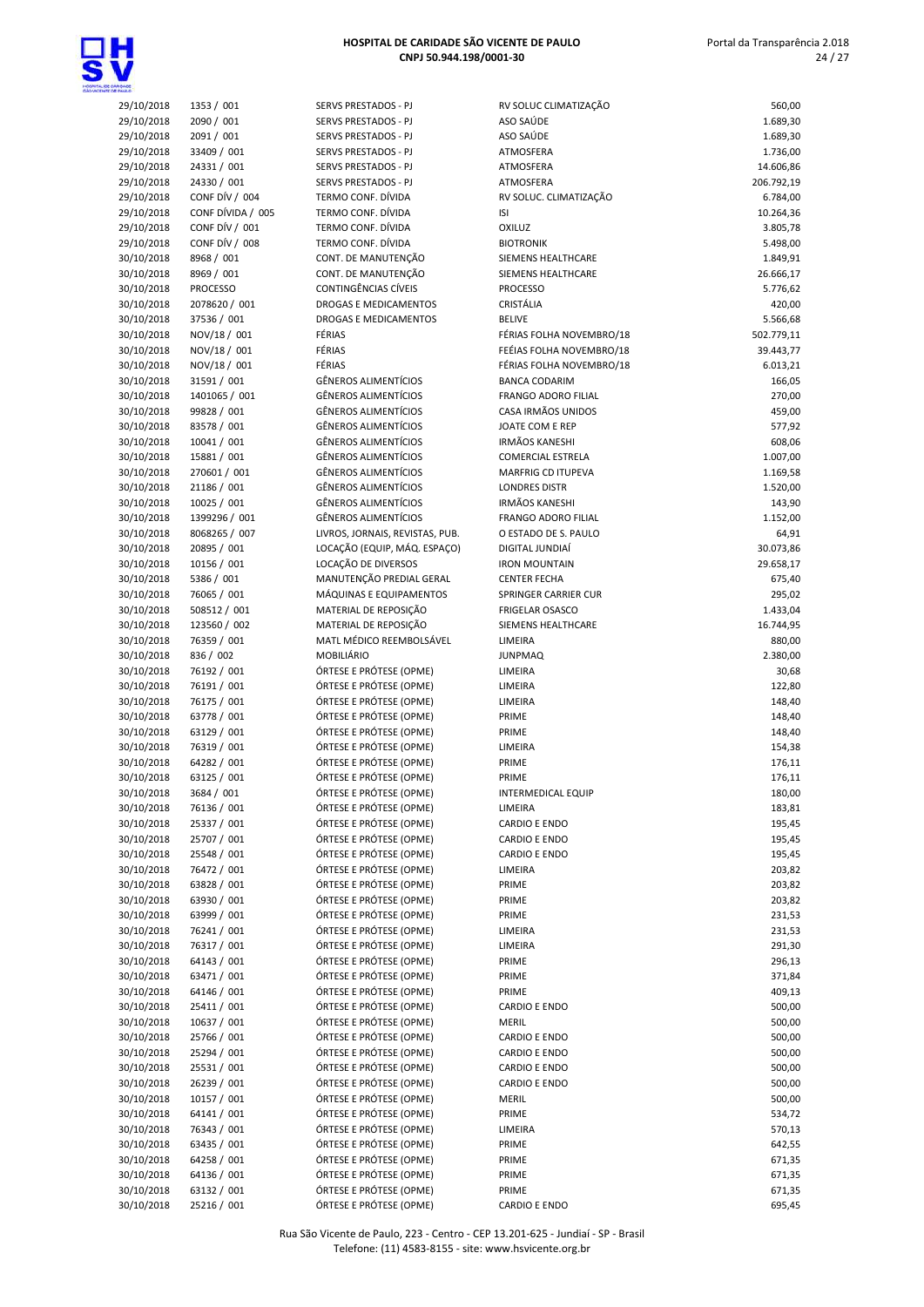

| <b>DADE</b>              |                              |                                            |
|--------------------------|------------------------------|--------------------------------------------|
| 29/10/2018               | 1353 / 001                   | <b>SERVS PRESTA</b>                        |
| 29/10/2018               | 2090 / 001                   | <b>SERVS PRESTA</b>                        |
| 29/10/2018               | 2091 / 001                   | <b>SERVS PRESTA</b>                        |
| 29/10/2018               | 33409 / 001                  | <b>SERVS PRESTA</b><br><b>SERVS PRESTA</b> |
| 29/10/2018<br>29/10/2018 | 24331 / 001<br>24330 / 001   | <b>SERVS PRESTA</b>                        |
| 29/10/2018               | CONF DÍV / 004               | <b>TERMO CONF</b>                          |
| 29/10/2018               | CONF DÍVIDA / 005            | <b>TERMO CONF</b>                          |
| 29/10/2018               | CONF DÍV / 001               | <b>TERMO CONF</b>                          |
| 29/10/2018               | CONF DÍV / 008               | <b>TERMO CONF</b>                          |
| 30/10/2018               | 8968 / 001                   | CONT. DE MA                                |
| 30/10/2018               | 8969 / 001                   | CONT. DE MA                                |
| 30/10/2018               | <b>PROCESSO</b>              | CONTINGÊNCI                                |
| 30/10/2018               | 2078620 / 001                | <b>DROGAS E ME</b>                         |
| 30/10/2018               | 37536 / 001                  | DROGAS E ME                                |
| 30/10/2018               | NOV/18 / 001                 | FÉRIAS                                     |
| 30/10/2018               | NOV/18 / 001                 | FÉRIAS                                     |
| 30/10/2018               | NOV/18 / 001                 | FÉRIAS<br><b>GÊNEROS ALII</b>              |
| 30/10/2018<br>30/10/2018 | 31591 / 001<br>1401065 / 001 | <b>GÊNEROS ALII</b>                        |
| 30/10/2018               | 99828 / 001                  | <b>GÊNEROS ALII</b>                        |
| 30/10/2018               | 83578 / 001                  | <b>GÊNEROS ALII</b>                        |
| 30/10/2018               | 10041 / 001                  | <b>GÊNEROS ALII</b>                        |
| 30/10/2018               | 15881 / 001                  | <b>GÊNEROS ALII</b>                        |
| 30/10/2018               | 270601 / 001                 | <b>GÊNEROS ALII</b>                        |
| 30/10/2018               | 21186 / 001                  | <b>GÊNEROS ALII</b>                        |
| 30/10/2018               | 10025 / 001                  | <b>GÊNEROS ALII</b>                        |
| 30/10/2018               | 1399296 / 001                | <b>GÊNEROS ALII</b>                        |
| 30/10/2018               | 8068265 / 007                | LIVROS, JORN.                              |
| 30/10/2018               | 20895 / 001                  | LOCAÇÃO (EQ                                |
| 30/10/2018<br>30/10/2018 | 10156 / 001                  | LOCAÇÃO DE I<br>MANUTENÇÃ                  |
| 30/10/2018               | 5386 / 001<br>76065 / 001    | MÁQUINAS E                                 |
| 30/10/2018               | 508512 / 001                 | <b>MATERIAL DE</b>                         |
| 30/10/2018               | 123560 / 002                 | MATERIAL DE                                |
| 30/10/2018               | 76359 / 001                  | <b>MATL MÉDICO</b>                         |
| 30/10/2018               | 836 / 002                    | MOBILIÁRIO                                 |
| 30/10/2018               | 76192 / 001                  | ÓRTESE E PRÓ                               |
| 30/10/2018               | 76191 / 001                  | ÓRTESE E PRÓ                               |
| 30/10/2018               | 76175 / 001                  | ÓRTESE E PRÓ                               |
| 30/10/2018               | 63778 / 001                  | ÓRTESE E PRÓ                               |
| 30/10/2018               | 63129 / 001                  | ÓRTESE E PRÓ                               |
| 30/10/2018               | 76319 / 001                  | ÓRTESE E PRÓ                               |
| 30/10/2018<br>30/10/2018 | 64282 / 001<br>63125 / 001   | ÓRTESE E PRÓ<br>ÓRTESE E PRÓ               |
| 30/10/2018               | 3684 / 001                   | ÓRTESE E PRĆ                               |
| 30/10/2018               | 76136 / 001                  | ÓRTESE E PRÓ                               |
| 30/10/2018               | 25337 / 001                  | ÓRTESE E PRÓ                               |
| 30/10/2018               | 25707 / 001                  | ÓRTESE E PRÓ                               |
| 30/10/2018               | 25548 / 001                  | ÓRTESE E PRÓ                               |
| 30/10/2018               | 76472 / 001                  | ÓRTESE E PRÓ                               |
| 30/10/2018               | 63828 / 001                  | ÓRTESE E PRÓ                               |
| 30/10/2018               | 63930 / 001                  | ÓRTESE E PRÓ                               |
| 30/10/2018               | 63999 / 001                  | ÓRTESE E PRÓ                               |
| 30/10/2018               | 76241 / 001                  | ÓRTESE E PRÓ                               |
| 30/10/2018               | 76317 / 001                  | ÓRTESE E PRÓ                               |
| 30/10/2018               | 64143 / 001                  | ÓRTESE E PRÓ                               |
| 30/10/2018<br>30/10/2018 | 63471 / 001<br>64146 / 001   | ÓRTESE E PRÓ<br>ÓRTESE E PRÓ               |
| 30/10/2018               | 25411 / 001                  | ÓRTESE E PRÓ                               |
| 30/10/2018               | 10637 / 001                  | ÓRTESE E PRÓ                               |
| 30/10/2018               | 25766 / 001                  | ÓRTESE E PRÓ                               |
| 30/10/2018               | 25294 / 001                  | ÓRTESE E PRÓ                               |
| 30/10/2018               | 25531 / 001                  | ÓRTESE E PRÓ                               |
| 30/10/2018               | 26239 / 001                  | ÓRTESE E PRÓ                               |
| 30/10/2018               | 10157 / 001                  | ÓRTESE E PRÓ                               |
| 30/10/2018               | 64141 / 001                  | ÓRTESE E PRÓ                               |
| 30/10/2018               | 76343 / 001                  | ÓRTESE E PRÓ                               |
| 30/10/2018               | 63435 / 001                  | ÓRTESE E PRÓ                               |
| 30/10/2018               | 64258 / 001                  | ÓRTESE E PRÓ<br>TECE E DDÁ                 |
|                          |                              |                                            |

| /S PRESTADOS - PJ           |
|-----------------------------|
|                             |
| /S PRESTADOS - PJ           |
| /S PRESTADOS - PJ           |
| /S PRESTADOS - PJ           |
| /S PRESTADOS - PJ           |
| /S PRESTADOS - PJ           |
|                             |
| VIO CONF. DÍVIDA            |
| VIO CONF. DÍVIDA            |
| VIO CONF. DÍVIDA            |
| VIO CONF. DÍVIDA            |
|                             |
| T. DE MANUTENÇÃO            |
| T. DE MANUTENÇÃO            |
| TINGÊNCIAS CÍVEIS           |
| <b>GAS E MEDICAMENTOS</b>   |
| <b>GAS E MEDICAMENTOS</b>   |
|                             |
| AS                          |
| AS                          |
| AS                          |
| <b>EROS ALIMENTÍCIOS</b>    |
| <b>EROS ALIMENTÍCIOS</b>    |
|                             |
| EROS ALIMENTÍCIOS           |
| EROS ALIMENTÍCIOS           |
| <b>EROS ALIMENTÍCIOS</b>    |
| <b>EROS ALIMENTÍCIOS</b>    |
| EROS ALIMENTÍCIOS           |
| <b>EROS ALIMENTÍCIOS</b>    |
|                             |
| EROS ALIMENTÍCIOS           |
| EROS ALIMENTÍCIOS           |
| OS, JORNAIS, REVISTAS, PUB. |
| AÇÃO (EQUIP, MÁQ. ESPAÇO)   |
| AÇÃO DE DIVERSOS            |
| IUTENÇÃO PREDIAL GERAL      |
|                             |
| QUINAS E EQUIPAMENTOS       |
| ERIAL DE REPOSIÇÃO          |
| ERIAL DE REPOSIÇÃO          |
| L MÉDICO REEMBOLSÁVEL       |
| 3ILIÁRIO                    |
| ESE E PRÓTESE (OPME)        |
| ESE E PRÓTESE (OPME)        |
|                             |
| ESE E PRÓTESE (OPME)        |
| ESE E PRÓTESE (OPME)        |
| ESE E PRÓTESE (OPME)        |
| ESE E PRÓTESE (OPME)        |
| ESE E PRÓTESE (OPME)        |
| ESE E PRÓTESE (OPME)        |
|                             |
| ESE E PROTESE (OPME)        |
| ESE E PRÓTESE (OPME)        |
| ESE E PRÓTESE (OPME)        |
| ESE E PRÓTESE (OPME)        |
| ESE E PRÓTESE (OPME)        |
| ESE E PRÓTESE (OPME)        |
|                             |
| ESE E PRÓTESE (OPME)        |
| ESE E PRÓTESE (OPME)        |
| ESE E PRÓTESE (OPME)        |
| ESE E PRÓTESE (OPME)        |
| ESE E PRÓTESE (OPME)        |
| ESE E PRÓTESE (OPME)        |
|                             |
| ESE E PRÓTESE (OPME)        |
| ESE E PRÓTESE (OPME)        |
| ESE E PRÓTESE (OPME)        |
| ESE E PRÓTESE (OPME)        |
| ESE E PRÓTESE (OPME)        |
| ESE E PRÓTESE (OPME)        |
|                             |
| ESE E PRÓTESE (OPME)        |
| ESE E PRÓTESE (OPME)        |
| ESE E PRÓTESE (OPME)        |
| ESE E PRÓTESE (OPME)        |
| ESE E PRÓTESE (OPME)        |
| ESE E PRÓTESE (OPME)        |
| ESE E PRÓTESE (OPME)        |
|                             |
| ESE E PRÓTESE (OPME)        |

| <b>MOASS</b>             |                            |                                                    |                                       |                  |
|--------------------------|----------------------------|----------------------------------------------------|---------------------------------------|------------------|
| 29/10/2018               | 1353 / 001                 | SERVS PRESTADOS - PJ                               | RV SOLUC CLIMATIZAÇÃO                 | 560,00           |
| 29/10/2018               | 2090 / 001                 | SERVS PRESTADOS - PJ                               | ASO SAÚDE                             | 1.689,30         |
| 29/10/2018               | 2091 / 001                 | SERVS PRESTADOS - PJ                               | ASO SAÚDE                             | 1.689,30         |
| 29/10/2018               | 33409 / 001                | SERVS PRESTADOS - PJ                               | ATMOSFERA                             | 1.736,00         |
| 29/10/2018               | 24331 / 001                | SERVS PRESTADOS - PJ                               | ATMOSFERA                             | 14.606,86        |
| 29/10/2018               | 24330 / 001                | SERVS PRESTADOS - PJ                               | ATMOSFERA                             | 206.792,19       |
| 29/10/2018               | CONF DÍV / 004             | TERMO CONF. DÍVIDA                                 | RV SOLUC. CLIMATIZAÇÃO                | 6.784,00         |
| 29/10/2018               | CONF DÍVIDA / 005          | TERMO CONF. DÍVIDA                                 | <b>ISI</b>                            | 10.264,36        |
| 29/10/2018               | CONF DÍV / 001             | TERMO CONF. DÍVIDA                                 | OXILUZ                                | 3.805,78         |
| 29/10/2018               | CONF DÍV / 008             | TERMO CONF. DÍVIDA                                 | <b>BIOTRONIK</b>                      | 5.498,00         |
| 30/10/2018               | 8968 / 001                 | CONT. DE MANUTENÇÃO                                | SIEMENS HEALTHCARE                    | 1.849,91         |
| 30/10/2018               | 8969 / 001                 | CONT. DE MANUTENÇÃO                                | SIEMENS HEALTHCARE                    | 26.666,17        |
| 30/10/2018               | <b>PROCESSO</b>            | <b>CONTINGÊNCIAS CÍVEIS</b>                        | <b>PROCESSO</b>                       | 5.776,62         |
| 30/10/2018               | 2078620 / 001              | DROGAS E MEDICAMENTOS                              | CRISTÁLIA                             | 420,00           |
| 30/10/2018               | 37536 / 001                | DROGAS E MEDICAMENTOS                              | <b>BELIVE</b>                         | 5.566,68         |
| 30/10/2018               | NOV/18 / 001               | FÉRIAS                                             | FÉRIAS FOLHA NOVEMBRO/18              | 502.779,11       |
| 30/10/2018               | NOV/18 / 001               | FÉRIAS                                             | FEÉIAS FOLHA NOVEMBRO/18              | 39.443,77        |
| 30/10/2018               | NOV/18 / 001               | FÉRIAS                                             | FÉRIAS FOLHA NOVEMBRO/18              | 6.013,21         |
| 30/10/2018               | 31591 / 001                | <b>GÊNEROS ALIMENTÍCIOS</b>                        | <b>BANCA CODARIM</b>                  | 166,05           |
| 30/10/2018               | 1401065 / 001              | <b>GÊNEROS ALIMENTÍCIOS</b>                        | <b>FRANGO ADORO FILIAL</b>            | 270,00           |
| 30/10/2018               | 99828 / 001                | <b>GÊNEROS ALIMENTÍCIOS</b>                        | CASA IRMÃOS UNIDOS                    | 459,00           |
| 30/10/2018               | 83578 / 001                | <b>GÊNEROS ALIMENTÍCIOS</b>                        | JOATE COM E REP                       | 577,92           |
| 30/10/2018               | 10041 / 001                | <b>GÊNEROS ALIMENTÍCIOS</b>                        | <b>IRMÃOS KANESHI</b>                 | 608,06           |
| 30/10/2018               | 15881 / 001                | <b>GÊNEROS ALIMENTÍCIOS</b>                        | <b>COMERCIAL ESTRELA</b>              | 1.007,00         |
| 30/10/2018               | 270601 / 001               | <b>GÊNEROS ALIMENTÍCIOS</b>                        | <b>MARFRIG CD ITUPEVA</b>             | 1.169,58         |
| 30/10/2018               | 21186 / 001                | <b>GÊNEROS ALIMENTÍCIOS</b>                        | <b>LONDRES DISTR</b>                  | 1.520,00         |
| 30/10/2018               | 10025 / 001                | <b>GÊNEROS ALIMENTÍCIOS</b>                        | <b>IRMÃOS KANESHI</b>                 | 143,90           |
| 30/10/2018               | 1399296 / 001              | <b>GÊNEROS ALIMENTÍCIOS</b>                        | FRANGO ADORO FILIAL                   | 1.152,00         |
| 30/10/2018               | 8068265 / 007              | LIVROS, JORNAIS, REVISTAS, PUB.                    | O ESTADO DE S. PAULO                  | 64,91            |
| 30/10/2018               | 20895 / 001                | LOCAÇÃO (EQUIP, MÁQ. ESPAÇO)                       | DIGITAL JUNDIAÍ                       | 30.073,86        |
| 30/10/2018               | 10156 / 001                | LOCAÇÃO DE DIVERSOS                                | <b>IRON MOUNTAIN</b>                  | 29.658,17        |
| 30/10/2018               | 5386 / 001                 | MANUTENÇÃO PREDIAL GERAL                           | <b>CENTER FECHA</b>                   | 675,40           |
| 30/10/2018               | 76065 / 001                | MÁQUINAS E EQUIPAMENTOS                            | SPRINGER CARRIER CUR                  | 295,02           |
| 30/10/2018               | 508512 / 001               | MATERIAL DE REPOSIÇÃO                              | <b>FRIGELAR OSASCO</b>                | 1.433,04         |
| 30/10/2018               | 123560 / 002               | MATERIAL DE REPOSIÇÃO                              | SIEMENS HEALTHCARE                    | 16.744,95        |
| 30/10/2018               | 76359 / 001                | MATL MÉDICO REEMBOLSÁVEL                           | LIMEIRA                               | 880,00           |
| 30/10/2018               | 836 / 002                  | <b>MOBILIÁRIO</b>                                  | <b>JUNPMAQ</b>                        | 2.380,00         |
| 30/10/2018               | 76192 / 001                | ÓRTESE E PRÓTESE (OPME)                            | LIMEIRA                               | 30,68            |
| 30/10/2018               | 76191 / 001                | ÓRTESE E PRÓTESE (OPME)                            | LIMEIRA                               | 122,80           |
| 30/10/2018               | 76175 / 001                | ÓRTESE E PRÓTESE (OPME)                            | LIMEIRA                               | 148,40           |
| 30/10/2018               | 63778 / 001                | ÓRTESE E PRÓTESE (OPME)                            | PRIME                                 | 148,40           |
| 30/10/2018               | 63129 / 001                | ÓRTESE E PRÓTESE (OPME)                            | PRIME                                 | 148,40           |
| 30/10/2018               | 76319 / 001                | ÓRTESE E PRÓTESE (OPME)                            | LIMEIRA                               | 154,38           |
| 30/10/2018               | 64282 / 001                | ÓRTESE E PRÓTESE (OPME)                            | PRIME                                 | 176,11           |
| 30/10/2018               | 63125 / 001                | ÓRTESE E PRÓTESE (OPME)                            | PRIME                                 | 176,11           |
| 30/10/2018               | 3684 / 001                 | ÓRTESE E PRÓTESE (OPME)                            | <b>INTERMEDICAL EQUIP</b>             | 180,00           |
| 30/10/2018               | 76136 / 001                | ÓRTESE E PRÓTESE (OPME)                            | LIMEIRA                               | 183,81           |
| 30/10/2018               | 25337 / 001                | ÓRTESE E PRÓTESE (OPME)                            | CARDIO E ENDO                         | 195,45           |
| 30/10/2018               | 25707 / 001                | ÓRTESE E PRÓTESE (OPME)                            | CARDIO E ENDO                         | 195,45           |
| 30/10/2018               | 25548 / 001                | ÓRTESE E PRÓTESE (OPME)                            | CARDIO E ENDO                         | 195,45           |
| 30/10/2018               | 76472 / 001                | ÓRTESE E PRÓTESE (OPME)                            | LIMEIRA                               | 203,82           |
| 30/10/2018               | 63828 / 001                | ÓRTESE E PRÓTESE (OPME)                            | PRIME                                 | 203,82           |
| 30/10/2018               | 63930 / 001                | ÓRTESE E PRÓTESE (OPME)<br>ÓRTESE E PRÓTESE (OPME) | PRIME                                 | 203,82           |
| 30/10/2018               | 63999 / 001<br>76241 / 001 | ÓRTESE E PRÓTESE (OPME)                            | PRIME                                 | 231,53           |
| 30/10/2018               | 76317 / 001                |                                                    | LIMEIRA<br>LIMEIRA                    | 231,53           |
| 30/10/2018               |                            | ÓRTESE E PRÓTESE (OPME)<br>ÓRTESE E PRÓTESE (OPME) |                                       | 291,30           |
| 30/10/2018               | 64143 / 001                | ÓRTESE E PRÓTESE (OPME)                            | PRIME<br>PRIME                        | 296,13           |
| 30/10/2018               | 63471 / 001                |                                                    |                                       | 371,84           |
| 30/10/2018               | 64146 / 001                | ÓRTESE E PRÓTESE (OPME)                            | PRIME                                 | 409,13           |
| 30/10/2018               | 25411 / 001                | ÓRTESE E PRÓTESE (OPME)                            | CARDIO E ENDO                         | 500,00           |
| 30/10/2018               | 10637 / 001                | ÓRTESE E PRÓTESE (OPME)                            | MERIL                                 | 500,00           |
| 30/10/2018<br>30/10/2018 | 25766 / 001<br>25294 / 001 | ÓRTESE E PRÓTESE (OPME)<br>ÓRTESE E PRÓTESE (OPME) | CARDIO E ENDO<br>CARDIO E ENDO        | 500,00<br>500,00 |
|                          | 25531 / 001                | ÓRTESE E PRÓTESE (OPME)                            |                                       |                  |
| 30/10/2018               | 26239 / 001                | ÓRTESE E PRÓTESE (OPME)                            | CARDIO E ENDO<br><b>CARDIO E ENDO</b> | 500,00           |
| 30/10/2018<br>30/10/2018 | 10157 / 001                | ÓRTESE E PRÓTESE (OPME)                            | MERIL                                 | 500,00<br>500,00 |
| 30/10/2018               | 64141 / 001                | ÓRTESE E PRÓTESE (OPME)                            | PRIME                                 | 534,72           |
| 30/10/2018               | 76343 / 001                | ÓRTESE E PRÓTESE (OPME)                            | LIMEIRA                               | 570,13           |
| 30/10/2018               | 63435 / 001                | ÓRTESE E PRÓTESE (OPME)                            | PRIME                                 | 642,55           |
| 30/10/2018               | 64258 / 001                | ÓRTESE E PRÓTESE (OPME)                            | PRIME                                 | 671,35           |
| 30/10/2018               | 64136 / 001                | ÓRTESE E PRÓTESE (OPME)                            | PRIME                                 | 671,35           |
| 30/10/2018               | 63132 / 001                | ÓRTESE E PRÓTESE (OPME)                            | PRIME                                 | 671,35           |
| 30/10/2018               | 25216 / 001                | ÓRTESE E PRÓTESE (OPME)                            | CARDIO E ENDO                         | 695,45           |
|                          |                            |                                                    |                                       |                  |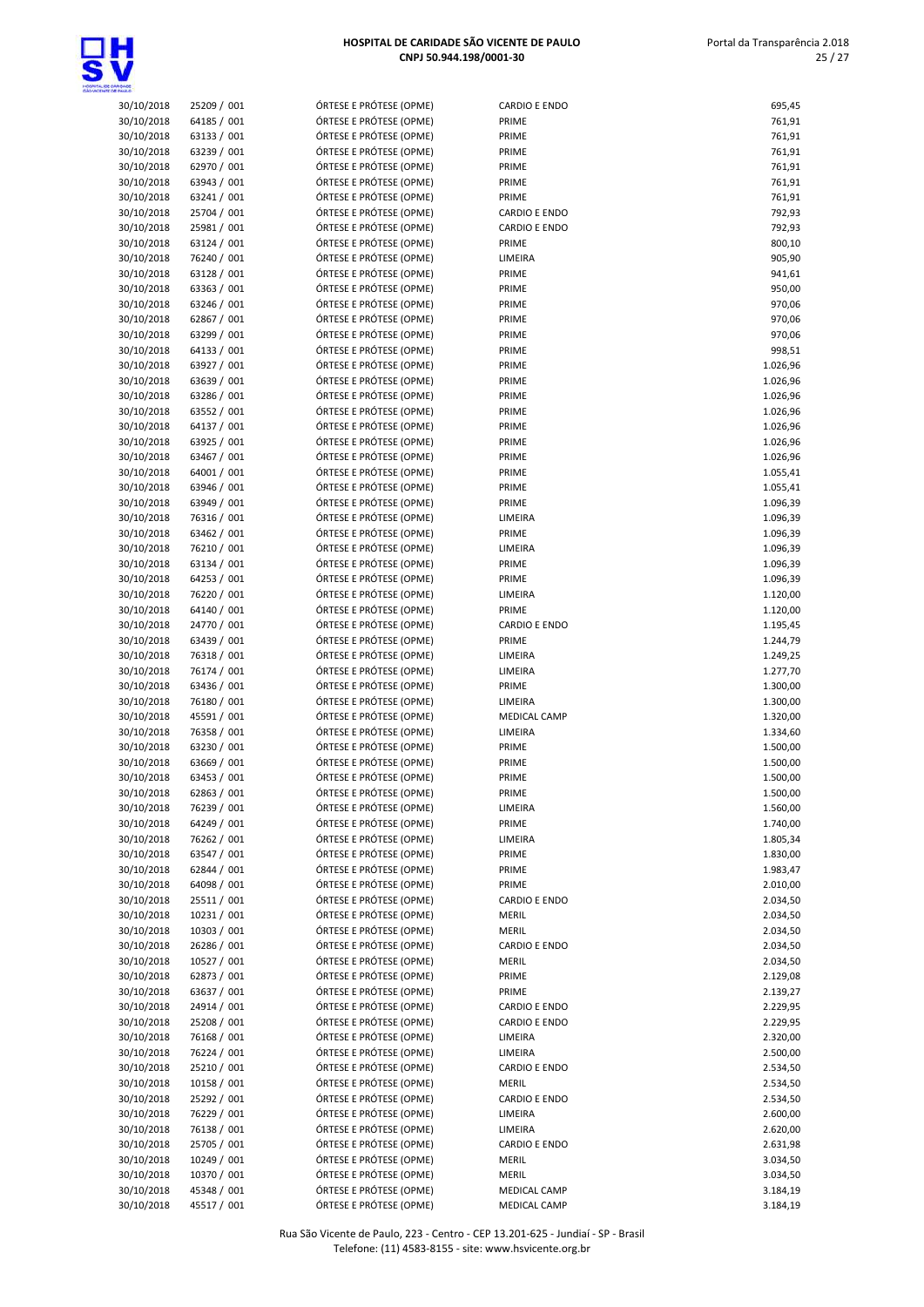

| 30/10/2018 | 25209 / 001 | ÓRTESE E PRÓTESE (OPME) | <b>CARDIO E ENDO</b> | 695,45   |
|------------|-------------|-------------------------|----------------------|----------|
| 30/10/2018 | 64185 / 001 | ÓRTESE E PRÓTESE (OPME) | PRIME                | 761,91   |
| 30/10/2018 | 63133 / 001 | ÓRTESE E PRÓTESE (OPME) | PRIME                | 761,91   |
| 30/10/2018 | 63239 / 001 | ÓRTESE E PRÓTESE (OPME) | PRIME                | 761,91   |
| 30/10/2018 | 62970 / 001 | ÓRTESE E PRÓTESE (OPME) | PRIME                | 761,91   |
| 30/10/2018 | 63943 / 001 | ÓRTESE E PRÓTESE (OPME) | PRIME                | 761,91   |
| 30/10/2018 | 63241 / 001 | ÓRTESE E PRÓTESE (OPME) | PRIME                | 761,91   |
| 30/10/2018 | 25704 / 001 | ÓRTESE E PRÓTESE (OPME) | <b>CARDIO E ENDO</b> | 792,93   |
| 30/10/2018 | 25981 / 001 | ÓRTESE E PRÓTESE (OPME) | <b>CARDIO E ENDO</b> | 792,93   |
| 30/10/2018 | 63124 / 001 | ÓRTESE E PRÓTESE (OPME) | PRIME                | 800,10   |
|            |             |                         |                      |          |
| 30/10/2018 | 76240 / 001 | ÓRTESE E PRÓTESE (OPME) | LIMEIRA              | 905,90   |
| 30/10/2018 | 63128 / 001 | ÓRTESE E PRÓTESE (OPME) | PRIME                | 941,61   |
| 30/10/2018 | 63363 / 001 | ÓRTESE E PRÓTESE (OPME) | PRIME                | 950,00   |
| 30/10/2018 | 63246 / 001 | ÓRTESE E PRÓTESE (OPME) | PRIME                | 970,06   |
| 30/10/2018 | 62867 / 001 | ÓRTESE E PRÓTESE (OPME) | PRIME                | 970,06   |
| 30/10/2018 | 63299 / 001 | ÓRTESE E PRÓTESE (OPME) | PRIME                | 970,06   |
| 30/10/2018 | 64133 / 001 | ÓRTESE E PRÓTESE (OPME) | PRIME                | 998,51   |
| 30/10/2018 | 63927 / 001 | ÓRTESE E PRÓTESE (OPME) | PRIME                | 1.026,96 |
| 30/10/2018 | 63639 / 001 | ÓRTESE E PRÓTESE (OPME) | PRIME                | 1.026,96 |
| 30/10/2018 | 63286 / 001 | ÓRTESE E PRÓTESE (OPME) | PRIME                | 1.026,96 |
| 30/10/2018 | 63552 / 001 | ÓRTESE E PRÓTESE (OPME) | PRIME                | 1.026,96 |
| 30/10/2018 | 64137 / 001 | ÓRTESE E PRÓTESE (OPME) | PRIME                | 1.026,96 |
| 30/10/2018 | 63925 / 001 | ÓRTESE E PRÓTESE (OPME) | PRIME                | 1.026,96 |
| 30/10/2018 | 63467 / 001 | ÓRTESE E PRÓTESE (OPME) | PRIME                | 1.026,96 |
| 30/10/2018 | 64001 / 001 | ÓRTESE E PRÓTESE (OPME) | PRIME                | 1.055,41 |
| 30/10/2018 | 63946 / 001 | ÓRTESE E PRÓTESE (OPME) | PRIME                | 1.055,41 |
| 30/10/2018 | 63949 / 001 | ÓRTESE E PRÓTESE (OPME) | PRIME                | 1.096,39 |
| 30/10/2018 | 76316 / 001 | ÓRTESE E PRÓTESE (OPME) |                      |          |
|            |             |                         | LIMEIRA              | 1.096,39 |
| 30/10/2018 | 63462 / 001 | ÓRTESE E PRÓTESE (OPME) | PRIME                | 1.096,39 |
| 30/10/2018 | 76210 / 001 | ÓRTESE E PRÓTESE (OPME) | LIMEIRA              | 1.096,39 |
| 30/10/2018 | 63134 / 001 | ÓRTESE E PRÓTESE (OPME) | PRIME                | 1.096,39 |
| 30/10/2018 | 64253 / 001 | ÓRTESE E PRÓTESE (OPME) | PRIME                | 1.096,39 |
| 30/10/2018 | 76220 / 001 | ÓRTESE E PRÓTESE (OPME) | LIMEIRA              | 1.120,00 |
| 30/10/2018 | 64140 / 001 | ÓRTESE E PRÓTESE (OPME) | PRIME                | 1.120,00 |
| 30/10/2018 | 24770 / 001 | ÓRTESE E PRÓTESE (OPME) | <b>CARDIO E ENDO</b> | 1.195,45 |
| 30/10/2018 | 63439 / 001 | ÓRTESE E PRÓTESE (OPME) | PRIME                | 1.244,79 |
| 30/10/2018 | 76318 / 001 | ÓRTESE E PRÓTESE (OPME) | LIMEIRA              | 1.249,25 |
| 30/10/2018 | 76174 / 001 | ÓRTESE E PRÓTESE (OPME) | LIMEIRA              | 1.277,70 |
| 30/10/2018 | 63436 / 001 | ÓRTESE E PRÓTESE (OPME) | PRIME                | 1.300,00 |
| 30/10/2018 | 76180 / 001 | ÓRTESE E PRÓTESE (OPME) | LIMEIRA              | 1.300,00 |
| 30/10/2018 | 45591 / 001 | ÓRTESE E PRÓTESE (OPME) | MEDICAL CAMP         | 1.320,00 |
| 30/10/2018 | 76358 / 001 | ÓRTESE E PRÓTESE (OPME) | LIMEIRA              | 1.334,60 |
| 30/10/2018 | 63230 / 001 | ÓRTESE E PRÓTESE (OPME) | PRIME                | 1.500,00 |
| 30/10/2018 | 63669 / 001 | ÓRTESE E PRÓTESE (OPME) | PRIME                | 1.500,00 |
| 30/10/2018 | 63453 / 001 | ÓRTESE E PRÓTESE (OPME) | PRIME                | 1.500,00 |
|            |             | ÓRTESE E PRÓTESE (OPME) | PRIME                | 1.500,00 |
| 30/10/2018 | 62863/001   | ÓRTESE E PRÓTESE (OPME) |                      |          |
| 30/10/2018 | 76239 / 001 |                         | LIMEIRA              | 1.560,00 |
| 30/10/2018 | 64249 / 001 | ÓRTESE E PRÓTESE (OPME) | PRIME                | 1.740,00 |
| 30/10/2018 | 76262 / 001 | ÓRTESE E PRÓTESE (OPME) | LIMEIRA              | 1.805,34 |
| 30/10/2018 | 63547 / 001 | ÓRTESE E PRÓTESE (OPME) | PRIME                | 1.830,00 |
| 30/10/2018 | 62844 / 001 | ÓRTESE E PRÓTESE (OPME) | PRIME                | 1.983,47 |
| 30/10/2018 | 64098 / 001 | ÓRTESE E PRÓTESE (OPME) | PRIME                | 2.010,00 |
| 30/10/2018 | 25511 / 001 | ÓRTESE E PRÓTESE (OPME) | CARDIO E ENDO        | 2.034,50 |
| 30/10/2018 | 10231 / 001 | ÓRTESE E PRÓTESE (OPME) | MERIL                | 2.034,50 |
| 30/10/2018 | 10303 / 001 | ÓRTESE E PRÓTESE (OPME) | MERIL                | 2.034,50 |
| 30/10/2018 | 26286 / 001 | ÓRTESE E PRÓTESE (OPME) | <b>CARDIO E ENDO</b> | 2.034,50 |
| 30/10/2018 | 10527 / 001 | ÓRTESE E PRÓTESE (OPME) | MERIL                | 2.034,50 |
| 30/10/2018 | 62873 / 001 | ÓRTESE E PRÓTESE (OPME) | PRIME                | 2.129,08 |
| 30/10/2018 | 63637 / 001 | ÓRTESE E PRÓTESE (OPME) | PRIME                | 2.139,27 |
| 30/10/2018 | 24914 / 001 | ÓRTESE E PRÓTESE (OPME) | CARDIO E ENDO        | 2.229,95 |
| 30/10/2018 | 25208 / 001 | ÓRTESE E PRÓTESE (OPME) | CARDIO E ENDO        | 2.229,95 |
| 30/10/2018 | 76168 / 001 | ÓRTESE E PRÓTESE (OPME) | LIMEIRA              | 2.320,00 |
| 30/10/2018 | 76224 / 001 | ÓRTESE E PRÓTESE (OPME) | LIMEIRA              | 2.500,00 |
| 30/10/2018 | 25210 / 001 | ÓRTESE E PRÓTESE (OPME) | CARDIO E ENDO        | 2.534,50 |
| 30/10/2018 | 10158 / 001 | ÓRTESE E PRÓTESE (OPME) | <b>MERIL</b>         | 2.534,50 |
|            |             | ÓRTESE E PRÓTESE (OPME) |                      |          |
| 30/10/2018 | 25292 / 001 |                         | CARDIO E ENDO        | 2.534,50 |
| 30/10/2018 | 76229 / 001 | ÓRTESE E PRÓTESE (OPME) | LIMEIRA              | 2.600,00 |
| 30/10/2018 | 76138 / 001 | ÓRTESE E PRÓTESE (OPME) | LIMEIRA              | 2.620,00 |
| 30/10/2018 | 25705 / 001 | ÓRTESE E PRÓTESE (OPME) | <b>CARDIO E ENDO</b> | 2.631,98 |
| 30/10/2018 | 10249 / 001 | ÓRTESE E PRÓTESE (OPME) | <b>MERIL</b>         | 3.034,50 |
| 30/10/2018 | 10370 / 001 | ÓRTESE E PRÓTESE (OPME) | MERIL                | 3.034,50 |
| 30/10/2018 | 45348 / 001 | ÓRTESE E PRÓTESE (OPME) | MEDICAL CAMP         | 3.184,19 |
| 30/10/2018 | 45517 / 001 | ÓRTESE E PRÓTESE (OPME) | MEDICAL CAMP         | 3.184,19 |

| 30/10/2018               | 25209 / 001                | ÓRTESE E PRÓTESE (OPME)                            | CARDIO E ENDO                        | 695,45               |
|--------------------------|----------------------------|----------------------------------------------------|--------------------------------------|----------------------|
| 30/10/2018               | 64185 / 001                | ÓRTESE E PRÓTESE (OPME)                            | PRIME                                | 761,91               |
| 30/10/2018               | 63133 / 001                | ÓRTESE E PRÓTESE (OPME)                            | PRIME                                | 761,91               |
| 30/10/2018               | 63239 / 001                | ÓRTESE E PRÓTESE (OPME)                            | PRIME                                | 761,91               |
| 30/10/2018<br>30/10/2018 | 62970 / 001<br>63943 / 001 | ÓRTESE E PRÓTESE (OPME)<br>ÓRTESE E PRÓTESE (OPME) | PRIME<br>PRIME                       | 761,91<br>761,91     |
| 30/10/2018               | 63241 / 001                | ÓRTESE E PRÓTESE (OPME)                            | PRIME                                | 761,91               |
| 30/10/2018               | 25704 / 001                | ÓRTESE E PRÓTESE (OPME)                            | <b>CARDIO E ENDO</b>                 | 792,93               |
| 30/10/2018               | 25981 / 001                | ÓRTESE E PRÓTESE (OPME)                            | <b>CARDIO E ENDO</b>                 | 792,93               |
| 30/10/2018               | 63124 / 001                | ÓRTESE E PRÓTESE (OPME)                            | PRIME                                | 800,10               |
| 30/10/2018               | 76240 / 001                | ÓRTESE E PRÓTESE (OPME)                            | LIMEIRA                              | 905,90               |
| 30/10/2018               | 63128 / 001                | ÓRTESE E PRÓTESE (OPME)                            | PRIME                                | 941,61               |
| 30/10/2018               | 63363 / 001                | ÓRTESE E PRÓTESE (OPME)                            | PRIME                                | 950,00               |
| 30/10/2018<br>30/10/2018 | 63246 / 001<br>62867 / 001 | ÓRTESE E PRÓTESE (OPME)<br>ÓRTESE E PRÓTESE (OPME) | PRIME<br>PRIME                       | 970,06<br>970,06     |
| 30/10/2018               | 63299 / 001                | ÓRTESE E PRÓTESE (OPME)                            | PRIME                                | 970,06               |
| 30/10/2018               | 64133 / 001                | ÓRTESE E PRÓTESE (OPME)                            | PRIME                                | 998,51               |
| 30/10/2018               | 63927 / 001                | ÓRTESE E PRÓTESE (OPME)                            | PRIME                                | 1.026,96             |
| 30/10/2018               | 63639 / 001                | ÓRTESE E PRÓTESE (OPME)                            | PRIME                                | 1.026,96             |
| 30/10/2018               | 63286 / 001                | ÓRTESE E PRÓTESE (OPME)                            | PRIME                                | 1.026,96             |
| 30/10/2018               | 63552 / 001                | ÓRTESE E PRÓTESE (OPME)                            | PRIME                                | 1.026,96             |
| 30/10/2018               | 64137 / 001                | ÓRTESE E PRÓTESE (OPME)<br>ÓRTESE E PRÓTESE (OPME) | PRIME                                | 1.026,96             |
| 30/10/2018<br>30/10/2018 | 63925 / 001<br>63467 / 001 | ÓRTESE E PRÓTESE (OPME)                            | PRIME<br>PRIME                       | 1.026,96<br>1.026,96 |
| 30/10/2018               | 64001 / 001                | ÓRTESE E PRÓTESE (OPME)                            | PRIME                                | 1.055,41             |
| 30/10/2018               | 63946 / 001                | ÓRTESE E PRÓTESE (OPME)                            | PRIME                                | 1.055,41             |
| 30/10/2018               | 63949 / 001                | ÓRTESE E PRÓTESE (OPME)                            | PRIME                                | 1.096,39             |
| 30/10/2018               | 76316 / 001                | ÓRTESE E PRÓTESE (OPME)                            | LIMEIRA                              | 1.096,39             |
| 30/10/2018               | 63462 / 001                | ÓRTESE E PRÓTESE (OPME)                            | PRIME                                | 1.096,39             |
| 30/10/2018               | 76210 / 001                | ÓRTESE E PRÓTESE (OPME)                            | LIMEIRA                              | 1.096,39             |
| 30/10/2018<br>30/10/2018 | 63134 / 001<br>64253 / 001 | ÓRTESE E PRÓTESE (OPME)<br>ÓRTESE E PRÓTESE (OPME) | PRIME<br>PRIME                       | 1.096,39             |
| 30/10/2018               | 76220 / 001                | ÓRTESE E PRÓTESE (OPME)                            | LIMEIRA                              | 1.096,39<br>1.120,00 |
| 30/10/2018               | 64140 / 001                | ÓRTESE E PRÓTESE (OPME)                            | PRIME                                | 1.120,00             |
| 30/10/2018               | 24770 / 001                | ÓRTESE E PRÓTESE (OPME)                            | <b>CARDIO E ENDO</b>                 | 1.195,45             |
| 30/10/2018               | 63439 / 001                | ÓRTESE E PRÓTESE (OPME)                            | PRIME                                | 1.244,79             |
| 30/10/2018               | 76318 / 001                | ÓRTESE E PRÓTESE (OPME)                            | LIMEIRA                              | 1.249,25             |
| 30/10/2018               | 76174 / 001                | ÓRTESE E PRÓTESE (OPME)                            | LIMEIRA                              | 1.277,70             |
| 30/10/2018               | 63436 / 001                | ÓRTESE E PRÓTESE (OPME)                            | PRIME                                | 1.300,00             |
| 30/10/2018<br>30/10/2018 | 76180 / 001<br>45591 / 001 | ÓRTESE E PRÓTESE (OPME)<br>ÓRTESE E PRÓTESE (OPME) | LIMEIRA<br>MEDICAL CAMP              | 1.300,00<br>1.320,00 |
| 30/10/2018               | 76358 / 001                | ÓRTESE E PRÓTESE (OPME)                            | LIMEIRA                              | 1.334,60             |
| 30/10/2018               | 63230 / 001                | ÓRTESE E PRÓTESE (OPME)                            | PRIME                                | 1.500,00             |
| 30/10/2018               | 63669 / 001                | ÓRTESE E PRÓTESE (OPME)                            | PRIME                                | 1.500,00             |
| 30/10/2018               | 63453 / 001                | ÓRTESE E PRÓTESE (OPME)                            | PRIME                                | 1.500,00             |
| 30/10/2018               | 62863 / 001                | ÓRTESE E PRÓTESE (OPME)                            | PRIME                                | 1.500,00             |
| 30/10/2018               | 76239 / 001                | ÓRTESE E PRÓTESE (OPME)                            | LIMEIRA                              | 1.560,00             |
| 30/10/2018<br>30/10/2018 | 64249 / 001<br>76262 / 001 | ÓRTESE E PRÓTESE (OPME)<br>ÓRTESE E PRÓTESE (OPME) | PRIME<br>LIMEIRA                     | 1.740,00<br>1.805,34 |
| 30/10/2018               | 63547 / 001                | ÓRTESE E PRÓTESE (OPME)                            | PRIME                                | 1.830,00             |
| 30/10/2018               | 62844 / 001                | ÓRTESE E PRÓTESE (OPME)                            | PRIME                                | 1.983,47             |
| 30/10/2018               | 64098 / 001                | ÓRTESE E PRÓTESE (OPME)                            | PRIME                                | 2.010,00             |
| 30/10/2018               | 25511 / 001                | ÓRTESE E PRÓTESE (OPME)                            | CARDIO E ENDO                        | 2.034,50             |
| 30/10/2018               | 10231 / 001                | ÓRTESE E PRÓTESE (OPME)                            | MERIL                                | 2.034,50             |
| 30/10/2018               | 10303 / 001                | ÓRTESE E PRÓTESE (OPME)                            | MERIL                                | 2.034,50             |
| 30/10/2018               | 26286 / 001                | ÓRTESE E PRÓTESE (OPME)                            | <b>CARDIO E ENDO</b>                 | 2.034,50             |
| 30/10/2018<br>30/10/2018 | 10527 / 001<br>62873 / 001 | ÓRTESE E PRÓTESE (OPME)<br>ÓRTESE E PRÓTESE (OPME) | <b>MERIL</b><br>PRIME                | 2.034,50<br>2.129,08 |
| 30/10/2018               | 63637 / 001                | ÓRTESE E PRÓTESE (OPME)                            | PRIME                                | 2.139,27             |
| 30/10/2018               | 24914 / 001                | ÓRTESE E PRÓTESE (OPME)                            | CARDIO E ENDO                        | 2.229,95             |
| 30/10/2018               | 25208 / 001                | ÓRTESE E PRÓTESE (OPME)                            | <b>CARDIO E ENDO</b>                 | 2.229,95             |
| 30/10/2018               | 76168 / 001                | ÓRTESE E PRÓTESE (OPME)                            | LIMEIRA                              | 2.320,00             |
| 30/10/2018               | 76224 / 001                | ÓRTESE E PRÓTESE (OPME)                            | LIMEIRA                              | 2.500,00             |
| 30/10/2018               | 25210 / 001                | ÓRTESE E PRÓTESE (OPME)                            | <b>CARDIO E ENDO</b>                 | 2.534,50             |
| 30/10/2018<br>30/10/2018 | 10158 / 001                | ÓRTESE E PRÓTESE (OPME)<br>ÓRTESE E PRÓTESE (OPME) | <b>MERIL</b><br><b>CARDIO E ENDO</b> | 2.534,50             |
| 30/10/2018               | 25292 / 001<br>76229 / 001 | ÓRTESE E PRÓTESE (OPME)                            | LIMEIRA                              | 2.534,50<br>2.600,00 |
| 30/10/2018               | 76138 / 001                | ÓRTESE E PRÓTESE (OPME)                            | LIMEIRA                              | 2.620,00             |
| 30/10/2018               | 25705 / 001                | ÓRTESE E PRÓTESE (OPME)                            | <b>CARDIO E ENDO</b>                 | 2.631,98             |
| 30/10/2018               | 10249 / 001                | ÓRTESE E PRÓTESE (OPME)                            | MERIL                                | 3.034,50             |
| 30/10/2018               | 10370 / 001                | ÓRTESE E PRÓTESE (OPME)                            | <b>MERIL</b>                         | 3.034,50             |
| 30/10/2018               | 45348 / 001                | ÓRTESE E PRÓTESE (OPME)                            | MEDICAL CAMP                         | 3.184,19             |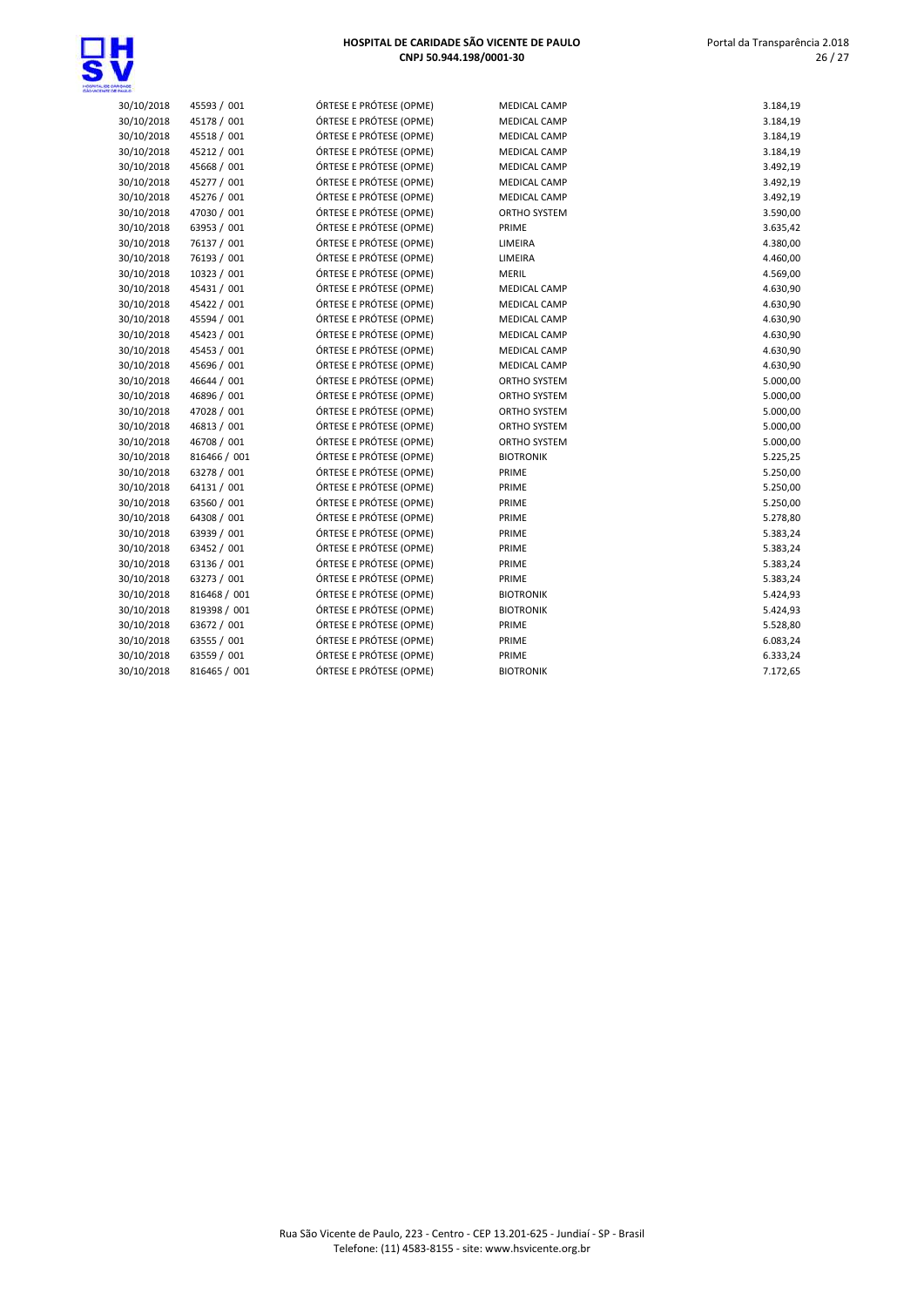

| HOSPITAL DE CARIDADE SÃO VICENTE DE PAULO |
|-------------------------------------------|
| CNPJ 50.944.198/0001-30                   |

30/10/2018 45593 / 001 ÓRTESE E PRÓTESE (OPME) MEDICAL CAMP 3.184,19 30/10/2018 45178 / 001 ÓRTESE E PRÓTESE (OPME) MEDICAL CAMP 3.184,19<br>30/10/2018 45518 / 001 ÓRTESE E PRÓTESE (OPME) MEDICAL CAMP 3.184,19

30/10/2018 45212 / 001 ÓRTESE E PRÓTESE (OPME) MEDICAL CAMP GAN ASSALES MEDICAL CAMP GAN SANGA<br>30/10/2018 45668 / 001 ÓRTESE E PRÓTESE (OPME) MEDICAL CAMP GAN GAN GAN GAN GAN GAN GAN

30/10/2018 45277 / 001 6RTESE E PRÓTESE (OPME) MEDICAL CAMP (1999) 6.492,19<br>30/10/2018 45276 / 001 6RTESE E PRÓTESE (OPME) MEDICAL CAMP (1999) 7.492,19 30/10/2018 45276 / 001 ÓRTESE E PRÓTESE (OPME) MEDICAL CAMP 3.492,19 30/10/2018 47030 / 001 ÓRTESE E PRÓTESE (OPME) ORTHO SYSTEM 3.590,00

30/10/2018 45518 / 001 ÓRTESE E PRÓTESE (OPME) MEDICAL CAMP

ÓRTESE E PRÓTESE (OPME)

 Portal da Transparência 2.018 26 / 27

| 30/10/2018 | 63953 / 001  | ÓRTESE E PRÓTESE (OPME) | PRIME               | 3.635,42 |
|------------|--------------|-------------------------|---------------------|----------|
| 30/10/2018 | 76137 / 001  | ÓRTESE E PRÓTESE (OPME) | LIMEIRA             | 4.380,00 |
| 30/10/2018 | 76193 / 001  | ÓRTESE E PRÓTESE (OPME) | LIMEIRA             | 4.460,00 |
| 30/10/2018 | 10323 / 001  | ÓRTESE E PRÓTESE (OPME) | MERIL               | 4.569,00 |
| 30/10/2018 | 45431 / 001  | ÓRTESE E PRÓTESE (OPME) | <b>MEDICAL CAMP</b> | 4.630,90 |
| 30/10/2018 | 45422 / 001  | ÓRTESE E PRÓTESE (OPME) | MEDICAL CAMP        | 4.630,90 |
| 30/10/2018 | 45594 / 001  | ÓRTESE E PRÓTESE (OPME) | MEDICAL CAMP        | 4.630,90 |
| 30/10/2018 | 45423 / 001  | ÓRTESE E PRÓTESE (OPME) | <b>MEDICAL CAMP</b> | 4.630,90 |
| 30/10/2018 | 45453 / 001  | ÓRTESE E PRÓTESE (OPME) | MEDICAL CAMP        | 4.630,90 |
| 30/10/2018 | 45696 / 001  | ÓRTESE E PRÓTESE (OPME) | MEDICAL CAMP        | 4.630,90 |
| 30/10/2018 | 46644 / 001  | ÓRTESE E PRÓTESE (OPME) | ORTHO SYSTEM        | 5.000,00 |
| 30/10/2018 | 46896 / 001  | ÓRTESE E PRÓTESE (OPME) | ORTHO SYSTEM        | 5.000,00 |
| 30/10/2018 | 47028 / 001  | ÓRTESE E PRÓTESE (OPME) | ORTHO SYSTEM        | 5.000,00 |
| 30/10/2018 | 46813 / 001  | ÓRTESE E PRÓTESE (OPME) | ORTHO SYSTEM        | 5.000,00 |
| 30/10/2018 | 46708 / 001  | ÓRTESE E PRÓTESE (OPME) | ORTHO SYSTEM        | 5.000,00 |
| 30/10/2018 | 816466 / 001 | ÓRTESE E PRÓTESE (OPME) | <b>BIOTRONIK</b>    | 5.225,25 |
| 30/10/2018 | 63278 / 001  | ÓRTESE E PRÓTESE (OPME) | PRIME               | 5.250,00 |
| 30/10/2018 | 64131 / 001  | ÓRTESE E PRÓTESE (OPME) | PRIME               | 5.250,00 |
| 30/10/2018 | 63560 / 001  | ÓRTESE E PRÓTESE (OPME) | PRIME               | 5.250,00 |
| 30/10/2018 | 64308 / 001  | ÓRTESE E PRÓTESE (OPME) | PRIME               | 5.278,80 |
| 30/10/2018 | 63939 / 001  | ÓRTESE E PRÓTESE (OPME) | PRIME               | 5.383,24 |
| 30/10/2018 | 63452 / 001  | ÓRTESE E PRÓTESE (OPME) | PRIME               | 5.383,24 |
| 30/10/2018 | 63136 / 001  | ÓRTESE E PRÓTESE (OPME) | PRIME               | 5.383,24 |
| 30/10/2018 | 63273 / 001  | ÓRTESE E PRÓTESE (OPME) | PRIME               | 5.383,24 |
| 30/10/2018 | 816468 / 001 | ÓRTESE E PRÓTESE (OPME) | <b>BIOTRONIK</b>    | 5.424,93 |
| 30/10/2018 | 819398 / 001 | ÓRTESE E PRÓTESE (OPME) | <b>BIOTRONIK</b>    | 5.424,93 |
| 30/10/2018 | 63672 / 001  | ÓRTESE E PRÓTESE (OPME) | PRIME               | 5.528,80 |
| 30/10/2018 | 63555 / 001  | ÓRTESE E PRÓTESE (OPME) | PRIME               | 6.083,24 |
| 30/10/2018 | 63559 / 001  | ÓRTESE E PRÓTESE (OPME) | PRIME               | 6.333,24 |
| 30/10/2018 | 816465 / 001 | ÓRTESE E PRÓTESE (OPME) | <b>BIOTRONIK</b>    | 7.172,65 |
|            |              |                         |                     |          |